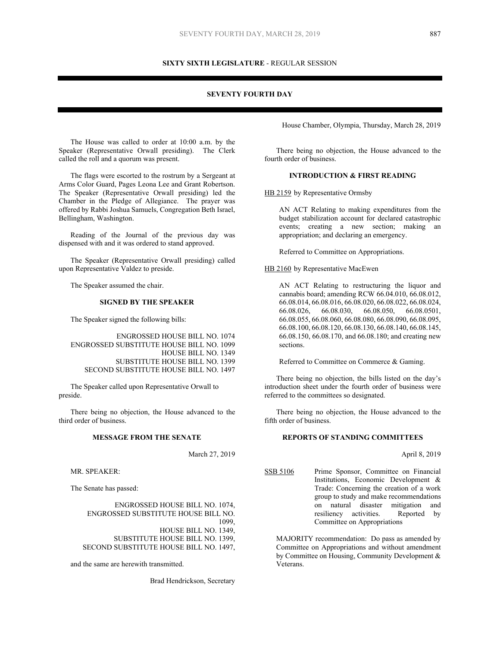## **SIXTY SIXTH LEGISLATURE** - REGULAR SESSION

## **SEVENTY FOURTH DAY**

The House was called to order at 10:00 a.m. by the Speaker (Representative Orwall presiding). The Clerk called the roll and a quorum was present.

The flags were escorted to the rostrum by a Sergeant at Arms Color Guard, Pages Leona Lee and Grant Robertson. The Speaker (Representative Orwall presiding) led the Chamber in the Pledge of Allegiance. The prayer was offered by Rabbi Joshua Samuels, Congregation Beth Israel, Bellingham, Washington.

Reading of the Journal of the previous day was dispensed with and it was ordered to stand approved.

The Speaker (Representative Orwall presiding) called upon Representative Valdez to preside.

The Speaker assumed the chair.

## **SIGNED BY THE SPEAKER**

The Speaker signed the following bills:

ENGROSSED HOUSE BILL NO. 1074 ENGROSSED SUBSTITUTE HOUSE BILL NO. 1099 HOUSE BILL NO. 1349 SUBSTITUTE HOUSE BILL NO. 1399 SECOND SUBSTITUTE HOUSE BILL NO. 1497

The Speaker called upon Representative Orwall to preside.

There being no objection, the House advanced to the third order of business.

#### **MESSAGE FROM THE SENATE**

March 27, 2019

MR. SPEAKER:

The Senate has passed:

ENGROSSED HOUSE BILL NO. 1074, ENGROSSED SUBSTITUTE HOUSE BILL NO. 1099, HOUSE BILL NO. 1349, SUBSTITUTE HOUSE BILL NO. 1399, SECOND SUBSTITUTE HOUSE BILL NO. 1497,

and the same are herewith transmitted.

Brad Hendrickson, Secretary

House Chamber, Olympia, Thursday, March 28, 2019

There being no objection, the House advanced to the fourth order of business.

# **INTRODUCTION & FIRST READING**

HB 2159 by Representative Ormsby

AN ACT Relating to making expenditures from the budget stabilization account for declared catastrophic events; creating a new section; making an appropriation; and declaring an emergency.

Referred to Committee on Appropriations.

HB 2160 by Representative MacEwen

AN ACT Relating to restructuring the liquor and cannabis board; amending RCW 66.04.010, 66.08.012, 66.08.014, 66.08.016, 66.08.020, 66.08.022, 66.08.024, 66.08.026, 66.08.030, 66.08.050, 66.08.0501, 66.08.055, 66.08.060, 66.08.080, 66.08.090, 66.08.095, 66.08.100, 66.08.120, 66.08.130, 66.08.140, 66.08.145, 66.08.150, 66.08.170, and 66.08.180; and creating new sections.

Referred to Committee on Commerce & Gaming.

There being no objection, the bills listed on the day's introduction sheet under the fourth order of business were referred to the committees so designated.

There being no objection, the House advanced to the fifth order of business.

## **REPORTS OF STANDING COMMITTEES**

April 8, 2019

SSB 5106 Prime Sponsor, Committee on Financial Institutions, Economic Development & Trade: Concerning the creation of a work group to study and make recommendations on natural disaster mitigation and resiliency activities. Reported by Committee on Appropriations

MAJORITY recommendation: Do pass as amended by Committee on Appropriations and without amendment by Committee on Housing, Community Development & Veterans.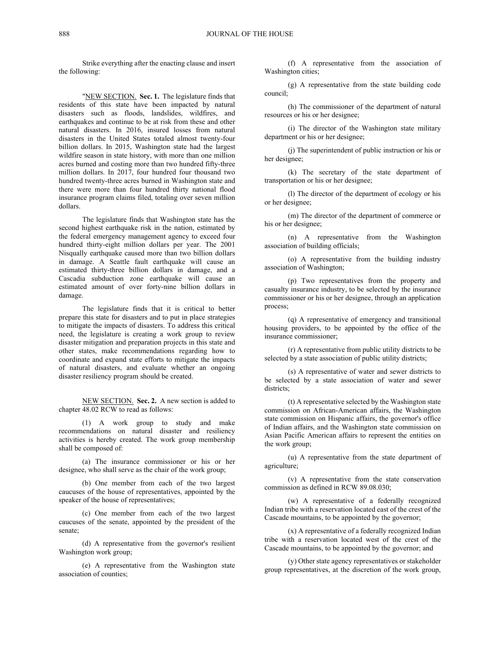Strike everything after the enacting clause and insert the following:

"NEW SECTION. **Sec. 1.** The legislature finds that residents of this state have been impacted by natural disasters such as floods, landslides, wildfires, and earthquakes and continue to be at risk from these and other natural disasters. In 2016, insured losses from natural disasters in the United States totaled almost twenty-four billion dollars. In 2015, Washington state had the largest wildfire season in state history, with more than one million acres burned and costing more than two hundred fifty-three million dollars. In 2017, four hundred four thousand two hundred twenty-three acres burned in Washington state and there were more than four hundred thirty national flood insurance program claims filed, totaling over seven million dollars.

The legislature finds that Washington state has the second highest earthquake risk in the nation, estimated by the federal emergency management agency to exceed four hundred thirty-eight million dollars per year. The 2001 Nisqually earthquake caused more than two billion dollars in damage. A Seattle fault earthquake will cause an estimated thirty-three billion dollars in damage, and a Cascadia subduction zone earthquake will cause an estimated amount of over forty-nine billion dollars in damage.

The legislature finds that it is critical to better prepare this state for disasters and to put in place strategies to mitigate the impacts of disasters. To address this critical need, the legislature is creating a work group to review disaster mitigation and preparation projects in this state and other states, make recommendations regarding how to coordinate and expand state efforts to mitigate the impacts of natural disasters, and evaluate whether an ongoing disaster resiliency program should be created.

NEW SECTION. **Sec. 2.** A new section is added to chapter 48.02 RCW to read as follows:

(1) A work group to study and make recommendations on natural disaster and resiliency activities is hereby created. The work group membership shall be composed of:

(a) The insurance commissioner or his or her designee, who shall serve as the chair of the work group;

(b) One member from each of the two largest caucuses of the house of representatives, appointed by the speaker of the house of representatives;

(c) One member from each of the two largest caucuses of the senate, appointed by the president of the senate;

(d) A representative from the governor's resilient Washington work group;

(e) A representative from the Washington state association of counties;

(f) A representative from the association of Washington cities;

(g) A representative from the state building code council;

(h) The commissioner of the department of natural resources or his or her designee;

(i) The director of the Washington state military department or his or her designee;

(j) The superintendent of public instruction or his or her designee;

(k) The secretary of the state department of transportation or his or her designee;

(l) The director of the department of ecology or his or her designee;

(m) The director of the department of commerce or his or her designee;

(n) A representative from the Washington association of building officials;

(o) A representative from the building industry association of Washington;

(p) Two representatives from the property and casualty insurance industry, to be selected by the insurance commissioner or his or her designee, through an application process;

(q) A representative of emergency and transitional housing providers, to be appointed by the office of the insurance commissioner;

(r) A representative from public utility districts to be selected by a state association of public utility districts;

(s) A representative of water and sewer districts to be selected by a state association of water and sewer districts;

(t) A representative selected by the Washington state commission on African-American affairs, the Washington state commission on Hispanic affairs, the governor's office of Indian affairs, and the Washington state commission on Asian Pacific American affairs to represent the entities on the work group;

(u) A representative from the state department of agriculture;

(v) A representative from the state conservation commission as defined in RCW 89.08.030;

(w) A representative of a federally recognized Indian tribe with a reservation located east of the crest of the Cascade mountains, to be appointed by the governor;

(x) A representative of a federally recognized Indian tribe with a reservation located west of the crest of the Cascade mountains, to be appointed by the governor; and

(y) Other state agency representatives or stakeholder group representatives, at the discretion of the work group,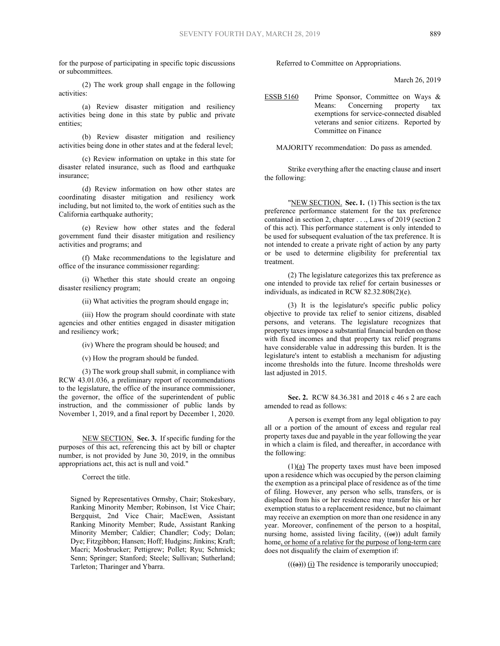for the purpose of participating in specific topic discussions or subcommittees.

(2) The work group shall engage in the following activities:

(a) Review disaster mitigation and resiliency activities being done in this state by public and private entities;

(b) Review disaster mitigation and resiliency activities being done in other states and at the federal level;

(c) Review information on uptake in this state for disaster related insurance, such as flood and earthquake insurance;

(d) Review information on how other states are coordinating disaster mitigation and resiliency work including, but not limited to, the work of entities such as the California earthquake authority;

(e) Review how other states and the federal government fund their disaster mitigation and resiliency activities and programs; and

(f) Make recommendations to the legislature and office of the insurance commissioner regarding:

(i) Whether this state should create an ongoing disaster resiliency program;

(ii) What activities the program should engage in;

(iii) How the program should coordinate with state agencies and other entities engaged in disaster mitigation and resiliency work;

(iv) Where the program should be housed; and

(v) How the program should be funded.

(3) The work group shall submit, in compliance with RCW 43.01.036, a preliminary report of recommendations to the legislature, the office of the insurance commissioner, the governor, the office of the superintendent of public instruction, and the commissioner of public lands by November 1, 2019, and a final report by December 1, 2020.

NEW SECTION. **Sec. 3.** If specific funding for the purposes of this act, referencing this act by bill or chapter number, is not provided by June 30, 2019, in the omnibus appropriations act, this act is null and void."

Correct the title.

Signed by Representatives Ormsby, Chair; Stokesbary, Ranking Minority Member; Robinson, 1st Vice Chair; Bergquist, 2nd Vice Chair; MacEwen, Assistant Ranking Minority Member; Rude, Assistant Ranking Minority Member; Caldier; Chandler; Cody; Dolan; Dye; Fitzgibbon; Hansen; Hoff; Hudgins; Jinkins; Kraft; Macri; Mosbrucker; Pettigrew; Pollet; Ryu; Schmick; Senn; Springer; Stanford; Steele; Sullivan; Sutherland; Tarleton; Tharinger and Ybarra.

Referred to Committee on Appropriations.

March 26, 2019

ESSB 5160 Prime Sponsor, Committee on Ways & Means: Concerning property tax exemptions for service-connected disabled veterans and senior citizens. Reported by Committee on Finance

MAJORITY recommendation: Do pass as amended.

Strike everything after the enacting clause and insert the following:

"NEW SECTION. Sec. 1. (1) This section is the tax preference performance statement for the tax preference contained in section 2, chapter . . ., Laws of 2019 (section 2 of this act). This performance statement is only intended to be used for subsequent evaluation of the tax preference. It is not intended to create a private right of action by any party or be used to determine eligibility for preferential tax treatment.

(2) The legislature categorizes this tax preference as one intended to provide tax relief for certain businesses or individuals, as indicated in RCW 82.32.808(2)(e).

(3) It is the legislature's specific public policy objective to provide tax relief to senior citizens, disabled persons, and veterans. The legislature recognizes that property taxes impose a substantial financial burden on those with fixed incomes and that property tax relief programs have considerable value in addressing this burden. It is the legislature's intent to establish a mechanism for adjusting income thresholds into the future. Income thresholds were last adjusted in 2015.

**Sec. 2.** RCW 84.36.381 and 2018 c 46 s 2 are each amended to read as follows:

A person is exempt from any legal obligation to pay all or a portion of the amount of excess and regular real property taxes due and payable in the year following the year in which a claim is filed, and thereafter, in accordance with the following:

 $(1)(a)$  The property taxes must have been imposed upon a residence which was occupied by the person claiming the exemption as a principal place of residence as of the time of filing. However, any person who sells, transfers, or is displaced from his or her residence may transfer his or her exemption status to a replacement residence, but no claimant may receive an exemption on more than one residence in any year. Moreover, confinement of the person to a hospital, nursing home, assisted living facility,  $((\Theta \mathbf{r}))$  adult family home, or home of a relative for the purpose of long-term care does not disqualify the claim of exemption if:

 $((a))$  (i) The residence is temporarily unoccupied;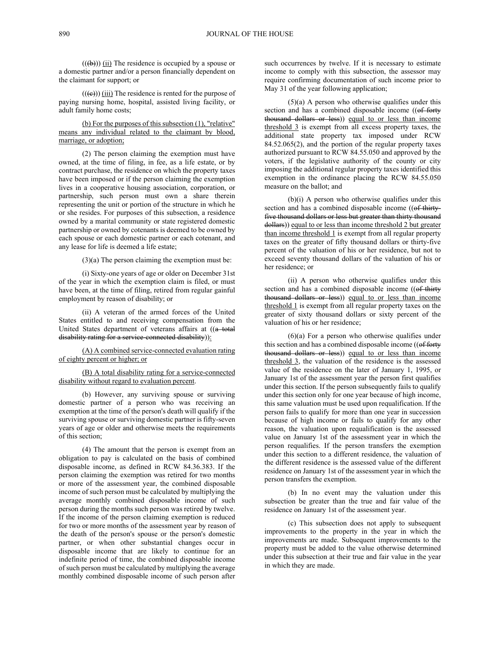$((\text{(b)}))$  (ii) The residence is occupied by a spouse or a domestic partner and/or a person financially dependent on the claimant for support; or

 $((\text{e}))$  (iii) The residence is rented for the purpose of paying nursing home, hospital, assisted living facility, or adult family home costs;

## (b) For the purposes of this subsection (1), "relative" means any individual related to the claimant by blood, marriage, or adoption;

(2) The person claiming the exemption must have owned, at the time of filing, in fee, as a life estate, or by contract purchase, the residence on which the property taxes have been imposed or if the person claiming the exemption lives in a cooperative housing association, corporation, or partnership, such person must own a share therein representing the unit or portion of the structure in which he or she resides. For purposes of this subsection, a residence owned by a marital community or state registered domestic partnership or owned by cotenants is deemed to be owned by each spouse or each domestic partner or each cotenant, and any lease for life is deemed a life estate;

 $(3)(a)$  The person claiming the exemption must be:

(i) Sixty-one years of age or older on December 31st of the year in which the exemption claim is filed, or must have been, at the time of filing, retired from regular gainful employment by reason of disability; or

(ii) A veteran of the armed forces of the United States entitled to and receiving compensation from the United States department of veterans affairs at ((a total disability rating for a service-connected disability)):

(A) A combined service-connected evaluation rating of eighty percent or higher; or

## (B) A total disability rating for a service-connected disability without regard to evaluation percent.

(b) However, any surviving spouse or surviving domestic partner of a person who was receiving an exemption at the time of the person's death will qualify if the surviving spouse or surviving domestic partner is fifty-seven years of age or older and otherwise meets the requirements of this section;

(4) The amount that the person is exempt from an obligation to pay is calculated on the basis of combined disposable income, as defined in RCW 84.36.383. If the person claiming the exemption was retired for two months or more of the assessment year, the combined disposable income of such person must be calculated by multiplying the average monthly combined disposable income of such person during the months such person was retired by twelve. If the income of the person claiming exemption is reduced for two or more months of the assessment year by reason of the death of the person's spouse or the person's domestic partner, or when other substantial changes occur in disposable income that are likely to continue for an indefinite period of time, the combined disposable income of such person must be calculated by multiplying the average monthly combined disposable income of such person after

such occurrences by twelve. If it is necessary to estimate income to comply with this subsection, the assessor may require confirming documentation of such income prior to May 31 of the year following application;

 $(5)(a)$  A person who otherwise qualifies under this section and has a combined disposable income ((of forty thousand dollars or less) equal to or less than income threshold 3 is exempt from all excess property taxes, the additional state property tax imposed under RCW 84.52.065(2), and the portion of the regular property taxes authorized pursuant to RCW 84.55.050 and approved by the voters, if the legislative authority of the county or city imposing the additional regular property taxes identified this exemption in the ordinance placing the RCW 84.55.050 measure on the ballot; and

(b)(i) A person who otherwise qualifies under this section and has a combined disposable income ((of thirtyfive thousand dollars or less but greater than thirty thousand dollars)) equal to or less than income threshold 2 but greater than income threshold 1 is exempt from all regular property taxes on the greater of fifty thousand dollars or thirty-five percent of the valuation of his or her residence, but not to exceed seventy thousand dollars of the valuation of his or her residence; or

(ii) A person who otherwise qualifies under this section and has a combined disposable income ((of thirty thousand dollars or less) equal to or less than income threshold 1 is exempt from all regular property taxes on the greater of sixty thousand dollars or sixty percent of the valuation of his or her residence;

 $(6)(a)$  For a person who otherwise qualifies under this section and has a combined disposable income ((of forty thousand dollars or less) equal to or less than income threshold 3, the valuation of the residence is the assessed value of the residence on the later of January 1, 1995, or January 1st of the assessment year the person first qualifies under this section. If the person subsequently fails to qualify under this section only for one year because of high income, this same valuation must be used upon requalification. If the person fails to qualify for more than one year in succession because of high income or fails to qualify for any other reason, the valuation upon requalification is the assessed value on January 1st of the assessment year in which the person requalifies. If the person transfers the exemption under this section to a different residence, the valuation of the different residence is the assessed value of the different residence on January 1st of the assessment year in which the person transfers the exemption.

(b) In no event may the valuation under this subsection be greater than the true and fair value of the residence on January 1st of the assessment year.

(c) This subsection does not apply to subsequent improvements to the property in the year in which the improvements are made. Subsequent improvements to the property must be added to the value otherwise determined under this subsection at their true and fair value in the year in which they are made.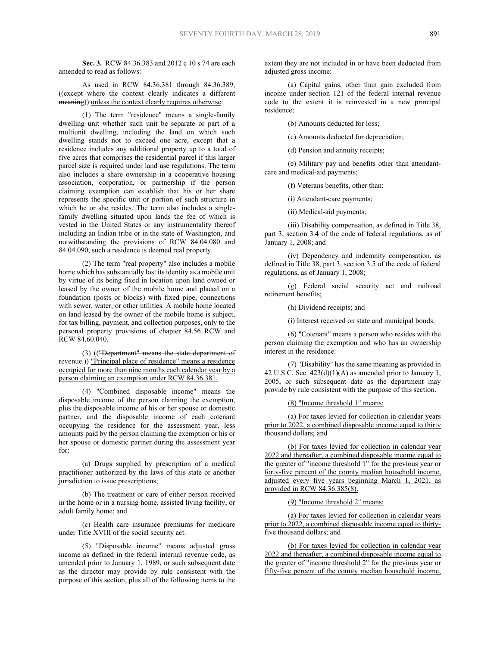**Sec. 3.** RCW 84.36.383 and 2012 c 10 s 74 are each amended to read as follows:

As used in RCW 84.36.381 through 84.36.389, ((except where the context clearly indicates a different meaning)) unless the context clearly requires otherwise:

(1) The term "residence" means a single-family dwelling unit whether such unit be separate or part of a multiunit dwelling, including the land on which such dwelling stands not to exceed one acre, except that a residence includes any additional property up to a total of five acres that comprises the residential parcel if this larger parcel size is required under land use regulations. The term also includes a share ownership in a cooperative housing association, corporation, or partnership if the person claiming exemption can establish that his or her share represents the specific unit or portion of such structure in which he or she resides. The term also includes a singlefamily dwelling situated upon lands the fee of which is vested in the United States or any instrumentality thereof including an Indian tribe or in the state of Washington, and notwithstanding the provisions of RCW 84.04.080 and 84.04.090, such a residence is deemed real property.

(2) The term "real property" also includes a mobile home which has substantially lost its identity as a mobile unit by virtue of its being fixed in location upon land owned or leased by the owner of the mobile home and placed on a foundation (posts or blocks) with fixed pipe, connections with sewer, water, or other utilities. A mobile home located on land leased by the owner of the mobile home is subject, for tax billing, payment, and collection purposes, only to the personal property provisions of chapter 84.56 RCW and RCW 84.60.040.

(3) (("Department" means the state department of revenue.)) "Principal place of residence" means a residence occupied for more than nine months each calendar year by a person claiming an exemption under RCW 84.36.381.

(4) "Combined disposable income" means the disposable income of the person claiming the exemption, plus the disposable income of his or her spouse or domestic partner, and the disposable income of each cotenant occupying the residence for the assessment year, less amounts paid by the person claiming the exemption or his or her spouse or domestic partner during the assessment year for:

(a) Drugs supplied by prescription of a medical practitioner authorized by the laws of this state or another jurisdiction to issue prescriptions;

(b) The treatment or care of either person received in the home or in a nursing home, assisted living facility, or adult family home; and

(c) Health care insurance premiums for medicare under Title XVIII of the social security act.

(5) "Disposable income" means adjusted gross income as defined in the federal internal revenue code, as amended prior to January 1, 1989, or such subsequent date as the director may provide by rule consistent with the purpose of this section, plus all of the following items to the

extent they are not included in or have been deducted from adjusted gross income:

(a) Capital gains, other than gain excluded from income under section 121 of the federal internal revenue code to the extent it is reinvested in a new principal residence;

(b) Amounts deducted for loss;

(c) Amounts deducted for depreciation;

(d) Pension and annuity receipts;

(e) Military pay and benefits other than attendantcare and medical-aid payments;

(f) Veterans benefits, other than:

(i) Attendant-care payments;

(ii) Medical-aid payments;

(iii) Disability compensation, as defined in Title 38, part 3, section 3.4 of the code of federal regulations, as of January 1, 2008; and

(iv) Dependency and indemnity compensation, as defined in Title 38, part 3, section 3.5 of the code of federal regulations, as of January 1, 2008;

(g) Federal social security act and railroad retirement benefits;

(h) Dividend receipts; and

(i) Interest received on state and municipal bonds.

(6) "Cotenant" means a person who resides with the person claiming the exemption and who has an ownership interest in the residence.

(7) "Disability" has the same meaning as provided in 42 U.S.C. Sec.  $423(d)(1)(A)$  as amended prior to January 1, 2005, or such subsequent date as the department may provide by rule consistent with the purpose of this section.

(8) "Income threshold 1" means:

(a) For taxes levied for collection in calendar years prior to 2022, a combined disposable income equal to thirty thousand dollars; and

(b) For taxes levied for collection in calendar year 2022 and thereafter, a combined disposable income equal to the greater of "income threshold 1" for the previous year or forty-five percent of the county median household income, adjusted every five years beginning March 1, 2021, as provided in RCW 84.36.385(8).

(9) "Income threshold 2" means:

(a) For taxes levied for collection in calendar years prior to 2022, a combined disposable income equal to thirtyfive thousand dollars; and

(b) For taxes levied for collection in calendar year 2022 and thereafter, a combined disposable income equal to the greater of "income threshold 2" for the previous year or fifty-five percent of the county median household income,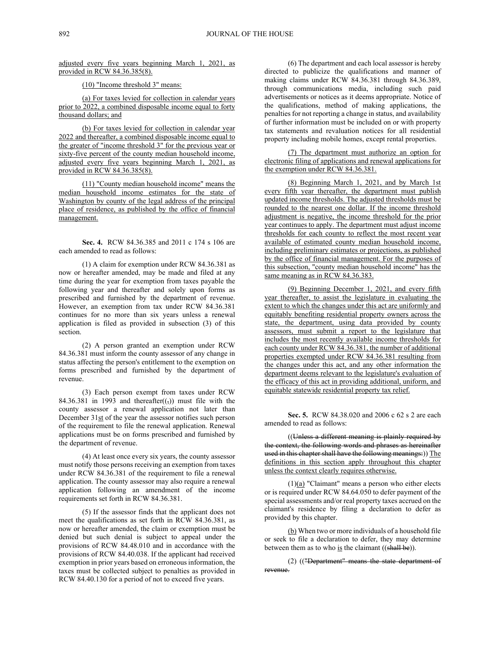adjusted every five years beginning March 1, 2021, as provided in RCW 84.36.385(8).

(10) "Income threshold 3" means:

(a) For taxes levied for collection in calendar years prior to 2022, a combined disposable income equal to forty thousand dollars; and

(b) For taxes levied for collection in calendar year 2022 and thereafter, a combined disposable income equal to the greater of "income threshold 3" for the previous year or sixty-five percent of the county median household income, adjusted every five years beginning March 1, 2021, as provided in RCW 84.36.385(8).

(11) "County median household income" means the median household income estimates for the state of Washington by county of the legal address of the principal place of residence, as published by the office of financial management.

**Sec. 4.** RCW 84.36.385 and 2011 c 174 s 106 are each amended to read as follows:

(1) A claim for exemption under RCW 84.36.381 as now or hereafter amended, may be made and filed at any time during the year for exemption from taxes payable the following year and thereafter and solely upon forms as prescribed and furnished by the department of revenue. However, an exemption from tax under RCW 84.36.381 continues for no more than six years unless a renewal application is filed as provided in subsection (3) of this section.

(2) A person granted an exemption under RCW 84.36.381 must inform the county assessor of any change in status affecting the person's entitlement to the exemption on forms prescribed and furnished by the department of revenue.

(3) Each person exempt from taxes under RCW 84.36.381 in 1993 and thereafter $((\cdot))$  must file with the county assessor a renewal application not later than December 31st of the year the assessor notifies such person of the requirement to file the renewal application. Renewal applications must be on forms prescribed and furnished by the department of revenue.

(4) At least once every six years, the county assessor must notify those persons receiving an exemption from taxes under RCW 84.36.381 of the requirement to file a renewal application. The county assessor may also require a renewal application following an amendment of the income requirements set forth in RCW 84.36.381.

(5) If the assessor finds that the applicant does not meet the qualifications as set forth in RCW 84.36.381, as now or hereafter amended, the claim or exemption must be denied but such denial is subject to appeal under the provisions of RCW 84.48.010 and in accordance with the provisions of RCW 84.40.038. If the applicant had received exemption in prior years based on erroneous information, the taxes must be collected subject to penalties as provided in RCW 84.40.130 for a period of not to exceed five years.

(6) The department and each local assessor is hereby directed to publicize the qualifications and manner of making claims under RCW 84.36.381 through 84.36.389, through communications media, including such paid advertisements or notices as it deems appropriate. Notice of the qualifications, method of making applications, the penalties for not reporting a change in status, and availability of further information must be included on or with property tax statements and revaluation notices for all residential property including mobile homes, except rental properties.

(7) The department must authorize an option for electronic filing of applications and renewal applications for the exemption under RCW 84.36.381.

(8) Beginning March 1, 2021, and by March 1st every fifth year thereafter, the department must publish updated income thresholds. The adjusted thresholds must be rounded to the nearest one dollar. If the income threshold adjustment is negative, the income threshold for the prior year continues to apply. The department must adjust income thresholds for each county to reflect the most recent year available of estimated county median household income, including preliminary estimates or projections, as published by the office of financial management. For the purposes of this subsection, "county median household income" has the same meaning as in RCW 84.36.383.

(9) Beginning December 1, 2021, and every fifth year thereafter, to assist the legislature in evaluating the extent to which the changes under this act are uniformly and equitably benefiting residential property owners across the state, the department, using data provided by county assessors, must submit a report to the legislature that includes the most recently available income thresholds for each county under RCW 84.36.381, the number of additional properties exempted under RCW 84.36.381 resulting from the changes under this act, and any other information the department deems relevant to the legislature's evaluation of the efficacy of this act in providing additional, uniform, and equitable statewide residential property tax relief.

**Sec. 5.** RCW 84.38.020 and 2006 c 62 s 2 are each amended to read as follows:

((Unless a different meaning is plainly required by the context, the following words and phrases as hereinafter used in this chapter shall have the following meanings:)) The definitions in this section apply throughout this chapter unless the context clearly requires otherwise.

 $(1)(a)$  "Claimant" means a person who either elects or is required under RCW 84.64.050 to defer payment of the special assessments and/or real property taxes accrued on the claimant's residence by filing a declaration to defer as provided by this chapter.

(b) When two or more individuals of a household file or seek to file a declaration to defer, they may determine between them as to who is the claimant  $((\frac{\text{shell}}{\text{shell}}\ \text{be}))$ .

(2) (("Department" means the state department of revenue.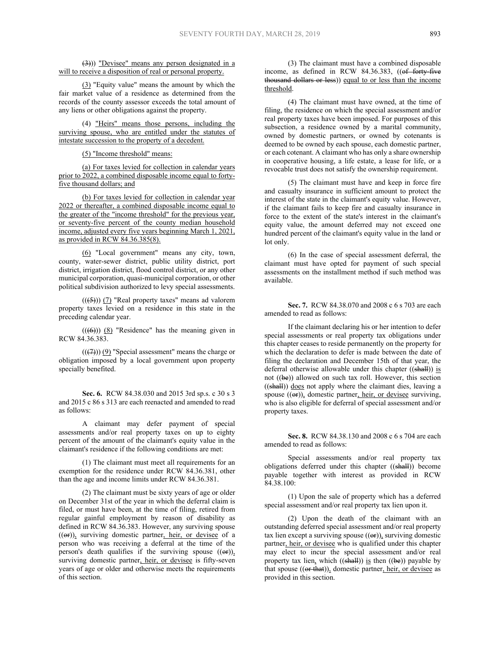(3))) "Devisee" means any person designated in a will to receive a disposition of real or personal property.

(3) "Equity value" means the amount by which the fair market value of a residence as determined from the records of the county assessor exceeds the total amount of any liens or other obligations against the property.

(4) "Heirs" means those persons, including the surviving spouse, who are entitled under the statutes of intestate succession to the property of a decedent.

(5) "Income threshold" means:

(a) For taxes levied for collection in calendar years prior to 2022, a combined disposable income equal to fortyfive thousand dollars; and

(b) For taxes levied for collection in calendar year 2022 or thereafter, a combined disposable income equal to the greater of the "income threshold" for the previous year, or seventy-five percent of the county median household income, adjusted every five years beginning March 1, 2021, as provided in RCW 84.36.385(8).

(6) "Local government" means any city, town, county, water-sewer district, public utility district, port district, irrigation district, flood control district, or any other municipal corporation, quasi-municipal corporation, or other political subdivision authorized to levy special assessments.

 $((\leftarrow{5}))$  (7) "Real property taxes" means ad valorem property taxes levied on a residence in this state in the preceding calendar year.

 $((\text{(6)}))$  (8) "Residence" has the meaning given in RCW 84.36.383.

 $((\overline{(7)}))$  (9) "Special assessment" means the charge or obligation imposed by a local government upon property specially benefited.

**Sec. 6.** RCW 84.38.030 and 2015 3rd sp.s. c 30 s 3 and 2015 c 86 s 313 are each reenacted and amended to read as follows:

A claimant may defer payment of special assessments and/or real property taxes on up to eighty percent of the amount of the claimant's equity value in the claimant's residence if the following conditions are met:

(1) The claimant must meet all requirements for an exemption for the residence under RCW 84.36.381, other than the age and income limits under RCW 84.36.381.

(2) The claimant must be sixty years of age or older on December 31st of the year in which the deferral claim is filed, or must have been, at the time of filing, retired from regular gainful employment by reason of disability as defined in RCW 84.36.383. However, any surviving spouse  $((er))$ , surviving domestic partner, heir, or devisee of a person who was receiving a deferral at the time of the person's death qualifies if the surviving spouse  $((\Theta$ <sub>r</sub>)), surviving domestic partner, heir, or devisee is fifty-seven years of age or older and otherwise meets the requirements of this section.

(3) The claimant must have a combined disposable income, as defined in RCW 84.36.383, ((of forty-five thousand dollars or less)) equal to or less than the income threshold.

(4) The claimant must have owned, at the time of filing, the residence on which the special assessment and/or real property taxes have been imposed. For purposes of this subsection, a residence owned by a marital community, owned by domestic partners, or owned by cotenants is deemed to be owned by each spouse, each domestic partner, or each cotenant. A claimant who has only a share ownership in cooperative housing, a life estate, a lease for life, or a revocable trust does not satisfy the ownership requirement.

(5) The claimant must have and keep in force fire and casualty insurance in sufficient amount to protect the interest of the state in the claimant's equity value. However, if the claimant fails to keep fire and casualty insurance in force to the extent of the state's interest in the claimant's equity value, the amount deferred may not exceed one hundred percent of the claimant's equity value in the land or lot only.

(6) In the case of special assessment deferral, the claimant must have opted for payment of such special assessments on the installment method if such method was available.

**Sec. 7.** RCW 84.38.070 and 2008 c 6 s 703 are each amended to read as follows:

If the claimant declaring his or her intention to defer special assessments or real property tax obligations under this chapter ceases to reside permanently on the property for which the declaration to defer is made between the date of filing the declaration and December 15th of that year, the deferral otherwise allowable under this chapter  $((shall))$  is not ((be)) allowed on such tax roll. However, this section ((shall)) does not apply where the claimant dies, leaving a spouse  $((\nleftrightarrow))$ , domestic partner, heir, or devisee surviving, who is also eligible for deferral of special assessment and/or property taxes.

**Sec. 8.** RCW 84.38.130 and 2008 c 6 s 704 are each amended to read as follows:

Special assessments and/or real property tax obligations deferred under this chapter  $((\frac{\text{shall}}{\text{shall}}))$  become payable together with interest as provided in RCW 84.38.100:

(1) Upon the sale of property which has a deferred special assessment and/or real property tax lien upon it.

(2) Upon the death of the claimant with an outstanding deferred special assessment and/or real property tax lien except a surviving spouse  $((er))$ , surviving domestic partner, heir, or devisee who is qualified under this chapter may elect to incur the special assessment and/or real property tax lien, which  $((\frac{\text{shell}}{\text{shell}}))$  is then  $((\frac{\text{be}}{\text{)}})$  payable by that spouse  $((or that))$ , domestic partner, heir, or devisee as provided in this section.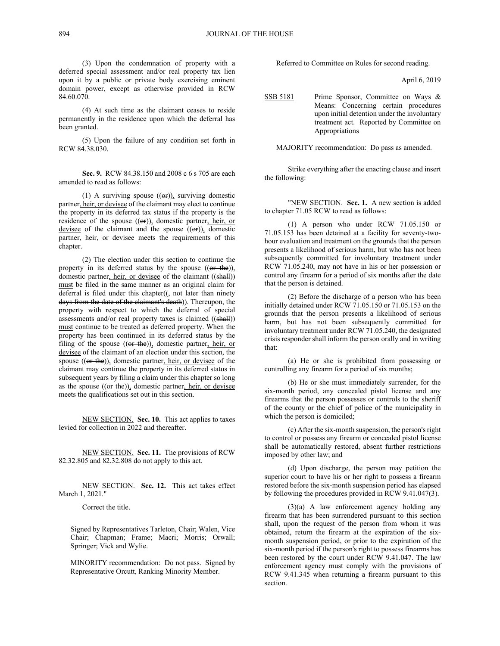(3) Upon the condemnation of property with a deferred special assessment and/or real property tax lien upon it by a public or private body exercising eminent domain power, except as otherwise provided in RCW 84.60.070.

(4) At such time as the claimant ceases to reside permanently in the residence upon which the deferral has been granted.

(5) Upon the failure of any condition set forth in RCW 84.38.030.

**Sec. 9.** RCW 84.38.150 and 2008 c 6 s 705 are each amended to read as follows:

(1) A surviving spouse  $((\Theta \mathbf{r}))$ , surviving domestic partner, heir, or devisee of the claimant may elect to continue the property in its deferred tax status if the property is the residence of the spouse  $((er))$ , domestic partner, heir, or devisee of the claimant and the spouse  $((\Theta$ r), domestic partner, heir, or devisee meets the requirements of this chapter.

(2) The election under this section to continue the property in its deferred status by the spouse  $((or the))$ , domestic partner, heir, or devisee of the claimant ((shall)) must be filed in the same manner as an original claim for deferral is filed under this chapter $((, not later than ninety$ days from the date of the claimant's death)). Thereupon, the property with respect to which the deferral of special assessments and/or real property taxes is claimed ((shall)) must continue to be treated as deferred property. When the property has been continued in its deferred status by the filing of the spouse  $((or the))$ , domestic partner, heir, or devisee of the claimant of an election under this section, the spouse  $((or the))$ , domestic partner, heir, or devisee of the claimant may continue the property in its deferred status in subsequent years by filing a claim under this chapter so long as the spouse  $((or the))$ , domestic partner, heir, or devisee meets the qualifications set out in this section.

NEW SECTION. **Sec. 10.** This act applies to taxes levied for collection in 2022 and thereafter.

NEW SECTION. **Sec. 11.** The provisions of RCW 82.32.805 and 82.32.808 do not apply to this act.

NEW SECTION. **Sec. 12.** This act takes effect March 1, 2021."

Correct the title.

Signed by Representatives Tarleton, Chair; Walen, Vice Chair; Chapman; Frame; Macri; Morris; Orwall; Springer; Vick and Wylie.

MINORITY recommendation: Do not pass. Signed by Representative Orcutt, Ranking Minority Member.

Referred to Committee on Rules for second reading.

April 6, 2019

SSB 5181 Prime Sponsor, Committee on Ways & Means: Concerning certain procedures upon initial detention under the involuntary treatment act. Reported by Committee on Appropriations

MAJORITY recommendation: Do pass as amended.

Strike everything after the enacting clause and insert the following:

"NEW SECTION. **Sec. 1.** A new section is added to chapter 71.05 RCW to read as follows:

(1) A person who under RCW 71.05.150 or 71.05.153 has been detained at a facility for seventy-twohour evaluation and treatment on the grounds that the person presents a likelihood of serious harm, but who has not been subsequently committed for involuntary treatment under RCW 71.05.240, may not have in his or her possession or control any firearm for a period of six months after the date that the person is detained.

(2) Before the discharge of a person who has been initially detained under RCW 71.05.150 or 71.05.153 on the grounds that the person presents a likelihood of serious harm, but has not been subsequently committed for involuntary treatment under RCW 71.05.240, the designated crisis responder shall inform the person orally and in writing that:

(a) He or she is prohibited from possessing or controlling any firearm for a period of six months;

(b) He or she must immediately surrender, for the six-month period, any concealed pistol license and any firearms that the person possesses or controls to the sheriff of the county or the chief of police of the municipality in which the person is domiciled;

(c) After the six-month suspension, the person's right to control or possess any firearm or concealed pistol license shall be automatically restored, absent further restrictions imposed by other law; and

(d) Upon discharge, the person may petition the superior court to have his or her right to possess a firearm restored before the six-month suspension period has elapsed by following the procedures provided in RCW 9.41.047(3).

(3)(a) A law enforcement agency holding any firearm that has been surrendered pursuant to this section shall, upon the request of the person from whom it was obtained, return the firearm at the expiration of the sixmonth suspension period, or prior to the expiration of the six-month period if the person's right to possess firearms has been restored by the court under RCW 9.41.047. The law enforcement agency must comply with the provisions of RCW 9.41.345 when returning a firearm pursuant to this section.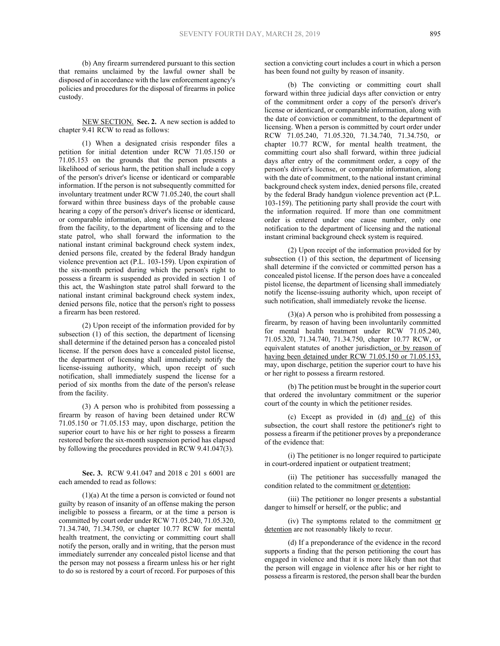(b) Any firearm surrendered pursuant to this section that remains unclaimed by the lawful owner shall be disposed of in accordance with the law enforcement agency's policies and procedures for the disposal of firearms in police custody.

NEW SECTION. **Sec. 2.** A new section is added to chapter 9.41 RCW to read as follows:

(1) When a designated crisis responder files a petition for initial detention under RCW 71.05.150 or 71.05.153 on the grounds that the person presents a likelihood of serious harm, the petition shall include a copy of the person's driver's license or identicard or comparable information. If the person is not subsequently committed for involuntary treatment under RCW 71.05.240, the court shall forward within three business days of the probable cause hearing a copy of the person's driver's license or identicard, or comparable information, along with the date of release from the facility, to the department of licensing and to the state patrol, who shall forward the information to the national instant criminal background check system index, denied persons file, created by the federal Brady handgun violence prevention act (P.L. 103-159). Upon expiration of the six-month period during which the person's right to possess a firearm is suspended as provided in section 1 of this act, the Washington state patrol shall forward to the national instant criminal background check system index, denied persons file, notice that the person's right to possess a firearm has been restored.

(2) Upon receipt of the information provided for by subsection (1) of this section, the department of licensing shall determine if the detained person has a concealed pistol license. If the person does have a concealed pistol license, the department of licensing shall immediately notify the license-issuing authority, which, upon receipt of such notification, shall immediately suspend the license for a period of six months from the date of the person's release from the facility.

(3) A person who is prohibited from possessing a firearm by reason of having been detained under RCW 71.05.150 or 71.05.153 may, upon discharge, petition the superior court to have his or her right to possess a firearm restored before the six-month suspension period has elapsed by following the procedures provided in RCW 9.41.047(3).

**Sec. 3.** RCW 9.41.047 and 2018 c 201 s 6001 are each amended to read as follows:

(1)(a) At the time a person is convicted or found not guilty by reason of insanity of an offense making the person ineligible to possess a firearm, or at the time a person is committed by court order under RCW 71.05.240, 71.05.320, 71.34.740, 71.34.750, or chapter 10.77 RCW for mental health treatment, the convicting or committing court shall notify the person, orally and in writing, that the person must immediately surrender any concealed pistol license and that the person may not possess a firearm unless his or her right to do so is restored by a court of record. For purposes of this

section a convicting court includes a court in which a person has been found not guilty by reason of insanity.

(b) The convicting or committing court shall forward within three judicial days after conviction or entry of the commitment order a copy of the person's driver's license or identicard, or comparable information, along with the date of conviction or commitment, to the department of licensing. When a person is committed by court order under RCW 71.05.240, 71.05.320, 71.34.740, 71.34.750, or chapter 10.77 RCW, for mental health treatment, the committing court also shall forward, within three judicial days after entry of the commitment order, a copy of the person's driver's license, or comparable information, along with the date of commitment, to the national instant criminal background check system index, denied persons file, created by the federal Brady handgun violence prevention act (P.L. 103-159). The petitioning party shall provide the court with the information required. If more than one commitment order is entered under one cause number, only one notification to the department of licensing and the national instant criminal background check system is required.

(2) Upon receipt of the information provided for by subsection (1) of this section, the department of licensing shall determine if the convicted or committed person has a concealed pistol license. If the person does have a concealed pistol license, the department of licensing shall immediately notify the license-issuing authority which, upon receipt of such notification, shall immediately revoke the license.

(3)(a) A person who is prohibited from possessing a firearm, by reason of having been involuntarily committed for mental health treatment under RCW 71.05.240, 71.05.320, 71.34.740, 71.34.750, chapter 10.77 RCW, or equivalent statutes of another jurisdiction, or by reason of having been detained under RCW 71.05.150 or 71.05.153, may, upon discharge, petition the superior court to have his or her right to possess a firearm restored.

(b) The petition must be brought in the superior court that ordered the involuntary commitment or the superior court of the county in which the petitioner resides.

(c) Except as provided in (d) and (e) of this subsection, the court shall restore the petitioner's right to possess a firearm if the petitioner proves by a preponderance of the evidence that:

(i) The petitioner is no longer required to participate in court-ordered inpatient or outpatient treatment;

(ii) The petitioner has successfully managed the condition related to the commitment or detention;

(iii) The petitioner no longer presents a substantial danger to himself or herself, or the public; and

(iv) The symptoms related to the commitment or detention are not reasonably likely to recur.

(d) If a preponderance of the evidence in the record supports a finding that the person petitioning the court has engaged in violence and that it is more likely than not that the person will engage in violence after his or her right to possess a firearm is restored, the person shall bear the burden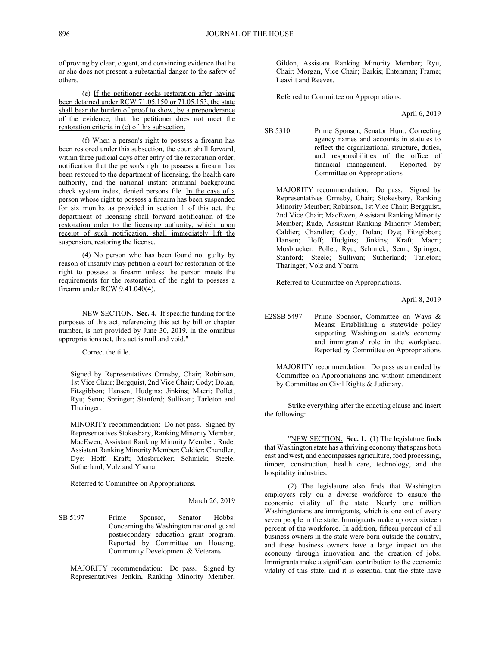of proving by clear, cogent, and convincing evidence that he or she does not present a substantial danger to the safety of others.

(e) If the petitioner seeks restoration after having been detained under RCW 71.05.150 or 71.05.153, the state shall bear the burden of proof to show, by a preponderance of the evidence, that the petitioner does not meet the restoration criteria in (c) of this subsection.

(f) When a person's right to possess a firearm has been restored under this subsection, the court shall forward, within three judicial days after entry of the restoration order, notification that the person's right to possess a firearm has been restored to the department of licensing, the health care authority, and the national instant criminal background check system index, denied persons file. In the case of a person whose right to possess a firearm has been suspended for six months as provided in section 1 of this act, the department of licensing shall forward notification of the restoration order to the licensing authority, which, upon receipt of such notification, shall immediately lift the suspension, restoring the license.

(4) No person who has been found not guilty by reason of insanity may petition a court for restoration of the right to possess a firearm unless the person meets the requirements for the restoration of the right to possess a firearm under RCW 9.41.040(4).

NEW SECTION. **Sec. 4.** If specific funding for the purposes of this act, referencing this act by bill or chapter number, is not provided by June 30, 2019, in the omnibus appropriations act, this act is null and void."

Correct the title.

Signed by Representatives Ormsby, Chair; Robinson, 1st Vice Chair; Bergquist, 2nd Vice Chair; Cody; Dolan; Fitzgibbon; Hansen; Hudgins; Jinkins; Macri; Pollet; Ryu; Senn; Springer; Stanford; Sullivan; Tarleton and Tharinger.

MINORITY recommendation: Do not pass. Signed by Representatives Stokesbary, Ranking Minority Member; MacEwen, Assistant Ranking Minority Member; Rude, Assistant Ranking Minority Member; Caldier; Chandler; Dye; Hoff; Kraft; Mosbrucker; Schmick; Steele; Sutherland; Volz and Ybarra.

Referred to Committee on Appropriations.

#### March 26, 2019

SB 5197 Prime Sponsor, Senator Hobbs: Concerning the Washington national guard postsecondary education grant program. Reported by Committee on Housing, Community Development & Veterans

MAJORITY recommendation: Do pass. Signed by Representatives Jenkin, Ranking Minority Member;

Gildon, Assistant Ranking Minority Member; Ryu, Chair; Morgan, Vice Chair; Barkis; Entenman; Frame; Leavitt and Reeves.

Referred to Committee on Appropriations.

April 6, 2019

SB 5310 Prime Sponsor, Senator Hunt: Correcting agency names and accounts in statutes to reflect the organizational structure, duties, and responsibilities of the office of financial management. Reported by Committee on Appropriations

MAJORITY recommendation: Do pass. Signed by Representatives Ormsby, Chair; Stokesbary, Ranking Minority Member; Robinson, 1st Vice Chair; Bergquist, 2nd Vice Chair; MacEwen, Assistant Ranking Minority Member; Rude, Assistant Ranking Minority Member; Caldier; Chandler; Cody; Dolan; Dye; Fitzgibbon; Hansen; Hoff; Hudgins; Jinkins; Kraft; Macri; Mosbrucker; Pollet; Ryu; Schmick; Senn; Springer; Stanford; Steele; Sullivan; Sutherland; Tarleton; Tharinger; Volz and Ybarra.

Referred to Committee on Appropriations.

April 8, 2019

E2SSB 5497 Prime Sponsor, Committee on Ways & Means: Establishing a statewide policy supporting Washington state's economy and immigrants' role in the workplace. Reported by Committee on Appropriations

MAJORITY recommendation: Do pass as amended by Committee on Appropriations and without amendment by Committee on Civil Rights & Judiciary.

Strike everything after the enacting clause and insert the following:

"NEW SECTION. **Sec. 1.** (1) The legislature finds that Washington state has a thriving economy that spans both east and west, and encompasses agriculture, food processing, timber, construction, health care, technology, and the hospitality industries.

(2) The legislature also finds that Washington employers rely on a diverse workforce to ensure the economic vitality of the state. Nearly one million Washingtonians are immigrants, which is one out of every seven people in the state. Immigrants make up over sixteen percent of the workforce. In addition, fifteen percent of all business owners in the state were born outside the country, and these business owners have a large impact on the economy through innovation and the creation of jobs. Immigrants make a significant contribution to the economic vitality of this state, and it is essential that the state have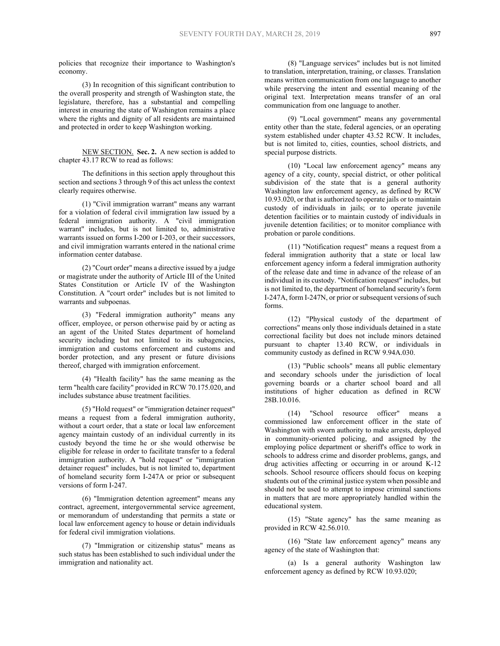policies that recognize their importance to Washington's economy.

(3) In recognition of this significant contribution to the overall prosperity and strength of Washington state, the legislature, therefore, has a substantial and compelling interest in ensuring the state of Washington remains a place where the rights and dignity of all residents are maintained and protected in order to keep Washington working.

NEW SECTION. **Sec. 2.** A new section is added to chapter 43.17 RCW to read as follows:

The definitions in this section apply throughout this section and sections 3 through 9 of this act unless the context clearly requires otherwise.

(1) "Civil immigration warrant" means any warrant for a violation of federal civil immigration law issued by a federal immigration authority. A "civil immigration warrant" includes, but is not limited to, administrative warrants issued on forms I-200 or I-203, or their successors, and civil immigration warrants entered in the national crime information center database.

(2) "Court order" means a directive issued by a judge or magistrate under the authority of Article III of the United States Constitution or Article IV of the Washington Constitution. A "court order" includes but is not limited to warrants and subpoenas.

(3) "Federal immigration authority" means any officer, employee, or person otherwise paid by or acting as an agent of the United States department of homeland security including but not limited to its subagencies, immigration and customs enforcement and customs and border protection, and any present or future divisions thereof, charged with immigration enforcement.

(4) "Health facility" has the same meaning as the term "health care facility" provided in RCW 70.175.020, and includes substance abuse treatment facilities.

(5) "Hold request" or "immigration detainer request" means a request from a federal immigration authority, without a court order, that a state or local law enforcement agency maintain custody of an individual currently in its custody beyond the time he or she would otherwise be eligible for release in order to facilitate transfer to a federal immigration authority. A "hold request" or "immigration detainer request" includes, but is not limited to, department of homeland security form I-247A or prior or subsequent versions of form I-247.

(6) "Immigration detention agreement" means any contract, agreement, intergovernmental service agreement, or memorandum of understanding that permits a state or local law enforcement agency to house or detain individuals for federal civil immigration violations.

(7) "Immigration or citizenship status" means as such status has been established to such individual under the immigration and nationality act.

(8) "Language services" includes but is not limited to translation, interpretation, training, or classes. Translation means written communication from one language to another while preserving the intent and essential meaning of the original text. Interpretation means transfer of an oral communication from one language to another.

(9) "Local government" means any governmental entity other than the state, federal agencies, or an operating system established under chapter 43.52 RCW. It includes, but is not limited to, cities, counties, school districts, and special purpose districts.

(10) "Local law enforcement agency" means any agency of a city, county, special district, or other political subdivision of the state that is a general authority Washington law enforcement agency, as defined by RCW 10.93.020, or that is authorized to operate jails or to maintain custody of individuals in jails; or to operate juvenile detention facilities or to maintain custody of individuals in juvenile detention facilities; or to monitor compliance with probation or parole conditions.

(11) "Notification request" means a request from a federal immigration authority that a state or local law enforcement agency inform a federal immigration authority of the release date and time in advance of the release of an individual in its custody. "Notification request" includes, but is not limited to, the department of homeland security's form I-247A, form I-247N, or prior or subsequent versions of such forms.

(12) "Physical custody of the department of corrections" means only those individuals detained in a state correctional facility but does not include minors detained pursuant to chapter 13.40 RCW, or individuals in community custody as defined in RCW 9.94A.030.

(13) "Public schools" means all public elementary and secondary schools under the jurisdiction of local governing boards or a charter school board and all institutions of higher education as defined in RCW 28B.10.016.

(14) "School resource officer" means commissioned law enforcement officer in the state of Washington with sworn authority to make arrests, deployed in community-oriented policing, and assigned by the employing police department or sheriff's office to work in schools to address crime and disorder problems, gangs, and drug activities affecting or occurring in or around K-12 schools. School resource officers should focus on keeping students out of the criminal justice system when possible and should not be used to attempt to impose criminal sanctions in matters that are more appropriately handled within the educational system.

(15) "State agency" has the same meaning as provided in RCW 42.56.010.

(16) "State law enforcement agency" means any agency of the state of Washington that:

(a) Is a general authority Washington law enforcement agency as defined by RCW 10.93.020;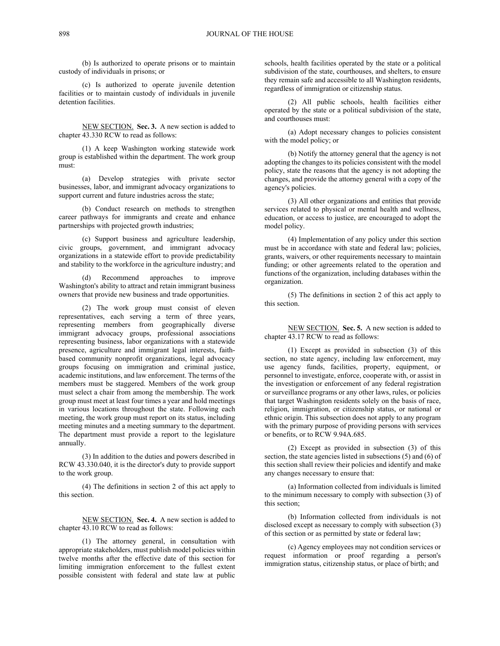(b) Is authorized to operate prisons or to maintain custody of individuals in prisons; or

(c) Is authorized to operate juvenile detention facilities or to maintain custody of individuals in juvenile detention facilities.

NEW SECTION. **Sec. 3.** A new section is added to chapter 43.330 RCW to read as follows:

(1) A keep Washington working statewide work group is established within the department. The work group must:

(a) Develop strategies with private sector businesses, labor, and immigrant advocacy organizations to support current and future industries across the state;

(b) Conduct research on methods to strengthen career pathways for immigrants and create and enhance partnerships with projected growth industries;

(c) Support business and agriculture leadership, civic groups, government, and immigrant advocacy organizations in a statewide effort to provide predictability and stability to the workforce in the agriculture industry; and

(d) Recommend approaches to improve Washington's ability to attract and retain immigrant business owners that provide new business and trade opportunities.

(2) The work group must consist of eleven representatives, each serving a term of three years, representing members from geographically diverse immigrant advocacy groups, professional associations representing business, labor organizations with a statewide presence, agriculture and immigrant legal interests, faithbased community nonprofit organizations, legal advocacy groups focusing on immigration and criminal justice, academic institutions, and law enforcement. The terms of the members must be staggered. Members of the work group must select a chair from among the membership. The work group must meet at least four times a year and hold meetings in various locations throughout the state. Following each meeting, the work group must report on its status, including meeting minutes and a meeting summary to the department. The department must provide a report to the legislature annually.

(3) In addition to the duties and powers described in RCW 43.330.040, it is the director's duty to provide support to the work group.

(4) The definitions in section 2 of this act apply to this section.

NEW SECTION. **Sec. 4.** A new section is added to chapter 43.10 RCW to read as follows:

(1) The attorney general, in consultation with appropriate stakeholders, must publish model policies within twelve months after the effective date of this section for limiting immigration enforcement to the fullest extent possible consistent with federal and state law at public

schools, health facilities operated by the state or a political subdivision of the state, courthouses, and shelters, to ensure they remain safe and accessible to all Washington residents, regardless of immigration or citizenship status.

(2) All public schools, health facilities either operated by the state or a political subdivision of the state, and courthouses must:

(a) Adopt necessary changes to policies consistent with the model policy; or

(b) Notify the attorney general that the agency is not adopting the changes to its policies consistent with the model policy, state the reasons that the agency is not adopting the changes, and provide the attorney general with a copy of the agency's policies.

(3) All other organizations and entities that provide services related to physical or mental health and wellness, education, or access to justice, are encouraged to adopt the model policy.

(4) Implementation of any policy under this section must be in accordance with state and federal law; policies, grants, waivers, or other requirements necessary to maintain funding; or other agreements related to the operation and functions of the organization, including databases within the organization.

(5) The definitions in section 2 of this act apply to this section.

NEW SECTION. **Sec. 5.** A new section is added to chapter 43.17 RCW to read as follows:

(1) Except as provided in subsection (3) of this section, no state agency, including law enforcement, may use agency funds, facilities, property, equipment, or personnel to investigate, enforce, cooperate with, or assist in the investigation or enforcement of any federal registration or surveillance programs or any other laws, rules, or policies that target Washington residents solely on the basis of race, religion, immigration, or citizenship status, or national or ethnic origin. This subsection does not apply to any program with the primary purpose of providing persons with services or benefits, or to RCW 9.94A.685.

(2) Except as provided in subsection (3) of this section, the state agencies listed in subsections (5) and (6) of this section shall review their policies and identify and make any changes necessary to ensure that:

(a) Information collected from individuals is limited to the minimum necessary to comply with subsection (3) of this section;

(b) Information collected from individuals is not disclosed except as necessary to comply with subsection (3) of this section or as permitted by state or federal law;

(c) Agency employees may not condition services or request information or proof regarding a person's immigration status, citizenship status, or place of birth; and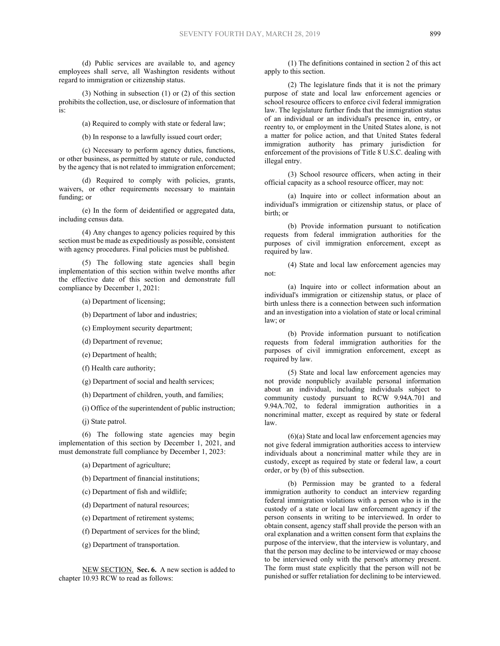(d) Public services are available to, and agency employees shall serve, all Washington residents without regard to immigration or citizenship status.

(3) Nothing in subsection (1) or (2) of this section prohibits the collection, use, or disclosure of information that is:

(a) Required to comply with state or federal law;

(b) In response to a lawfully issued court order;

(c) Necessary to perform agency duties, functions, or other business, as permitted by statute or rule, conducted by the agency that is not related to immigration enforcement;

(d) Required to comply with policies, grants, waivers, or other requirements necessary to maintain funding; or

(e) In the form of deidentified or aggregated data, including census data.

(4) Any changes to agency policies required by this section must be made as expeditiously as possible, consistent with agency procedures. Final policies must be published.

(5) The following state agencies shall begin implementation of this section within twelve months after the effective date of this section and demonstrate full compliance by December 1, 2021:

(a) Department of licensing;

(b) Department of labor and industries;

(c) Employment security department;

(d) Department of revenue;

(e) Department of health;

(f) Health care authority;

(g) Department of social and health services;

(h) Department of children, youth, and families;

(i) Office of the superintendent of public instruction;

(j) State patrol.

(6) The following state agencies may begin implementation of this section by December 1, 2021, and must demonstrate full compliance by December 1, 2023:

(a) Department of agriculture;

(b) Department of financial institutions;

(c) Department of fish and wildlife;

(d) Department of natural resources;

(e) Department of retirement systems;

(f) Department of services for the blind;

(g) Department of transportation.

NEW SECTION. **Sec. 6.** A new section is added to chapter  $\overline{10.93}$  RCW to read as follows:

(1) The definitions contained in section 2 of this act apply to this section.

(2) The legislature finds that it is not the primary purpose of state and local law enforcement agencies or school resource officers to enforce civil federal immigration law. The legislature further finds that the immigration status of an individual or an individual's presence in, entry, or reentry to, or employment in the United States alone, is not a matter for police action, and that United States federal immigration authority has primary jurisdiction for enforcement of the provisions of Title 8 U.S.C. dealing with illegal entry.

(3) School resource officers, when acting in their official capacity as a school resource officer, may not:

(a) Inquire into or collect information about an individual's immigration or citizenship status, or place of birth; or

(b) Provide information pursuant to notification requests from federal immigration authorities for the purposes of civil immigration enforcement, except as required by law.

(4) State and local law enforcement agencies may not:

(a) Inquire into or collect information about an individual's immigration or citizenship status, or place of birth unless there is a connection between such information and an investigation into a violation of state or local criminal law; or

(b) Provide information pursuant to notification requests from federal immigration authorities for the purposes of civil immigration enforcement, except as required by law.

(5) State and local law enforcement agencies may not provide nonpublicly available personal information about an individual, including individuals subject to community custody pursuant to RCW 9.94A.701 and 9.94A.702, to federal immigration authorities in a noncriminal matter, except as required by state or federal law.

 $(6)(a)$  State and local law enforcement agencies may not give federal immigration authorities access to interview individuals about a noncriminal matter while they are in custody, except as required by state or federal law, a court order, or by (b) of this subsection.

(b) Permission may be granted to a federal immigration authority to conduct an interview regarding federal immigration violations with a person who is in the custody of a state or local law enforcement agency if the person consents in writing to be interviewed. In order to obtain consent, agency staff shall provide the person with an oral explanation and a written consent form that explains the purpose of the interview, that the interview is voluntary, and that the person may decline to be interviewed or may choose to be interviewed only with the person's attorney present. The form must state explicitly that the person will not be punished or suffer retaliation for declining to be interviewed.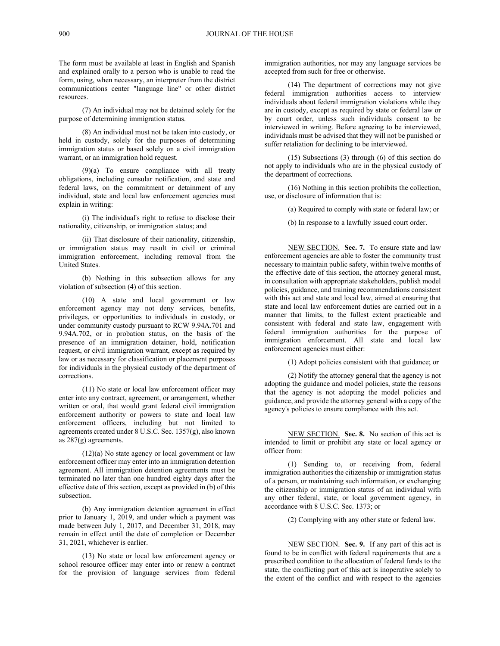The form must be available at least in English and Spanish and explained orally to a person who is unable to read the form, using, when necessary, an interpreter from the district communications center "language line" or other district resources.

(7) An individual may not be detained solely for the purpose of determining immigration status.

(8) An individual must not be taken into custody, or held in custody, solely for the purposes of determining immigration status or based solely on a civil immigration warrant, or an immigration hold request.

(9)(a) To ensure compliance with all treaty obligations, including consular notification, and state and federal laws, on the commitment or detainment of any individual, state and local law enforcement agencies must explain in writing:

(i) The individual's right to refuse to disclose their nationality, citizenship, or immigration status; and

(ii) That disclosure of their nationality, citizenship, or immigration status may result in civil or criminal immigration enforcement, including removal from the United States.

(b) Nothing in this subsection allows for any violation of subsection (4) of this section.

(10) A state and local government or law enforcement agency may not deny services, benefits, privileges, or opportunities to individuals in custody, or under community custody pursuant to RCW 9.94A.701 and 9.94A.702, or in probation status, on the basis of the presence of an immigration detainer, hold, notification request, or civil immigration warrant, except as required by law or as necessary for classification or placement purposes for individuals in the physical custody of the department of corrections.

(11) No state or local law enforcement officer may enter into any contract, agreement, or arrangement, whether written or oral, that would grant federal civil immigration enforcement authority or powers to state and local law enforcement officers, including but not limited to agreements created under 8 U.S.C. Sec. 1357(g), also known as 287(g) agreements.

(12)(a) No state agency or local government or law enforcement officer may enter into an immigration detention agreement. All immigration detention agreements must be terminated no later than one hundred eighty days after the effective date of this section, except as provided in (b) of this subsection.

(b) Any immigration detention agreement in effect prior to January 1, 2019, and under which a payment was made between July 1, 2017, and December 31, 2018, may remain in effect until the date of completion or December 31, 2021, whichever is earlier.

(13) No state or local law enforcement agency or school resource officer may enter into or renew a contract for the provision of language services from federal

immigration authorities, nor may any language services be accepted from such for free or otherwise.

(14) The department of corrections may not give federal immigration authorities access to interview individuals about federal immigration violations while they are in custody, except as required by state or federal law or by court order, unless such individuals consent to be interviewed in writing. Before agreeing to be interviewed, individuals must be advised that they will not be punished or suffer retaliation for declining to be interviewed.

(15) Subsections (3) through (6) of this section do not apply to individuals who are in the physical custody of the department of corrections.

(16) Nothing in this section prohibits the collection, use, or disclosure of information that is:

(a) Required to comply with state or federal law; or

(b) In response to a lawfully issued court order.

NEW SECTION. **Sec. 7.** To ensure state and law enforcement agencies are able to foster the community trust necessary to maintain public safety, within twelve months of the effective date of this section, the attorney general must, in consultation with appropriate stakeholders, publish model policies, guidance, and training recommendations consistent with this act and state and local law, aimed at ensuring that state and local law enforcement duties are carried out in a manner that limits, to the fullest extent practicable and consistent with federal and state law, engagement with federal immigration authorities for the purpose of immigration enforcement. All state and local law enforcement agencies must either:

(1) Adopt policies consistent with that guidance; or

(2) Notify the attorney general that the agency is not adopting the guidance and model policies, state the reasons that the agency is not adopting the model policies and guidance, and provide the attorney general with a copy of the agency's policies to ensure compliance with this act.

NEW SECTION. **Sec. 8.** No section of this act is intended to limit or prohibit any state or local agency or officer from:

(1) Sending to, or receiving from, federal immigration authorities the citizenship or immigration status of a person, or maintaining such information, or exchanging the citizenship or immigration status of an individual with any other federal, state, or local government agency, in accordance with 8 U.S.C. Sec. 1373; or

(2) Complying with any other state or federal law.

NEW SECTION. **Sec. 9.** If any part of this act is found to be in conflict with federal requirements that are a prescribed condition to the allocation of federal funds to the state, the conflicting part of this act is inoperative solely to the extent of the conflict and with respect to the agencies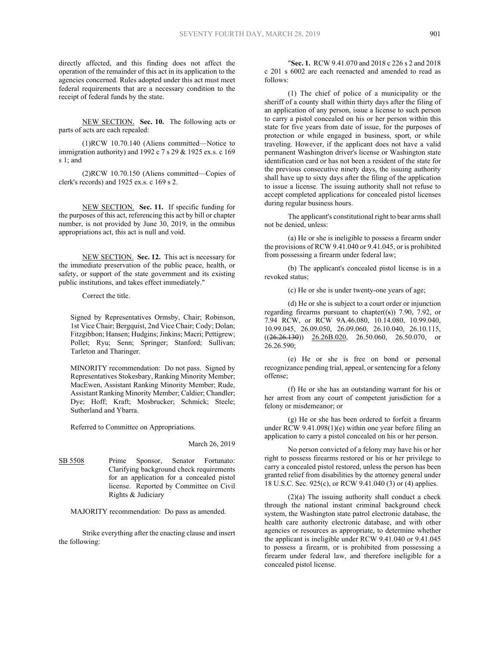directly affected, and this finding does not affect the operation of the remainder of this act in its application to the agencies concerned. Rules adopted under this act must meet federal requirements that are a necessary condition to the receipt of federal funds by the state.

NEW SECTION. **Sec. 10.** The following acts or parts of acts are each repealed:

(1)RCW 10.70.140 (Aliens committed—Notice to immigration authority) and 1992 c 7 s 29 & 1925 ex.s. c 169 s 1; and

(2)RCW 10.70.150 (Aliens committed—Copies of clerk's records) and 1925 ex.s. c 169 s 2.

NEW SECTION. **Sec. 11.** If specific funding for the purposes of this act, referencing this act by bill or chapter number, is not provided by June 30, 2019, in the omnibus appropriations act, this act is null and void.

NEW SECTION. **Sec. 12.** This act is necessary for the immediate preservation of the public peace, health, or safety, or support of the state government and its existing public institutions, and takes effect immediately."

Correct the title.

Signed by Representatives Ormsby, Chair; Robinson, 1st Vice Chair; Bergquist, 2nd Vice Chair; Cody; Dolan; Fitzgibbon; Hansen; Hudgins; Jinkins; Macri; Pettigrew; Pollet; Ryu; Senn; Springer; Stanford; Sullivan; Tarleton and Tharinger.

MINORITY recommendation: Do not pass. Signed by Representatives Stokesbary, Ranking Minority Member; MacEwen, Assistant Ranking Minority Member; Rude, Assistant Ranking Minority Member; Caldier; Chandler; Dye; Hoff; Kraft; Mosbrucker; Schmick; Steele; Sutherland and Ybarra.

Referred to Committee on Appropriations.

## March 26, 2019

SB 5508 Prime Sponsor, Senator Fortunato: Clarifying background check requirements for an application for a concealed pistol license. Reported by Committee on Civil Rights & Judiciary

MAJORITY recommendation: Do pass as amended.

Strike everything after the enacting clause and insert the following:

"**Sec. 1.** RCW 9.41.070 and 2018 c 226 s 2 and 2018 c 201 s 6002 are each reenacted and amended to read as follows:

(1) The chief of police of a municipality or the sheriff of a county shall within thirty days after the filing of an application of any person, issue a license to such person to carry a pistol concealed on his or her person within this state for five years from date of issue, for the purposes of protection or while engaged in business, sport, or while traveling. However, if the applicant does not have a valid permanent Washington driver's license or Washington state identification card or has not been a resident of the state for the previous consecutive ninety days, the issuing authority shall have up to sixty days after the filing of the application to issue a license. The issuing authority shall not refuse to accept completed applications for concealed pistol licenses during regular business hours.

The applicant's constitutional right to bear arms shall not be denied, unless:

(a) He or she is ineligible to possess a firearm under the provisions of RCW 9.41.040 or 9.41.045, or is prohibited from possessing a firearm under federal law;

(b) The applicant's concealed pistol license is in a revoked status;

(c) He or she is under twenty-one years of age;

(d) He or she is subject to a court order or injunction regarding firearms pursuant to chapter $((s))$  7.90, 7.92, or 7.94 RCW, or RCW 9A.46.080, 10.14.080, 10.99.040, 10.99.045, 26.09.050, 26.09.060, 26.10.040, 26.10.115,  $((26.26.130))$   $26.26B.020$ ,  $26.50.060$ ,  $26.50.070$ , or 26.26.590;

(e) He or she is free on bond or personal recognizance pending trial, appeal, or sentencing for a felony offense;

(f) He or she has an outstanding warrant for his or her arrest from any court of competent jurisdiction for a felony or misdemeanor; or

(g) He or she has been ordered to forfeit a firearm under RCW 9.41.098(1)(e) within one year before filing an application to carry a pistol concealed on his or her person.

No person convicted of a felony may have his or her right to possess firearms restored or his or her privilege to carry a concealed pistol restored, unless the person has been granted relief from disabilities by the attorney general under 18 U.S.C. Sec. 925(c), or RCW 9.41.040 (3) or (4) applies.

(2)(a) The issuing authority shall conduct a check through the national instant criminal background check system, the Washington state patrol electronic database, the health care authority electronic database, and with other agencies or resources as appropriate, to determine whether the applicant is ineligible under RCW 9.41.040 or 9.41.045 to possess a firearm, or is prohibited from possessing a firearm under federal law, and therefore ineligible for a concealed pistol license.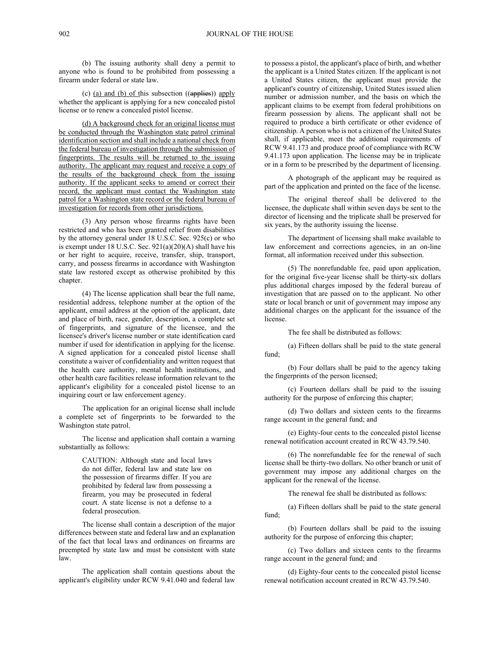(b) The issuing authority shall deny a permit to anyone who is found to be prohibited from possessing a firearm under federal or state law.

(c) (a) and (b) of this subsection ((applies)) apply whether the applicant is applying for a new concealed pistol license or to renew a concealed pistol license.

(d) A background check for an original license must be conducted through the Washington state patrol criminal identification section and shall include a national check from the federal bureau of investigation through the submission of fingerprints. The results will be returned to the issuing authority. The applicant may request and receive a copy of the results of the background check from the issuing authority. If the applicant seeks to amend or correct their record, the applicant must contact the Washington state patrol for a Washington state record or the federal bureau of investigation for records from other jurisdictions.

(3) Any person whose firearms rights have been restricted and who has been granted relief from disabilities by the attorney general under 18 U.S.C. Sec. 925(c) or who is exempt under 18 U.S.C. Sec. 921(a)(20)(A) shall have his or her right to acquire, receive, transfer, ship, transport, carry, and possess firearms in accordance with Washington state law restored except as otherwise prohibited by this chapter.

(4) The license application shall bear the full name, residential address, telephone number at the option of the applicant, email address at the option of the applicant, date and place of birth, race, gender, description, a complete set of fingerprints, and signature of the licensee, and the licensee's driver's license number or state identification card number if used for identification in applying for the license. A signed application for a concealed pistol license shall constitute a waiver of confidentiality and written request that the health care authority, mental health institutions, and other health care facilities release information relevant to the applicant's eligibility for a concealed pistol license to an inquiring court or law enforcement agency.

The application for an original license shall include a complete set of fingerprints to be forwarded to the Washington state patrol.

The license and application shall contain a warning substantially as follows:

> CAUTION: Although state and local laws do not differ, federal law and state law on the possession of firearms differ. If you are prohibited by federal law from possessing a firearm, you may be prosecuted in federal court. A state license is not a defense to a federal prosecution.

The license shall contain a description of the major differences between state and federal law and an explanation of the fact that local laws and ordinances on firearms are preempted by state law and must be consistent with state law.

The application shall contain questions about the applicant's eligibility under RCW 9.41.040 and federal law

to possess a pistol, the applicant's place of birth, and whether the applicant is a United States citizen. If the applicant is not a United States citizen, the applicant must provide the applicant's country of citizenship, United States issued alien number or admission number, and the basis on which the applicant claims to be exempt from federal prohibitions on firearm possession by aliens. The applicant shall not be required to produce a birth certificate or other evidence of citizenship. A person who is not a citizen of the United States shall, if applicable, meet the additional requirements of RCW 9.41.173 and produce proof of compliance with RCW 9.41.173 upon application. The license may be in triplicate or in a form to be prescribed by the department of licensing.

A photograph of the applicant may be required as part of the application and printed on the face of the license.

The original thereof shall be delivered to the licensee, the duplicate shall within seven days be sent to the director of licensing and the triplicate shall be preserved for six years, by the authority issuing the license.

The department of licensing shall make available to law enforcement and corrections agencies, in an on-line format, all information received under this subsection.

(5) The nonrefundable fee, paid upon application, for the original five-year license shall be thirty-six dollars plus additional charges imposed by the federal bureau of investigation that are passed on to the applicant. No other state or local branch or unit of government may impose any additional charges on the applicant for the issuance of the license.

The fee shall be distributed as follows:

(a) Fifteen dollars shall be paid to the state general fund;

(b) Four dollars shall be paid to the agency taking the fingerprints of the person licensed;

(c) Fourteen dollars shall be paid to the issuing authority for the purpose of enforcing this chapter;

(d) Two dollars and sixteen cents to the firearms range account in the general fund; and

(e) Eighty-four cents to the concealed pistol license renewal notification account created in RCW 43.79.540.

(6) The nonrefundable fee for the renewal of such license shall be thirty-two dollars. No other branch or unit of government may impose any additional charges on the applicant for the renewal of the license.

The renewal fee shall be distributed as follows:

(a) Fifteen dollars shall be paid to the state general fund;

(b) Fourteen dollars shall be paid to the issuing authority for the purpose of enforcing this chapter;

(c) Two dollars and sixteen cents to the firearms range account in the general fund; and

(d) Eighty-four cents to the concealed pistol license renewal notification account created in RCW 43.79.540.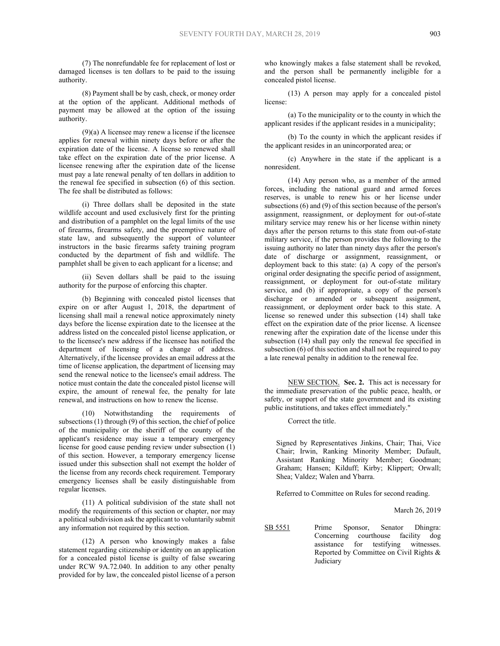(7) The nonrefundable fee for replacement of lost or damaged licenses is ten dollars to be paid to the issuing authority.

(8) Payment shall be by cash, check, or money order at the option of the applicant. Additional methods of payment may be allowed at the option of the issuing authority.

 $(9)(a)$  A licensee may renew a license if the licensee applies for renewal within ninety days before or after the expiration date of the license. A license so renewed shall take effect on the expiration date of the prior license. A licensee renewing after the expiration date of the license must pay a late renewal penalty of ten dollars in addition to the renewal fee specified in subsection (6) of this section. The fee shall be distributed as follows:

(i) Three dollars shall be deposited in the state wildlife account and used exclusively first for the printing and distribution of a pamphlet on the legal limits of the use of firearms, firearms safety, and the preemptive nature of state law, and subsequently the support of volunteer instructors in the basic firearms safety training program conducted by the department of fish and wildlife. The pamphlet shall be given to each applicant for a license; and

(ii) Seven dollars shall be paid to the issuing authority for the purpose of enforcing this chapter.

(b) Beginning with concealed pistol licenses that expire on or after August 1, 2018, the department of licensing shall mail a renewal notice approximately ninety days before the license expiration date to the licensee at the address listed on the concealed pistol license application, or to the licensee's new address if the licensee has notified the department of licensing of a change of address. Alternatively, if the licensee provides an email address at the time of license application, the department of licensing may send the renewal notice to the licensee's email address. The notice must contain the date the concealed pistol license will expire, the amount of renewal fee, the penalty for late renewal, and instructions on how to renew the license.

(10) Notwithstanding the requirements of subsections (1) through (9) of this section, the chief of police of the municipality or the sheriff of the county of the applicant's residence may issue a temporary emergency license for good cause pending review under subsection (1) of this section. However, a temporary emergency license issued under this subsection shall not exempt the holder of the license from any records check requirement. Temporary emergency licenses shall be easily distinguishable from regular licenses.

(11) A political subdivision of the state shall not modify the requirements of this section or chapter, nor may a political subdivision ask the applicant to voluntarily submit any information not required by this section.

(12) A person who knowingly makes a false statement regarding citizenship or identity on an application for a concealed pistol license is guilty of false swearing under RCW 9A.72.040. In addition to any other penalty provided for by law, the concealed pistol license of a person

who knowingly makes a false statement shall be revoked, and the person shall be permanently ineligible for a concealed pistol license.

(13) A person may apply for a concealed pistol license:

(a) To the municipality or to the county in which the applicant resides if the applicant resides in a municipality;

(b) To the county in which the applicant resides if the applicant resides in an unincorporated area; or

(c) Anywhere in the state if the applicant is a nonresident.

(14) Any person who, as a member of the armed forces, including the national guard and armed forces reserves, is unable to renew his or her license under subsections (6) and (9) of this section because of the person's assignment, reassignment, or deployment for out-of-state military service may renew his or her license within ninety days after the person returns to this state from out-of-state military service, if the person provides the following to the issuing authority no later than ninety days after the person's date of discharge or assignment, reassignment, or deployment back to this state: (a) A copy of the person's original order designating the specific period of assignment, reassignment, or deployment for out-of-state military service, and (b) if appropriate, a copy of the person's discharge or amended or subsequent assignment, reassignment, or deployment order back to this state. A license so renewed under this subsection (14) shall take effect on the expiration date of the prior license. A licensee renewing after the expiration date of the license under this subsection (14) shall pay only the renewal fee specified in subsection (6) of this section and shall not be required to pay a late renewal penalty in addition to the renewal fee.

NEW SECTION. **Sec. 2.** This act is necessary for the immediate preservation of the public peace, health, or safety, or support of the state government and its existing public institutions, and takes effect immediately."

Correct the title.

Signed by Representatives Jinkins, Chair; Thai, Vice Chair; Irwin, Ranking Minority Member; Dufault, Assistant Ranking Minority Member; Goodman; Graham; Hansen; Kilduff; Kirby; Klippert; Orwall; Shea; Valdez; Walen and Ybarra.

Referred to Committee on Rules for second reading.

March 26, 2019

SB 5551 Prime Sponsor, Senator Dhingra: Concerning courthouse facility dog assistance for testifying witnesses. Reported by Committee on Civil Rights & Judiciary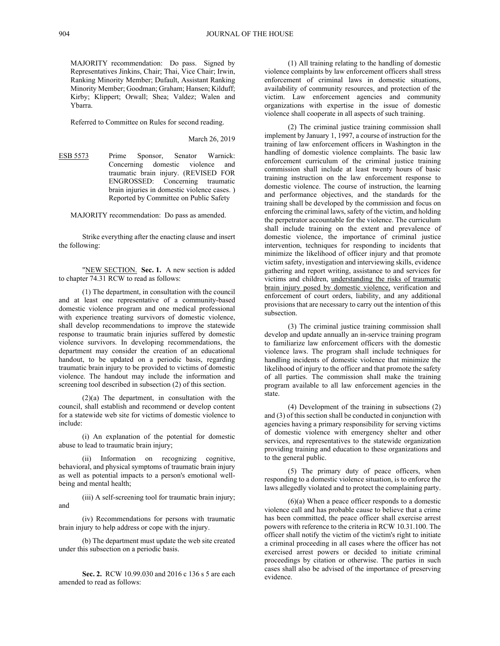MAJORITY recommendation: Do pass. Signed by Representatives Jinkins, Chair; Thai, Vice Chair; Irwin, Ranking Minority Member; Dufault, Assistant Ranking Minority Member; Goodman; Graham; Hansen; Kilduff; Kirby; Klippert; Orwall; Shea; Valdez; Walen and Ybarra.

Referred to Committee on Rules for second reading.

March 26, 2019

ESB 5573 Prime Sponsor, Senator Warnick: Concerning domestic violence and traumatic brain injury. (REVISED FOR ENGROSSED: Concerning traumatic brain injuries in domestic violence cases. ) Reported by Committee on Public Safety

MAJORITY recommendation: Do pass as amended.

Strike everything after the enacting clause and insert the following:

"NEW SECTION. **Sec. 1.** A new section is added to chapter 74.31 RCW to read as follows:

(1) The department, in consultation with the council and at least one representative of a community-based domestic violence program and one medical professional with experience treating survivors of domestic violence, shall develop recommendations to improve the statewide response to traumatic brain injuries suffered by domestic violence survivors. In developing recommendations, the department may consider the creation of an educational handout, to be updated on a periodic basis, regarding traumatic brain injury to be provided to victims of domestic violence. The handout may include the information and screening tool described in subsection (2) of this section.

(2)(a) The department, in consultation with the council, shall establish and recommend or develop content for a statewide web site for victims of domestic violence to include:

(i) An explanation of the potential for domestic abuse to lead to traumatic brain injury;

(ii) Information on recognizing cognitive, behavioral, and physical symptoms of traumatic brain injury as well as potential impacts to a person's emotional wellbeing and mental health;

(iii) A self-screening tool for traumatic brain injury; and

(iv) Recommendations for persons with traumatic brain injury to help address or cope with the injury.

(b) The department must update the web site created under this subsection on a periodic basis.

**Sec. 2.** RCW 10.99.030 and 2016 c 136 s 5 are each amended to read as follows:

(1) All training relating to the handling of domestic violence complaints by law enforcement officers shall stress enforcement of criminal laws in domestic situations, availability of community resources, and protection of the victim. Law enforcement agencies and community organizations with expertise in the issue of domestic violence shall cooperate in all aspects of such training.

(2) The criminal justice training commission shall implement by January 1, 1997, a course of instruction for the training of law enforcement officers in Washington in the handling of domestic violence complaints. The basic law enforcement curriculum of the criminal justice training commission shall include at least twenty hours of basic training instruction on the law enforcement response to domestic violence. The course of instruction, the learning and performance objectives, and the standards for the training shall be developed by the commission and focus on enforcing the criminal laws, safety of the victim, and holding the perpetrator accountable for the violence. The curriculum shall include training on the extent and prevalence of domestic violence, the importance of criminal justice intervention, techniques for responding to incidents that minimize the likelihood of officer injury and that promote victim safety, investigation and interviewing skills, evidence gathering and report writing, assistance to and services for victims and children, understanding the risks of traumatic brain injury posed by domestic violence, verification and enforcement of court orders, liability, and any additional provisions that are necessary to carry out the intention of this subsection.

(3) The criminal justice training commission shall develop and update annually an in-service training program to familiarize law enforcement officers with the domestic violence laws. The program shall include techniques for handling incidents of domestic violence that minimize the likelihood of injury to the officer and that promote the safety of all parties. The commission shall make the training program available to all law enforcement agencies in the state.

(4) Development of the training in subsections (2) and (3) of this section shall be conducted in conjunction with agencies having a primary responsibility for serving victims of domestic violence with emergency shelter and other services, and representatives to the statewide organization providing training and education to these organizations and to the general public.

(5) The primary duty of peace officers, when responding to a domestic violence situation, is to enforce the laws allegedly violated and to protect the complaining party.

(6)(a) When a peace officer responds to a domestic violence call and has probable cause to believe that a crime has been committed, the peace officer shall exercise arrest powers with reference to the criteria in RCW 10.31.100. The officer shall notify the victim of the victim's right to initiate a criminal proceeding in all cases where the officer has not exercised arrest powers or decided to initiate criminal proceedings by citation or otherwise. The parties in such cases shall also be advised of the importance of preserving evidence.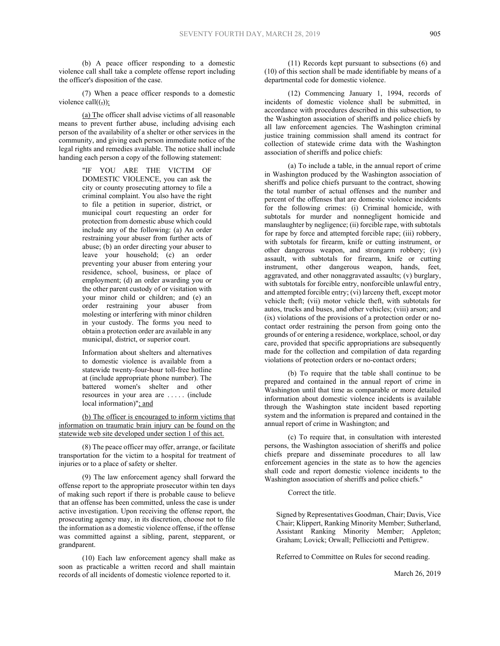(b) A peace officer responding to a domestic violence call shall take a complete offense report including the officer's disposition of the case.

(7) When a peace officer responds to a domestic violence call $((,))$ :

(a) The officer shall advise victims of all reasonable means to prevent further abuse, including advising each person of the availability of a shelter or other services in the community, and giving each person immediate notice of the legal rights and remedies available. The notice shall include handing each person a copy of the following statement:

> "IF YOU ARE THE VICTIM OF DOMESTIC VIOLENCE, you can ask the city or county prosecuting attorney to file a criminal complaint. You also have the right to file a petition in superior, district, or municipal court requesting an order for protection from domestic abuse which could include any of the following: (a) An order restraining your abuser from further acts of abuse; (b) an order directing your abuser to leave your household; (c) an order preventing your abuser from entering your residence, school, business, or place of employment; (d) an order awarding you or the other parent custody of or visitation with your minor child or children; and (e) an order restraining your abuser from molesting or interfering with minor children in your custody. The forms you need to obtain a protection order are available in any municipal, district, or superior court.

> Information about shelters and alternatives to domestic violence is available from a statewide twenty-four-hour toll-free hotline at (include appropriate phone number). The battered women's shelter and other resources in your area are . . . . . (include local information)"; and

(b) The officer is encouraged to inform victims that information on traumatic brain injury can be found on the statewide web site developed under section 1 of this act.

(8) The peace officer may offer, arrange, or facilitate transportation for the victim to a hospital for treatment of injuries or to a place of safety or shelter.

(9) The law enforcement agency shall forward the offense report to the appropriate prosecutor within ten days of making such report if there is probable cause to believe that an offense has been committed, unless the case is under active investigation. Upon receiving the offense report, the prosecuting agency may, in its discretion, choose not to file the information as a domestic violence offense, if the offense was committed against a sibling, parent, stepparent, or grandparent.

(10) Each law enforcement agency shall make as soon as practicable a written record and shall maintain records of all incidents of domestic violence reported to it.

(11) Records kept pursuant to subsections (6) and (10) of this section shall be made identifiable by means of a departmental code for domestic violence.

(12) Commencing January 1, 1994, records of incidents of domestic violence shall be submitted, in accordance with procedures described in this subsection, to the Washington association of sheriffs and police chiefs by all law enforcement agencies. The Washington criminal justice training commission shall amend its contract for collection of statewide crime data with the Washington association of sheriffs and police chiefs:

(a) To include a table, in the annual report of crime in Washington produced by the Washington association of sheriffs and police chiefs pursuant to the contract, showing the total number of actual offenses and the number and percent of the offenses that are domestic violence incidents for the following crimes: (i) Criminal homicide, with subtotals for murder and nonnegligent homicide and manslaughter by negligence; (ii) forcible rape, with subtotals for rape by force and attempted forcible rape; (iii) robbery, with subtotals for firearm, knife or cutting instrument, or other dangerous weapon, and strongarm robbery; (iv) assault, with subtotals for firearm, knife or cutting instrument, other dangerous weapon, hands, feet, aggravated, and other nonaggravated assaults; (v) burglary, with subtotals for forcible entry, nonforcible unlawful entry, and attempted forcible entry; (vi) larceny theft, except motor vehicle theft; (vii) motor vehicle theft, with subtotals for autos, trucks and buses, and other vehicles; (viii) arson; and (ix) violations of the provisions of a protection order or nocontact order restraining the person from going onto the grounds of or entering a residence, workplace, school, or day care, provided that specific appropriations are subsequently made for the collection and compilation of data regarding violations of protection orders or no-contact orders;

(b) To require that the table shall continue to be prepared and contained in the annual report of crime in Washington until that time as comparable or more detailed information about domestic violence incidents is available through the Washington state incident based reporting system and the information is prepared and contained in the annual report of crime in Washington; and

(c) To require that, in consultation with interested persons, the Washington association of sheriffs and police chiefs prepare and disseminate procedures to all law enforcement agencies in the state as to how the agencies shall code and report domestic violence incidents to the Washington association of sheriffs and police chiefs."

Correct the title.

Signed by Representatives Goodman, Chair; Davis, Vice Chair; Klippert, Ranking Minority Member; Sutherland, Assistant Ranking Minority Member; Appleton; Graham; Lovick; Orwall; Pellicciotti and Pettigrew.

Referred to Committee on Rules for second reading.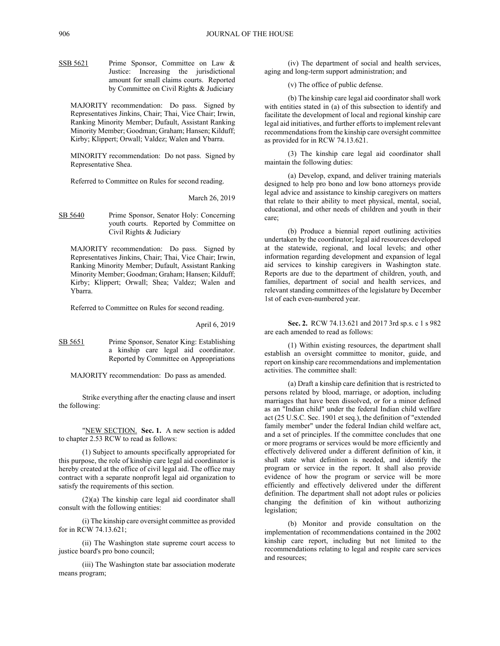SSB 5621 Prime Sponsor, Committee on Law & Justice: Increasing the jurisdictional amount for small claims courts. Reported by Committee on Civil Rights & Judiciary

MAJORITY recommendation: Do pass. Signed by Representatives Jinkins, Chair; Thai, Vice Chair; Irwin, Ranking Minority Member; Dufault, Assistant Ranking Minority Member; Goodman; Graham; Hansen; Kilduff; Kirby; Klippert; Orwall; Valdez; Walen and Ybarra.

MINORITY recommendation: Do not pass. Signed by Representative Shea.

Referred to Committee on Rules for second reading.

March 26, 2019

SB 5640 Prime Sponsor, Senator Holy: Concerning youth courts. Reported by Committee on Civil Rights & Judiciary

MAJORITY recommendation: Do pass. Signed by Representatives Jinkins, Chair; Thai, Vice Chair; Irwin, Ranking Minority Member; Dufault, Assistant Ranking Minority Member; Goodman; Graham; Hansen; Kilduff; Kirby; Klippert; Orwall; Shea; Valdez; Walen and Ybarra.

Referred to Committee on Rules for second reading.

#### April 6, 2019

SB 5651 Prime Sponsor, Senator King: Establishing a kinship care legal aid coordinator. Reported by Committee on Appropriations

MAJORITY recommendation: Do pass as amended.

Strike everything after the enacting clause and insert the following:

"NEW SECTION. **Sec. 1.** A new section is added to chapter 2.53 RCW to read as follows:

(1) Subject to amounts specifically appropriated for this purpose, the role of kinship care legal aid coordinator is hereby created at the office of civil legal aid. The office may contract with a separate nonprofit legal aid organization to satisfy the requirements of this section.

(2)(a) The kinship care legal aid coordinator shall consult with the following entities:

(i) The kinship care oversight committee as provided for in RCW 74.13.621;

(ii) The Washington state supreme court access to justice board's pro bono council;

(iii) The Washington state bar association moderate means program;

(iv) The department of social and health services, aging and long-term support administration; and

(v) The office of public defense.

(b) The kinship care legal aid coordinator shall work with entities stated in (a) of this subsection to identify and facilitate the development of local and regional kinship care legal aid initiatives, and further efforts to implement relevant recommendations from the kinship care oversight committee as provided for in RCW 74.13.621.

(3) The kinship care legal aid coordinator shall maintain the following duties:

(a) Develop, expand, and deliver training materials designed to help pro bono and low bono attorneys provide legal advice and assistance to kinship caregivers on matters that relate to their ability to meet physical, mental, social, educational, and other needs of children and youth in their care;

(b) Produce a biennial report outlining activities undertaken by the coordinator; legal aid resources developed at the statewide, regional, and local levels; and other information regarding development and expansion of legal aid services to kinship caregivers in Washington state. Reports are due to the department of children, youth, and families, department of social and health services, and relevant standing committees of the legislature by December 1st of each even-numbered year.

**Sec. 2.** RCW 74.13.621 and 2017 3rd sp.s. c 1 s 982 are each amended to read as follows:

(1) Within existing resources, the department shall establish an oversight committee to monitor, guide, and report on kinship care recommendations and implementation activities. The committee shall:

(a) Draft a kinship care definition that is restricted to persons related by blood, marriage, or adoption, including marriages that have been dissolved, or for a minor defined as an "Indian child" under the federal Indian child welfare act (25 U.S.C. Sec. 1901 et seq.), the definition of "extended family member" under the federal Indian child welfare act, and a set of principles. If the committee concludes that one or more programs or services would be more efficiently and effectively delivered under a different definition of kin, it shall state what definition is needed, and identify the program or service in the report. It shall also provide evidence of how the program or service will be more efficiently and effectively delivered under the different definition. The department shall not adopt rules or policies changing the definition of kin without authorizing legislation;

(b) Monitor and provide consultation on the implementation of recommendations contained in the 2002 kinship care report, including but not limited to the recommendations relating to legal and respite care services and resources;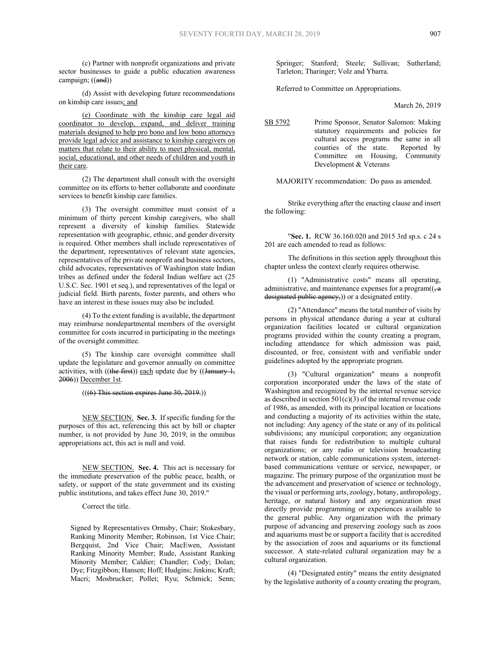(c) Partner with nonprofit organizations and private sector businesses to guide a public education awareness campaign; ((and))

(d) Assist with developing future recommendations on kinship care issues; and

(e) Coordinate with the kinship care legal aid coordinator to develop, expand, and deliver training materials designed to help pro bono and low bono attorneys provide legal advice and assistance to kinship caregivers on matters that relate to their ability to meet physical, mental, social, educational, and other needs of children and youth in their care.

(2) The department shall consult with the oversight committee on its efforts to better collaborate and coordinate services to benefit kinship care families.

(3) The oversight committee must consist of a minimum of thirty percent kinship caregivers, who shall represent a diversity of kinship families. Statewide representation with geographic, ethnic, and gender diversity is required. Other members shall include representatives of the department, representatives of relevant state agencies, representatives of the private nonprofit and business sectors, child advocates, representatives of Washington state Indian tribes as defined under the federal Indian welfare act (25 U.S.C. Sec. 1901 et seq.), and representatives of the legal or judicial field. Birth parents, foster parents, and others who have an interest in these issues may also be included.

(4) To the extent funding is available, the department may reimburse nondepartmental members of the oversight committee for costs incurred in participating in the meetings of the oversight committee.

(5) The kinship care oversight committee shall update the legislature and governor annually on committee activities, with  $((the first))$  each update due by  $((January 1,$ 2006)) December 1st.

## $(((6)$  This section expires June 30, 2019.)

NEW SECTION. **Sec. 3.** If specific funding for the purposes of this act, referencing this act by bill or chapter number, is not provided by June 30, 2019, in the omnibus appropriations act, this act is null and void.

NEW SECTION. **Sec. 4.** This act is necessary for the immediate preservation of the public peace, health, or safety, or support of the state government and its existing public institutions, and takes effect June 30, 2019."

Correct the title.

Signed by Representatives Ormsby, Chair; Stokesbary, Ranking Minority Member; Robinson, 1st Vice Chair; Bergquist, 2nd Vice Chair; MacEwen, Assistant Ranking Minority Member; Rude, Assistant Ranking Minority Member; Caldier; Chandler; Cody; Dolan; Dye; Fitzgibbon; Hansen; Hoff; Hudgins; Jinkins; Kraft; Macri; Mosbrucker; Pollet; Ryu; Schmick; Senn;

Springer; Stanford; Steele; Sullivan; Sutherland; Tarleton; Tharinger; Volz and Ybarra.

Referred to Committee on Appropriations.

March 26, 2019

SB 5792 Prime Sponsor, Senator Salomon: Making statutory requirements and policies for cultural access programs the same in all counties of the state. Reported by Committee on Housing, Community Development & Veterans

MAJORITY recommendation: Do pass as amended.

Strike everything after the enacting clause and insert the following:

"**Sec. 1.** RCW 36.160.020 and 2015 3rd sp.s. c 24 s 201 are each amended to read as follows:

The definitions in this section apply throughout this chapter unless the context clearly requires otherwise.

(1) "Administrative costs" means all operating, administrative, and maintenance expenses for a program $((\frac{1}{2}a)^2)(\frac{1}{2}a)^2$ designated public agency,)) or a designated entity.

(2) "Attendance" means the total number of visits by persons in physical attendance during a year at cultural organization facilities located or cultural organization programs provided within the county creating a program, including attendance for which admission was paid, discounted, or free, consistent with and verifiable under guidelines adopted by the appropriate program.

(3) "Cultural organization" means a nonprofit corporation incorporated under the laws of the state of Washington and recognized by the internal revenue service as described in section  $501(c)(3)$  of the internal revenue code of 1986, as amended, with its principal location or locations and conducting a majority of its activities within the state, not including: Any agency of the state or any of its political subdivisions; any municipal corporation; any organization that raises funds for redistribution to multiple cultural organizations; or any radio or television broadcasting network or station, cable communications system, internetbased communications venture or service, newspaper, or magazine. The primary purpose of the organization must be the advancement and preservation of science or technology, the visual or performing arts, zoology, botany, anthropology, heritage, or natural history and any organization must directly provide programming or experiences available to the general public. Any organization with the primary purpose of advancing and preserving zoology such as zoos and aquariums must be or support a facility that is accredited by the association of zoos and aquariums or its functional successor. A state-related cultural organization may be a cultural organization.

(4) "Designated entity" means the entity designated by the legislative authority of a county creating the program,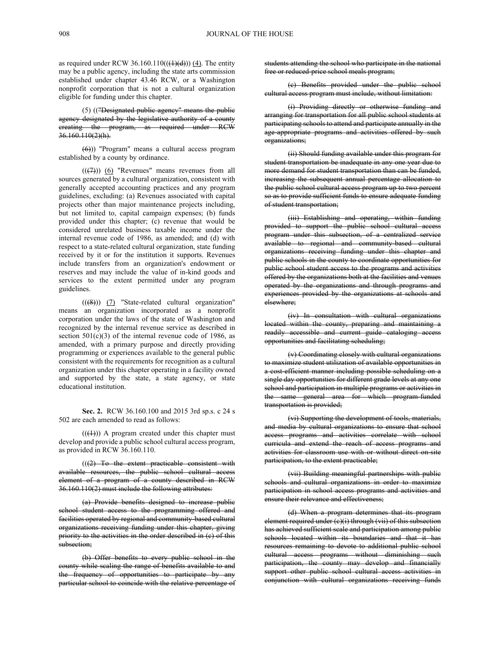as required under RCW 36.160.110( $((1)(d))$ )  $(4)$ . The entity may be a public agency, including the state arts commission established under chapter 43.46 RCW, or a Washington nonprofit corporation that is not a cultural organization eligible for funding under this chapter.

(5) (("Designated public agency" means the public agency designated by the legislative authority of a county creating the program, as required under RCW 36.160.110(2)(h).

(6))) "Program" means a cultural access program established by a county by ordinance.

 $((\n $(\overline{(+)}))$  (6) "Revenues" means revenues from all$ sources generated by a cultural organization, consistent with generally accepted accounting practices and any program guidelines, excluding: (a) Revenues associated with capital projects other than major maintenance projects including, but not limited to, capital campaign expenses; (b) funds provided under this chapter; (c) revenue that would be considered unrelated business taxable income under the internal revenue code of 1986, as amended; and (d) with respect to a state-related cultural organization, state funding received by it or for the institution it supports. Revenues include transfers from an organization's endowment or reserves and may include the value of in-kind goods and services to the extent permitted under any program guidelines.

 $((\textcircled{\#}))$  (7) "State-related cultural organization" means an organization incorporated as a nonprofit corporation under the laws of the state of Washington and recognized by the internal revenue service as described in section  $501(c)(3)$  of the internal revenue code of 1986, as amended, with a primary purpose and directly providing programming or experiences available to the general public consistent with the requirements for recognition as a cultural organization under this chapter operating in a facility owned and supported by the state, a state agency, or state educational institution.

**Sec. 2.** RCW 36.160.100 and 2015 3rd sp.s. c 24 s 502 are each amended to read as follows:

 $((\langle 1 \rangle))$  A program created under this chapter must develop and provide a public school cultural access program, as provided in RCW 36.160.110.

 $((2)$  To the extent practicable consistent with available resources, the public school cultural access element of a program of a county described in RCW 36.160.110(2) must include the following attributes:

(a) Provide benefits designed to increase public school student access to the programming offered and facilities operated by regional and community-based cultural organizations receiving funding under this chapter, giving priority to the activities in the order described in (c) of this subsection;

(b) Offer benefits to every public school in the county while scaling the range of benefits available to and the frequency of opportunities to participate by any particular school to coincide with the relative percentage of students attending the school who participate in the national free or reduced-price school meals program;

(c) Benefits provided under the public school cultural access program must include, without limitation:

(i) Providing directly or otherwise funding and arranging for transportation for all public school students at participating schools to attend and participate annually in the age-appropriate programs and activities offered by such organizations;

(ii) Should funding available under this program for student transportation be inadequate in any one year due to more demand for student transportation than can be funded, increasing the subsequent annual percentage allocation to the public school cultural access program up to two percent so as to provide sufficient funds to ensure adequate funding of student transportation;

(iii) Establishing and operating, within funding provided to support the public school cultural access program under this subsection, of a centralized service available to regional and community-based cultural organizations receiving funding under this chapter and public schools in the county to coordinate opportunities for public school student access to the programs and activities offered by the organizations both at the facilities and venues operated by the organizations and through programs and experiences provided by the organizations at schools and elsewhere;

(iv) In consultation with cultural organizations located within the county, preparing and maintaining a readily accessible and current guide cataloging access opportunities and facilitating scheduling;

(v) Coordinating closely with cultural organizations to maximize student utilization of available opportunities in a cost-efficient manner including possible scheduling on a single day opportunities for different grade levels at any one school and participation in multiple programs or activities in the same general area for which program-funded transportation is provided;

(vi) Supporting the development of tools, materials, and media by cultural organizations to ensure that school access programs and activities correlate with school curricula and extend the reach of access programs and activities for classroom use with or without direct on-site participation, to the extent practicable;

(vii) Building meaningful partnerships with public schools and cultural organizations in order to maximize participation in school access programs and activities and ensure their relevance and effectiveness;

(d) When a program determines that its program element required under (e)(i) through (vii) of this subsection has achieved sufficient scale and participation among public schools located within its boundaries and that it has resources remaining to devote to additional public school cultural access programs without diminishing such participation, the county may develop and financially support other public school cultural access activities in conjunction with cultural organizations receiving funds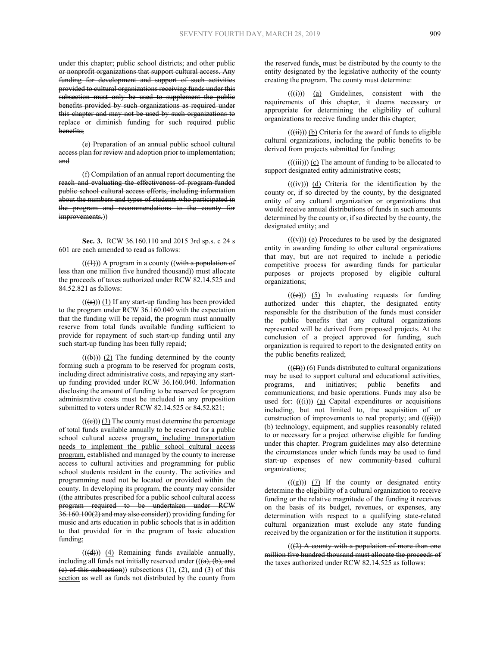under this chapter; public school districts; and other public or nonprofit organizations that support cultural access. Any funding for development and support of such activities provided to cultural organizations receiving funds under this subsection must only be used to supplement the public benefits provided by such organizations as required under this chapter and may not be used by such organizations to replace or diminish funding for such required public benefits;

(e) Preparation of an annual public school cultural access plan for review and adoption prior to implementation; and

(f) Compilation of an annual report documenting the reach and evaluating the effectiveness of program-funded public school cultural access efforts, including information about the numbers and types of students who participated in the program and recommendations to the county for improvements.))

**Sec. 3.** RCW 36.160.110 and 2015 3rd sp.s. c 24 s 601 are each amended to read as follows:

 $(((\n4))$ ) A program in a county ((with a population of less than one million five hundred thousand)) must allocate the proceeds of taxes authorized under RCW 82.14.525 and 84.52.821 as follows:

 $((a))$  (1) If any start-up funding has been provided to the program under RCW 36.160.040 with the expectation that the funding will be repaid, the program must annually reserve from total funds available funding sufficient to provide for repayment of such start-up funding until any such start-up funding has been fully repaid;

 $((\theta))$  (2) The funding determined by the county forming such a program to be reserved for program costs, including direct administrative costs, and repaying any startup funding provided under RCW 36.160.040. Information disclosing the amount of funding to be reserved for program administrative costs must be included in any proposition submitted to voters under RCW 82.14.525 or 84.52.821;

 $((\epsilon))$  (3) The county must determine the percentage of total funds available annually to be reserved for a public school cultural access program, including transportation needs to implement the public school cultural access program, established and managed by the county to increase access to cultural activities and programming for public school students resident in the county. The activities and programming need not be located or provided within the county. In developing its program, the county may consider ((the attributes prescribed for a public school cultural access program required to be undertaken under RCW  $36.160.100(2)$  and may also consider)) providing funding for music and arts education in public schools that is in addition to that provided for in the program of basic education funding;

 $((\text{d}))$   $(4)$  Remaining funds available annually, including all funds not initially reserved under  $((a), (b),$  and (e) of this subsection)) subsections  $(1)$ ,  $(2)$ , and  $(3)$  of this section as well as funds not distributed by the county from

the reserved funds, must be distributed by the county to the entity designated by the legislative authority of the county creating the program. The county must determine:

 $((\overrightarrow{(i)}))$  (a) Guidelines, consistent with the requirements of this chapter, it deems necessary or appropriate for determining the eligibility of cultural organizations to receive funding under this chapter;

 $((\overrightarrow{ii}))$  (b) Criteria for the award of funds to eligible cultural organizations, including the public benefits to be derived from projects submitted for funding;

 $((\overrightarrow{iii}))$  (c) The amount of funding to be allocated to support designated entity administrative costs;

 $((\overrightarrow{iv}))$  (d) Criteria for the identification by the county or, if so directed by the county, by the designated entity of any cultural organization or organizations that would receive annual distributions of funds in such amounts determined by the county or, if so directed by the county, the designated entity; and

 $((\rightarrow))$  (e) Procedures to be used by the designated entity in awarding funding to other cultural organizations that may, but are not required to include a periodic competitive process for awarding funds for particular purposes or projects proposed by eligible cultural organizations;

 $((\epsilon))$  (5) In evaluating requests for funding authorized under this chapter, the designated entity responsible for the distribution of the funds must consider the public benefits that any cultural organizations represented will be derived from proposed projects. At the conclusion of a project approved for funding, such organization is required to report to the designated entity on the public benefits realized;

 $((\text{f})))$  (6) Funds distributed to cultural organizations may be used to support cultural and educational activities, programs, and initiatives; public benefits and communications; and basic operations. Funds may also be used for:  $((\text{H}))$  (a) Capital expenditures or acquisitions including, but not limited to, the acquisition of or construction of improvements to real property; and  $((\ddot{ii}))$ (b) technology, equipment, and supplies reasonably related to or necessary for a project otherwise eligible for funding under this chapter. Program guidelines may also determine the circumstances under which funds may be used to fund start-up expenses of new community-based cultural organizations;

 $((\textcircled{g}))$  (7) If the county or designated entity determine the eligibility of a cultural organization to receive funding or the relative magnitude of the funding it receives on the basis of its budget, revenues, or expenses, any determination with respect to a qualifying state-related cultural organization must exclude any state funding received by the organization or for the institution it supports.

 $(((2)$  A county with a population of more than one million five hundred thousand must allocate the proceeds of the taxes authorized under RCW 82.14.525 as follows: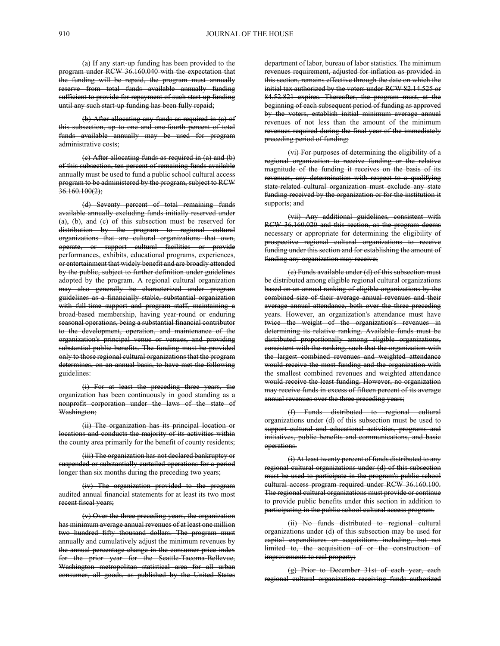(a) If any start-up funding has been provided to the program under RCW 36.160.040 with the expectation that the funding will be repaid, the program must annually reserve from total funds available annually funding sufficient to provide for repayment of such start-up funding until any such start-up funding has been fully repaid;

(b) After allocating any funds as required in (a) of this subsection, up to one and one-fourth percent of total funds available annually may be used for program administrative costs;

(c) After allocating funds as required in (a) and (b) of this subsection, ten percent of remaining funds available annually must be used to fund a public school cultural access program to be administered by the program, subject to RCW  $36.160.100(2)$ ;

(d) Seventy percent of total remaining funds available annually excluding funds initially reserved under (a), (b), and (c) of this subsection must be reserved for distribution by the program to regional cultural organizations that are cultural organizations that own, operate, or support cultural facilities or provide performances, exhibits, educational programs, experiences, or entertainment that widely benefit and are broadly attended by the public, subject to further definition under guidelines adopted by the program. A regional cultural organization may also generally be characterized under program guidelines as a financially stable, substantial organization with full-time support and program staff, maintaining a broad-based membership, having year-round or enduring seasonal operations, being a substantial financial contributor to the development, operation, and maintenance of the organization's principal venue or venues, and providing substantial public benefits. The funding must be provided only to those regional cultural organizations that the program determines, on an annual basis, to have met the following guidelines:

(i) For at least the preceding three years, the organization has been continuously in good standing as a nonprofit corporation under the laws of the state of Washington;

(ii) The organization has its principal location or locations and conducts the majority of its activities within the county area primarily for the benefit of county residents;

(iii) The organization has not declared bankruptcy or suspended or substantially curtailed operations for a period longer than six months during the preceding two years;

(iv) The organization provided to the program audited annual financial statements for at least its two most recent fiscal years;

(v) Over the three preceding years, the organization has minimum average annual revenues of at least one million two hundred fifty thousand dollars. The program must annually and cumulatively adjust the minimum revenues by the annual percentage change in the consumer price index for the prior year for the Seattle-Tacoma-Bellevue, Washington metropolitan statistical area for all urban consumer, all goods, as published by the United States department of labor, bureau of labor statistics. The minimum revenues requirement, adjusted for inflation as provided in this section, remains effective through the date on which the initial tax authorized by the voters under RCW 82.14.525 or 84.52.821 expires. Thereafter, the program must, at the beginning of each subsequent period of funding as approved by the voters, establish initial minimum average annual revenues of not less than the amount of the minimum revenues required during the final year of the immediately preceding period of funding;

(vi) For purposes of determining the eligibility of a regional organization to receive funding or the relative magnitude of the funding it receives on the basis of its revenues, any determination with respect to a qualifying state-related cultural organization must exclude any state funding received by the organization or for the institution it supports; and

(vii) Any additional guidelines, consistent with RCW 36.160.020 and this section, as the program deems necessary or appropriate for determining the eligibility of prospective regional cultural organizations to receive funding under this section and for establishing the amount of funding any organization may receive;

(e) Funds available under (d) of this subsection must be distributed among eligible regional cultural organizations based on an annual ranking of eligible organizations by the combined size of their average annual revenues and their average annual attendance, both over the three preceding years. However, an organization's attendance must have twice the weight of the organization's revenues in determining its relative ranking. Available funds must be distributed proportionally among eligible organizations, consistent with the ranking, such that the organization with the largest combined revenues and weighted attendance would receive the most funding and the organization with the smallest combined revenues and weighted attendance would receive the least funding. However, no organization may receive funds in excess of fifteen percent of its average annual revenues over the three preceding years;

(f) Funds distributed to regional cultural organizations under (d) of this subsection must be used to support cultural and educational activities, programs and initiatives, public benefits and communications, and basic operations.

(i) At least twenty percent of funds distributed to any regional cultural organizations under (d) of this subsection must be used to participate in the program's public school cultural access program required under RCW 36.160.100. The regional cultural organizations must provide or continue to provide public benefits under this section in addition to participating in the public school cultural access program.

(ii) No funds distributed to regional cultural organizations under (d) of this subsection may be used for capital expenditures or acquisitions including, but not limited to, the acquisition of or the construction of improvements to real property;

(g) Prior to December 31st of each year, each regional cultural organization receiving funds authorized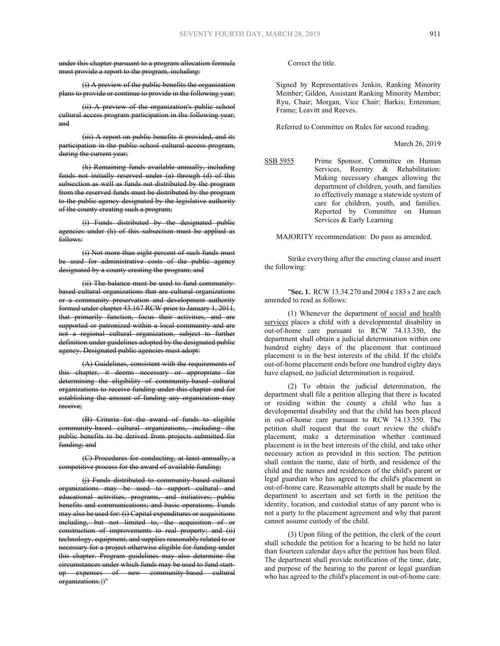under this chapter pursuant to a program allocation formula must provide a report to the program, including:

(i) A preview of the public benefits the organization plans to provide or continue to provide in the following year;

(ii) A preview of the organization's public school cultural access program participation in the following year; and

(iii) A report on public benefits it provided, and its participation in the public school cultural access program, during the current year;

(h) Remaining funds available annually, including funds not initially reserved under (a) through (d) of this subsection as well as funds not distributed by the program from the reserved funds must be distributed by the program to the public agency designated by the legislative authority of the county creating such a program;

(i) Funds distributed by the designated public agencies under (h) of this subsection must be applied as follows:

(i) Not more than eight percent of such funds must be used for administrative costs of the public agency designated by a county creating the program; and

(ii) The balance must be used to fund communitybased cultural organizations that are cultural organizations or a community preservation and development authority formed under chapter 43.167 RCW prior to January 1, 2011, that primarily function, focus their activities, and are supported or patronized within a local community and are not a regional cultural organization, subject to further definition under guidelines adopted by the designated public agency. Designated public agencies must adopt:

(A) Guidelines, consistent with the requirements of this chapter, it deems necessary or appropriate for determining the eligibility of community-based cultural organizations to receive funding under this chapter and for establishing the amount of funding any organization may receive;

(B) Criteria for the award of funds to eligible community-based cultural organizations, including the public benefits to be derived from projects submitted for funding; and

(C) Procedures for conducting, at least annually, a competitive process for the award of available funding;

(j) Funds distributed to community-based cultural organizations may be used to support cultural and educational activities, programs, and initiatives; public benefits and communications; and basic operations. Funds may also be used for: (i) Capital expenditures or acquisitions including, but not limited to, the acquisition of or construction of improvements to real property; and (ii) technology, equipment, and supplies reasonably related to or necessary for a project otherwise eligible for funding under this chapter. Program guidelines may also determine the circumstances under which funds may be used to fund startup expenses of new community-based cultural organizations.))"

Correct the title.

Signed by Representatives Jenkin, Ranking Minority Member; Gildon, Assistant Ranking Minority Member; Ryu, Chair; Morgan, Vice Chair; Barkis; Entenman; Frame; Leavitt and Reeves.

Referred to Committee on Rules for second reading.

March 26, 2019

SSB 5955 Prime Sponsor, Committee on Human Services, Reentry & Rehabilitation: Making necessary changes allowing the department of children, youth, and families to effectively manage a statewide system of care for children, youth, and families. Reported by Committee on Human Services & Early Learning

MAJORITY recommendation: Do pass as amended.

Strike everything after the enacting clause and insert the following:

"**Sec. 1.** RCW 13.34.270 and 2004 c 183 s 2 are each amended to read as follows:

(1) Whenever the department of social and health services places a child with a developmental disability in out-of-home care pursuant to RCW 74.13.350, the department shall obtain a judicial determination within one hundred eighty days of the placement that continued placement is in the best interests of the child. If the child's out-of-home placement ends before one hundred eighty days have elapsed, no judicial determination is required.

(2) To obtain the judicial determination, the department shall file a petition alleging that there is located or residing within the county a child who has a developmental disability and that the child has been placed in out-of-home care pursuant to RCW 74.13.350. The petition shall request that the court review the child's placement, make a determination whether continued placement is in the best interests of the child, and take other necessary action as provided in this section. The petition shall contain the name, date of birth, and residence of the child and the names and residences of the child's parent or legal guardian who has agreed to the child's placement in out-of-home care. Reasonable attempts shall be made by the department to ascertain and set forth in the petition the identity, location, and custodial status of any parent who is not a party to the placement agreement and why that parent cannot assume custody of the child.

(3) Upon filing of the petition, the clerk of the court shall schedule the petition for a hearing to be held no later than fourteen calendar days after the petition has been filed. The department shall provide notification of the time, date, and purpose of the hearing to the parent or legal guardian who has agreed to the child's placement in out-of-home care.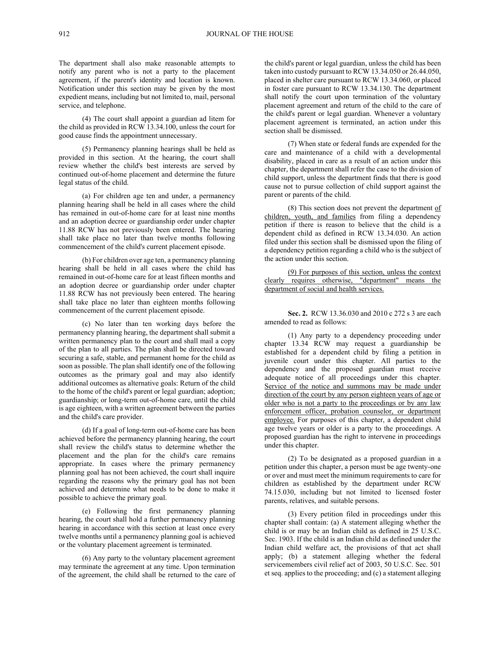The department shall also make reasonable attempts to notify any parent who is not a party to the placement agreement, if the parent's identity and location is known. Notification under this section may be given by the most expedient means, including but not limited to, mail, personal service, and telephone.

(4) The court shall appoint a guardian ad litem for the child as provided in RCW 13.34.100, unless the court for good cause finds the appointment unnecessary.

(5) Permanency planning hearings shall be held as provided in this section. At the hearing, the court shall review whether the child's best interests are served by continued out-of-home placement and determine the future legal status of the child.

(a) For children age ten and under, a permanency planning hearing shall be held in all cases where the child has remained in out-of-home care for at least nine months and an adoption decree or guardianship order under chapter 11.88 RCW has not previously been entered. The hearing shall take place no later than twelve months following commencement of the child's current placement episode.

(b) For children over age ten, a permanency planning hearing shall be held in all cases where the child has remained in out-of-home care for at least fifteen months and an adoption decree or guardianship order under chapter 11.88 RCW has not previously been entered. The hearing shall take place no later than eighteen months following commencement of the current placement episode.

(c) No later than ten working days before the permanency planning hearing, the department shall submit a written permanency plan to the court and shall mail a copy of the plan to all parties. The plan shall be directed toward securing a safe, stable, and permanent home for the child as soon as possible. The plan shall identify one of the following outcomes as the primary goal and may also identify additional outcomes as alternative goals: Return of the child to the home of the child's parent or legal guardian; adoption; guardianship; or long-term out-of-home care, until the child is age eighteen, with a written agreement between the parties and the child's care provider.

(d) If a goal of long-term out-of-home care has been achieved before the permanency planning hearing, the court shall review the child's status to determine whether the placement and the plan for the child's care remains appropriate. In cases where the primary permanency planning goal has not been achieved, the court shall inquire regarding the reasons why the primary goal has not been achieved and determine what needs to be done to make it possible to achieve the primary goal.

(e) Following the first permanency planning hearing, the court shall hold a further permanency planning hearing in accordance with this section at least once every twelve months until a permanency planning goal is achieved or the voluntary placement agreement is terminated.

(6) Any party to the voluntary placement agreement may terminate the agreement at any time. Upon termination of the agreement, the child shall be returned to the care of

the child's parent or legal guardian, unless the child has been taken into custody pursuant to RCW 13.34.050 or 26.44.050, placed in shelter care pursuant to RCW 13.34.060, or placed in foster care pursuant to RCW 13.34.130. The department shall notify the court upon termination of the voluntary placement agreement and return of the child to the care of the child's parent or legal guardian. Whenever a voluntary placement agreement is terminated, an action under this section shall be dismissed.

(7) When state or federal funds are expended for the care and maintenance of a child with a developmental disability, placed in care as a result of an action under this chapter, the department shall refer the case to the division of child support, unless the department finds that there is good cause not to pursue collection of child support against the parent or parents of the child.

(8) This section does not prevent the department of children, youth, and families from filing a dependency petition if there is reason to believe that the child is a dependent child as defined in RCW 13.34.030. An action filed under this section shall be dismissed upon the filing of a dependency petition regarding a child who is the subject of the action under this section.

(9) For purposes of this section, unless the context clearly requires otherwise, "department" means the department of social and health services.

**Sec. 2.** RCW 13.36.030 and 2010 c 272 s 3 are each amended to read as follows:

(1) Any party to a dependency proceeding under chapter 13.34 RCW may request a guardianship be established for a dependent child by filing a petition in juvenile court under this chapter. All parties to the dependency and the proposed guardian must receive adequate notice of all proceedings under this chapter. Service of the notice and summons may be made under direction of the court by any person eighteen years of age or older who is not a party to the proceedings or by any law enforcement officer, probation counselor, or department employee. For purposes of this chapter, a dependent child age twelve years or older is a party to the proceedings. A proposed guardian has the right to intervene in proceedings under this chapter.

(2) To be designated as a proposed guardian in a petition under this chapter, a person must be age twenty-one or over and must meet the minimum requirements to care for children as established by the department under RCW 74.15.030, including but not limited to licensed foster parents, relatives, and suitable persons.

(3) Every petition filed in proceedings under this chapter shall contain: (a) A statement alleging whether the child is or may be an Indian child as defined in 25 U.S.C. Sec. 1903. If the child is an Indian child as defined under the Indian child welfare act, the provisions of that act shall apply; (b) a statement alleging whether the federal servicemembers civil relief act of 2003, 50 U.S.C. Sec. 501 et seq. applies to the proceeding; and (c) a statement alleging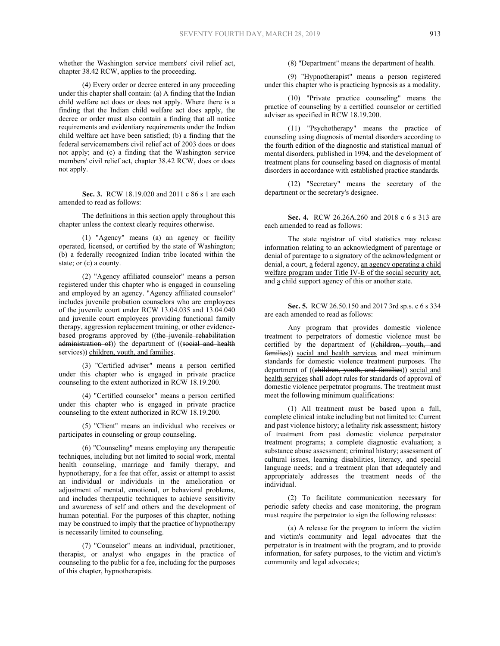whether the Washington service members' civil relief act, chapter 38.42 RCW, applies to the proceeding.

(4) Every order or decree entered in any proceeding under this chapter shall contain: (a) A finding that the Indian child welfare act does or does not apply. Where there is a finding that the Indian child welfare act does apply, the decree or order must also contain a finding that all notice requirements and evidentiary requirements under the Indian child welfare act have been satisfied; (b) a finding that the federal servicemembers civil relief act of 2003 does or does not apply; and (c) a finding that the Washington service members' civil relief act, chapter 38.42 RCW, does or does not apply.

**Sec. 3.** RCW 18.19.020 and 2011 c 86 s 1 are each amended to read as follows:

The definitions in this section apply throughout this chapter unless the context clearly requires otherwise.

(1) "Agency" means (a) an agency or facility operated, licensed, or certified by the state of Washington; (b) a federally recognized Indian tribe located within the state; or (c) a county.

(2) "Agency affiliated counselor" means a person registered under this chapter who is engaged in counseling and employed by an agency. "Agency affiliated counselor" includes juvenile probation counselors who are employees of the juvenile court under RCW 13.04.035 and 13.04.040 and juvenile court employees providing functional family therapy, aggression replacement training, or other evidencebased programs approved by ((the juvenile rehabilitation administration of)) the department of ((social and health services)) children, youth, and families.

(3) "Certified adviser" means a person certified under this chapter who is engaged in private practice counseling to the extent authorized in RCW 18.19.200.

(4) "Certified counselor" means a person certified under this chapter who is engaged in private practice counseling to the extent authorized in RCW 18.19.200.

(5) "Client" means an individual who receives or participates in counseling or group counseling.

(6) "Counseling" means employing any therapeutic techniques, including but not limited to social work, mental health counseling, marriage and family therapy, and hypnotherapy, for a fee that offer, assist or attempt to assist an individual or individuals in the amelioration or adjustment of mental, emotional, or behavioral problems, and includes therapeutic techniques to achieve sensitivity and awareness of self and others and the development of human potential. For the purposes of this chapter, nothing may be construed to imply that the practice of hypnotherapy is necessarily limited to counseling.

(7) "Counselor" means an individual, practitioner, therapist, or analyst who engages in the practice of counseling to the public for a fee, including for the purposes of this chapter, hypnotherapists.

(8) "Department" means the department of health.

(9) "Hypnotherapist" means a person registered under this chapter who is practicing hypnosis as a modality.

(10) "Private practice counseling" means the practice of counseling by a certified counselor or certified adviser as specified in RCW 18.19.200.

(11) "Psychotherapy" means the practice of counseling using diagnosis of mental disorders according to the fourth edition of the diagnostic and statistical manual of mental disorders, published in 1994, and the development of treatment plans for counseling based on diagnosis of mental disorders in accordance with established practice standards.

(12) "Secretary" means the secretary of the department or the secretary's designee.

**Sec. 4.** RCW 26.26A.260 and 2018 c 6 s 313 are each amended to read as follows:

The state registrar of vital statistics may release information relating to an acknowledgment of parentage or denial of parentage to a signatory of the acknowledgment or denial, a court, a federal agency, an agency operating a child welfare program under Title IV-E of the social security act, and a child support agency of this or another state.

**Sec. 5.** RCW 26.50.150 and 2017 3rd sp.s. c 6 s 334 are each amended to read as follows:

Any program that provides domestic violence treatment to perpetrators of domestic violence must be certified by the department of ((children, youth, and families)) social and health services and meet minimum standards for domestic violence treatment purposes. The department of ((children, youth, and families)) social and health services shall adopt rules for standards of approval of domestic violence perpetrator programs. The treatment must meet the following minimum qualifications:

(1) All treatment must be based upon a full, complete clinical intake including but not limited to: Current and past violence history; a lethality risk assessment; history of treatment from past domestic violence perpetrator treatment programs; a complete diagnostic evaluation; a substance abuse assessment; criminal history; assessment of cultural issues, learning disabilities, literacy, and special language needs; and a treatment plan that adequately and appropriately addresses the treatment needs of the individual.

(2) To facilitate communication necessary for periodic safety checks and case monitoring, the program must require the perpetrator to sign the following releases:

(a) A release for the program to inform the victim and victim's community and legal advocates that the perpetrator is in treatment with the program, and to provide information, for safety purposes, to the victim and victim's community and legal advocates;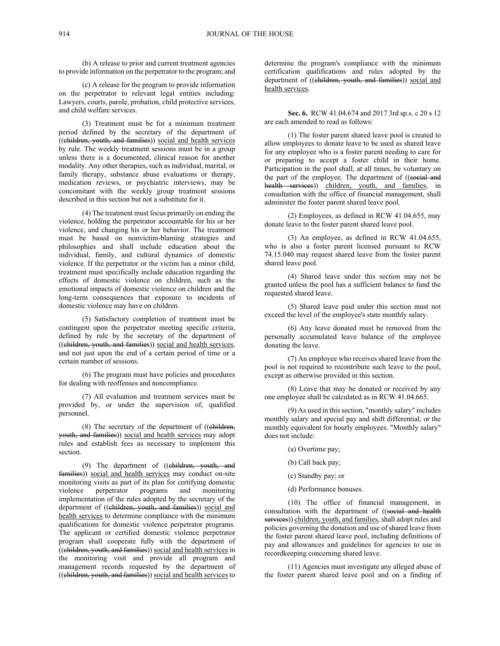(b) A release to prior and current treatment agencies to provide information on the perpetrator to the program; and

(c) A release for the program to provide information on the perpetrator to relevant legal entities including: Lawyers, courts, parole, probation, child protective services, and child welfare services.

(3) Treatment must be for a minimum treatment period defined by the secretary of the department of ((children, youth, and families)) social and health services by rule. The weekly treatment sessions must be in a group unless there is a documented, clinical reason for another modality. Any other therapies, such as individual, marital, or family therapy, substance abuse evaluations or therapy, medication reviews, or psychiatric interviews, may be concomitant with the weekly group treatment sessions described in this section but not a substitute for it.

(4) The treatment must focus primarily on ending the violence, holding the perpetrator accountable for his or her violence, and changing his or her behavior. The treatment must be based on nonvictim-blaming strategies and philosophies and shall include education about the individual, family, and cultural dynamics of domestic violence. If the perpetrator or the victim has a minor child, treatment must specifically include education regarding the effects of domestic violence on children, such as the emotional impacts of domestic violence on children and the long-term consequences that exposure to incidents of domestic violence may have on children.

(5) Satisfactory completion of treatment must be contingent upon the perpetrator meeting specific criteria, defined by rule by the secretary of the department of ((children, youth, and families)) social and health services, and not just upon the end of a certain period of time or a certain number of sessions.

(6) The program must have policies and procedures for dealing with reoffenses and noncompliance.

(7) All evaluation and treatment services must be provided by, or under the supervision of, qualified personnel.

 $(8)$  The secretary of the department of  $((ehildren,$ youth, and families)) social and health services may adopt rules and establish fees as necessary to implement this section.

(9) The department of ((children, youth, and families)) social and health services may conduct on-site monitoring visits as part of its plan for certifying domestic violence perpetrator programs and monitoring implementation of the rules adopted by the secretary of the department of ((children, youth, and families)) social and health services to determine compliance with the minimum qualifications for domestic violence perpetrator programs. The applicant or certified domestic violence perpetrator program shall cooperate fully with the department of ((children, youth, and families)) social and health services in the monitoring visit and provide all program and management records requested by the department of ((children, youth, and families)) social and health services to

determine the program's compliance with the minimum certification qualifications and rules adopted by the department of ((children, youth, and families)) social and health services.

**Sec. 6.** RCW 41.04.674 and 2017 3rd sp.s. c 20 s 12 are each amended to read as follows:

(1) The foster parent shared leave pool is created to allow employees to donate leave to be used as shared leave for any employee who is a foster parent needing to care for or preparing to accept a foster child in their home. Participation in the pool shall, at all times, be voluntary on the part of the employee. The department of ((social and health services)) children, youth, and families, in consultation with the office of financial management, shall administer the foster parent shared leave pool.

(2) Employees, as defined in RCW 41.04.655, may donate leave to the foster parent shared leave pool.

(3) An employee, as defined in RCW 41.04.655, who is also a foster parent licensed pursuant to RCW 74.15.040 may request shared leave from the foster parent shared leave pool.

(4) Shared leave under this section may not be granted unless the pool has a sufficient balance to fund the requested shared leave.

(5) Shared leave paid under this section must not exceed the level of the employee's state monthly salary.

(6) Any leave donated must be removed from the personally accumulated leave balance of the employee donating the leave.

(7) An employee who receives shared leave from the pool is not required to recontribute such leave to the pool, except as otherwise provided in this section.

(8) Leave that may be donated or received by any one employee shall be calculated as in RCW 41.04.665.

(9) As used in this section, "monthly salary" includes monthly salary and special pay and shift differential, or the monthly equivalent for hourly employees. "Monthly salary" does not include:

(a) Overtime pay;

(b) Call back pay;

(c) Standby pay; or

(d) Performance bonuses.

(10) The office of financial management, in consultation with the department of ((social and health services)) children, youth, and families, shall adopt rules and policies governing the donation and use of shared leave from the foster parent shared leave pool, including definitions of pay and allowances and guidelines for agencies to use in recordkeeping concerning shared leave.

(11) Agencies must investigate any alleged abuse of the foster parent shared leave pool and on a finding of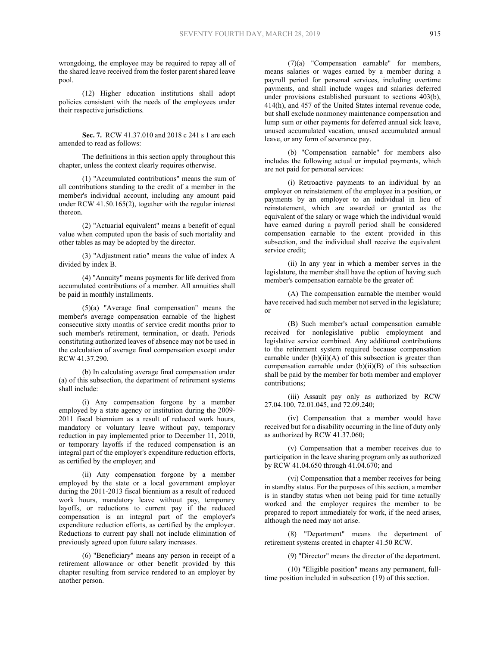wrongdoing, the employee may be required to repay all of the shared leave received from the foster parent shared leave pool.

(12) Higher education institutions shall adopt policies consistent with the needs of the employees under their respective jurisdictions.

**Sec. 7.** RCW 41.37.010 and 2018 c 241 s 1 are each amended to read as follows:

The definitions in this section apply throughout this chapter, unless the context clearly requires otherwise.

(1) "Accumulated contributions" means the sum of all contributions standing to the credit of a member in the member's individual account, including any amount paid under RCW 41.50.165(2), together with the regular interest thereon.

(2) "Actuarial equivalent" means a benefit of equal value when computed upon the basis of such mortality and other tables as may be adopted by the director.

(3) "Adjustment ratio" means the value of index A divided by index B.

(4) "Annuity" means payments for life derived from accumulated contributions of a member. All annuities shall be paid in monthly installments.

(5)(a) "Average final compensation" means the member's average compensation earnable of the highest consecutive sixty months of service credit months prior to such member's retirement, termination, or death. Periods constituting authorized leaves of absence may not be used in the calculation of average final compensation except under RCW 41.37.290.

(b) In calculating average final compensation under (a) of this subsection, the department of retirement systems shall include:

(i) Any compensation forgone by a member employed by a state agency or institution during the 2009- 2011 fiscal biennium as a result of reduced work hours, mandatory or voluntary leave without pay, temporary reduction in pay implemented prior to December 11, 2010, or temporary layoffs if the reduced compensation is an integral part of the employer's expenditure reduction efforts, as certified by the employer; and

(ii) Any compensation forgone by a member employed by the state or a local government employer during the 2011-2013 fiscal biennium as a result of reduced work hours, mandatory leave without pay, temporary layoffs, or reductions to current pay if the reduced compensation is an integral part of the employer's expenditure reduction efforts, as certified by the employer. Reductions to current pay shall not include elimination of previously agreed upon future salary increases.

(6) "Beneficiary" means any person in receipt of a retirement allowance or other benefit provided by this chapter resulting from service rendered to an employer by another person.

(7)(a) "Compensation earnable" for members, means salaries or wages earned by a member during a payroll period for personal services, including overtime payments, and shall include wages and salaries deferred under provisions established pursuant to sections 403(b), 414(h), and 457 of the United States internal revenue code, but shall exclude nonmoney maintenance compensation and lump sum or other payments for deferred annual sick leave, unused accumulated vacation, unused accumulated annual leave, or any form of severance pay.

(b) "Compensation earnable" for members also includes the following actual or imputed payments, which are not paid for personal services:

(i) Retroactive payments to an individual by an employer on reinstatement of the employee in a position, or payments by an employer to an individual in lieu of reinstatement, which are awarded or granted as the equivalent of the salary or wage which the individual would have earned during a payroll period shall be considered compensation earnable to the extent provided in this subsection, and the individual shall receive the equivalent service credit;

(ii) In any year in which a member serves in the legislature, the member shall have the option of having such member's compensation earnable be the greater of:

(A) The compensation earnable the member would have received had such member not served in the legislature; or

(B) Such member's actual compensation earnable received for nonlegislative public employment and legislative service combined. Any additional contributions to the retirement system required because compensation earnable under  $(b)(ii)(A)$  of this subsection is greater than compensation earnable under (b)(ii)(B) of this subsection shall be paid by the member for both member and employer contributions;

(iii) Assault pay only as authorized by RCW 27.04.100, 72.01.045, and 72.09.240;

(iv) Compensation that a member would have received but for a disability occurring in the line of duty only as authorized by RCW 41.37.060;

(v) Compensation that a member receives due to participation in the leave sharing program only as authorized by RCW 41.04.650 through 41.04.670; and

(vi) Compensation that a member receives for being in standby status. For the purposes of this section, a member is in standby status when not being paid for time actually worked and the employer requires the member to be prepared to report immediately for work, if the need arises, although the need may not arise.

(8) "Department" means the department of retirement systems created in chapter 41.50 RCW.

(9) "Director" means the director of the department.

(10) "Eligible position" means any permanent, fulltime position included in subsection (19) of this section.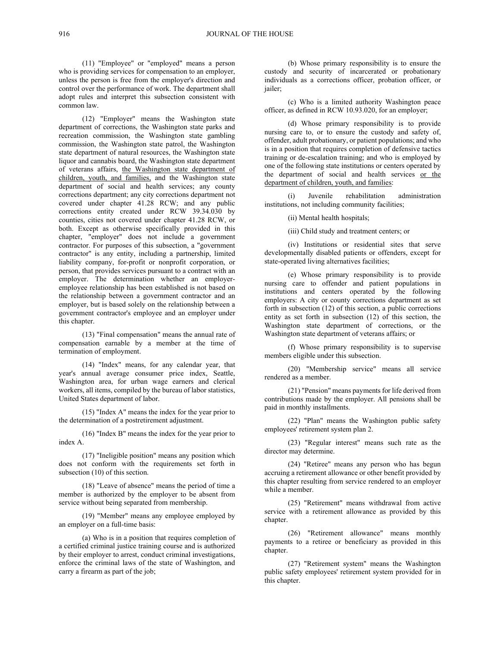(11) "Employee" or "employed" means a person who is providing services for compensation to an employer, unless the person is free from the employer's direction and control over the performance of work. The department shall adopt rules and interpret this subsection consistent with common law.

(12) "Employer" means the Washington state department of corrections, the Washington state parks and recreation commission, the Washington state gambling commission, the Washington state patrol, the Washington state department of natural resources, the Washington state liquor and cannabis board, the Washington state department of veterans affairs, the Washington state department of children, youth, and families, and the Washington state department of social and health services; any county corrections department; any city corrections department not covered under chapter 41.28 RCW; and any public corrections entity created under RCW 39.34.030 by counties, cities not covered under chapter 41.28 RCW, or both. Except as otherwise specifically provided in this chapter, "employer" does not include a government contractor. For purposes of this subsection, a "government contractor" is any entity, including a partnership, limited liability company, for-profit or nonprofit corporation, or person, that provides services pursuant to a contract with an employer. The determination whether an employeremployee relationship has been established is not based on the relationship between a government contractor and an employer, but is based solely on the relationship between a government contractor's employee and an employer under this chapter.

(13) "Final compensation" means the annual rate of compensation earnable by a member at the time of termination of employment.

(14) "Index" means, for any calendar year, that year's annual average consumer price index, Seattle, Washington area, for urban wage earners and clerical workers, all items, compiled by the bureau of labor statistics, United States department of labor.

(15) "Index A" means the index for the year prior to the determination of a postretirement adjustment.

(16) "Index B" means the index for the year prior to index A.

(17) "Ineligible position" means any position which does not conform with the requirements set forth in subsection (10) of this section.

(18) "Leave of absence" means the period of time a member is authorized by the employer to be absent from service without being separated from membership.

(19) "Member" means any employee employed by an employer on a full-time basis:

(a) Who is in a position that requires completion of a certified criminal justice training course and is authorized by their employer to arrest, conduct criminal investigations, enforce the criminal laws of the state of Washington, and carry a firearm as part of the job;

(b) Whose primary responsibility is to ensure the custody and security of incarcerated or probationary individuals as a corrections officer, probation officer, or jailer;

(c) Who is a limited authority Washington peace officer, as defined in RCW 10.93.020, for an employer;

(d) Whose primary responsibility is to provide nursing care to, or to ensure the custody and safety of, offender, adult probationary, or patient populations; and who is in a position that requires completion of defensive tactics training or de-escalation training; and who is employed by one of the following state institutions or centers operated by the department of social and health services or the department of children, youth, and families:

(i) Juvenile rehabilitation administration institutions, not including community facilities;

(ii) Mental health hospitals;

(iii) Child study and treatment centers; or

(iv) Institutions or residential sites that serve developmentally disabled patients or offenders, except for state-operated living alternatives facilities;

(e) Whose primary responsibility is to provide nursing care to offender and patient populations in institutions and centers operated by the following employers: A city or county corrections department as set forth in subsection (12) of this section, a public corrections entity as set forth in subsection (12) of this section, the Washington state department of corrections, or the Washington state department of veterans affairs; or

(f) Whose primary responsibility is to supervise members eligible under this subsection.

(20) "Membership service" means all service rendered as a member.

(21) "Pension" means payments for life derived from contributions made by the employer. All pensions shall be paid in monthly installments.

(22) "Plan" means the Washington public safety employees' retirement system plan 2.

(23) "Regular interest" means such rate as the director may determine.

(24) "Retiree" means any person who has begun accruing a retirement allowance or other benefit provided by this chapter resulting from service rendered to an employer while a member.

(25) "Retirement" means withdrawal from active service with a retirement allowance as provided by this chapter.

(26) "Retirement allowance" means monthly payments to a retiree or beneficiary as provided in this chapter.

(27) "Retirement system" means the Washington public safety employees' retirement system provided for in this chapter.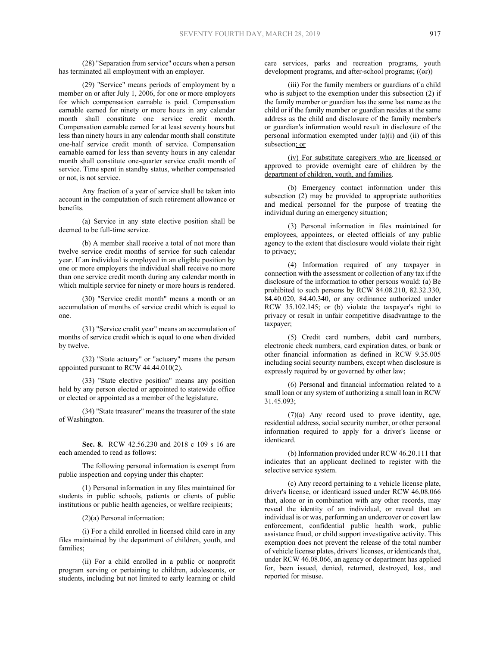(28) "Separation from service" occurs when a person has terminated all employment with an employer.

(29) "Service" means periods of employment by a member on or after July 1, 2006, for one or more employers for which compensation earnable is paid. Compensation earnable earned for ninety or more hours in any calendar month shall constitute one service credit month. Compensation earnable earned for at least seventy hours but less than ninety hours in any calendar month shall constitute one-half service credit month of service. Compensation earnable earned for less than seventy hours in any calendar month shall constitute one-quarter service credit month of service. Time spent in standby status, whether compensated or not, is not service.

Any fraction of a year of service shall be taken into account in the computation of such retirement allowance or benefits.

(a) Service in any state elective position shall be deemed to be full-time service.

(b) A member shall receive a total of not more than twelve service credit months of service for such calendar year. If an individual is employed in an eligible position by one or more employers the individual shall receive no more than one service credit month during any calendar month in which multiple service for ninety or more hours is rendered.

(30) "Service credit month" means a month or an accumulation of months of service credit which is equal to one.

(31) "Service credit year" means an accumulation of months of service credit which is equal to one when divided by twelve.

(32) "State actuary" or "actuary" means the person appointed pursuant to RCW 44.44.010(2).

(33) "State elective position" means any position held by any person elected or appointed to statewide office or elected or appointed as a member of the legislature.

(34) "State treasurer" means the treasurer of the state of Washington.

**Sec. 8.** RCW 42.56.230 and 2018 c 109 s 16 are each amended to read as follows:

The following personal information is exempt from public inspection and copying under this chapter:

(1) Personal information in any files maintained for students in public schools, patients or clients of public institutions or public health agencies, or welfare recipients;

(2)(a) Personal information:

(i) For a child enrolled in licensed child care in any files maintained by the department of children, youth, and families;

(ii) For a child enrolled in a public or nonprofit program serving or pertaining to children, adolescents, or students, including but not limited to early learning or child

care services, parks and recreation programs, youth development programs, and after-school programs;  $((\Theta \cdot \mathbf{r}))$ 

(iii) For the family members or guardians of a child who is subject to the exemption under this subsection (2) if the family member or guardian has the same last name as the child or if the family member or guardian resides at the same address as the child and disclosure of the family member's or guardian's information would result in disclosure of the personal information exempted under (a)(i) and (ii) of this subsection; or

(iv) For substitute caregivers who are licensed or approved to provide overnight care of children by the department of children, youth, and families.

(b) Emergency contact information under this subsection (2) may be provided to appropriate authorities and medical personnel for the purpose of treating the individual during an emergency situation;

(3) Personal information in files maintained for employees, appointees, or elected officials of any public agency to the extent that disclosure would violate their right to privacy;

(4) Information required of any taxpayer in connection with the assessment or collection of any tax if the disclosure of the information to other persons would: (a) Be prohibited to such persons by RCW 84.08.210, 82.32.330, 84.40.020, 84.40.340, or any ordinance authorized under RCW 35.102.145; or (b) violate the taxpayer's right to privacy or result in unfair competitive disadvantage to the taxpayer;

(5) Credit card numbers, debit card numbers, electronic check numbers, card expiration dates, or bank or other financial information as defined in RCW 9.35.005 including social security numbers, except when disclosure is expressly required by or governed by other law;

(6) Personal and financial information related to a small loan or any system of authorizing a small loan in RCW 31.45.093;

(7)(a) Any record used to prove identity, age, residential address, social security number, or other personal information required to apply for a driver's license or identicard.

(b) Information provided under RCW 46.20.111 that indicates that an applicant declined to register with the selective service system.

(c) Any record pertaining to a vehicle license plate, driver's license, or identicard issued under RCW 46.08.066 that, alone or in combination with any other records, may reveal the identity of an individual, or reveal that an individual is or was, performing an undercover or covert law enforcement, confidential public health work, public assistance fraud, or child support investigative activity. This exemption does not prevent the release of the total number of vehicle license plates, drivers' licenses, or identicards that, under RCW 46.08.066, an agency or department has applied for, been issued, denied, returned, destroyed, lost, and reported for misuse.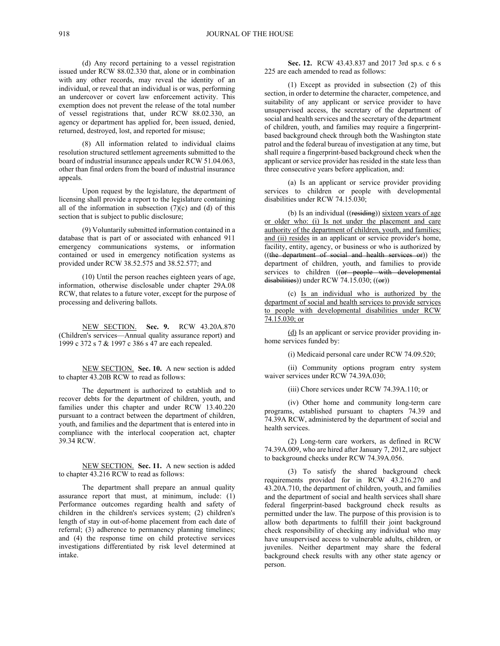(d) Any record pertaining to a vessel registration issued under RCW 88.02.330 that, alone or in combination with any other records, may reveal the identity of an individual, or reveal that an individual is or was, performing an undercover or covert law enforcement activity. This exemption does not prevent the release of the total number of vessel registrations that, under RCW 88.02.330, an agency or department has applied for, been issued, denied, returned, destroyed, lost, and reported for misuse;

(8) All information related to individual claims resolution structured settlement agreements submitted to the board of industrial insurance appeals under RCW 51.04.063, other than final orders from the board of industrial insurance appeals.

Upon request by the legislature, the department of licensing shall provide a report to the legislature containing all of the information in subsection  $(7)(c)$  and  $(d)$  of this section that is subject to public disclosure;

(9) Voluntarily submitted information contained in a database that is part of or associated with enhanced 911 emergency communications systems, or information contained or used in emergency notification systems as provided under RCW 38.52.575 and 38.52.577; and

(10) Until the person reaches eighteen years of age, information, otherwise disclosable under chapter 29A.08 RCW, that relates to a future voter, except for the purpose of processing and delivering ballots.

NEW SECTION. **Sec. 9.** RCW 43.20A.870 (Children's services—Annual quality assurance report) and 1999 c 372 s 7 & 1997 c 386 s 47 are each repealed.

NEW SECTION. **Sec. 10.** A new section is added to chapter 43.20B RCW to read as follows:

The department is authorized to establish and to recover debts for the department of children, youth, and families under this chapter and under RCW 13.40.220 pursuant to a contract between the department of children, youth, and families and the department that is entered into in compliance with the interlocal cooperation act, chapter 39.34 RCW.

NEW SECTION. **Sec. 11.** A new section is added to chapter 43.216 RCW to read as follows:

The department shall prepare an annual quality assurance report that must, at minimum, include: (1) Performance outcomes regarding health and safety of children in the children's services system; (2) children's length of stay in out-of-home placement from each date of referral; (3) adherence to permanency planning timelines; and (4) the response time on child protective services investigations differentiated by risk level determined at intake.

**Sec. 12.** RCW 43.43.837 and 2017 3rd sp.s. c 6 s 225 are each amended to read as follows:

(1) Except as provided in subsection (2) of this section, in order to determine the character, competence, and suitability of any applicant or service provider to have unsupervised access, the secretary of the department of social and health services and the secretary of the department of children, youth, and families may require a fingerprintbased background check through both the Washington state patrol and the federal bureau of investigation at any time, but shall require a fingerprint-based background check when the applicant or service provider has resided in the state less than three consecutive years before application, and:

(a) Is an applicant or service provider providing services to children or people with developmental disabilities under RCW 74.15.030;

(b) Is an individual  $((residing))$  sixteen years of age or older who: (i) Is not under the placement and care authority of the department of children, youth, and families; and (ii) resides in an applicant or service provider's home, facility, entity, agency, or business or who is authorized by ((the department of social and health services or)) the department of children, youth, and families to provide services to children ((or people with developmental  $disabilities()$  under RCW 74.15.030;  $((or))$ 

(c) Is an individual who is authorized by the department of social and health services to provide services to people with developmental disabilities under RCW  $74.\overline{15.030}$ ; or

(d) Is an applicant or service provider providing inhome services funded by:

(i) Medicaid personal care under RCW 74.09.520;

(ii) Community options program entry system waiver services under RCW 74.39A.030;

(iii) Chore services under RCW 74.39A.110; or

(iv) Other home and community long-term care programs, established pursuant to chapters 74.39 and 74.39A RCW, administered by the department of social and health services.

(2) Long-term care workers, as defined in RCW 74.39A.009, who are hired after January 7, 2012, are subject to background checks under RCW 74.39A.056.

(3) To satisfy the shared background check requirements provided for in RCW 43.216.270 and 43.20A.710, the department of children, youth, and families and the department of social and health services shall share federal fingerprint-based background check results as permitted under the law. The purpose of this provision is to allow both departments to fulfill their joint background check responsibility of checking any individual who may have unsupervised access to vulnerable adults, children, or juveniles. Neither department may share the federal background check results with any other state agency or person.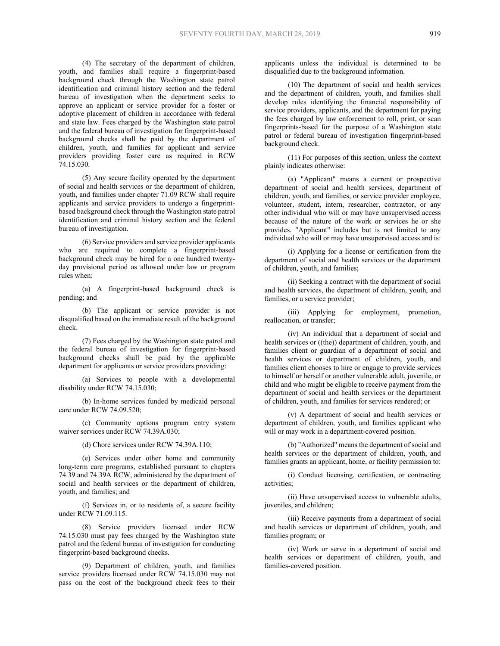(4) The secretary of the department of children, youth, and families shall require a fingerprint-based background check through the Washington state patrol identification and criminal history section and the federal bureau of investigation when the department seeks to approve an applicant or service provider for a foster or adoptive placement of children in accordance with federal and state law. Fees charged by the Washington state patrol and the federal bureau of investigation for fingerprint-based background checks shall be paid by the department of children, youth, and families for applicant and service providers providing foster care as required in RCW 74.15.030.

(5) Any secure facility operated by the department of social and health services or the department of children, youth, and families under chapter 71.09 RCW shall require applicants and service providers to undergo a fingerprintbased background check through the Washington state patrol identification and criminal history section and the federal bureau of investigation.

(6) Service providers and service provider applicants who are required to complete a fingerprint-based background check may be hired for a one hundred twentyday provisional period as allowed under law or program rules when:

(a) A fingerprint-based background check is pending; and

(b) The applicant or service provider is not disqualified based on the immediate result of the background check.

(7) Fees charged by the Washington state patrol and the federal bureau of investigation for fingerprint-based background checks shall be paid by the applicable department for applicants or service providers providing:

(a) Services to people with a developmental disability under RCW 74.15.030;

(b) In-home services funded by medicaid personal care under RCW 74.09.520;

(c) Community options program entry system waiver services under RCW 74.39A.030:

(d) Chore services under RCW 74.39A.110;

(e) Services under other home and community long-term care programs, established pursuant to chapters 74.39 and 74.39A RCW, administered by the department of social and health services or the department of children, youth, and families; and

(f) Services in, or to residents of, a secure facility under RCW 71.09.115.

(8) Service providers licensed under RCW 74.15.030 must pay fees charged by the Washington state patrol and the federal bureau of investigation for conducting fingerprint-based background checks.

(9) Department of children, youth, and families service providers licensed under RCW 74.15.030 may not pass on the cost of the background check fees to their

applicants unless the individual is determined to be disqualified due to the background information.

(10) The department of social and health services and the department of children, youth, and families shall develop rules identifying the financial responsibility of service providers, applicants, and the department for paying the fees charged by law enforcement to roll, print, or scan fingerprints-based for the purpose of a Washington state patrol or federal bureau of investigation fingerprint-based background check.

(11) For purposes of this section, unless the context plainly indicates otherwise:

(a) "Applicant" means a current or prospective department of social and health services, department of children, youth, and families, or service provider employee, volunteer, student, intern, researcher, contractor, or any other individual who will or may have unsupervised access because of the nature of the work or services he or she provides. "Applicant" includes but is not limited to any individual who will or may have unsupervised access and is:

(i) Applying for a license or certification from the department of social and health services or the department of children, youth, and families;

(ii) Seeking a contract with the department of social and health services, the department of children, youth, and families, or a service provider;

(iii) Applying for employment, promotion, reallocation, or transfer;

(iv) An individual that a department of social and health services or ((the)) department of children, youth, and families client or guardian of a department of social and health services or department of children, youth, and families client chooses to hire or engage to provide services to himself or herself or another vulnerable adult, juvenile, or child and who might be eligible to receive payment from the department of social and health services or the department of children, youth, and families for services rendered; or

(v) A department of social and health services or department of children, youth, and families applicant who will or may work in a department-covered position.

(b) "Authorized" means the department of social and health services or the department of children, youth, and families grants an applicant, home, or facility permission to:

(i) Conduct licensing, certification, or contracting activities;

(ii) Have unsupervised access to vulnerable adults, juveniles, and children;

(iii) Receive payments from a department of social and health services or department of children, youth, and families program; or

(iv) Work or serve in a department of social and health services or department of children, youth, and families-covered position.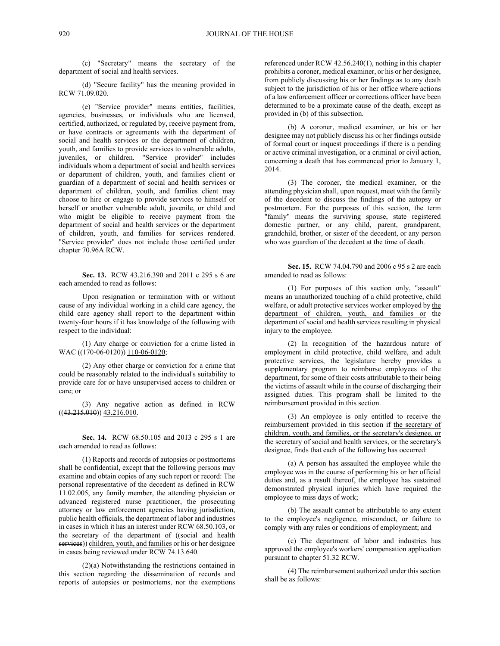(c) "Secretary" means the secretary of the department of social and health services.

(d) "Secure facility" has the meaning provided in RCW 71.09.020.

(e) "Service provider" means entities, facilities, agencies, businesses, or individuals who are licensed, certified, authorized, or regulated by, receive payment from, or have contracts or agreements with the department of social and health services or the department of children, youth, and families to provide services to vulnerable adults, juveniles, or children. "Service provider" includes individuals whom a department of social and health services or department of children, youth, and families client or guardian of a department of social and health services or department of children, youth, and families client may choose to hire or engage to provide services to himself or herself or another vulnerable adult, juvenile, or child and who might be eligible to receive payment from the department of social and health services or the department of children, youth, and families for services rendered. "Service provider" does not include those certified under chapter 70.96A RCW.

**Sec. 13.** RCW 43.216.390 and 2011 c 295 s 6 are each amended to read as follows:

Upon resignation or termination with or without cause of any individual working in a child care agency, the child care agency shall report to the department within twenty-four hours if it has knowledge of the following with respect to the individual:

(1) Any charge or conviction for a crime listed in WAC (( $\overline{170-06-0120}$ )) 110-06-0120;

(2) Any other charge or conviction for a crime that could be reasonably related to the individual's suitability to provide care for or have unsupervised access to children or care; or

(3) Any negative action as defined in RCW  $((43.215.010))$   $\overline{43.216.010}$ .

**Sec. 14.** RCW 68.50.105 and 2013 c 295 s 1 are each amended to read as follows:

(1) Reports and records of autopsies or postmortems shall be confidential, except that the following persons may examine and obtain copies of any such report or record: The personal representative of the decedent as defined in RCW 11.02.005, any family member, the attending physician or advanced registered nurse practitioner, the prosecuting attorney or law enforcement agencies having jurisdiction, public health officials, the department of labor and industries in cases in which it has an interest under RCW 68.50.103, or the secretary of the department of ((social and health services)) children, youth, and families or his or her designee in cases being reviewed under RCW 74.13.640.

(2)(a) Notwithstanding the restrictions contained in this section regarding the dissemination of records and reports of autopsies or postmortems, nor the exemptions

referenced under RCW 42.56.240(1), nothing in this chapter prohibits a coroner, medical examiner, or his or her designee, from publicly discussing his or her findings as to any death subject to the jurisdiction of his or her office where actions of a law enforcement officer or corrections officer have been determined to be a proximate cause of the death, except as provided in (b) of this subsection.

(b) A coroner, medical examiner, or his or her designee may not publicly discuss his or her findings outside of formal court or inquest proceedings if there is a pending or active criminal investigation, or a criminal or civil action, concerning a death that has commenced prior to January 1, 2014.

(3) The coroner, the medical examiner, or the attending physician shall, upon request, meet with the family of the decedent to discuss the findings of the autopsy or postmortem. For the purposes of this section, the term "family" means the surviving spouse, state registered domestic partner, or any child, parent, grandparent, grandchild, brother, or sister of the decedent, or any person who was guardian of the decedent at the time of death.

**Sec. 15.** RCW 74.04.790 and 2006 c 95 s 2 are each amended to read as follows:

(1) For purposes of this section only, "assault" means an unauthorized touching of a child protective, child welfare, or adult protective services worker employed by the department of children, youth, and families or the department of social and health services resulting in physical injury to the employee.

(2) In recognition of the hazardous nature of employment in child protective, child welfare, and adult protective services, the legislature hereby provides a supplementary program to reimburse employees of the department, for some of their costs attributable to their being the victims of assault while in the course of discharging their assigned duties. This program shall be limited to the reimbursement provided in this section.

(3) An employee is only entitled to receive the reimbursement provided in this section if the secretary of children, youth, and families, or the secretary's designee, or the secretary of social and health services, or the secretary's designee, finds that each of the following has occurred:

(a) A person has assaulted the employee while the employee was in the course of performing his or her official duties and, as a result thereof, the employee has sustained demonstrated physical injuries which have required the employee to miss days of work;

(b) The assault cannot be attributable to any extent to the employee's negligence, misconduct, or failure to comply with any rules or conditions of employment; and

(c) The department of labor and industries has approved the employee's workers' compensation application pursuant to chapter 51.32 RCW.

(4) The reimbursement authorized under this section shall be as follows: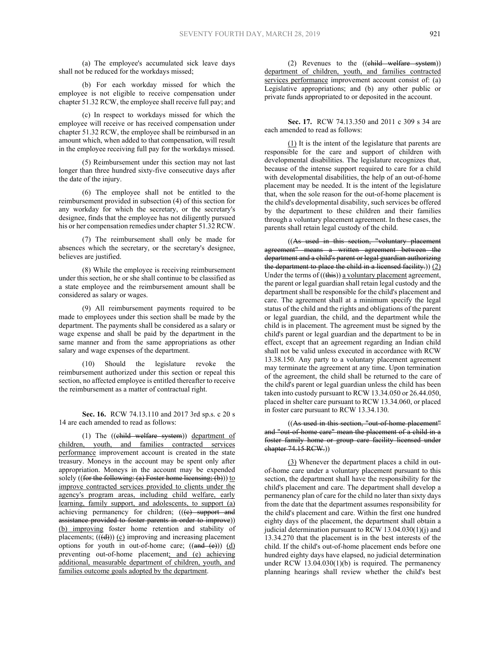(a) The employee's accumulated sick leave days shall not be reduced for the workdays missed;

(b) For each workday missed for which the employee is not eligible to receive compensation under chapter 51.32 RCW, the employee shall receive full pay; and

(c) In respect to workdays missed for which the employee will receive or has received compensation under chapter 51.32 RCW, the employee shall be reimbursed in an amount which, when added to that compensation, will result in the employee receiving full pay for the workdays missed.

(5) Reimbursement under this section may not last longer than three hundred sixty-five consecutive days after the date of the injury.

(6) The employee shall not be entitled to the reimbursement provided in subsection (4) of this section for any workday for which the secretary, or the secretary's designee, finds that the employee has not diligently pursued his or her compensation remedies under chapter 51.32 RCW.

(7) The reimbursement shall only be made for absences which the secretary, or the secretary's designee, believes are justified.

(8) While the employee is receiving reimbursement under this section, he or she shall continue to be classified as a state employee and the reimbursement amount shall be considered as salary or wages.

(9) All reimbursement payments required to be made to employees under this section shall be made by the department. The payments shall be considered as a salary or wage expense and shall be paid by the department in the same manner and from the same appropriations as other salary and wage expenses of the department.

(10) Should the legislature revoke the reimbursement authorized under this section or repeal this section, no affected employee is entitled thereafter to receive the reimbursement as a matter of contractual right.

**Sec. 16.** RCW 74.13.110 and 2017 3rd sp.s. c 20 s 14 are each amended to read as follows:

(1) The ((child welfare system)) department of children, youth, and families contracted services performance improvement account is created in the state treasury. Moneys in the account may be spent only after appropriation. Moneys in the account may be expended solely ((for the following: (a) Foster home licensing; (b))) to improve contracted services provided to clients under the agency's program areas, including child welfare, early learning, family support, and adolescents, to support (a) achieving permanency for children;  $((e)$  support and assistance provided to foster parents in order to improve)) (b) improving foster home retention and stability of placements;  $((\text{d}))$  (c) improving and increasing placement options for youth in out-of-home care;  $((and (e)))$   $(d)$ preventing out-of-home placement; and (e) achieving additional, measurable department of children, youth, and families outcome goals adopted by the department.

(2) Revenues to the ((child welfare system)) department of children, youth, and families contracted services performance improvement account consist of: (a) Legislative appropriations; and (b) any other public or private funds appropriated to or deposited in the account.

**Sec. 17.** RCW 74.13.350 and 2011 c 309 s 34 are each amended to read as follows:

(1) It is the intent of the legislature that parents are responsible for the care and support of children with developmental disabilities. The legislature recognizes that, because of the intense support required to care for a child with developmental disabilities, the help of an out-of-home placement may be needed. It is the intent of the legislature that, when the sole reason for the out-of-home placement is the child's developmental disability, such services be offered by the department to these children and their families through a voluntary placement agreement. In these cases, the parents shall retain legal custody of the child.

((As used in this section, "voluntary placement agreement" means a written agreement between the department and a child's parent or legal guardian authorizing the department to place the child in a licensed facility.))  $(2)$ Under the terms of  $((this))$  a voluntary placement agreement, the parent or legal guardian shall retain legal custody and the department shall be responsible for the child's placement and care. The agreement shall at a minimum specify the legal status of the child and the rights and obligations of the parent or legal guardian, the child, and the department while the child is in placement. The agreement must be signed by the child's parent or legal guardian and the department to be in effect, except that an agreement regarding an Indian child shall not be valid unless executed in accordance with RCW 13.38.150. Any party to a voluntary placement agreement may terminate the agreement at any time. Upon termination of the agreement, the child shall be returned to the care of the child's parent or legal guardian unless the child has been taken into custody pursuant to RCW 13.34.050 or 26.44.050, placed in shelter care pursuant to RCW 13.34.060, or placed in foster care pursuant to RCW 13.34.130.

((As used in this section, "out-of-home placement" and "out-of-home care" mean the placement of a child in a foster family home or group care facility licensed under  $eha$ pter 74.15 RCW.)

(3) Whenever the department places a child in outof-home care under a voluntary placement pursuant to this section, the department shall have the responsibility for the child's placement and care. The department shall develop a permanency plan of care for the child no later than sixty days from the date that the department assumes responsibility for the child's placement and care. Within the first one hundred eighty days of the placement, the department shall obtain a judicial determination pursuant to RCW 13.04.030(1)(j) and 13.34.270 that the placement is in the best interests of the child. If the child's out-of-home placement ends before one hundred eighty days have elapsed, no judicial determination under RCW 13.04.030(1)(b) is required. The permanency planning hearings shall review whether the child's best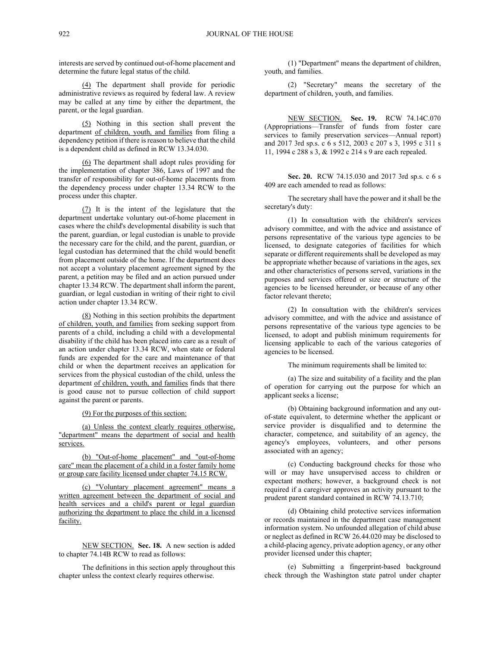interests are served by continued out-of-home placement and determine the future legal status of the child.

(4) The department shall provide for periodic administrative reviews as required by federal law. A review may be called at any time by either the department, the parent, or the legal guardian.

(5) Nothing in this section shall prevent the department of children, youth, and families from filing a dependency petition if there is reason to believe that the child is a dependent child as defined in RCW 13.34.030.

(6) The department shall adopt rules providing for the implementation of chapter 386, Laws of 1997 and the transfer of responsibility for out-of-home placements from the dependency process under chapter 13.34 RCW to the process under this chapter.

(7) It is the intent of the legislature that the department undertake voluntary out-of-home placement in cases where the child's developmental disability is such that the parent, guardian, or legal custodian is unable to provide the necessary care for the child, and the parent, guardian, or legal custodian has determined that the child would benefit from placement outside of the home. If the department does not accept a voluntary placement agreement signed by the parent, a petition may be filed and an action pursued under chapter 13.34 RCW. The department shall inform the parent, guardian, or legal custodian in writing of their right to civil action under chapter 13.34 RCW.

(8) Nothing in this section prohibits the department of children, youth, and families from seeking support from parents of a child, including a child with a developmental disability if the child has been placed into care as a result of an action under chapter 13.34 RCW, when state or federal funds are expended for the care and maintenance of that child or when the department receives an application for services from the physical custodian of the child, unless the department of children, youth, and families finds that there is good cause not to pursue collection of child support against the parent or parents.

(9) For the purposes of this section:

(a) Unless the context clearly requires otherwise, "department" means the department of social and health services.

(b) "Out-of-home placement" and "out-of-home care" mean the placement of a child in a foster family home or group care facility licensed under chapter 74.15 RCW.

(c) "Voluntary placement agreement" means a written agreement between the department of social and health services and a child's parent or legal guardian authorizing the department to place the child in a licensed facility.

NEW SECTION. **Sec. 18.** A new section is added to chapter 74.14B RCW to read as follows:

The definitions in this section apply throughout this chapter unless the context clearly requires otherwise.

(1) "Department" means the department of children, youth, and families.

(2) "Secretary" means the secretary of the department of children, youth, and families.

NEW SECTION. **Sec. 19.** RCW 74.14C.070 (Appropriations—Transfer of funds from foster care services to family preservation services—Annual report) and 2017 3rd sp.s. c 6 s 512, 2003 c 207 s 3, 1995 c 311 s 11, 1994 c 288 s 3, & 1992 c 214 s 9 are each repealed.

**Sec. 20.** RCW 74.15.030 and 2017 3rd sp.s. c 6 s 409 are each amended to read as follows:

The secretary shall have the power and it shall be the secretary's duty:

(1) In consultation with the children's services advisory committee, and with the advice and assistance of persons representative of the various type agencies to be licensed, to designate categories of facilities for which separate or different requirements shall be developed as may be appropriate whether because of variations in the ages, sex and other characteristics of persons served, variations in the purposes and services offered or size or structure of the agencies to be licensed hereunder, or because of any other factor relevant thereto;

(2) In consultation with the children's services advisory committee, and with the advice and assistance of persons representative of the various type agencies to be licensed, to adopt and publish minimum requirements for licensing applicable to each of the various categories of agencies to be licensed.

The minimum requirements shall be limited to:

(a) The size and suitability of a facility and the plan of operation for carrying out the purpose for which an applicant seeks a license;

(b) Obtaining background information and any outof-state equivalent, to determine whether the applicant or service provider is disqualified and to determine the character, competence, and suitability of an agency, the agency's employees, volunteers, and other persons associated with an agency;

(c) Conducting background checks for those who will or may have unsupervised access to children or expectant mothers; however, a background check is not required if a caregiver approves an activity pursuant to the prudent parent standard contained in RCW 74.13.710;

(d) Obtaining child protective services information or records maintained in the department case management information system. No unfounded allegation of child abuse or neglect as defined in RCW 26.44.020 may be disclosed to a child-placing agency, private adoption agency, or any other provider licensed under this chapter;

(e) Submitting a fingerprint-based background check through the Washington state patrol under chapter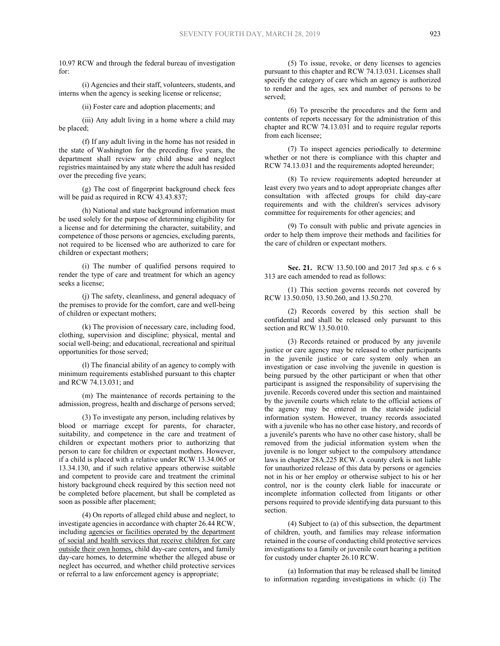10.97 RCW and through the federal bureau of investigation for:

(i) Agencies and their staff, volunteers, students, and interns when the agency is seeking license or relicense;

(ii) Foster care and adoption placements; and

(iii) Any adult living in a home where a child may be placed;

(f) If any adult living in the home has not resided in the state of Washington for the preceding five years, the department shall review any child abuse and neglect registries maintained by any state where the adult has resided over the preceding five years;

(g) The cost of fingerprint background check fees will be paid as required in RCW 43.43.837;

(h) National and state background information must be used solely for the purpose of determining eligibility for a license and for determining the character, suitability, and competence of those persons or agencies, excluding parents, not required to be licensed who are authorized to care for children or expectant mothers;

(i) The number of qualified persons required to render the type of care and treatment for which an agency seeks a license;

(j) The safety, cleanliness, and general adequacy of the premises to provide for the comfort, care and well-being of children or expectant mothers;

(k) The provision of necessary care, including food, clothing, supervision and discipline; physical, mental and social well-being; and educational, recreational and spiritual opportunities for those served;

(l) The financial ability of an agency to comply with minimum requirements established pursuant to this chapter and RCW 74.13.031; and

(m) The maintenance of records pertaining to the admission, progress, health and discharge of persons served;

(3) To investigate any person, including relatives by blood or marriage except for parents, for character, suitability, and competence in the care and treatment of children or expectant mothers prior to authorizing that person to care for children or expectant mothers. However, if a child is placed with a relative under RCW 13.34.065 or 13.34.130, and if such relative appears otherwise suitable and competent to provide care and treatment the criminal history background check required by this section need not be completed before placement, but shall be completed as soon as possible after placement;

(4) On reports of alleged child abuse and neglect, to investigate agencies in accordance with chapter 26.44 RCW, including agencies or facilities operated by the department of social and health services that receive children for care outside their own homes, child day-care centers, and family day-care homes, to determine whether the alleged abuse or neglect has occurred, and whether child protective services or referral to a law enforcement agency is appropriate;

(5) To issue, revoke, or deny licenses to agencies pursuant to this chapter and RCW 74.13.031. Licenses shall specify the category of care which an agency is authorized to render and the ages, sex and number of persons to be served;

(6) To prescribe the procedures and the form and contents of reports necessary for the administration of this chapter and RCW 74.13.031 and to require regular reports from each licensee;

(7) To inspect agencies periodically to determine whether or not there is compliance with this chapter and RCW 74.13.031 and the requirements adopted hereunder;

(8) To review requirements adopted hereunder at least every two years and to adopt appropriate changes after consultation with affected groups for child day-care requirements and with the children's services advisory committee for requirements for other agencies; and

(9) To consult with public and private agencies in order to help them improve their methods and facilities for the care of children or expectant mothers.

**Sec. 21.** RCW 13.50.100 and 2017 3rd sp.s. c 6 s 313 are each amended to read as follows:

(1) This section governs records not covered by RCW 13.50.050, 13.50.260, and 13.50.270.

(2) Records covered by this section shall be confidential and shall be released only pursuant to this section and RCW 13.50.010.

(3) Records retained or produced by any juvenile justice or care agency may be released to other participants in the juvenile justice or care system only when an investigation or case involving the juvenile in question is being pursued by the other participant or when that other participant is assigned the responsibility of supervising the juvenile. Records covered under this section and maintained by the juvenile courts which relate to the official actions of the agency may be entered in the statewide judicial information system. However, truancy records associated with a juvenile who has no other case history, and records of a juvenile's parents who have no other case history, shall be removed from the judicial information system when the juvenile is no longer subject to the compulsory attendance laws in chapter 28A.225 RCW. A county clerk is not liable for unauthorized release of this data by persons or agencies not in his or her employ or otherwise subject to his or her control, nor is the county clerk liable for inaccurate or incomplete information collected from litigants or other persons required to provide identifying data pursuant to this section.

(4) Subject to (a) of this subsection, the department of children, youth, and families may release information retained in the course of conducting child protective services investigations to a family or juvenile court hearing a petition for custody under chapter 26.10 RCW.

(a) Information that may be released shall be limited to information regarding investigations in which: (i) The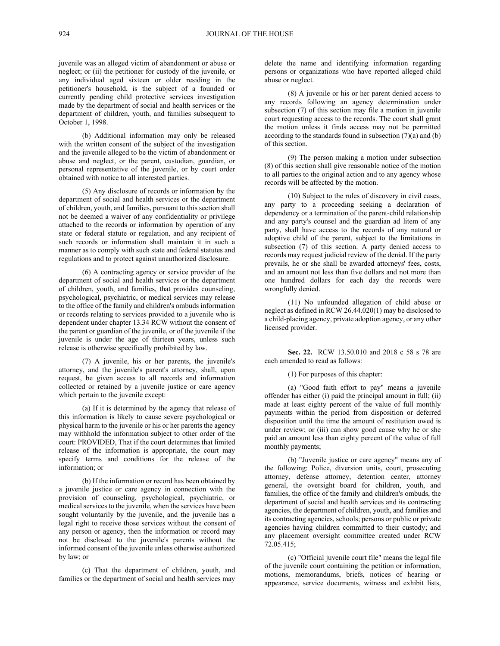juvenile was an alleged victim of abandonment or abuse or neglect; or (ii) the petitioner for custody of the juvenile, or any individual aged sixteen or older residing in the petitioner's household, is the subject of a founded or currently pending child protective services investigation made by the department of social and health services or the department of children, youth, and families subsequent to October 1, 1998.

(b) Additional information may only be released with the written consent of the subject of the investigation and the juvenile alleged to be the victim of abandonment or abuse and neglect, or the parent, custodian, guardian, or personal representative of the juvenile, or by court order obtained with notice to all interested parties.

(5) Any disclosure of records or information by the department of social and health services or the department of children, youth, and families, pursuant to this section shall not be deemed a waiver of any confidentiality or privilege attached to the records or information by operation of any state or federal statute or regulation, and any recipient of such records or information shall maintain it in such a manner as to comply with such state and federal statutes and regulations and to protect against unauthorized disclosure.

(6) A contracting agency or service provider of the department of social and health services or the department of children, youth, and families, that provides counseling, psychological, psychiatric, or medical services may release to the office of the family and children's ombuds information or records relating to services provided to a juvenile who is dependent under chapter 13.34 RCW without the consent of the parent or guardian of the juvenile, or of the juvenile if the juvenile is under the age of thirteen years, unless such release is otherwise specifically prohibited by law.

(7) A juvenile, his or her parents, the juvenile's attorney, and the juvenile's parent's attorney, shall, upon request, be given access to all records and information collected or retained by a juvenile justice or care agency which pertain to the juvenile except:

(a) If it is determined by the agency that release of this information is likely to cause severe psychological or physical harm to the juvenile or his or her parents the agency may withhold the information subject to other order of the court: PROVIDED, That if the court determines that limited release of the information is appropriate, the court may specify terms and conditions for the release of the information; or

(b) If the information or record has been obtained by a juvenile justice or care agency in connection with the provision of counseling, psychological, psychiatric, or medical services to the juvenile, when the services have been sought voluntarily by the juvenile, and the juvenile has a legal right to receive those services without the consent of any person or agency, then the information or record may not be disclosed to the juvenile's parents without the informed consent of the juvenile unless otherwise authorized by law; or

(c) That the department of children, youth, and families or the department of social and health services may

delete the name and identifying information regarding persons or organizations who have reported alleged child abuse or neglect.

(8) A juvenile or his or her parent denied access to any records following an agency determination under subsection (7) of this section may file a motion in juvenile court requesting access to the records. The court shall grant the motion unless it finds access may not be permitted according to the standards found in subsection  $(7)(a)$  and  $(b)$ of this section.

(9) The person making a motion under subsection (8) of this section shall give reasonable notice of the motion to all parties to the original action and to any agency whose records will be affected by the motion.

(10) Subject to the rules of discovery in civil cases, any party to a proceeding seeking a declaration of dependency or a termination of the parent-child relationship and any party's counsel and the guardian ad litem of any party, shall have access to the records of any natural or adoptive child of the parent, subject to the limitations in subsection (7) of this section. A party denied access to records may request judicial review of the denial. If the party prevails, he or she shall be awarded attorneys' fees, costs, and an amount not less than five dollars and not more than one hundred dollars for each day the records were wrongfully denied.

(11) No unfounded allegation of child abuse or neglect as defined in RCW 26.44.020(1) may be disclosed to a child-placing agency, private adoption agency, or any other licensed provider.

**Sec. 22.** RCW 13.50.010 and 2018 c 58 s 78 are each amended to read as follows:

## (1) For purposes of this chapter:

(a) "Good faith effort to pay" means a juvenile offender has either (i) paid the principal amount in full; (ii) made at least eighty percent of the value of full monthly payments within the period from disposition or deferred disposition until the time the amount of restitution owed is under review; or (iii) can show good cause why he or she paid an amount less than eighty percent of the value of full monthly payments;

(b) "Juvenile justice or care agency" means any of the following: Police, diversion units, court, prosecuting attorney, defense attorney, detention center, attorney general, the oversight board for children, youth, and families, the office of the family and children's ombuds, the department of social and health services and its contracting agencies, the department of children, youth, and families and its contracting agencies, schools; persons or public or private agencies having children committed to their custody; and any placement oversight committee created under RCW 72.05.415;

(c) "Official juvenile court file" means the legal file of the juvenile court containing the petition or information, motions, memorandums, briefs, notices of hearing or appearance, service documents, witness and exhibit lists,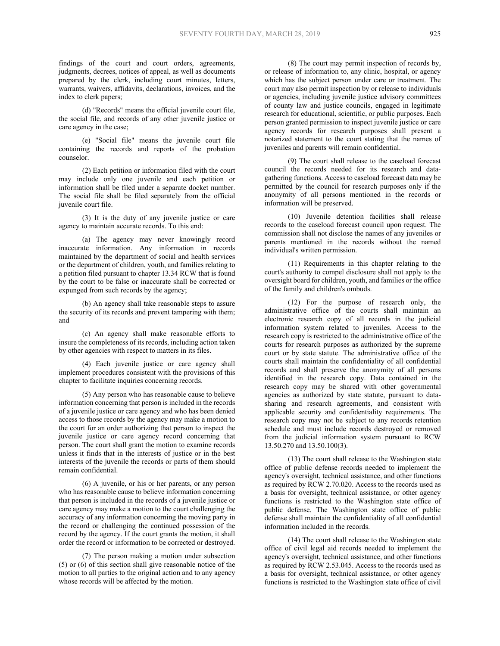findings of the court and court orders, agreements, judgments, decrees, notices of appeal, as well as documents prepared by the clerk, including court minutes, letters, warrants, waivers, affidavits, declarations, invoices, and the index to clerk papers;

(d) "Records" means the official juvenile court file, the social file, and records of any other juvenile justice or care agency in the case;

(e) "Social file" means the juvenile court file containing the records and reports of the probation counselor.

(2) Each petition or information filed with the court may include only one juvenile and each petition or information shall be filed under a separate docket number. The social file shall be filed separately from the official juvenile court file.

(3) It is the duty of any juvenile justice or care agency to maintain accurate records. To this end:

(a) The agency may never knowingly record inaccurate information. Any information in records maintained by the department of social and health services or the department of children, youth, and families relating to a petition filed pursuant to chapter 13.34 RCW that is found by the court to be false or inaccurate shall be corrected or expunged from such records by the agency;

(b) An agency shall take reasonable steps to assure the security of its records and prevent tampering with them; and

(c) An agency shall make reasonable efforts to insure the completeness of its records, including action taken by other agencies with respect to matters in its files.

(4) Each juvenile justice or care agency shall implement procedures consistent with the provisions of this chapter to facilitate inquiries concerning records.

(5) Any person who has reasonable cause to believe information concerning that person is included in the records of a juvenile justice or care agency and who has been denied access to those records by the agency may make a motion to the court for an order authorizing that person to inspect the juvenile justice or care agency record concerning that person. The court shall grant the motion to examine records unless it finds that in the interests of justice or in the best interests of the juvenile the records or parts of them should remain confidential.

(6) A juvenile, or his or her parents, or any person who has reasonable cause to believe information concerning that person is included in the records of a juvenile justice or care agency may make a motion to the court challenging the accuracy of any information concerning the moving party in the record or challenging the continued possession of the record by the agency. If the court grants the motion, it shall order the record or information to be corrected or destroyed.

(7) The person making a motion under subsection (5) or (6) of this section shall give reasonable notice of the motion to all parties to the original action and to any agency whose records will be affected by the motion.

(8) The court may permit inspection of records by, or release of information to, any clinic, hospital, or agency which has the subject person under care or treatment. The court may also permit inspection by or release to individuals or agencies, including juvenile justice advisory committees of county law and justice councils, engaged in legitimate research for educational, scientific, or public purposes. Each person granted permission to inspect juvenile justice or care agency records for research purposes shall present a notarized statement to the court stating that the names of juveniles and parents will remain confidential.

(9) The court shall release to the caseload forecast council the records needed for its research and datagathering functions. Access to caseload forecast data may be permitted by the council for research purposes only if the anonymity of all persons mentioned in the records or information will be preserved.

(10) Juvenile detention facilities shall release records to the caseload forecast council upon request. The commission shall not disclose the names of any juveniles or parents mentioned in the records without the named individual's written permission.

(11) Requirements in this chapter relating to the court's authority to compel disclosure shall not apply to the oversight board for children, youth, and families or the office of the family and children's ombuds.

(12) For the purpose of research only, the administrative office of the courts shall maintain an electronic research copy of all records in the judicial information system related to juveniles. Access to the research copy is restricted to the administrative office of the courts for research purposes as authorized by the supreme court or by state statute. The administrative office of the courts shall maintain the confidentiality of all confidential records and shall preserve the anonymity of all persons identified in the research copy. Data contained in the research copy may be shared with other governmental agencies as authorized by state statute, pursuant to datasharing and research agreements, and consistent with applicable security and confidentiality requirements. The research copy may not be subject to any records retention schedule and must include records destroyed or removed from the judicial information system pursuant to RCW 13.50.270 and 13.50.100(3).

(13) The court shall release to the Washington state office of public defense records needed to implement the agency's oversight, technical assistance, and other functions as required by RCW 2.70.020. Access to the records used as a basis for oversight, technical assistance, or other agency functions is restricted to the Washington state office of public defense. The Washington state office of public defense shall maintain the confidentiality of all confidential information included in the records.

(14) The court shall release to the Washington state office of civil legal aid records needed to implement the agency's oversight, technical assistance, and other functions as required by RCW 2.53.045. Access to the records used as a basis for oversight, technical assistance, or other agency functions is restricted to the Washington state office of civil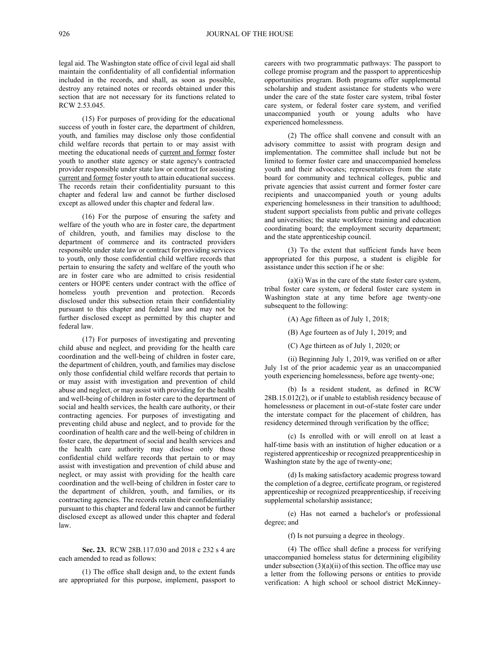legal aid. The Washington state office of civil legal aid shall maintain the confidentiality of all confidential information included in the records, and shall, as soon as possible, destroy any retained notes or records obtained under this section that are not necessary for its functions related to RCW 2.53.045.

(15) For purposes of providing for the educational success of youth in foster care, the department of children, youth, and families may disclose only those confidential child welfare records that pertain to or may assist with meeting the educational needs of current and former foster youth to another state agency or state agency's contracted provider responsible under state law or contract for assisting current and former foster youth to attain educational success. The records retain their confidentiality pursuant to this chapter and federal law and cannot be further disclosed except as allowed under this chapter and federal law.

(16) For the purpose of ensuring the safety and welfare of the youth who are in foster care, the department of children, youth, and families may disclose to the department of commerce and its contracted providers responsible under state law or contract for providing services to youth, only those confidential child welfare records that pertain to ensuring the safety and welfare of the youth who are in foster care who are admitted to crisis residential centers or HOPE centers under contract with the office of homeless youth prevention and protection. Records disclosed under this subsection retain their confidentiality pursuant to this chapter and federal law and may not be further disclosed except as permitted by this chapter and federal law.

(17) For purposes of investigating and preventing child abuse and neglect, and providing for the health care coordination and the well-being of children in foster care, the department of children, youth, and families may disclose only those confidential child welfare records that pertain to or may assist with investigation and prevention of child abuse and neglect, or may assist with providing for the health and well-being of children in foster care to the department of social and health services, the health care authority, or their contracting agencies. For purposes of investigating and preventing child abuse and neglect, and to provide for the coordination of health care and the well-being of children in foster care, the department of social and health services and the health care authority may disclose only those confidential child welfare records that pertain to or may assist with investigation and prevention of child abuse and neglect, or may assist with providing for the health care coordination and the well-being of children in foster care to the department of children, youth, and families, or its contracting agencies. The records retain their confidentiality pursuant to this chapter and federal law and cannot be further disclosed except as allowed under this chapter and federal law.

**Sec. 23.** RCW 28B.117.030 and 2018 c 232 s 4 are each amended to read as follows:

(1) The office shall design and, to the extent funds are appropriated for this purpose, implement, passport to careers with two programmatic pathways: The passport to college promise program and the passport to apprenticeship opportunities program. Both programs offer supplemental scholarship and student assistance for students who were under the care of the state foster care system, tribal foster care system, or federal foster care system, and verified unaccompanied youth or young adults who have experienced homelessness.

(2) The office shall convene and consult with an advisory committee to assist with program design and implementation. The committee shall include but not be limited to former foster care and unaccompanied homeless youth and their advocates; representatives from the state board for community and technical colleges, public and private agencies that assist current and former foster care recipients and unaccompanied youth or young adults experiencing homelessness in their transition to adulthood; student support specialists from public and private colleges and universities; the state workforce training and education coordinating board; the employment security department; and the state apprenticeship council.

(3) To the extent that sufficient funds have been appropriated for this purpose, a student is eligible for assistance under this section if he or she:

(a)(i) Was in the care of the state foster care system, tribal foster care system, or federal foster care system in Washington state at any time before age twenty-one subsequent to the following:

(A) Age fifteen as of July 1, 2018;

(B) Age fourteen as of July 1, 2019; and

(C) Age thirteen as of July 1, 2020; or

(ii) Beginning July 1, 2019, was verified on or after July 1st of the prior academic year as an unaccompanied youth experiencing homelessness, before age twenty-one;

(b) Is a resident student, as defined in RCW 28B.15.012(2), or if unable to establish residency because of homelessness or placement in out-of-state foster care under the interstate compact for the placement of children, has residency determined through verification by the office;

(c) Is enrolled with or will enroll on at least a half-time basis with an institution of higher education or a registered apprenticeship or recognized preapprenticeship in Washington state by the age of twenty-one;

(d) Is making satisfactory academic progress toward the completion of a degree, certificate program, or registered apprenticeship or recognized preapprenticeship, if receiving supplemental scholarship assistance;

(e) Has not earned a bachelor's or professional degree; and

(f) Is not pursuing a degree in theology.

(4) The office shall define a process for verifying unaccompanied homeless status for determining eligibility under subsection  $(3)(a)(ii)$  of this section. The office may use a letter from the following persons or entities to provide verification: A high school or school district McKinney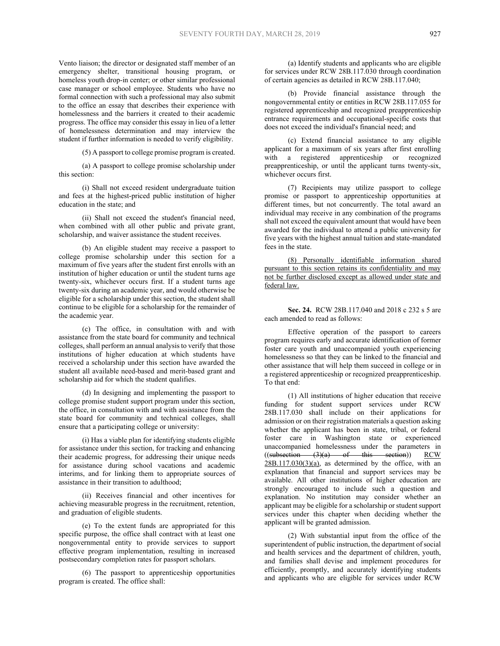Vento liaison; the director or designated staff member of an emergency shelter, transitional housing program, or homeless youth drop-in center; or other similar professional case manager or school employee. Students who have no formal connection with such a professional may also submit to the office an essay that describes their experience with homelessness and the barriers it created to their academic progress. The office may consider this essay in lieu of a letter of homelessness determination and may interview the student if further information is needed to verify eligibility.

(5) A passport to college promise program is created.

(a) A passport to college promise scholarship under this section:

(i) Shall not exceed resident undergraduate tuition and fees at the highest-priced public institution of higher education in the state; and

(ii) Shall not exceed the student's financial need, when combined with all other public and private grant, scholarship, and waiver assistance the student receives.

(b) An eligible student may receive a passport to college promise scholarship under this section for a maximum of five years after the student first enrolls with an institution of higher education or until the student turns age twenty-six, whichever occurs first. If a student turns age twenty-six during an academic year, and would otherwise be eligible for a scholarship under this section, the student shall continue to be eligible for a scholarship for the remainder of the academic year.

(c) The office, in consultation with and with assistance from the state board for community and technical colleges, shall perform an annual analysis to verify that those institutions of higher education at which students have received a scholarship under this section have awarded the student all available need-based and merit-based grant and scholarship aid for which the student qualifies.

(d) In designing and implementing the passport to college promise student support program under this section, the office, in consultation with and with assistance from the state board for community and technical colleges, shall ensure that a participating college or university:

(i) Has a viable plan for identifying students eligible for assistance under this section, for tracking and enhancing their academic progress, for addressing their unique needs for assistance during school vacations and academic interims, and for linking them to appropriate sources of assistance in their transition to adulthood;

(ii) Receives financial and other incentives for achieving measurable progress in the recruitment, retention, and graduation of eligible students.

(e) To the extent funds are appropriated for this specific purpose, the office shall contract with at least one nongovernmental entity to provide services to support effective program implementation, resulting in increased postsecondary completion rates for passport scholars.

(6) The passport to apprenticeship opportunities program is created. The office shall:

(a) Identify students and applicants who are eligible for services under RCW 28B.117.030 through coordination of certain agencies as detailed in RCW 28B.117.040;

(b) Provide financial assistance through the nongovernmental entity or entities in RCW 28B.117.055 for registered apprenticeship and recognized preapprenticeship entrance requirements and occupational-specific costs that does not exceed the individual's financial need; and

(c) Extend financial assistance to any eligible applicant for a maximum of six years after first enrolling with a registered apprenticeship or recognized preapprenticeship, or until the applicant turns twenty-six, whichever occurs first.

(7) Recipients may utilize passport to college promise or passport to apprenticeship opportunities at different times, but not concurrently. The total award an individual may receive in any combination of the programs shall not exceed the equivalent amount that would have been awarded for the individual to attend a public university for five years with the highest annual tuition and state-mandated fees in the state.

(8) Personally identifiable information shared pursuant to this section retains its confidentiality and may not be further disclosed except as allowed under state and federal law.

**Sec. 24.** RCW 28B.117.040 and 2018 c 232 s 5 are each amended to read as follows:

Effective operation of the passport to careers program requires early and accurate identification of former foster care youth and unaccompanied youth experiencing homelessness so that they can be linked to the financial and other assistance that will help them succeed in college or in a registered apprenticeship or recognized preapprenticeship. To that end:

(1) All institutions of higher education that receive funding for student support services under RCW 28B.117.030 shall include on their applications for admission or on their registration materials a question asking whether the applicant has been in state, tribal, or federal foster care in Washington state or experienced unaccompanied homelessness under the parameters in  $((subsection - (3)(a) - of this section))$  RCW  $(3)(a)$  of this section)) RCW  $28B.117.030(3)(a)$ , as determined by the office, with an explanation that financial and support services may be available. All other institutions of higher education are strongly encouraged to include such a question and explanation. No institution may consider whether an applicant may be eligible for a scholarship or student support services under this chapter when deciding whether the applicant will be granted admission.

(2) With substantial input from the office of the superintendent of public instruction, the department of social and health services and the department of children, youth, and families shall devise and implement procedures for efficiently, promptly, and accurately identifying students and applicants who are eligible for services under RCW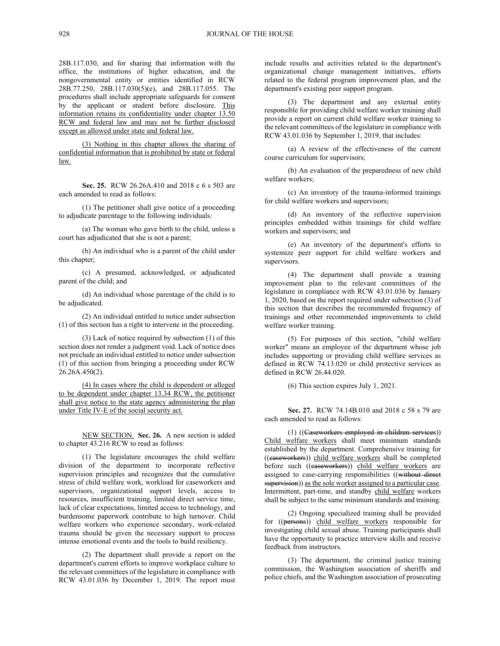28B.117.030, and for sharing that information with the office, the institutions of higher education, and the nongovernmental entity or entities identified in RCW 28B.77.250, 28B.117.030(5)(e), and 28B.117.055. The procedures shall include appropriate safeguards for consent by the applicant or student before disclosure. This information retains its confidentiality under chapter 13.50 RCW and federal law and may not be further disclosed except as allowed under state and federal law.

(3) Nothing in this chapter allows the sharing of confidential information that is prohibited by state or federal law.

**Sec. 25.** RCW 26.26A.410 and 2018 c 6 s 503 are each amended to read as follows:

(1) The petitioner shall give notice of a proceeding to adjudicate parentage to the following individuals:

(a) The woman who gave birth to the child, unless a court has adjudicated that she is not a parent;

(b) An individual who is a parent of the child under this chapter;

(c) A presumed, acknowledged, or adjudicated parent of the child; and

(d) An individual whose parentage of the child is to be adjudicated.

(2) An individual entitled to notice under subsection (1) of this section has a right to intervene in the proceeding.

(3) Lack of notice required by subsection (1) of this section does not render a judgment void. Lack of notice does not preclude an individual entitled to notice under subsection (1) of this section from bringing a proceeding under RCW 26.26A.450(2).

(4) In cases where the child is dependent or alleged to be dependent under chapter 13.34 RCW, the petitioner shall give notice to the state agency administering the plan under Title IV-E of the social security act.

NEW SECTION. **Sec. 26.** A new section is added to chapter 43.216 RCW to read as follows:

(1) The legislature encourages the child welfare division of the department to incorporate reflective supervision principles and recognizes that the cumulative stress of child welfare work, workload for caseworkers and supervisors, organizational support levels, access to resources, insufficient training, limited direct service time, lack of clear expectations, limited access to technology, and burdensome paperwork contribute to high turnover. Child welfare workers who experience secondary, work-related trauma should be given the necessary support to process intense emotional events and the tools to build resiliency.

(2) The department shall provide a report on the department's current efforts to improve workplace culture to the relevant committees of the legislature in compliance with RCW 43.01.036 by December 1, 2019. The report must include results and activities related to the department's organizational change management initiatives, efforts related to the federal program improvement plan, and the department's existing peer support program.

(3) The department and any external entity responsible for providing child welfare worker training shall provide a report on current child welfare worker training to the relevant committees of the legislature in compliance with RCW 43.01.036 by September 1, 2019, that includes:

(a) A review of the effectiveness of the current course curriculum for supervisors;

(b) An evaluation of the preparedness of new child welfare workers;

(c) An inventory of the trauma-informed trainings for child welfare workers and supervisors;

(d) An inventory of the reflective supervision principles embedded within trainings for child welfare workers and supervisors; and

(e) An inventory of the department's efforts to systemize peer support for child welfare workers and supervisors.

(4) The department shall provide a training improvement plan to the relevant committees of the legislature in compliance with RCW 43.01.036 by January 1, 2020, based on the report required under subsection (3) of this section that describes the recommended frequency of trainings and other recommended improvements to child welfare worker training.

(5) For purposes of this section, "child welfare worker" means an employee of the department whose job includes supporting or providing child welfare services as defined in RCW 74.13.020 or child protective services as defined in RCW 26.44.020.

(6) This section expires July 1, 2021.

**Sec. 27.** RCW 74.14B.010 and 2018 c 58 s 79 are each amended to read as follows:

(1) ((Caseworkers employed in children services)) Child welfare workers shall meet minimum standards established by the department. Comprehensive training for ((caseworkers)) child welfare workers shall be completed before such ((easeworkers)) child welfare workers are assigned to case-carrying responsibilities ((without direct supervision)) as the sole worker assigned to a particular case. Intermittent, part-time, and standby child welfare workers shall be subject to the same minimum standards and training.

(2) Ongoing specialized training shall be provided for ((persons)) child welfare workers responsible for investigating child sexual abuse. Training participants shall have the opportunity to practice interview skills and receive feedback from instructors.

(3) The department, the criminal justice training commission, the Washington association of sheriffs and police chiefs, and the Washington association of prosecuting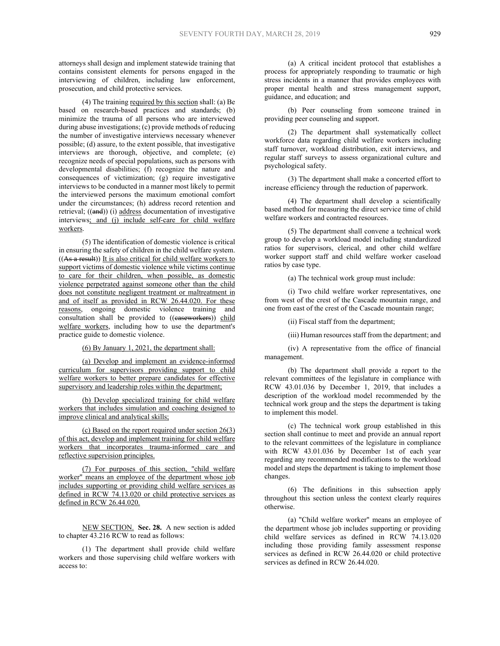attorneys shall design and implement statewide training that contains consistent elements for persons engaged in the interviewing of children, including law enforcement, prosecution, and child protective services.

(4) The training required by this section shall: (a) Be based on research-based practices and standards; (b) minimize the trauma of all persons who are interviewed during abuse investigations; (c) provide methods of reducing the number of investigative interviews necessary whenever possible; (d) assure, to the extent possible, that investigative interviews are thorough, objective, and complete; (e) recognize needs of special populations, such as persons with developmental disabilities; (f) recognize the nature and consequences of victimization; (g) require investigative interviews to be conducted in a manner most likely to permit the interviewed persons the maximum emotional comfort under the circumstances; (h) address record retention and retrieval; ((and)) (i) address documentation of investigative interviews; and (j) include self-care for child welfare workers.

(5) The identification of domestic violence is critical in ensuring the safety of children in the child welfare system.  $((As a result))$  It is also critical for child welfare workers to support victims of domestic violence while victims continue to care for their children, when possible, as domestic violence perpetrated against someone other than the child does not constitute negligent treatment or maltreatment in and of itself as provided in RCW 26.44.020. For these reasons, ongoing domestic violence training and consultation shall be provided to ((easeworkers)) child welfare workers, including how to use the department's practice guide to domestic violence.

(6) By January 1, 2021, the department shall:

(a) Develop and implement an evidence-informed curriculum for supervisors providing support to child welfare workers to better prepare candidates for effective supervisory and leadership roles within the department;

(b) Develop specialized training for child welfare workers that includes simulation and coaching designed to improve clinical and analytical skills;

(c) Based on the report required under section 26(3) of this act, develop and implement training for child welfare workers that incorporates trauma-informed care and reflective supervision principles.

(7) For purposes of this section, "child welfare worker" means an employee of the department whose job includes supporting or providing child welfare services as defined in RCW 74.13.020 or child protective services as defined in RCW 26.44.020.

NEW SECTION. **Sec. 28.** A new section is added to chapter 43.216 RCW to read as follows:

(1) The department shall provide child welfare workers and those supervising child welfare workers with access to:

(a) A critical incident protocol that establishes a process for appropriately responding to traumatic or high stress incidents in a manner that provides employees with proper mental health and stress management support, guidance, and education; and

(b) Peer counseling from someone trained in providing peer counseling and support.

(2) The department shall systematically collect workforce data regarding child welfare workers including staff turnover, workload distribution, exit interviews, and regular staff surveys to assess organizational culture and psychological safety.

(3) The department shall make a concerted effort to increase efficiency through the reduction of paperwork.

(4) The department shall develop a scientifically based method for measuring the direct service time of child welfare workers and contracted resources.

(5) The department shall convene a technical work group to develop a workload model including standardized ratios for supervisors, clerical, and other child welfare worker support staff and child welfare worker caseload ratios by case type.

(a) The technical work group must include:

(i) Two child welfare worker representatives, one from west of the crest of the Cascade mountain range, and one from east of the crest of the Cascade mountain range;

(ii) Fiscal staff from the department;

(iii) Human resources staff from the department; and

(iv) A representative from the office of financial management.

(b) The department shall provide a report to the relevant committees of the legislature in compliance with RCW 43.01.036 by December 1, 2019, that includes a description of the workload model recommended by the technical work group and the steps the department is taking to implement this model.

(c) The technical work group established in this section shall continue to meet and provide an annual report to the relevant committees of the legislature in compliance with RCW 43.01.036 by December 1st of each year regarding any recommended modifications to the workload model and steps the department is taking to implement those changes.

(6) The definitions in this subsection apply throughout this section unless the context clearly requires otherwise.

(a) "Child welfare worker" means an employee of the department whose job includes supporting or providing child welfare services as defined in RCW 74.13.020 including those providing family assessment response services as defined in RCW 26.44.020 or child protective services as defined in RCW 26.44.020.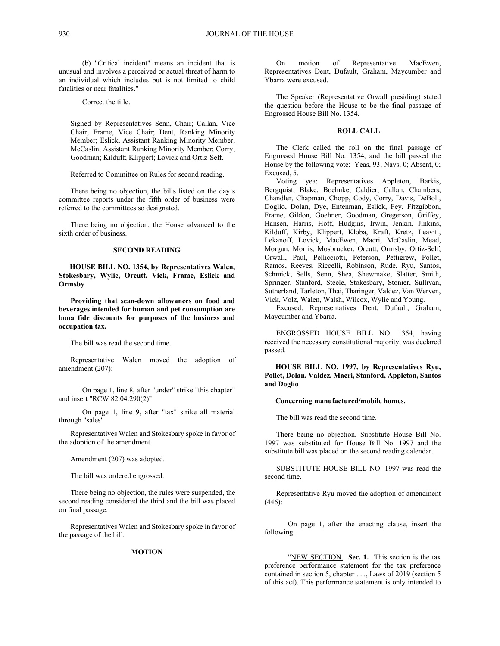(b) "Critical incident" means an incident that is unusual and involves a perceived or actual threat of harm to an individual which includes but is not limited to child fatalities or near fatalities."

Correct the title.

Signed by Representatives Senn, Chair; Callan, Vice Chair; Frame, Vice Chair; Dent, Ranking Minority Member; Eslick, Assistant Ranking Minority Member; McCaslin, Assistant Ranking Minority Member; Corry; Goodman; Kilduff; Klippert; Lovick and Ortiz-Self.

Referred to Committee on Rules for second reading.

There being no objection, the bills listed on the day's committee reports under the fifth order of business were referred to the committees so designated.

There being no objection, the House advanced to the sixth order of business.

### **SECOND READING**

**HOUSE BILL NO. 1354, by Representatives Walen, Stokesbary, Wylie, Orcutt, Vick, Frame, Eslick and Ormsby**

**Providing that scan-down allowances on food and beverages intended for human and pet consumption are bona fide discounts for purposes of the business and occupation tax.** 

The bill was read the second time.

Representative Walen moved the adoption of amendment (207):

On page 1, line 8, after "under" strike "this chapter" and insert "RCW 82.04.290(2)"

On page 1, line 9, after "tax" strike all material through "sales"

 Representatives Walen and Stokesbary spoke in favor of the adoption of the amendment.

Amendment (207) was adopted.

The bill was ordered engrossed.

There being no objection, the rules were suspended, the second reading considered the third and the bill was placed on final passage.

 Representatives Walen and Stokesbary spoke in favor of the passage of the bill.

# **MOTION**

On motion of Representative MacEwen, Representatives Dent, Dufault, Graham, Maycumber and Ybarra were excused.

The Speaker (Representative Orwall presiding) stated the question before the House to be the final passage of Engrossed House Bill No. 1354.

#### **ROLL CALL**

 The Clerk called the roll on the final passage of Engrossed House Bill No. 1354, and the bill passed the House by the following vote: Yeas, 93; Nays, 0; Absent, 0; Excused, 5.

 Voting yea: Representatives Appleton, Barkis, Bergquist, Blake, Boehnke, Caldier, Callan, Chambers, Chandler, Chapman, Chopp, Cody, Corry, Davis, DeBolt, Doglio, Dolan, Dye, Entenman, Eslick, Fey, Fitzgibbon, Frame, Gildon, Goehner, Goodman, Gregerson, Griffey, Hansen, Harris, Hoff, Hudgins, Irwin, Jenkin, Jinkins, Kilduff, Kirby, Klippert, Kloba, Kraft, Kretz, Leavitt, Lekanoff, Lovick, MacEwen, Macri, McCaslin, Mead, Morgan, Morris, Mosbrucker, Orcutt, Ormsby, Ortiz-Self, Orwall, Paul, Pellicciotti, Peterson, Pettigrew, Pollet, Ramos, Reeves, Riccelli, Robinson, Rude, Ryu, Santos, Schmick, Sells, Senn, Shea, Shewmake, Slatter, Smith, Springer, Stanford, Steele, Stokesbary, Stonier, Sullivan, Sutherland, Tarleton, Thai, Tharinger, Valdez, Van Werven, Vick, Volz, Walen, Walsh, Wilcox, Wylie and Young.

 Excused: Representatives Dent, Dufault, Graham, Maycumber and Ybarra.

ENGROSSED HOUSE BILL NO. 1354, having received the necessary constitutional majority, was declared passed.

**HOUSE BILL NO. 1997, by Representatives Ryu, Pollet, Dolan, Valdez, Macri, Stanford, Appleton, Santos and Doglio**

#### **Concerning manufactured/mobile homes.**

The bill was read the second time.

There being no objection, Substitute House Bill No. 1997 was substituted for House Bill No. 1997 and the substitute bill was placed on the second reading calendar.

SUBSTITUTE HOUSE BILL NO. 1997 was read the second time.

Representative Ryu moved the adoption of amendment (446):

On page 1, after the enacting clause, insert the following:

"NEW SECTION. **Sec. 1.** This section is the tax preference performance statement for the tax preference contained in section 5, chapter  $\dots$ , Laws of 2019 (section 5) of this act). This performance statement is only intended to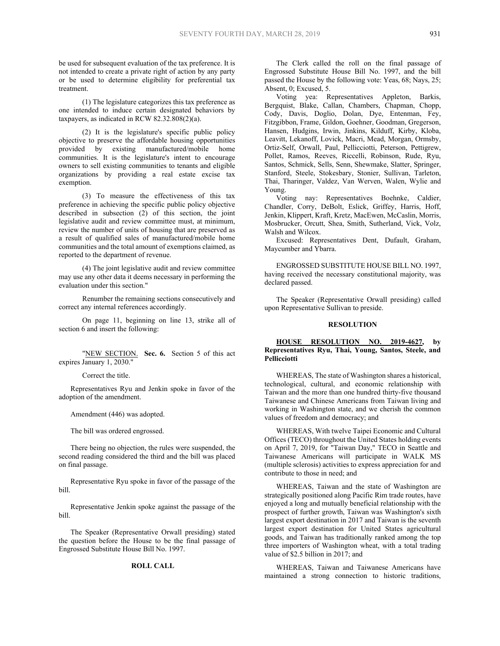be used for subsequent evaluation of the tax preference. It is not intended to create a private right of action by any party or be used to determine eligibility for preferential tax treatment.

(1) The legislature categorizes this tax preference as one intended to induce certain designated behaviors by taxpayers, as indicated in RCW 82.32.808(2)(a).

(2) It is the legislature's specific public policy objective to preserve the affordable housing opportunities provided by existing manufactured/mobile home communities. It is the legislature's intent to encourage owners to sell existing communities to tenants and eligible organizations by providing a real estate excise tax exemption.

(3) To measure the effectiveness of this tax preference in achieving the specific public policy objective described in subsection (2) of this section, the joint legislative audit and review committee must, at minimum, review the number of units of housing that are preserved as a result of qualified sales of manufactured/mobile home communities and the total amount of exemptions claimed, as reported to the department of revenue.

(4) The joint legislative audit and review committee may use any other data it deems necessary in performing the evaluation under this section."

Renumber the remaining sections consecutively and correct any internal references accordingly.

On page 11, beginning on line 13, strike all of section 6 and insert the following:

"NEW SECTION. **Sec. 6.** Section 5 of this act expires January 1, 2030."

Correct the title.

 Representatives Ryu and Jenkin spoke in favor of the adoption of the amendment.

Amendment (446) was adopted.

The bill was ordered engrossed.

There being no objection, the rules were suspended, the second reading considered the third and the bill was placed on final passage.

 Representative Ryu spoke in favor of the passage of the bill.

 Representative Jenkin spoke against the passage of the bill.

The Speaker (Representative Orwall presiding) stated the question before the House to be the final passage of Engrossed Substitute House Bill No. 1997.

#### **ROLL CALL**

The Clerk called the roll on the final passage of Engrossed Substitute House Bill No. 1997, and the bill passed the House by the following vote: Yeas, 68; Nays, 25; Absent, 0; Excused, 5.

 Voting yea: Representatives Appleton, Barkis, Bergquist, Blake, Callan, Chambers, Chapman, Chopp, Cody, Davis, Doglio, Dolan, Dye, Entenman, Fey, Fitzgibbon, Frame, Gildon, Goehner, Goodman, Gregerson, Hansen, Hudgins, Irwin, Jinkins, Kilduff, Kirby, Kloba, Leavitt, Lekanoff, Lovick, Macri, Mead, Morgan, Ormsby, Ortiz-Self, Orwall, Paul, Pellicciotti, Peterson, Pettigrew, Pollet, Ramos, Reeves, Riccelli, Robinson, Rude, Ryu, Santos, Schmick, Sells, Senn, Shewmake, Slatter, Springer, Stanford, Steele, Stokesbary, Stonier, Sullivan, Tarleton, Thai, Tharinger, Valdez, Van Werven, Walen, Wylie and Young.

 Voting nay: Representatives Boehnke, Caldier, Chandler, Corry, DeBolt, Eslick, Griffey, Harris, Hoff, Jenkin, Klippert, Kraft, Kretz, MacEwen, McCaslin, Morris, Mosbrucker, Orcutt, Shea, Smith, Sutherland, Vick, Volz, Walsh and Wilcox.

 Excused: Representatives Dent, Dufault, Graham, Maycumber and Ybarra.

ENGROSSED SUBSTITUTE HOUSE BILL NO. 1997, having received the necessary constitutional majority, was declared passed.

The Speaker (Representative Orwall presiding) called upon Representative Sullivan to preside.

#### **RESOLUTION**

## **HOUSE RESOLUTION NO. 2019-4627, by Representatives Ryu, Thai, Young, Santos, Steele, and Pellicciotti**

WHEREAS, The state of Washington shares a historical, technological, cultural, and economic relationship with Taiwan and the more than one hundred thirty-five thousand Taiwanese and Chinese Americans from Taiwan living and working in Washington state, and we cherish the common values of freedom and democracy; and

WHEREAS, With twelve Taipei Economic and Cultural Offices (TECO) throughout the United States holding events on April 7, 2019, for "Taiwan Day," TECO in Seattle and Taiwanese Americans will participate in WALK MS (multiple sclerosis) activities to express appreciation for and contribute to those in need; and

WHEREAS, Taiwan and the state of Washington are strategically positioned along Pacific Rim trade routes, have enjoyed a long and mutually beneficial relationship with the prospect of further growth, Taiwan was Washington's sixth largest export destination in 2017 and Taiwan is the seventh largest export destination for United States agricultural goods, and Taiwan has traditionally ranked among the top three importers of Washington wheat, with a total trading value of \$2.5 billion in 2017; and

WHEREAS, Taiwan and Taiwanese Americans have maintained a strong connection to historic traditions,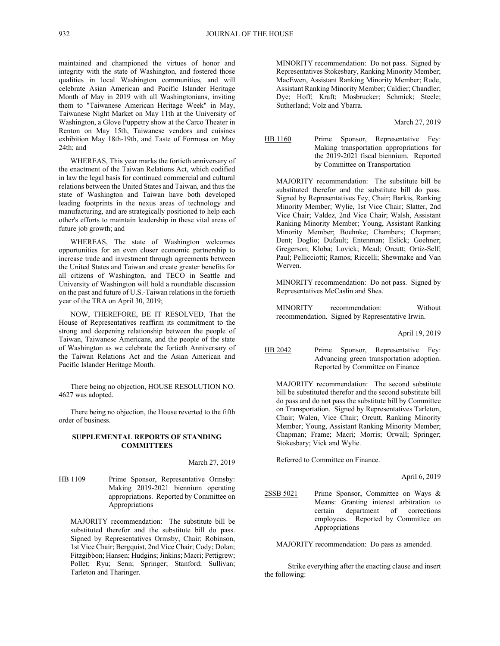maintained and championed the virtues of honor and integrity with the state of Washington, and fostered those qualities in local Washington communities, and will celebrate Asian American and Pacific Islander Heritage Month of May in 2019 with all Washingtonians, inviting them to "Taiwanese American Heritage Week" in May, Taiwanese Night Market on May 11th at the University of Washington, a Glove Puppetry show at the Carco Theater in Renton on May 15th, Taiwanese vendors and cuisines exhibition May 18th-19th, and Taste of Formosa on May 24th; and

WHEREAS, This year marks the fortieth anniversary of the enactment of the Taiwan Relations Act, which codified in law the legal basis for continued commercial and cultural relations between the United States and Taiwan, and thus the state of Washington and Taiwan have both developed leading footprints in the nexus areas of technology and manufacturing, and are strategically positioned to help each other's efforts to maintain leadership in these vital areas of future job growth; and

WHEREAS, The state of Washington welcomes opportunities for an even closer economic partnership to increase trade and investment through agreements between the United States and Taiwan and create greater benefits for all citizens of Washington, and TECO in Seattle and University of Washington will hold a roundtable discussion on the past and future of U.S.-Taiwan relations in the fortieth year of the TRA on April 30, 2019;

NOW, THEREFORE, BE IT RESOLVED, That the House of Representatives reaffirm its commitment to the strong and deepening relationship between the people of Taiwan, Taiwanese Americans, and the people of the state of Washington as we celebrate the fortieth Anniversary of the Taiwan Relations Act and the Asian American and Pacific Islander Heritage Month.

There being no objection, HOUSE RESOLUTION NO. 4627 was adopted.

There being no objection, the House reverted to the fifth order of business.

## **SUPPLEMENTAL REPORTS OF STANDING COMMITTEES**

March 27, 2019

HB 1109 Prime Sponsor, Representative Ormsby: Making 2019-2021 biennium operating appropriations. Reported by Committee on Appropriations

MAJORITY recommendation: The substitute bill be substituted therefor and the substitute bill do pass. Signed by Representatives Ormsby, Chair; Robinson, 1st Vice Chair; Bergquist, 2nd Vice Chair; Cody; Dolan; Fitzgibbon; Hansen; Hudgins; Jinkins; Macri; Pettigrew; Pollet; Ryu; Senn; Springer; Stanford; Sullivan; Tarleton and Tharinger.

MINORITY recommendation: Do not pass. Signed by Representatives Stokesbary, Ranking Minority Member; MacEwen, Assistant Ranking Minority Member; Rude, Assistant Ranking Minority Member; Caldier; Chandler; Dye; Hoff; Kraft; Mosbrucker; Schmick; Steele; Sutherland; Volz and Ybarra.

March 27, 2019

HB 1160 Prime Sponsor, Representative Fey: Making transportation appropriations for the 2019-2021 fiscal biennium. Reported by Committee on Transportation

MAJORITY recommendation: The substitute bill be substituted therefor and the substitute bill do pass. Signed by Representatives Fey, Chair; Barkis, Ranking Minority Member; Wylie, 1st Vice Chair; Slatter, 2nd Vice Chair; Valdez, 2nd Vice Chair; Walsh, Assistant Ranking Minority Member; Young, Assistant Ranking Minority Member; Boehnke; Chambers; Chapman; Dent; Doglio; Dufault; Entenman; Eslick; Goehner; Gregerson; Kloba; Lovick; Mead; Orcutt; Ortiz-Self; Paul; Pellicciotti; Ramos; Riccelli; Shewmake and Van Werven.

MINORITY recommendation: Do not pass. Signed by Representatives McCaslin and Shea.

MINORITY recommendation: Without recommendation. Signed by Representative Irwin.

April 19, 2019

HB 2042 Prime Sponsor, Representative Fey: Advancing green transportation adoption. Reported by Committee on Finance

MAJORITY recommendation: The second substitute bill be substituted therefor and the second substitute bill do pass and do not pass the substitute bill by Committee on Transportation. Signed by Representatives Tarleton, Chair; Walen, Vice Chair; Orcutt, Ranking Minority Member; Young, Assistant Ranking Minority Member; Chapman; Frame; Macri; Morris; Orwall; Springer; Stokesbary; Vick and Wylie.

Referred to Committee on Finance.

April 6, 2019

2SSB 5021 Prime Sponsor, Committee on Ways & Means: Granting interest arbitration to certain department of corrections employees. Reported by Committee on Appropriations

MAJORITY recommendation: Do pass as amended.

Strike everything after the enacting clause and insert the following: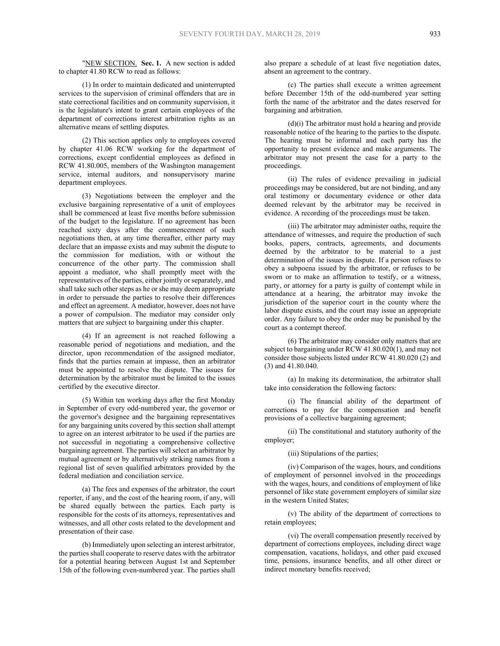"NEW SECTION. **Sec. 1.** A new section is added to chapter 41.80 RCW to read as follows:

(1) In order to maintain dedicated and uninterrupted services to the supervision of criminal offenders that are in state correctional facilities and on community supervision, it is the legislature's intent to grant certain employees of the department of corrections interest arbitration rights as an alternative means of settling disputes.

(2) This section applies only to employees covered by chapter 41.06 RCW working for the department of corrections, except confidential employees as defined in RCW 41.80.005, members of the Washington management service, internal auditors, and nonsupervisory marine department employees.

(3) Negotiations between the employer and the exclusive bargaining representative of a unit of employees shall be commenced at least five months before submission of the budget to the legislature. If no agreement has been reached sixty days after the commencement of such negotiations then, at any time thereafter, either party may declare that an impasse exists and may submit the dispute to the commission for mediation, with or without the concurrence of the other party. The commission shall appoint a mediator, who shall promptly meet with the representatives of the parties, either jointly or separately, and shall take such other steps as he or she may deem appropriate in order to persuade the parties to resolve their differences and effect an agreement. A mediator, however, does not have a power of compulsion. The mediator may consider only matters that are subject to bargaining under this chapter.

(4) If an agreement is not reached following a reasonable period of negotiations and mediation, and the director, upon recommendation of the assigned mediator, finds that the parties remain at impasse, then an arbitrator must be appointed to resolve the dispute. The issues for determination by the arbitrator must be limited to the issues certified by the executive director.

(5) Within ten working days after the first Monday in September of every odd-numbered year, the governor or the governor's designee and the bargaining representatives for any bargaining units covered by this section shall attempt to agree on an interest arbitrator to be used if the parties are not successful in negotiating a comprehensive collective bargaining agreement. The parties will select an arbitrator by mutual agreement or by alternatively striking names from a regional list of seven qualified arbitrators provided by the federal mediation and conciliation service.

(a) The fees and expenses of the arbitrator, the court reporter, if any, and the cost of the hearing room, if any, will be shared equally between the parties. Each party is responsible for the costs of its attorneys, representatives and witnesses, and all other costs related to the development and presentation of their case.

(b) Immediately upon selecting an interest arbitrator, the parties shall cooperate to reserve dates with the arbitrator for a potential hearing between August 1st and September 15th of the following even-numbered year. The parties shall

also prepare a schedule of at least five negotiation dates, absent an agreement to the contrary.

(c) The parties shall execute a written agreement before December 15th of the odd-numbered year setting forth the name of the arbitrator and the dates reserved for bargaining and arbitration.

(d)(i) The arbitrator must hold a hearing and provide reasonable notice of the hearing to the parties to the dispute. The hearing must be informal and each party has the opportunity to present evidence and make arguments. The arbitrator may not present the case for a party to the proceedings.

(ii) The rules of evidence prevailing in judicial proceedings may be considered, but are not binding, and any oral testimony or documentary evidence or other data deemed relevant by the arbitrator may be received in evidence. A recording of the proceedings must be taken.

(iii) The arbitrator may administer oaths, require the attendance of witnesses, and require the production of such books, papers, contracts, agreements, and documents deemed by the arbitrator to be material to a just determination of the issues in dispute. If a person refuses to obey a subpoena issued by the arbitrator, or refuses to be sworn or to make an affirmation to testify, or a witness, party, or attorney for a party is guilty of contempt while in attendance at a hearing, the arbitrator may invoke the jurisdiction of the superior court in the county where the labor dispute exists, and the court may issue an appropriate order. Any failure to obey the order may be punished by the court as a contempt thereof.

(6) The arbitrator may consider only matters that are subject to bargaining under RCW 41.80.020(1), and may not consider those subjects listed under RCW 41.80.020 (2) and (3) and 41.80.040.

(a) In making its determination, the arbitrator shall take into consideration the following factors:

(i) The financial ability of the department of corrections to pay for the compensation and benefit provisions of a collective bargaining agreement;

(ii) The constitutional and statutory authority of the employer;

(iii) Stipulations of the parties;

(iv) Comparison of the wages, hours, and conditions of employment of personnel involved in the proceedings with the wages, hours, and conditions of employment of like personnel of like state government employers of similar size in the western United States;

(v) The ability of the department of corrections to retain employees;

(vi) The overall compensation presently received by department of corrections employees, including direct wage compensation, vacations, holidays, and other paid excused time, pensions, insurance benefits, and all other direct or indirect monetary benefits received;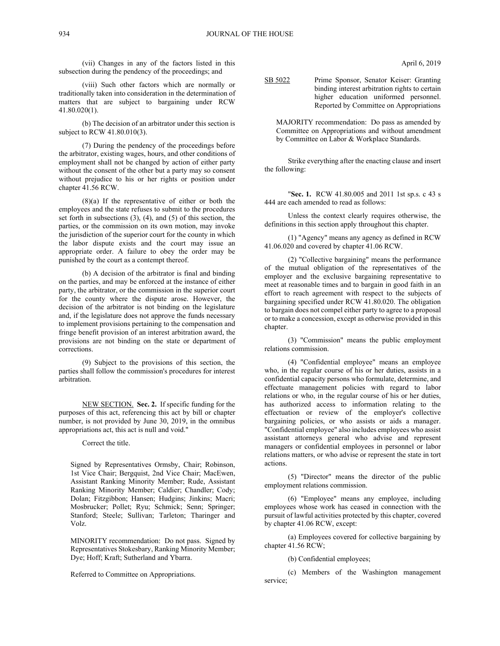(vii) Changes in any of the factors listed in this subsection during the pendency of the proceedings; and

(viii) Such other factors which are normally or traditionally taken into consideration in the determination of matters that are subject to bargaining under RCW 41.80.020(1).

(b) The decision of an arbitrator under this section is subject to RCW 41.80.010(3).

(7) During the pendency of the proceedings before the arbitrator, existing wages, hours, and other conditions of employment shall not be changed by action of either party without the consent of the other but a party may so consent without prejudice to his or her rights or position under chapter 41.56 RCW.

 $(8)(a)$  If the representative of either or both the employees and the state refuses to submit to the procedures set forth in subsections (3), (4), and (5) of this section, the parties, or the commission on its own motion, may invoke the jurisdiction of the superior court for the county in which the labor dispute exists and the court may issue an appropriate order. A failure to obey the order may be punished by the court as a contempt thereof.

(b) A decision of the arbitrator is final and binding on the parties, and may be enforced at the instance of either party, the arbitrator, or the commission in the superior court for the county where the dispute arose. However, the decision of the arbitrator is not binding on the legislature and, if the legislature does not approve the funds necessary to implement provisions pertaining to the compensation and fringe benefit provision of an interest arbitration award, the provisions are not binding on the state or department of corrections.

(9) Subject to the provisions of this section, the parties shall follow the commission's procedures for interest arbitration.

NEW SECTION. **Sec. 2.** If specific funding for the purposes of this act, referencing this act by bill or chapter number, is not provided by June 30, 2019, in the omnibus appropriations act, this act is null and void."

Correct the title.

Signed by Representatives Ormsby, Chair; Robinson, 1st Vice Chair; Bergquist, 2nd Vice Chair; MacEwen, Assistant Ranking Minority Member; Rude, Assistant Ranking Minority Member; Caldier; Chandler; Cody; Dolan; Fitzgibbon; Hansen; Hudgins; Jinkins; Macri; Mosbrucker; Pollet; Ryu; Schmick; Senn; Springer; Stanford; Steele; Sullivan; Tarleton; Tharinger and Volz.

MINORITY recommendation: Do not pass. Signed by Representatives Stokesbary, Ranking Minority Member; Dye; Hoff; Kraft; Sutherland and Ybarra.

Referred to Committee on Appropriations.

April 6, 2019

SB 5022 Prime Sponsor, Senator Keiser: Granting binding interest arbitration rights to certain higher education uniformed personnel. Reported by Committee on Appropriations

MAJORITY recommendation: Do pass as amended by Committee on Appropriations and without amendment by Committee on Labor & Workplace Standards.

Strike everything after the enacting clause and insert the following:

"**Sec. 1.** RCW 41.80.005 and 2011 1st sp.s. c 43 s 444 are each amended to read as follows:

Unless the context clearly requires otherwise, the definitions in this section apply throughout this chapter.

(1) "Agency" means any agency as defined in RCW 41.06.020 and covered by chapter 41.06 RCW.

(2) "Collective bargaining" means the performance of the mutual obligation of the representatives of the employer and the exclusive bargaining representative to meet at reasonable times and to bargain in good faith in an effort to reach agreement with respect to the subjects of bargaining specified under RCW 41.80.020. The obligation to bargain does not compel either party to agree to a proposal or to make a concession, except as otherwise provided in this chapter.

(3) "Commission" means the public employment relations commission.

(4) "Confidential employee" means an employee who, in the regular course of his or her duties, assists in a confidential capacity persons who formulate, determine, and effectuate management policies with regard to labor relations or who, in the regular course of his or her duties, has authorized access to information relating to the effectuation or review of the employer's collective bargaining policies, or who assists or aids a manager. "Confidential employee" also includes employees who assist assistant attorneys general who advise and represent managers or confidential employees in personnel or labor relations matters, or who advise or represent the state in tort actions.

(5) "Director" means the director of the public employment relations commission.

(6) "Employee" means any employee, including employees whose work has ceased in connection with the pursuit of lawful activities protected by this chapter, covered by chapter 41.06 RCW, except:

(a) Employees covered for collective bargaining by chapter 41.56 RCW;

(b) Confidential employees;

(c) Members of the Washington management service;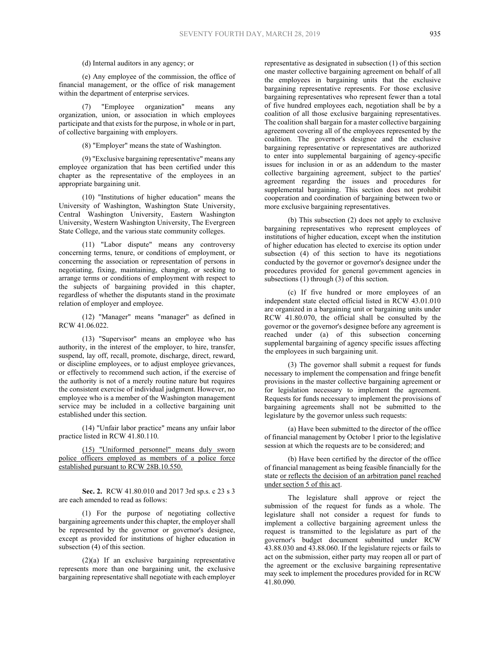# (d) Internal auditors in any agency; or

(e) Any employee of the commission, the office of financial management, or the office of risk management within the department of enterprise services.

(7) "Employee organization" means any organization, union, or association in which employees participate and that exists for the purpose, in whole or in part, of collective bargaining with employers.

(8) "Employer" means the state of Washington.

(9) "Exclusive bargaining representative" means any employee organization that has been certified under this chapter as the representative of the employees in an appropriate bargaining unit.

(10) "Institutions of higher education" means the University of Washington, Washington State University, Central Washington University, Eastern Washington University, Western Washington University, The Evergreen State College, and the various state community colleges.

(11) "Labor dispute" means any controversy concerning terms, tenure, or conditions of employment, or concerning the association or representation of persons in negotiating, fixing, maintaining, changing, or seeking to arrange terms or conditions of employment with respect to the subjects of bargaining provided in this chapter, regardless of whether the disputants stand in the proximate relation of employer and employee.

(12) "Manager" means "manager" as defined in RCW 41.06.022.

(13) "Supervisor" means an employee who has authority, in the interest of the employer, to hire, transfer, suspend, lay off, recall, promote, discharge, direct, reward, or discipline employees, or to adjust employee grievances, or effectively to recommend such action, if the exercise of the authority is not of a merely routine nature but requires the consistent exercise of individual judgment. However, no employee who is a member of the Washington management service may be included in a collective bargaining unit established under this section.

(14) "Unfair labor practice" means any unfair labor practice listed in RCW 41.80.110.

(15) "Uniformed personnel" means duly sworn police officers employed as members of a police force established pursuant to RCW 28B.10.550.

**Sec. 2.** RCW 41.80.010 and 2017 3rd sp.s. c 23 s 3 are each amended to read as follows:

(1) For the purpose of negotiating collective bargaining agreements under this chapter, the employer shall be represented by the governor or governor's designee, except as provided for institutions of higher education in subsection (4) of this section.

(2)(a) If an exclusive bargaining representative represents more than one bargaining unit, the exclusive bargaining representative shall negotiate with each employer representative as designated in subsection (1) of this section one master collective bargaining agreement on behalf of all the employees in bargaining units that the exclusive bargaining representative represents. For those exclusive bargaining representatives who represent fewer than a total of five hundred employees each, negotiation shall be by a coalition of all those exclusive bargaining representatives. The coalition shall bargain for a master collective bargaining agreement covering all of the employees represented by the coalition. The governor's designee and the exclusive bargaining representative or representatives are authorized to enter into supplemental bargaining of agency-specific issues for inclusion in or as an addendum to the master collective bargaining agreement, subject to the parties' agreement regarding the issues and procedures for supplemental bargaining. This section does not prohibit cooperation and coordination of bargaining between two or more exclusive bargaining representatives.

(b) This subsection (2) does not apply to exclusive bargaining representatives who represent employees of institutions of higher education, except when the institution of higher education has elected to exercise its option under subsection (4) of this section to have its negotiations conducted by the governor or governor's designee under the procedures provided for general government agencies in subsections  $(1)$  through  $(3)$  of this section.

(c) If five hundred or more employees of an independent state elected official listed in RCW 43.01.010 are organized in a bargaining unit or bargaining units under RCW 41.80.070, the official shall be consulted by the governor or the governor's designee before any agreement is reached under (a) of this subsection concerning supplemental bargaining of agency specific issues affecting the employees in such bargaining unit.

(3) The governor shall submit a request for funds necessary to implement the compensation and fringe benefit provisions in the master collective bargaining agreement or for legislation necessary to implement the agreement. Requests for funds necessary to implement the provisions of bargaining agreements shall not be submitted to the legislature by the governor unless such requests:

(a) Have been submitted to the director of the office of financial management by October 1 prior to the legislative session at which the requests are to be considered; and

(b) Have been certified by the director of the office of financial management as being feasible financially for the state or reflects the decision of an arbitration panel reached under section 5 of this act.

The legislature shall approve or reject the submission of the request for funds as a whole. The legislature shall not consider a request for funds to implement a collective bargaining agreement unless the request is transmitted to the legislature as part of the governor's budget document submitted under RCW 43.88.030 and 43.88.060. If the legislature rejects or fails to act on the submission, either party may reopen all or part of the agreement or the exclusive bargaining representative may seek to implement the procedures provided for in RCW 41.80.090.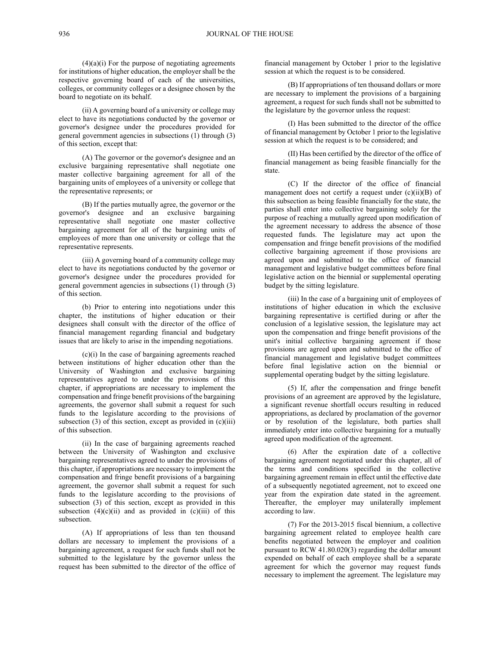$(4)(a)(i)$  For the purpose of negotiating agreements for institutions of higher education, the employer shall be the respective governing board of each of the universities, colleges, or community colleges or a designee chosen by the board to negotiate on its behalf.

(ii) A governing board of a university or college may elect to have its negotiations conducted by the governor or governor's designee under the procedures provided for general government agencies in subsections  $(1)$  through  $(3)$ of this section, except that:

(A) The governor or the governor's designee and an exclusive bargaining representative shall negotiate one master collective bargaining agreement for all of the bargaining units of employees of a university or college that the representative represents; or

(B) If the parties mutually agree, the governor or the governor's designee and an exclusive bargaining representative shall negotiate one master collective bargaining agreement for all of the bargaining units of employees of more than one university or college that the representative represents.

(iii) A governing board of a community college may elect to have its negotiations conducted by the governor or governor's designee under the procedures provided for general government agencies in subsections (1) through (3) of this section.

(b) Prior to entering into negotiations under this chapter, the institutions of higher education or their designees shall consult with the director of the office of financial management regarding financial and budgetary issues that are likely to arise in the impending negotiations.

(c)(i) In the case of bargaining agreements reached between institutions of higher education other than the University of Washington and exclusive bargaining representatives agreed to under the provisions of this chapter, if appropriations are necessary to implement the compensation and fringe benefit provisions of the bargaining agreements, the governor shall submit a request for such funds to the legislature according to the provisions of subsection  $(3)$  of this section, except as provided in  $(c)(iii)$ of this subsection.

(ii) In the case of bargaining agreements reached between the University of Washington and exclusive bargaining representatives agreed to under the provisions of this chapter, if appropriations are necessary to implement the compensation and fringe benefit provisions of a bargaining agreement, the governor shall submit a request for such funds to the legislature according to the provisions of subsection (3) of this section, except as provided in this subsection  $(4)(c)(ii)$  and as provided in  $(c)(iii)$  of this subsection.

(A) If appropriations of less than ten thousand dollars are necessary to implement the provisions of a bargaining agreement, a request for such funds shall not be submitted to the legislature by the governor unless the request has been submitted to the director of the office of financial management by October 1 prior to the legislative session at which the request is to be considered.

(B) If appropriations of ten thousand dollars or more are necessary to implement the provisions of a bargaining agreement, a request for such funds shall not be submitted to the legislature by the governor unless the request:

(I) Has been submitted to the director of the office of financial management by October 1 prior to the legislative session at which the request is to be considered; and

(II) Has been certified by the director of the office of financial management as being feasible financially for the state.

(C) If the director of the office of financial management does not certify a request under (c)(ii)(B) of this subsection as being feasible financially for the state, the parties shall enter into collective bargaining solely for the purpose of reaching a mutually agreed upon modification of the agreement necessary to address the absence of those requested funds. The legislature may act upon the compensation and fringe benefit provisions of the modified collective bargaining agreement if those provisions are agreed upon and submitted to the office of financial management and legislative budget committees before final legislative action on the biennial or supplemental operating budget by the sitting legislature.

(iii) In the case of a bargaining unit of employees of institutions of higher education in which the exclusive bargaining representative is certified during or after the conclusion of a legislative session, the legislature may act upon the compensation and fringe benefit provisions of the unit's initial collective bargaining agreement if those provisions are agreed upon and submitted to the office of financial management and legislative budget committees before final legislative action on the biennial or supplemental operating budget by the sitting legislature.

(5) If, after the compensation and fringe benefit provisions of an agreement are approved by the legislature, a significant revenue shortfall occurs resulting in reduced appropriations, as declared by proclamation of the governor or by resolution of the legislature, both parties shall immediately enter into collective bargaining for a mutually agreed upon modification of the agreement.

(6) After the expiration date of a collective bargaining agreement negotiated under this chapter, all of the terms and conditions specified in the collective bargaining agreement remain in effect until the effective date of a subsequently negotiated agreement, not to exceed one year from the expiration date stated in the agreement. Thereafter, the employer may unilaterally implement according to law.

(7) For the 2013-2015 fiscal biennium, a collective bargaining agreement related to employee health care benefits negotiated between the employer and coalition pursuant to RCW 41.80.020(3) regarding the dollar amount expended on behalf of each employee shall be a separate agreement for which the governor may request funds necessary to implement the agreement. The legislature may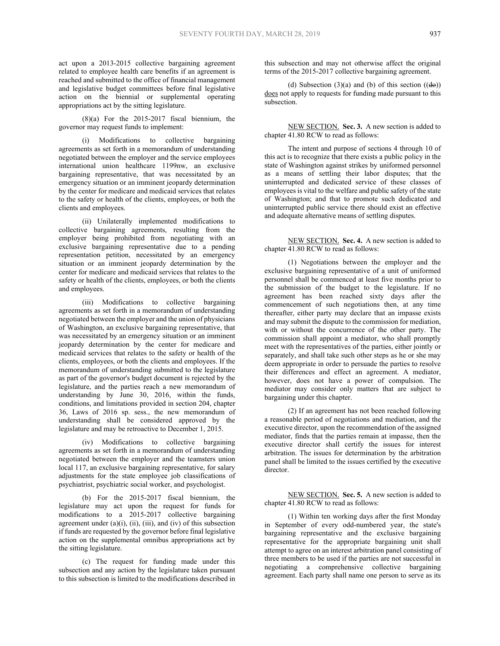act upon a 2013-2015 collective bargaining agreement related to employee health care benefits if an agreement is reached and submitted to the office of financial management and legislative budget committees before final legislative action on the biennial or supplemental operating appropriations act by the sitting legislature.

 $(8)(a)$  For the 2015-2017 fiscal biennium, the governor may request funds to implement:

(i) Modifications to collective bargaining agreements as set forth in a memorandum of understanding negotiated between the employer and the service employees international union healthcare 1199nw, an exclusive bargaining representative, that was necessitated by an emergency situation or an imminent jeopardy determination by the center for medicare and medicaid services that relates to the safety or health of the clients, employees, or both the clients and employees.

(ii) Unilaterally implemented modifications to collective bargaining agreements, resulting from the employer being prohibited from negotiating with an exclusive bargaining representative due to a pending representation petition, necessitated by an emergency situation or an imminent jeopardy determination by the center for medicare and medicaid services that relates to the safety or health of the clients, employees, or both the clients and employees.

(iii) Modifications to collective bargaining agreements as set forth in a memorandum of understanding negotiated between the employer and the union of physicians of Washington, an exclusive bargaining representative, that was necessitated by an emergency situation or an imminent jeopardy determination by the center for medicare and medicaid services that relates to the safety or health of the clients, employees, or both the clients and employees. If the memorandum of understanding submitted to the legislature as part of the governor's budget document is rejected by the legislature, and the parties reach a new memorandum of understanding by June 30, 2016, within the funds, conditions, and limitations provided in section 204, chapter 36, Laws of 2016 sp. sess., the new memorandum of understanding shall be considered approved by the legislature and may be retroactive to December 1, 2015.

(iv) Modifications to collective bargaining agreements as set forth in a memorandum of understanding negotiated between the employer and the teamsters union local 117, an exclusive bargaining representative, for salary adjustments for the state employee job classifications of psychiatrist, psychiatric social worker, and psychologist.

(b) For the 2015-2017 fiscal biennium, the legislature may act upon the request for funds for modifications to a 2015-2017 collective bargaining agreement under  $(a)(i)$ ,  $(ii)$ ,  $(iii)$ , and  $(iv)$  of this subsection if funds are requested by the governor before final legislative action on the supplemental omnibus appropriations act by the sitting legislature.

(c) The request for funding made under this subsection and any action by the legislature taken pursuant to this subsection is limited to the modifications described in

this subsection and may not otherwise affect the original terms of the 2015-2017 collective bargaining agreement.

(d) Subsection  $(3)(a)$  and (b) of this section  $((de)$ ) does not apply to requests for funding made pursuant to this subsection.

NEW SECTION. **Sec. 3.** A new section is added to chapter 41.80 RCW to read as follows:

The intent and purpose of sections 4 through 10 of this act is to recognize that there exists a public policy in the state of Washington against strikes by uniformed personnel as a means of settling their labor disputes; that the uninterrupted and dedicated service of these classes of employees is vital to the welfare and public safety of the state of Washington; and that to promote such dedicated and uninterrupted public service there should exist an effective and adequate alternative means of settling disputes.

NEW SECTION. **Sec. 4.** A new section is added to chapter 41.80 RCW to read as follows:

(1) Negotiations between the employer and the exclusive bargaining representative of a unit of uniformed personnel shall be commenced at least five months prior to the submission of the budget to the legislature. If no agreement has been reached sixty days after the commencement of such negotiations then, at any time thereafter, either party may declare that an impasse exists and may submit the dispute to the commission for mediation, with or without the concurrence of the other party. The commission shall appoint a mediator, who shall promptly meet with the representatives of the parties, either jointly or separately, and shall take such other steps as he or she may deem appropriate in order to persuade the parties to resolve their differences and effect an agreement. A mediator, however, does not have a power of compulsion. The mediator may consider only matters that are subject to bargaining under this chapter.

(2) If an agreement has not been reached following a reasonable period of negotiations and mediation, and the executive director, upon the recommendation of the assigned mediator, finds that the parties remain at impasse, then the executive director shall certify the issues for interest arbitration. The issues for determination by the arbitration panel shall be limited to the issues certified by the executive director.

NEW SECTION. **Sec. 5.** A new section is added to chapter 41.80 RCW to read as follows:

(1) Within ten working days after the first Monday in September of every odd-numbered year, the state's bargaining representative and the exclusive bargaining representative for the appropriate bargaining unit shall attempt to agree on an interest arbitration panel consisting of three members to be used if the parties are not successful in negotiating a comprehensive collective bargaining agreement. Each party shall name one person to serve as its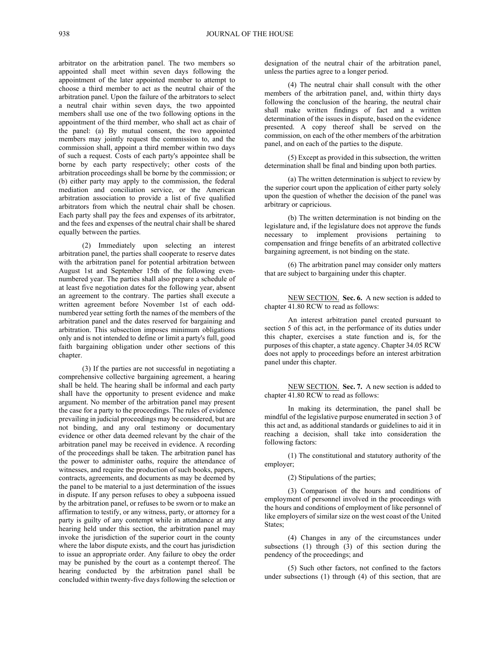arbitrator on the arbitration panel. The two members so appointed shall meet within seven days following the appointment of the later appointed member to attempt to choose a third member to act as the neutral chair of the arbitration panel. Upon the failure of the arbitrators to select a neutral chair within seven days, the two appointed members shall use one of the two following options in the appointment of the third member, who shall act as chair of the panel: (a) By mutual consent, the two appointed members may jointly request the commission to, and the commission shall, appoint a third member within two days of such a request. Costs of each party's appointee shall be borne by each party respectively; other costs of the arbitration proceedings shall be borne by the commission; or (b) either party may apply to the commission, the federal mediation and conciliation service, or the American arbitration association to provide a list of five qualified arbitrators from which the neutral chair shall be chosen. Each party shall pay the fees and expenses of its arbitrator, and the fees and expenses of the neutral chair shall be shared equally between the parties.

(2) Immediately upon selecting an interest arbitration panel, the parties shall cooperate to reserve dates with the arbitration panel for potential arbitration between August 1st and September 15th of the following evennumbered year. The parties shall also prepare a schedule of at least five negotiation dates for the following year, absent an agreement to the contrary. The parties shall execute a written agreement before November 1st of each oddnumbered year setting forth the names of the members of the arbitration panel and the dates reserved for bargaining and arbitration. This subsection imposes minimum obligations only and is not intended to define or limit a party's full, good faith bargaining obligation under other sections of this chapter.

(3) If the parties are not successful in negotiating a comprehensive collective bargaining agreement, a hearing shall be held. The hearing shall be informal and each party shall have the opportunity to present evidence and make argument. No member of the arbitration panel may present the case for a party to the proceedings. The rules of evidence prevailing in judicial proceedings may be considered, but are not binding, and any oral testimony or documentary evidence or other data deemed relevant by the chair of the arbitration panel may be received in evidence. A recording of the proceedings shall be taken. The arbitration panel has the power to administer oaths, require the attendance of witnesses, and require the production of such books, papers, contracts, agreements, and documents as may be deemed by the panel to be material to a just determination of the issues in dispute. If any person refuses to obey a subpoena issued by the arbitration panel, or refuses to be sworn or to make an affirmation to testify, or any witness, party, or attorney for a party is guilty of any contempt while in attendance at any hearing held under this section, the arbitration panel may invoke the jurisdiction of the superior court in the county where the labor dispute exists, and the court has jurisdiction to issue an appropriate order. Any failure to obey the order may be punished by the court as a contempt thereof. The hearing conducted by the arbitration panel shall be concluded within twenty-five days following the selection or

designation of the neutral chair of the arbitration panel, unless the parties agree to a longer period.

(4) The neutral chair shall consult with the other members of the arbitration panel, and, within thirty days following the conclusion of the hearing, the neutral chair shall make written findings of fact and a written determination of the issues in dispute, based on the evidence presented. A copy thereof shall be served on the commission, on each of the other members of the arbitration panel, and on each of the parties to the dispute.

(5) Except as provided in this subsection, the written determination shall be final and binding upon both parties.

(a) The written determination is subject to review by the superior court upon the application of either party solely upon the question of whether the decision of the panel was arbitrary or capricious.

(b) The written determination is not binding on the legislature and, if the legislature does not approve the funds necessary to implement provisions pertaining to compensation and fringe benefits of an arbitrated collective bargaining agreement, is not binding on the state.

(6) The arbitration panel may consider only matters that are subject to bargaining under this chapter.

NEW SECTION. **Sec. 6.** A new section is added to chapter 41.80 RCW to read as follows:

An interest arbitration panel created pursuant to section 5 of this act, in the performance of its duties under this chapter, exercises a state function and is, for the purposes of this chapter, a state agency. Chapter 34.05 RCW does not apply to proceedings before an interest arbitration panel under this chapter.

NEW SECTION. **Sec. 7.** A new section is added to chapter 41.80 RCW to read as follows:

In making its determination, the panel shall be mindful of the legislative purpose enumerated in section 3 of this act and, as additional standards or guidelines to aid it in reaching a decision, shall take into consideration the following factors:

(1) The constitutional and statutory authority of the employer;

(2) Stipulations of the parties;

(3) Comparison of the hours and conditions of employment of personnel involved in the proceedings with the hours and conditions of employment of like personnel of like employers of similar size on the west coast of the United States;

(4) Changes in any of the circumstances under subsections (1) through (3) of this section during the pendency of the proceedings; and

(5) Such other factors, not confined to the factors under subsections (1) through (4) of this section, that are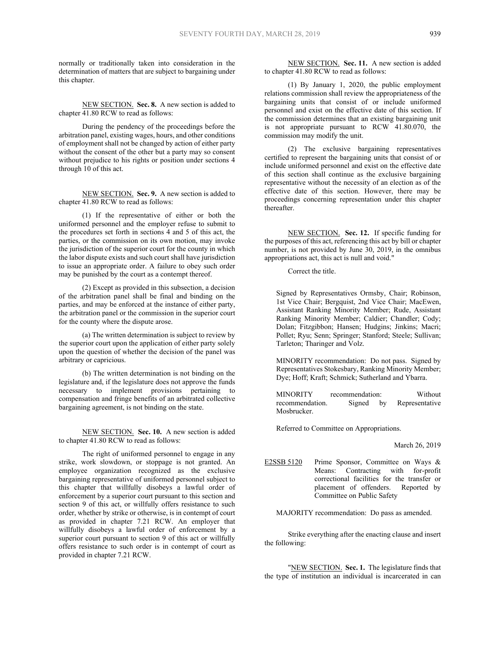normally or traditionally taken into consideration in the determination of matters that are subject to bargaining under this chapter.

NEW SECTION. **Sec. 8.** A new section is added to chapter 41.80 RCW to read as follows:

During the pendency of the proceedings before the arbitration panel, existing wages, hours, and other conditions of employment shall not be changed by action of either party without the consent of the other but a party may so consent without prejudice to his rights or position under sections 4 through 10 of this act.

NEW SECTION. **Sec. 9.** A new section is added to chapter 41.80 RCW to read as follows:

(1) If the representative of either or both the uniformed personnel and the employer refuse to submit to the procedures set forth in sections 4 and 5 of this act, the parties, or the commission on its own motion, may invoke the jurisdiction of the superior court for the county in which the labor dispute exists and such court shall have jurisdiction to issue an appropriate order. A failure to obey such order may be punished by the court as a contempt thereof.

(2) Except as provided in this subsection, a decision of the arbitration panel shall be final and binding on the parties, and may be enforced at the instance of either party, the arbitration panel or the commission in the superior court for the county where the dispute arose.

(a) The written determination is subject to review by the superior court upon the application of either party solely upon the question of whether the decision of the panel was arbitrary or capricious.

(b) The written determination is not binding on the legislature and, if the legislature does not approve the funds necessary to implement provisions pertaining to compensation and fringe benefits of an arbitrated collective bargaining agreement, is not binding on the state.

NEW SECTION. **Sec. 10.** A new section is added to chapter 41.80 RCW to read as follows:

The right of uniformed personnel to engage in any strike, work slowdown, or stoppage is not granted. An employee organization recognized as the exclusive bargaining representative of uniformed personnel subject to this chapter that willfully disobeys a lawful order of enforcement by a superior court pursuant to this section and section 9 of this act, or willfully offers resistance to such order, whether by strike or otherwise, is in contempt of court as provided in chapter 7.21 RCW. An employer that willfully disobeys a lawful order of enforcement by a superior court pursuant to section 9 of this act or willfully offers resistance to such order is in contempt of court as provided in chapter 7.21 RCW.

NEW SECTION. **Sec. 11.** A new section is added to chapter 41.80 RCW to read as follows:

(1) By January 1, 2020, the public employment relations commission shall review the appropriateness of the bargaining units that consist of or include uniformed personnel and exist on the effective date of this section. If the commission determines that an existing bargaining unit is not appropriate pursuant to RCW 41.80.070, the commission may modify the unit.

(2) The exclusive bargaining representatives certified to represent the bargaining units that consist of or include uniformed personnel and exist on the effective date of this section shall continue as the exclusive bargaining representative without the necessity of an election as of the effective date of this section. However, there may be proceedings concerning representation under this chapter thereafter.

NEW SECTION. **Sec. 12.** If specific funding for the purposes of this act, referencing this act by bill or chapter number, is not provided by June 30, 2019, in the omnibus appropriations act, this act is null and void."

Correct the title.

Signed by Representatives Ormsby, Chair; Robinson, 1st Vice Chair; Bergquist, 2nd Vice Chair; MacEwen, Assistant Ranking Minority Member; Rude, Assistant Ranking Minority Member; Caldier; Chandler; Cody; Dolan; Fitzgibbon; Hansen; Hudgins; Jinkins; Macri; Pollet; Ryu; Senn; Springer; Stanford; Steele; Sullivan; Tarleton; Tharinger and Volz.

MINORITY recommendation: Do not pass. Signed by Representatives Stokesbary, Ranking Minority Member; Dye; Hoff; Kraft; Schmick; Sutherland and Ybarra.

MINORITY recommendation: Without recommendation. Signed by Representative Mosbrucker.

Referred to Committee on Appropriations.

March 26, 2019

E2SSB 5120 Prime Sponsor, Committee on Ways & Means: Contracting with for-profit correctional facilities for the transfer or placement of offenders. Reported by Committee on Public Safety

MAJORITY recommendation: Do pass as amended.

Strike everything after the enacting clause and insert the following:

"NEW SECTION. **Sec. 1.** The legislature finds that the type of institution an individual is incarcerated in can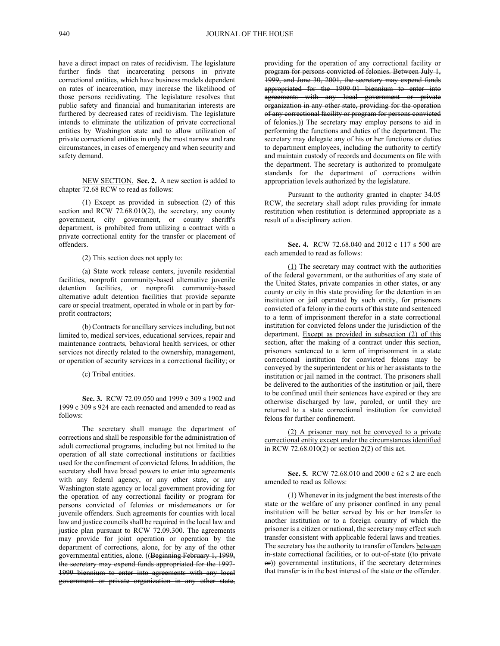have a direct impact on rates of recidivism. The legislature further finds that incarcerating persons in private correctional entities, which have business models dependent on rates of incarceration, may increase the likelihood of those persons recidivating. The legislature resolves that public safety and financial and humanitarian interests are furthered by decreased rates of recidivism. The legislature intends to eliminate the utilization of private correctional entities by Washington state and to allow utilization of private correctional entities in only the most narrow and rare circumstances, in cases of emergency and when security and safety demand.

NEW SECTION. **Sec. 2.** A new section is added to chapter 72.68 RCW to read as follows:

(1) Except as provided in subsection (2) of this section and RCW 72.68.010(2), the secretary, any county government, city government, or county sheriff's department, is prohibited from utilizing a contract with a private correctional entity for the transfer or placement of offenders.

(2) This section does not apply to:

(a) State work release centers, juvenile residential facilities, nonprofit community-based alternative juvenile detention facilities, or nonprofit community-based alternative adult detention facilities that provide separate care or special treatment, operated in whole or in part by forprofit contractors;

(b) Contracts for ancillary services including, but not limited to, medical services, educational services, repair and maintenance contracts, behavioral health services, or other services not directly related to the ownership, management, or operation of security services in a correctional facility; or

(c) Tribal entities.

**Sec. 3.** RCW 72.09.050 and 1999 c 309 s 1902 and 1999 c 309 s 924 are each reenacted and amended to read as follows:

The secretary shall manage the department of corrections and shall be responsible for the administration of adult correctional programs, including but not limited to the operation of all state correctional institutions or facilities used for the confinement of convicted felons. In addition, the secretary shall have broad powers to enter into agreements with any federal agency, or any other state, or any Washington state agency or local government providing for the operation of any correctional facility or program for persons convicted of felonies or misdemeanors or for juvenile offenders. Such agreements for counties with local law and justice councils shall be required in the local law and justice plan pursuant to RCW 72.09.300. The agreements may provide for joint operation or operation by the department of corrections, alone, for by any of the other governmental entities, alone. ((Beginning February 1, 1999, the secretary may expend funds appropriated for the 1997- 1999 biennium to enter into agreements with any local government or private organization in any other state,

providing for the operation of any correctional facility or program for persons convicted of felonies. Between July 1, 1999, and June 30, 2001, the secretary may expend funds appropriated for the 1999-01 biennium to enter into agreements with any local government or private organization in any other state, providing for the operation of any correctional facility or program for persons convicted of felonies.)) The secretary may employ persons to aid in performing the functions and duties of the department. The secretary may delegate any of his or her functions or duties to department employees, including the authority to certify and maintain custody of records and documents on file with the department. The secretary is authorized to promulgate standards for the department of corrections within appropriation levels authorized by the legislature.

Pursuant to the authority granted in chapter 34.05 RCW, the secretary shall adopt rules providing for inmate restitution when restitution is determined appropriate as a result of a disciplinary action.

**Sec. 4.** RCW 72.68.040 and 2012 c 117 s 500 are each amended to read as follows:

(1) The secretary may contract with the authorities of the federal government, or the authorities of any state of the United States, private companies in other states, or any county or city in this state providing for the detention in an institution or jail operated by such entity, for prisoners convicted of a felony in the courts of this state and sentenced to a term of imprisonment therefor in a state correctional institution for convicted felons under the jurisdiction of the department. Except as provided in subsection (2) of this section, after the making of a contract under this section, prisoners sentenced to a term of imprisonment in a state correctional institution for convicted felons may be conveyed by the superintendent or his or her assistants to the institution or jail named in the contract. The prisoners shall be delivered to the authorities of the institution or jail, there to be confined until their sentences have expired or they are otherwise discharged by law, paroled, or until they are returned to a state correctional institution for convicted felons for further confinement.

| (2) A prisoner may not be conveyed to a private               |  |
|---------------------------------------------------------------|--|
| correctional entity except under the circumstances identified |  |
| in RCW 72.68.010(2) or section $2(2)$ of this act.            |  |

**Sec. 5.** RCW 72.68.010 and 2000 c 62 s 2 are each amended to read as follows:

(1) Whenever in its judgment the best interests of the state or the welfare of any prisoner confined in any penal institution will be better served by his or her transfer to another institution or to a foreign country of which the prisoner is a citizen or national, the secretary may effect such transfer consistent with applicable federal laws and treaties. The secretary has the authority to transfer offenders between in-state correctional facilities, or to out-of-state ((to private or)) governmental institutions, if the secretary determines that transfer is in the best interest of the state or the offender.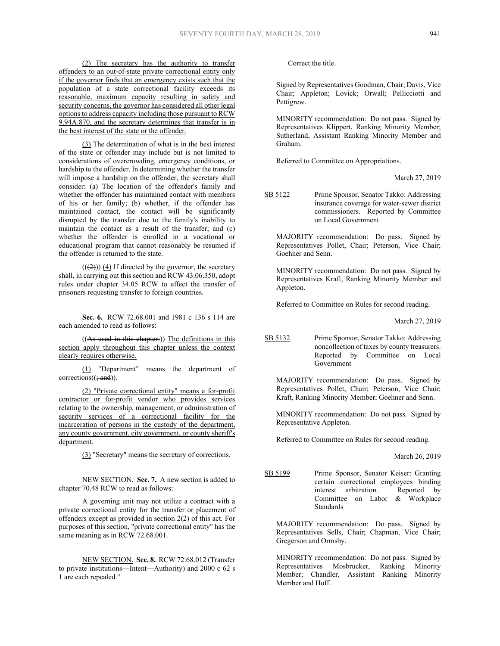(2) The secretary has the authority to transfer offenders to an out-of-state private correctional entity only if the governor finds that an emergency exists such that the population of a state correctional facility exceeds its reasonable, maximum capacity resulting in safety and security concerns, the governor has considered all other legal options to address capacity including those pursuant to RCW 9.94A.870, and the secretary determines that transfer is in the best interest of the state or the offender.

(3) The determination of what is in the best interest of the state or offender may include but is not limited to considerations of overcrowding, emergency conditions, or hardship to the offender. In determining whether the transfer will impose a hardship on the offender, the secretary shall consider: (a) The location of the offender's family and whether the offender has maintained contact with members of his or her family; (b) whether, if the offender has maintained contact, the contact will be significantly disrupted by the transfer due to the family's inability to maintain the contact as a result of the transfer; and (c) whether the offender is enrolled in a vocational or educational program that cannot reasonably be resumed if the offender is returned to the state.

 $((2))$   $(4)$  If directed by the governor, the secretary shall, in carrying out this section and RCW 43.06.350, adopt rules under chapter 34.05 RCW to effect the transfer of prisoners requesting transfer to foreign countries.

**Sec. 6.** RCW 72.68.001 and 1981 c 136 s 114 are each amended to read as follows:

((As used in this chapter:)) The definitions in this section apply throughout this chapter unless the context clearly requires otherwise.

(1) "Department" means the department of  $corrections((\frac{1}{2}and))$ .

(2) "Private correctional entity" means a for-profit contractor or for-profit vendor who provides services relating to the ownership, management, or administration of security services of a correctional facility for the incarceration of persons in the custody of the department, any county government, city government, or county sheriff's department.

(3) "Secretary" means the secretary of corrections.

NEW SECTION. **Sec. 7.** A new section is added to chapter 70.48 RCW to read as follows:

A governing unit may not utilize a contract with a private correctional entity for the transfer or placement of offenders except as provided in section 2(2) of this act. For purposes of this section, "private correctional entity" has the same meaning as in RCW 72.68.001.

NEW SECTION. **Sec. 8.** RCW 72.68.012 (Transfer to private institutions—Intent—Authority) and 2000 c 62 s 1 are each repealed."

Correct the title.

Signed by Representatives Goodman, Chair; Davis, Vice Chair; Appleton; Lovick; Orwall; Pellicciotti and Pettigrew.

MINORITY recommendation: Do not pass. Signed by Representatives Klippert, Ranking Minority Member; Sutherland, Assistant Ranking Minority Member and Graham.

Referred to Committee on Appropriations.

March 27, 2019

SB 5122 Prime Sponsor, Senator Takko: Addressing insurance coverage for water-sewer district commissioners. Reported by Committee on Local Government

MAJORITY recommendation: Do pass. Signed by Representatives Pollet, Chair; Peterson, Vice Chair; Goehner and Senn.

MINORITY recommendation: Do not pass. Signed by Representatives Kraft, Ranking Minority Member and Appleton.

Referred to Committee on Rules for second reading.

March 27, 2019

SB 5132 Prime Sponsor, Senator Takko: Addressing noncollection of taxes by county treasurers. Reported by Committee on Local Government

MAJORITY recommendation: Do pass. Signed by Representatives Pollet, Chair; Peterson, Vice Chair; Kraft, Ranking Minority Member; Goehner and Senn.

MINORITY recommendation: Do not pass. Signed by Representative Appleton.

Referred to Committee on Rules for second reading.

March 26, 2019

SB 5199 Prime Sponsor, Senator Keiser: Granting certain correctional employees binding interest arbitration. Reported by Committee on Labor & Workplace Standards

MAJORITY recommendation: Do pass. Signed by Representatives Sells, Chair; Chapman, Vice Chair; Gregerson and Ormsby.

MINORITY recommendation: Do not pass. Signed by Representatives Mosbrucker, Ranking Minority Member; Chandler, Assistant Ranking Minority Member and Hoff.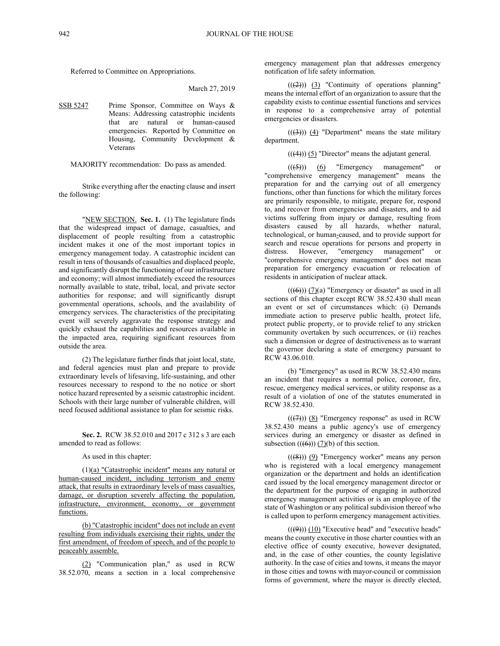Referred to Committee on Appropriations.

March 27, 2019

SSB 5247 Prime Sponsor, Committee on Ways & Means: Addressing catastrophic incidents that are natural or human-caused emergencies. Reported by Committee on Housing, Community Development & Veterans

MAJORITY recommendation: Do pass as amended.

Strike everything after the enacting clause and insert the following:

"NEW SECTION. **Sec. 1.** (1) The legislature finds that the widespread impact of damage, casualties, and displacement of people resulting from a catastrophic incident makes it one of the most important topics in emergency management today. A catastrophic incident can result in tens of thousands of casualties and displaced people, and significantly disrupt the functioning of our infrastructure and economy; will almost immediately exceed the resources normally available to state, tribal, local, and private sector authorities for response; and will significantly disrupt governmental operations, schools, and the availability of emergency services. The characteristics of the precipitating event will severely aggravate the response strategy and quickly exhaust the capabilities and resources available in the impacted area, requiring significant resources from outside the area.

(2) The legislature further finds that joint local, state, and federal agencies must plan and prepare to provide extraordinary levels of lifesaving, life-sustaining, and other resources necessary to respond to the no notice or short notice hazard represented by a seismic catastrophic incident. Schools with their large number of vulnerable children, will need focused additional assistance to plan for seismic risks.

**Sec. 2.** RCW 38.52.010 and 2017 c 312 s 3 are each amended to read as follows:

As used in this chapter:

(1)(a) "Catastrophic incident" means any natural or human-caused incident, including terrorism and enemy attack, that results in extraordinary levels of mass casualties, damage, or disruption severely affecting the population, infrastructure, environment, economy, or government functions.

(b) "Catastrophic incident" does not include an event resulting from individuals exercising their rights, under the first amendment, of freedom of speech, and of the people to peaceably assemble.

(2) "Communication plan," as used in RCW 38.52.070, means a section in a local comprehensive emergency management plan that addresses emergency notification of life safety information.

 $((2))$  (3) "Continuity of operations planning" means the internal effort of an organization to assure that the capability exists to continue essential functions and services in response to a comprehensive array of potential emergencies or disasters.

 $((3))$   $(4)$  "Department" means the state military department.

 $((4))$  (5) "Director" means the adjutant general.

 $((\left(5\right)))$  (6) "Emergency management" or "comprehensive emergency management" means the preparation for and the carrying out of all emergency functions, other than functions for which the military forces are primarily responsible, to mitigate, prepare for, respond to, and recover from emergencies and disasters, and to aid victims suffering from injury or damage, resulting from disasters caused by all hazards, whether natural, technological, or human-caused, and to provide support for search and rescue operations for persons and property in distress. However, "emergency management" or "comprehensive emergency management" does not mean preparation for emergency evacuation or relocation of residents in anticipation of nuclear attack.

 $((\left(\overline{\Theta}\right))) (7)(a)$  "Emergency or disaster" as used in all sections of this chapter except RCW 38.52.430 shall mean an event or set of circumstances which: (i) Demands immediate action to preserve public health, protect life, protect public property, or to provide relief to any stricken community overtaken by such occurrences, or (ii) reaches such a dimension or degree of destructiveness as to warrant the governor declaring a state of emergency pursuant to RCW 43.06.010.

(b) "Emergency" as used in RCW 38.52.430 means an incident that requires a normal police, coroner, fire, rescue, emergency medical services, or utility response as a result of a violation of one of the statutes enumerated in RCW 38.52.430.

 $((\n(7))$   $(8)$  "Emergency response" as used in RCW 38.52.430 means a public agency's use of emergency services during an emergency or disaster as defined in subsection  $((\Theta))$  (7)(b) of this section.

 $((\textbf{(8)}))$  (9) "Emergency worker" means any person who is registered with a local emergency management organization or the department and holds an identification card issued by the local emergency management director or the department for the purpose of engaging in authorized emergency management activities or is an employee of the state of Washington or any political subdivision thereof who is called upon to perform emergency management activities.

 $((\cancel{9}))$  (10) "Executive head" and "executive heads" means the county executive in those charter counties with an elective office of county executive, however designated, and, in the case of other counties, the county legislative authority. In the case of cities and towns, it means the mayor in those cities and towns with mayor-council or commission forms of government, where the mayor is directly elected,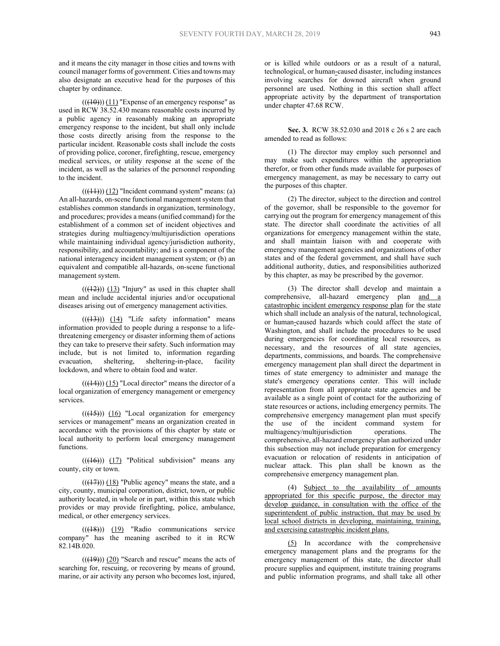and it means the city manager in those cities and towns with council manager forms of government. Cities and towns may also designate an executive head for the purposes of this chapter by ordinance.

 $((10))$  (11) "Expense of an emergency response" as used in RCW 38.52.430 means reasonable costs incurred by a public agency in reasonably making an appropriate emergency response to the incident, but shall only include those costs directly arising from the response to the particular incident. Reasonable costs shall include the costs of providing police, coroner, firefighting, rescue, emergency medical services, or utility response at the scene of the incident, as well as the salaries of the personnel responding to the incident.

 $(( (41))$  $(12)$  "Incident command system" means: (a) An all-hazards, on-scene functional management system that establishes common standards in organization, terminology, and procedures; provides a means (unified command) for the establishment of a common set of incident objectives and strategies during multiagency/multijurisdiction operations while maintaining individual agency/jurisdiction authority, responsibility, and accountability; and is a component of the national interagency incident management system; or (b) an equivalent and compatible all-hazards, on-scene functional management system.

 $(( (12)) )$  (13) "Injury" as used in this chapter shall mean and include accidental injuries and/or occupational diseases arising out of emergency management activities.

 $(((13))$   $(14)$  "Life safety information" means information provided to people during a response to a lifethreatening emergency or disaster informing them of actions they can take to preserve their safety. Such information may include, but is not limited to, information regarding evacuation, sheltering, sheltering-in-place, facility lockdown, and where to obtain food and water.

 $(((14)))(15)$  "Local director" means the director of a local organization of emergency management or emergency services.

 $((\langle 15 \rangle))$  (16) "Local organization for emergency services or management" means an organization created in accordance with the provisions of this chapter by state or local authority to perform local emergency management functions.

 $(( (46))$   $(17)$  "Political subdivision" means any county, city or town.

 $(( (17))$  (18) "Public agency" means the state, and a city, county, municipal corporation, district, town, or public authority located, in whole or in part, within this state which provides or may provide firefighting, police, ambulance, medical, or other emergency services.

 $(( (18)) )$   $(19)$  "Radio communications service company" has the meaning ascribed to it in RCW 82.14B.020.

 $((19))$   $(20)$  "Search and rescue" means the acts of searching for, rescuing, or recovering by means of ground, marine, or air activity any person who becomes lost, injured,

or is killed while outdoors or as a result of a natural, technological, or human-caused disaster, including instances involving searches for downed aircraft when ground personnel are used. Nothing in this section shall affect appropriate activity by the department of transportation under chapter 47.68 RCW.

**Sec. 3.** RCW 38.52.030 and 2018 c 26 s 2 are each amended to read as follows:

(1) The director may employ such personnel and may make such expenditures within the appropriation therefor, or from other funds made available for purposes of emergency management, as may be necessary to carry out the purposes of this chapter.

(2) The director, subject to the direction and control of the governor, shall be responsible to the governor for carrying out the program for emergency management of this state. The director shall coordinate the activities of all organizations for emergency management within the state, and shall maintain liaison with and cooperate with emergency management agencies and organizations of other states and of the federal government, and shall have such additional authority, duties, and responsibilities authorized by this chapter, as may be prescribed by the governor.

(3) The director shall develop and maintain a comprehensive, all-hazard emergency plan and a catastrophic incident emergency response plan for the state which shall include an analysis of the natural, technological, or human-caused hazards which could affect the state of Washington, and shall include the procedures to be used during emergencies for coordinating local resources, as necessary, and the resources of all state agencies, departments, commissions, and boards. The comprehensive emergency management plan shall direct the department in times of state emergency to administer and manage the state's emergency operations center. This will include representation from all appropriate state agencies and be available as a single point of contact for the authorizing of state resources or actions, including emergency permits. The comprehensive emergency management plan must specify the use of the incident command system for multiagency/multijurisdiction operations. The comprehensive, all-hazard emergency plan authorized under this subsection may not include preparation for emergency evacuation or relocation of residents in anticipation of nuclear attack. This plan shall be known as the comprehensive emergency management plan.

(4) Subject to the availability of amounts appropriated for this specific purpose, the director may develop guidance, in consultation with the office of the superintendent of public instruction, that may be used by local school districts in developing, maintaining, training, and exercising catastrophic incident plans.

(5) In accordance with the comprehensive emergency management plans and the programs for the emergency management of this state, the director shall procure supplies and equipment, institute training programs and public information programs, and shall take all other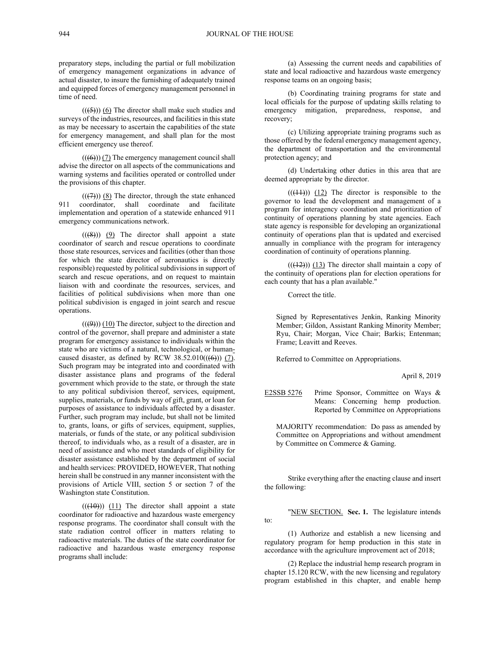preparatory steps, including the partial or full mobilization of emergency management organizations in advance of actual disaster, to insure the furnishing of adequately trained and equipped forces of emergency management personnel in time of need.

 $(( (5)) )$  (6) The director shall make such studies and surveys of the industries, resources, and facilities in this state as may be necessary to ascertain the capabilities of the state for emergency management, and shall plan for the most efficient emergency use thereof.

 $((6))$  (7) The emergency management council shall advise the director on all aspects of the communications and warning systems and facilities operated or controlled under the provisions of this chapter.

 $((\overline{(7)}))$  (8) The director, through the state enhanced 911 coordinator, shall coordinate and facilitate implementation and operation of a statewide enhanced 911 emergency communications network.

 $((\cancel{8}))$  (9) The director shall appoint a state coordinator of search and rescue operations to coordinate those state resources, services and facilities (other than those for which the state director of aeronautics is directly responsible) requested by political subdivisions in support of search and rescue operations, and on request to maintain liaison with and coordinate the resources, services, and facilities of political subdivisions when more than one political subdivision is engaged in joint search and rescue operations.

 $((9))$  (10) The director, subject to the direction and control of the governor, shall prepare and administer a state program for emergency assistance to individuals within the state who are victims of a natural, technological, or humancaused disaster, as defined by RCW  $38.52.010((\text{ }(\text{6})))$  (7). Such program may be integrated into and coordinated with disaster assistance plans and programs of the federal government which provide to the state, or through the state to any political subdivision thereof, services, equipment, supplies, materials, or funds by way of gift, grant, or loan for purposes of assistance to individuals affected by a disaster. Further, such program may include, but shall not be limited to, grants, loans, or gifts of services, equipment, supplies, materials, or funds of the state, or any political subdivision thereof, to individuals who, as a result of a disaster, are in need of assistance and who meet standards of eligibility for disaster assistance established by the department of social and health services: PROVIDED, HOWEVER, That nothing herein shall be construed in any manner inconsistent with the provisions of Article VIII, section 5 or section 7 of the Washington state Constitution.

 $((10))$  (11) The director shall appoint a state coordinator for radioactive and hazardous waste emergency response programs. The coordinator shall consult with the state radiation control officer in matters relating to radioactive materials. The duties of the state coordinator for radioactive and hazardous waste emergency response programs shall include:

(a) Assessing the current needs and capabilities of state and local radioactive and hazardous waste emergency response teams on an ongoing basis;

(b) Coordinating training programs for state and local officials for the purpose of updating skills relating to emergency mitigation, preparedness, response, and recovery;

(c) Utilizing appropriate training programs such as those offered by the federal emergency management agency, the department of transportation and the environmental protection agency; and

(d) Undertaking other duties in this area that are deemed appropriate by the director.

 $(( (11)) )$   $(12)$  The director is responsible to the governor to lead the development and management of a program for interagency coordination and prioritization of continuity of operations planning by state agencies. Each state agency is responsible for developing an organizational continuity of operations plan that is updated and exercised annually in compliance with the program for interagency coordination of continuity of operations planning.

 $((12))$  (13) The director shall maintain a copy of the continuity of operations plan for election operations for each county that has a plan available."

Correct the title.

Signed by Representatives Jenkin, Ranking Minority Member; Gildon, Assistant Ranking Minority Member; Ryu, Chair; Morgan, Vice Chair; Barkis; Entenman; Frame; Leavitt and Reeves.

Referred to Committee on Appropriations.

April 8, 2019

E2SSB 5276 Prime Sponsor, Committee on Ways & Means: Concerning hemp production. Reported by Committee on Appropriations

MAJORITY recommendation: Do pass as amended by Committee on Appropriations and without amendment by Committee on Commerce & Gaming.

Strike everything after the enacting clause and insert the following:

"NEW SECTION. **Sec. 1.** The legislature intends to:

(1) Authorize and establish a new licensing and regulatory program for hemp production in this state in accordance with the agriculture improvement act of 2018;

(2) Replace the industrial hemp research program in chapter 15.120 RCW, with the new licensing and regulatory program established in this chapter, and enable hemp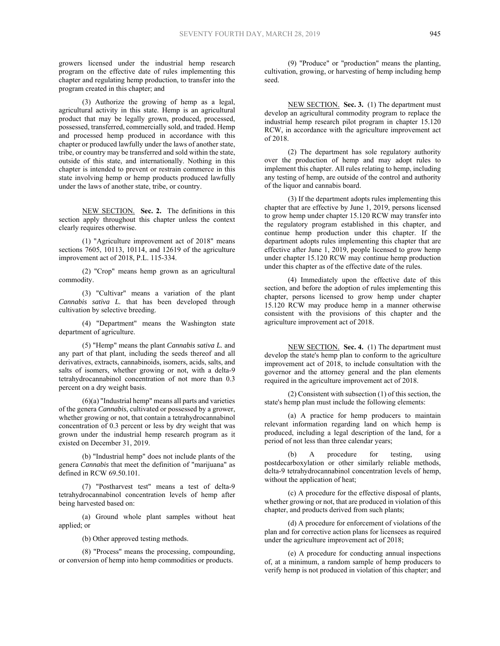growers licensed under the industrial hemp research program on the effective date of rules implementing this chapter and regulating hemp production, to transfer into the program created in this chapter; and

(3) Authorize the growing of hemp as a legal, agricultural activity in this state. Hemp is an agricultural product that may be legally grown, produced, processed, possessed, transferred, commercially sold, and traded. Hemp and processed hemp produced in accordance with this chapter or produced lawfully under the laws of another state, tribe, or country may be transferred and sold within the state, outside of this state, and internationally. Nothing in this chapter is intended to prevent or restrain commerce in this state involving hemp or hemp products produced lawfully under the laws of another state, tribe, or country.

NEW SECTION. **Sec. 2.** The definitions in this section apply throughout this chapter unless the context clearly requires otherwise.

(1) "Agriculture improvement act of 2018" means sections 7605, 10113, 10114, and 12619 of the agriculture improvement act of 2018, P.L. 115-334.

(2) "Crop" means hemp grown as an agricultural commodity.

(3) "Cultivar" means a variation of the plant *Cannabis sativa L.* that has been developed through cultivation by selective breeding.

(4) "Department" means the Washington state department of agriculture.

(5) "Hemp" means the plant *Cannabis sativa L.* and any part of that plant, including the seeds thereof and all derivatives, extracts, cannabinoids, isomers, acids, salts, and salts of isomers, whether growing or not, with a delta-9 tetrahydrocannabinol concentration of not more than 0.3 percent on a dry weight basis.

 $(6)(a)$  "Industrial hemp" means all parts and varieties of the genera *Cannabis*, cultivated or possessed by a grower, whether growing or not, that contain a tetrahydrocannabinol concentration of 0.3 percent or less by dry weight that was grown under the industrial hemp research program as it existed on December 31, 2019.

(b) "Industrial hemp" does not include plants of the genera *Cannabis* that meet the definition of "marijuana" as defined in RCW 69.50.101.

(7) "Postharvest test" means a test of delta-9 tetrahydrocannabinol concentration levels of hemp after being harvested based on:

(a) Ground whole plant samples without heat applied; or

(b) Other approved testing methods.

(8) "Process" means the processing, compounding, or conversion of hemp into hemp commodities or products.

(9) "Produce" or "production" means the planting, cultivation, growing, or harvesting of hemp including hemp seed.

NEW SECTION. **Sec. 3.** (1) The department must develop an agricultural commodity program to replace the industrial hemp research pilot program in chapter 15.120 RCW, in accordance with the agriculture improvement act of 2018.

(2) The department has sole regulatory authority over the production of hemp and may adopt rules to implement this chapter. All rules relating to hemp, including any testing of hemp, are outside of the control and authority of the liquor and cannabis board.

(3) If the department adopts rules implementing this chapter that are effective by June 1, 2019, persons licensed to grow hemp under chapter 15.120 RCW may transfer into the regulatory program established in this chapter, and continue hemp production under this chapter. If the department adopts rules implementing this chapter that are effective after June 1, 2019, people licensed to grow hemp under chapter 15.120 RCW may continue hemp production under this chapter as of the effective date of the rules.

(4) Immediately upon the effective date of this section, and before the adoption of rules implementing this chapter, persons licensed to grow hemp under chapter 15.120 RCW may produce hemp in a manner otherwise consistent with the provisions of this chapter and the agriculture improvement act of 2018.

NEW SECTION. **Sec. 4.** (1) The department must develop the state's hemp plan to conform to the agriculture improvement act of 2018, to include consultation with the governor and the attorney general and the plan elements required in the agriculture improvement act of 2018.

(2) Consistent with subsection (1) of this section, the state's hemp plan must include the following elements:

(a) A practice for hemp producers to maintain relevant information regarding land on which hemp is produced, including a legal description of the land, for a period of not less than three calendar years;

A procedure for testing, using postdecarboxylation or other similarly reliable methods, delta-9 tetrahydrocannabinol concentration levels of hemp, without the application of heat;

(c) A procedure for the effective disposal of plants, whether growing or not, that are produced in violation of this chapter, and products derived from such plants;

(d) A procedure for enforcement of violations of the plan and for corrective action plans for licensees as required under the agriculture improvement act of 2018;

(e) A procedure for conducting annual inspections of, at a minimum, a random sample of hemp producers to verify hemp is not produced in violation of this chapter; and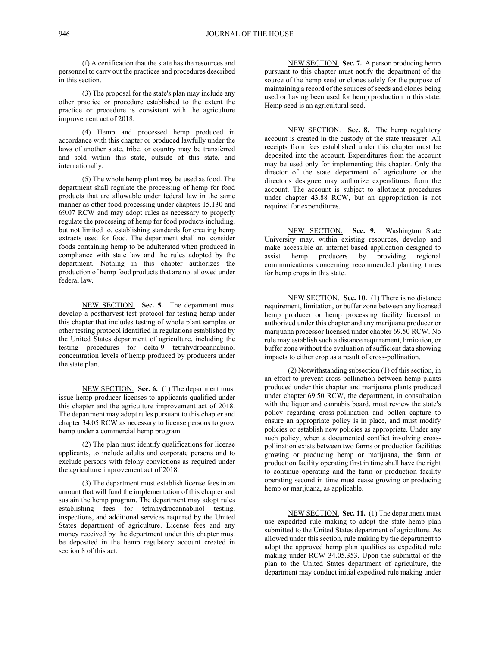(f) A certification that the state has the resources and personnel to carry out the practices and procedures described in this section.

(3) The proposal for the state's plan may include any other practice or procedure established to the extent the practice or procedure is consistent with the agriculture improvement act of 2018.

(4) Hemp and processed hemp produced in accordance with this chapter or produced lawfully under the laws of another state, tribe, or country may be transferred and sold within this state, outside of this state, and internationally.

(5) The whole hemp plant may be used as food. The department shall regulate the processing of hemp for food products that are allowable under federal law in the same manner as other food processing under chapters 15.130 and 69.07 RCW and may adopt rules as necessary to properly regulate the processing of hemp for food products including, but not limited to, establishing standards for creating hemp extracts used for food. The department shall not consider foods containing hemp to be adulterated when produced in compliance with state law and the rules adopted by the department. Nothing in this chapter authorizes the production of hemp food products that are not allowed under federal law.

NEW SECTION. **Sec. 5.** The department must develop a postharvest test protocol for testing hemp under this chapter that includes testing of whole plant samples or other testing protocol identified in regulations established by the United States department of agriculture, including the testing procedures for delta-9 tetrahydrocannabinol concentration levels of hemp produced by producers under the state plan.

NEW SECTION. **Sec. 6.** (1) The department must issue hemp producer licenses to applicants qualified under this chapter and the agriculture improvement act of 2018. The department may adopt rules pursuant to this chapter and chapter 34.05 RCW as necessary to license persons to grow hemp under a commercial hemp program.

(2) The plan must identify qualifications for license applicants, to include adults and corporate persons and to exclude persons with felony convictions as required under the agriculture improvement act of 2018.

(3) The department must establish license fees in an amount that will fund the implementation of this chapter and sustain the hemp program. The department may adopt rules establishing fees for tetrahydrocannabinol testing, inspections, and additional services required by the United States department of agriculture. License fees and any money received by the department under this chapter must be deposited in the hemp regulatory account created in section 8 of this act.

NEW SECTION. **Sec. 7.** A person producing hemp pursuant to this chapter must notify the department of the source of the hemp seed or clones solely for the purpose of maintaining a record of the sources of seeds and clones being used or having been used for hemp production in this state. Hemp seed is an agricultural seed.

NEW SECTION. **Sec. 8.** The hemp regulatory account is created in the custody of the state treasurer. All receipts from fees established under this chapter must be deposited into the account. Expenditures from the account may be used only for implementing this chapter. Only the director of the state department of agriculture or the director's designee may authorize expenditures from the account. The account is subject to allotment procedures under chapter 43.88 RCW, but an appropriation is not required for expenditures.

NEW SECTION. **Sec. 9.** Washington State University may, within existing resources, develop and make accessible an internet-based application designed to assist hemp producers by providing regional communications concerning recommended planting times for hemp crops in this state.

NEW SECTION. **Sec. 10.** (1) There is no distance requirement, limitation, or buffer zone between any licensed hemp producer or hemp processing facility licensed or authorized under this chapter and any marijuana producer or marijuana processor licensed under chapter 69.50 RCW. No rule may establish such a distance requirement, limitation, or buffer zone without the evaluation of sufficient data showing impacts to either crop as a result of cross-pollination.

(2) Notwithstanding subsection (1) of this section, in an effort to prevent cross-pollination between hemp plants produced under this chapter and marijuana plants produced under chapter 69.50 RCW, the department, in consultation with the liquor and cannabis board, must review the state's policy regarding cross-pollination and pollen capture to ensure an appropriate policy is in place, and must modify policies or establish new policies as appropriate. Under any such policy, when a documented conflict involving crosspollination exists between two farms or production facilities growing or producing hemp or marijuana, the farm or production facility operating first in time shall have the right to continue operating and the farm or production facility operating second in time must cease growing or producing hemp or marijuana, as applicable.

NEW SECTION. **Sec. 11.** (1) The department must use expedited rule making to adopt the state hemp plan submitted to the United States department of agriculture. As allowed under this section, rule making by the department to adopt the approved hemp plan qualifies as expedited rule making under RCW 34.05.353. Upon the submittal of the plan to the United States department of agriculture, the department may conduct initial expedited rule making under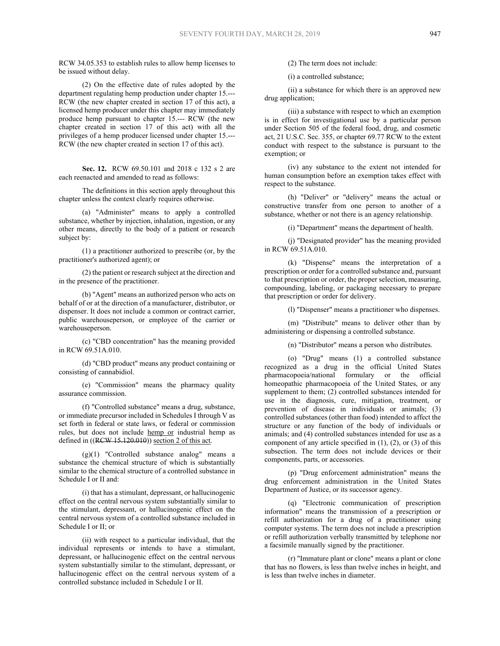RCW 34.05.353 to establish rules to allow hemp licenses to be issued without delay.

(2) On the effective date of rules adopted by the department regulating hemp production under chapter 15.--- RCW (the new chapter created in section 17 of this act), a licensed hemp producer under this chapter may immediately produce hemp pursuant to chapter 15.--- RCW (the new chapter created in section 17 of this act) with all the privileges of a hemp producer licensed under chapter 15.--- RCW (the new chapter created in section 17 of this act).

**Sec. 12.** RCW 69.50.101 and 2018 c 132 s 2 are each reenacted and amended to read as follows:

The definitions in this section apply throughout this chapter unless the context clearly requires otherwise.

(a) "Administer" means to apply a controlled substance, whether by injection, inhalation, ingestion, or any other means, directly to the body of a patient or research subject by:

(1) a practitioner authorized to prescribe (or, by the practitioner's authorized agent); or

(2) the patient or research subject at the direction and in the presence of the practitioner.

(b) "Agent" means an authorized person who acts on behalf of or at the direction of a manufacturer, distributor, or dispenser. It does not include a common or contract carrier, public warehouseperson, or employee of the carrier or warehouseperson.

(c) "CBD concentration" has the meaning provided in RCW 69.51A.010.

(d) "CBD product" means any product containing or consisting of cannabidiol.

(e) "Commission" means the pharmacy quality assurance commission.

(f) "Controlled substance" means a drug, substance, or immediate precursor included in Schedules I through V as set forth in federal or state laws, or federal or commission rules, but does not include hemp or industrial hemp as defined in  $((R<sub>FW</sub> 15.120.010))$  section 2 of this act.

(g)(1) "Controlled substance analog" means a substance the chemical structure of which is substantially similar to the chemical structure of a controlled substance in Schedule I or II and:

(i) that has a stimulant, depressant, or hallucinogenic effect on the central nervous system substantially similar to the stimulant, depressant, or hallucinogenic effect on the central nervous system of a controlled substance included in Schedule I or II; or

(ii) with respect to a particular individual, that the individual represents or intends to have a stimulant, depressant, or hallucinogenic effect on the central nervous system substantially similar to the stimulant, depressant, or hallucinogenic effect on the central nervous system of a controlled substance included in Schedule I or II.

(2) The term does not include:

(i) a controlled substance;

(ii) a substance for which there is an approved new drug application;

(iii) a substance with respect to which an exemption is in effect for investigational use by a particular person under Section 505 of the federal food, drug, and cosmetic act, 21 U.S.C. Sec. 355, or chapter 69.77 RCW to the extent conduct with respect to the substance is pursuant to the exemption; or

(iv) any substance to the extent not intended for human consumption before an exemption takes effect with respect to the substance.

(h) "Deliver" or "delivery" means the actual or constructive transfer from one person to another of a substance, whether or not there is an agency relationship.

(i) "Department" means the department of health.

(j) "Designated provider" has the meaning provided in RCW 69.51A.010.

(k) "Dispense" means the interpretation of a prescription or order for a controlled substance and, pursuant to that prescription or order, the proper selection, measuring, compounding, labeling, or packaging necessary to prepare that prescription or order for delivery.

(l) "Dispenser" means a practitioner who dispenses.

(m) "Distribute" means to deliver other than by administering or dispensing a controlled substance.

(n) "Distributor" means a person who distributes.

(o) "Drug" means (1) a controlled substance recognized as a drug in the official United States pharmacopoeia/national formulary or the official homeopathic pharmacopoeia of the United States, or any supplement to them; (2) controlled substances intended for use in the diagnosis, cure, mitigation, treatment, or prevention of disease in individuals or animals; (3) controlled substances (other than food) intended to affect the structure or any function of the body of individuals or animals; and (4) controlled substances intended for use as a component of any article specified in  $(1)$ ,  $(2)$ , or  $(3)$  of this subsection. The term does not include devices or their components, parts, or accessories.

(p) "Drug enforcement administration" means the drug enforcement administration in the United States Department of Justice, or its successor agency.

(q) "Electronic communication of prescription information" means the transmission of a prescription or refill authorization for a drug of a practitioner using computer systems. The term does not include a prescription or refill authorization verbally transmitted by telephone nor a facsimile manually signed by the practitioner.

(r) "Immature plant or clone" means a plant or clone that has no flowers, is less than twelve inches in height, and is less than twelve inches in diameter.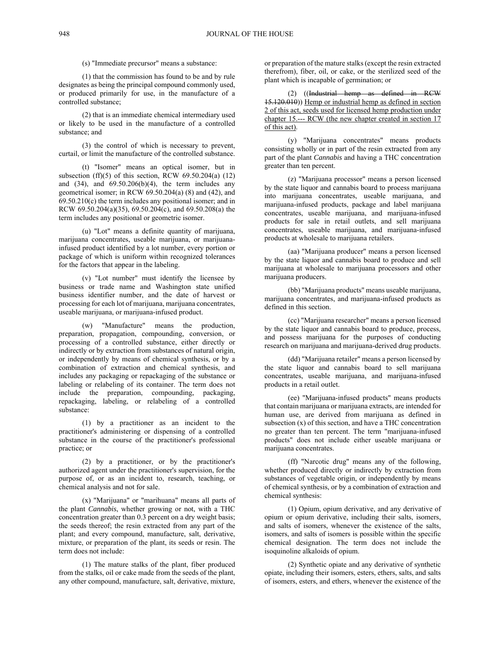(s) "Immediate precursor" means a substance:

(1) that the commission has found to be and by rule designates as being the principal compound commonly used, or produced primarily for use, in the manufacture of a controlled substance;

(2) that is an immediate chemical intermediary used or likely to be used in the manufacture of a controlled substance; and

(3) the control of which is necessary to prevent, curtail, or limit the manufacture of the controlled substance.

(t) "Isomer" means an optical isomer, but in subsection (ff)(5) of this section, RCW  $69.50.204(a)$  (12) and  $(34)$ , and  $69.50.206(b)(4)$ , the term includes any geometrical isomer; in RCW 69.50.204(a) (8) and (42), and 69.50.210(c) the term includes any positional isomer; and in RCW 69.50.204(a)(35), 69.50.204(c), and 69.50.208(a) the term includes any positional or geometric isomer.

(u) "Lot" means a definite quantity of marijuana, marijuana concentrates, useable marijuana, or marijuanainfused product identified by a lot number, every portion or package of which is uniform within recognized tolerances for the factors that appear in the labeling.

(v) "Lot number" must identify the licensee by business or trade name and Washington state unified business identifier number, and the date of harvest or processing for each lot of marijuana, marijuana concentrates, useable marijuana, or marijuana-infused product.

(w) "Manufacture" means the production, preparation, propagation, compounding, conversion, or processing of a controlled substance, either directly or indirectly or by extraction from substances of natural origin, or independently by means of chemical synthesis, or by a combination of extraction and chemical synthesis, and includes any packaging or repackaging of the substance or labeling or relabeling of its container. The term does not include the preparation, compounding, packaging, repackaging, labeling, or relabeling of a controlled substance:

(1) by a practitioner as an incident to the practitioner's administering or dispensing of a controlled substance in the course of the practitioner's professional practice; or

(2) by a practitioner, or by the practitioner's authorized agent under the practitioner's supervision, for the purpose of, or as an incident to, research, teaching, or chemical analysis and not for sale.

(x) "Marijuana" or "marihuana" means all parts of the plant *Cannabis*, whether growing or not, with a THC concentration greater than 0.3 percent on a dry weight basis; the seeds thereof; the resin extracted from any part of the plant; and every compound, manufacture, salt, derivative, mixture, or preparation of the plant, its seeds or resin. The term does not include:

(1) The mature stalks of the plant, fiber produced from the stalks, oil or cake made from the seeds of the plant, any other compound, manufacture, salt, derivative, mixture,

or preparation of the mature stalks (except the resin extracted therefrom), fiber, oil, or cake, or the sterilized seed of the plant which is incapable of germination; or

(2) ((Industrial hemp as defined in RCW 15.120.010)) Hemp or industrial hemp as defined in section 2 of this act, seeds used for licensed hemp production under chapter 15.--- RCW (the new chapter created in section 17 of this act).

(y) "Marijuana concentrates" means products consisting wholly or in part of the resin extracted from any part of the plant *Cannabis* and having a THC concentration greater than ten percent.

(z) "Marijuana processor" means a person licensed by the state liquor and cannabis board to process marijuana into marijuana concentrates, useable marijuana, and marijuana-infused products, package and label marijuana concentrates, useable marijuana, and marijuana-infused products for sale in retail outlets, and sell marijuana concentrates, useable marijuana, and marijuana-infused products at wholesale to marijuana retailers.

(aa) "Marijuana producer" means a person licensed by the state liquor and cannabis board to produce and sell marijuana at wholesale to marijuana processors and other marijuana producers.

(bb) "Marijuana products" means useable marijuana, marijuana concentrates, and marijuana-infused products as defined in this section.

(cc) "Marijuana researcher" means a person licensed by the state liquor and cannabis board to produce, process, and possess marijuana for the purposes of conducting research on marijuana and marijuana-derived drug products.

(dd) "Marijuana retailer" means a person licensed by the state liquor and cannabis board to sell marijuana concentrates, useable marijuana, and marijuana-infused products in a retail outlet.

(ee) "Marijuana-infused products" means products that contain marijuana or marijuana extracts, are intended for human use, are derived from marijuana as defined in subsection (x) of this section, and have a THC concentration no greater than ten percent. The term "marijuana-infused products" does not include either useable marijuana or marijuana concentrates.

(ff) "Narcotic drug" means any of the following, whether produced directly or indirectly by extraction from substances of vegetable origin, or independently by means of chemical synthesis, or by a combination of extraction and chemical synthesis:

(1) Opium, opium derivative, and any derivative of opium or opium derivative, including their salts, isomers, and salts of isomers, whenever the existence of the salts, isomers, and salts of isomers is possible within the specific chemical designation. The term does not include the isoquinoline alkaloids of opium.

(2) Synthetic opiate and any derivative of synthetic opiate, including their isomers, esters, ethers, salts, and salts of isomers, esters, and ethers, whenever the existence of the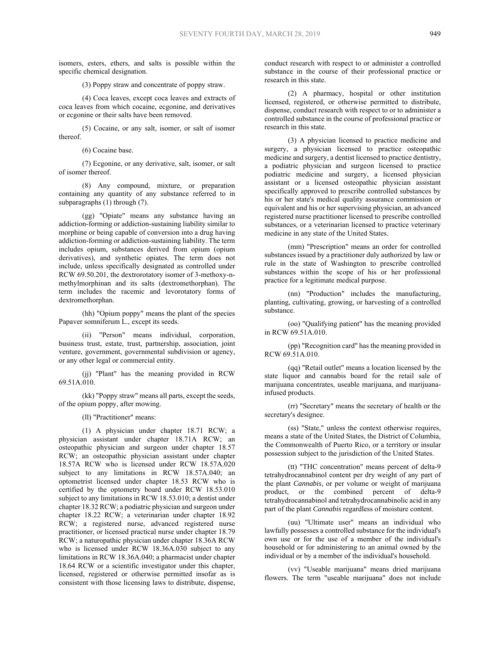isomers, esters, ethers, and salts is possible within the specific chemical designation.

(3) Poppy straw and concentrate of poppy straw.

(4) Coca leaves, except coca leaves and extracts of coca leaves from which cocaine, ecgonine, and derivatives or ecgonine or their salts have been removed.

(5) Cocaine, or any salt, isomer, or salt of isomer thereof.

(6) Cocaine base.

(7) Ecgonine, or any derivative, salt, isomer, or salt of isomer thereof.

(8) Any compound, mixture, or preparation containing any quantity of any substance referred to in subparagraphs (1) through (7).

(gg) "Opiate" means any substance having an addiction-forming or addiction-sustaining liability similar to morphine or being capable of conversion into a drug having addiction-forming or addiction-sustaining liability. The term includes opium, substances derived from opium (opium derivatives), and synthetic opiates. The term does not include, unless specifically designated as controlled under RCW 69.50.201, the dextrorotatory isomer of 3-methoxy-nmethylmorphinan and its salts (dextromethorphan). The term includes the racemic and levorotatory forms of dextromethorphan.

(hh) "Opium poppy" means the plant of the species Papaver somniferum L., except its seeds.

(ii) "Person" means individual, corporation, business trust, estate, trust, partnership, association, joint venture, government, governmental subdivision or agency, or any other legal or commercial entity.

(jj) "Plant" has the meaning provided in RCW 69.51A.010.

(kk) "Poppy straw" means all parts, except the seeds, of the opium poppy, after mowing.

(ll) "Practitioner" means:

(1) A physician under chapter 18.71 RCW; a physician assistant under chapter 18.71A RCW; an osteopathic physician and surgeon under chapter 18.57 RCW; an osteopathic physician assistant under chapter 18.57A RCW who is licensed under RCW 18.57A.020 subject to any limitations in RCW 18.57A.040; an optometrist licensed under chapter 18.53 RCW who is certified by the optometry board under RCW 18.53.010 subject to any limitations in RCW 18.53.010; a dentist under chapter 18.32 RCW; a podiatric physician and surgeon under chapter 18.22 RCW; a veterinarian under chapter 18.92 RCW; a registered nurse, advanced registered nurse practitioner, or licensed practical nurse under chapter 18.79 RCW; a naturopathic physician under chapter 18.36A RCW who is licensed under RCW 18.36A.030 subject to any limitations in RCW 18.36A.040; a pharmacist under chapter 18.64 RCW or a scientific investigator under this chapter, licensed, registered or otherwise permitted insofar as is consistent with those licensing laws to distribute, dispense,

conduct research with respect to or administer a controlled substance in the course of their professional practice or research in this state.

(2) A pharmacy, hospital or other institution licensed, registered, or otherwise permitted to distribute, dispense, conduct research with respect to or to administer a controlled substance in the course of professional practice or research in this state.

(3) A physician licensed to practice medicine and surgery, a physician licensed to practice osteopathic medicine and surgery, a dentist licensed to practice dentistry, a podiatric physician and surgeon licensed to practice podiatric medicine and surgery, a licensed physician assistant or a licensed osteopathic physician assistant specifically approved to prescribe controlled substances by his or her state's medical quality assurance commission or equivalent and his or her supervising physician, an advanced registered nurse practitioner licensed to prescribe controlled substances, or a veterinarian licensed to practice veterinary medicine in any state of the United States.

(mm) "Prescription" means an order for controlled substances issued by a practitioner duly authorized by law or rule in the state of Washington to prescribe controlled substances within the scope of his or her professional practice for a legitimate medical purpose.

(nn) "Production" includes the manufacturing, planting, cultivating, growing, or harvesting of a controlled substance.

(oo) "Qualifying patient" has the meaning provided in RCW 69.51A.010.

(pp) "Recognition card" has the meaning provided in RCW 69.51A.010.

(qq) "Retail outlet" means a location licensed by the state liquor and cannabis board for the retail sale of marijuana concentrates, useable marijuana, and marijuanainfused products.

(rr) "Secretary" means the secretary of health or the secretary's designee.

(ss) "State," unless the context otherwise requires, means a state of the United States, the District of Columbia, the Commonwealth of Puerto Rico, or a territory or insular possession subject to the jurisdiction of the United States.

(tt) "THC concentration" means percent of delta-9 tetrahydrocannabinol content per dry weight of any part of the plant *Cannabis*, or per volume or weight of marijuana product, or the combined percent of delta-9 tetrahydrocannabinol and tetrahydrocannabinolic acid in any part of the plant *Cannabis* regardless of moisture content.

(uu) "Ultimate user" means an individual who lawfully possesses a controlled substance for the individual's own use or for the use of a member of the individual's household or for administering to an animal owned by the individual or by a member of the individual's household.

(vv) "Useable marijuana" means dried marijuana flowers. The term "useable marijuana" does not include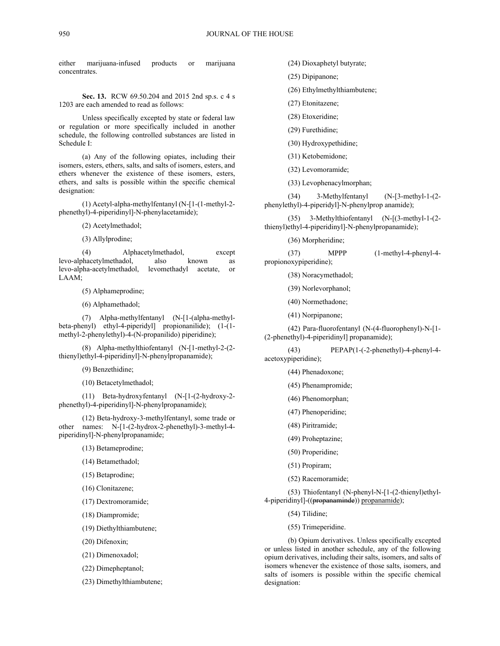either marijuana-infused products or marijuana concentrates.

**Sec. 13.** RCW 69.50.204 and 2015 2nd sp.s. c 4 s 1203 are each amended to read as follows:

Unless specifically excepted by state or federal law or regulation or more specifically included in another schedule, the following controlled substances are listed in Schedule I:

(a) Any of the following opiates, including their isomers, esters, ethers, salts, and salts of isomers, esters, and ethers whenever the existence of these isomers, esters, ethers, and salts is possible within the specific chemical designation:

(1) Acetyl-alpha-methylfentanyl (N-[1-(1-methyl-2 phenethyl)-4-piperidinyl]-N-phenylacetamide);

(2) Acetylmethadol;

(3) Allylprodine;

(4) Alphacetylmethadol, except levo-alphacetylmethadol, also known as levo-alpha-acetylmethadol, levomethadyl acetate, or LAAM;

(5) Alphameprodine;

(6) Alphamethadol;

(7) Alpha-methylfentanyl (N-[1-(alpha-methylbeta-phenyl) ethyl-4-piperidyl] propionanilide); (1-(1 methyl-2-phenylethyl)-4-(N-propanilido) piperidine);

(8) Alpha-methylthiofentanyl (N-[1-methyl-2-(2 thienyl)ethyl-4-piperidinyl]-N-phenylpropanamide);

(9) Benzethidine;

(10) Betacetylmethadol;

(11) Beta-hydroxyfentanyl (N-[1-(2-hydroxy-2 phenethyl)-4-piperidinyl]-N-phenylpropanamide);

(12) Beta-hydroxy-3-methylfentanyl, some trade or other names: N-[1-(2-hydrox-2-phenethyl)-3-methyl-4 piperidinyl]-N-phenylpropanamide;

(13) Betameprodine;

(14) Betamethadol;

(15) Betaprodine;

(16) Clonitazene;

(17) Dextromoramide;

(18) Diampromide;

(19) Diethylthiambutene;

(20) Difenoxin;

(21) Dimenoxadol;

(22) Dimepheptanol;

(23) Dimethylthiambutene;

(24) Dioxaphetyl butyrate;

(25) Dipipanone;

(26) Ethylmethylthiambutene;

- (27) Etonitazene;
- (28) Etoxeridine;
- (29) Furethidine;

(30) Hydroxypethidine;

- (31) Ketobemidone;
- (32) Levomoramide;
- (33) Levophenacylmorphan;

(34) 3-Methylfentanyl (N-[3-methyl-1-(2 phenylethyl)-4-piperidyl]-N-phenylprop anamide);

(35) 3-Methylthiofentanyl (N-[(3-methyl-1-(2 thienyl)ethyl-4-piperidinyl]-N-phenylpropanamide);

(36) Morpheridine;

(37) MPPP (1-methyl-4-phenyl-4 propionoxypiperidine);

(38) Noracymethadol;

- (39) Norlevorphanol;
- (40) Normethadone;
- (41) Norpipanone;

(42) Para-fluorofentanyl (N-(4-fluorophenyl)-N-[1- (2-phenethyl)-4-piperidinyl] propanamide);

(43) PEPAP(1-(-2-phenethyl)-4-phenyl-4 acetoxypiperidine);

- (44) Phenadoxone;
- (45) Phenampromide;
- (46) Phenomorphan;
- (47) Phenoperidine;
- (48) Piritramide;
- (49) Proheptazine;
- (50) Properidine;
- (51) Propiram;
- (52) Racemoramide;

(53) Thiofentanyl (N-phenyl-N-[1-(2-thienyl)ethyl-4-piperidinyl]-((propanaminde)) propanamide);

(54) Tilidine;

(55) Trimeperidine.

(b) Opium derivatives. Unless specifically excepted or unless listed in another schedule, any of the following opium derivatives, including their salts, isomers, and salts of isomers whenever the existence of those salts, isomers, and salts of isomers is possible within the specific chemical designation: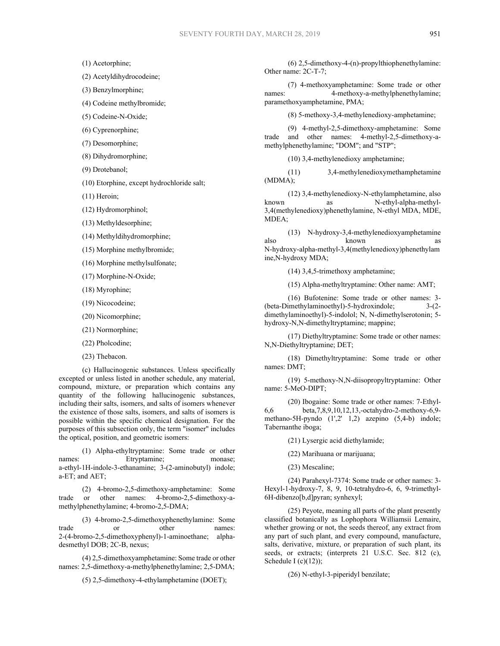(1) Acetorphine;

(2) Acetyldihydrocodeine;

(3) Benzylmorphine;

(4) Codeine methylbromide;

(5) Codeine-N-Oxide;

(6) Cyprenorphine;

(7) Desomorphine;

(8) Dihydromorphine;

(9) Drotebanol;

(10) Etorphine, except hydrochloride salt;

(11) Heroin;

(12) Hydromorphinol;

(13) Methyldesorphine;

(14) Methyldihydromorphine;

(15) Morphine methylbromide;

(16) Morphine methylsulfonate;

(17) Morphine-N-Oxide;

(18) Myrophine;

(19) Nicocodeine;

(20) Nicomorphine;

(21) Normorphine;

(22) Pholcodine;

(23) Thebacon.

(c) Hallucinogenic substances. Unless specifically excepted or unless listed in another schedule, any material, compound, mixture, or preparation which contains any quantity of the following hallucinogenic substances, including their salts, isomers, and salts of isomers whenever the existence of those salts, isomers, and salts of isomers is possible within the specific chemical designation. For the purposes of this subsection only, the term "isomer" includes the optical, position, and geometric isomers:

(1) Alpha-ethyltryptamine: Some trade or other names: Etryptamine; monase; a-ethyl-1H-indole-3-ethanamine; 3-(2-aminobutyl) indole; a-ET; and AET;

(2) 4-bromo-2,5-dimethoxy-amphetamine: Some trade or other names: 4-bromo-2,5-dimethoxy-amethylphenethylamine; 4-bromo-2,5-DMA;

(3) 4-bromo-2,5-dimethoxyphenethylamine: Some trade or other names: 2-(4-bromo-2,5-dimethoxyphenyl)-1-aminoethane; alphadesmethyl DOB; 2C-B, nexus;

(4) 2,5-dimethoxyamphetamine: Some trade or other names: 2,5-dimethoxy-a-methylphenethylamine; 2,5-DMA;

(5) 2,5-dimethoxy-4-ethylamphetamine (DOET);

(6) 2,5-dimethoxy-4-(n)-propylthiophenethylamine: Other name: 2C-T-7;

(7) 4-methoxyamphetamine: Some trade or other names: 4-methoxy-a-methylphenethylamine; paramethoxyamphetamine, PMA;

(8) 5-methoxy-3,4-methylenedioxy-amphetamine;

(9) 4-methyl-2,5-dimethoxy-amphetamine: Some trade and other names: 4-methyl-2,5-dimethoxy-amethylphenethylamine; "DOM"; and "STP";

(10) 3,4-methylenedioxy amphetamine;

(11) 3,4-methylenedioxymethamphetamine (MDMA);

(12) 3,4-methylenedioxy-N-ethylamphetamine, also known as N-ethyl-alpha-methyl-3,4(methylenedioxy)phenethylamine, N-ethyl MDA, MDE, MDEA;

(13) N-hydroxy-3,4-methylenedioxyamphetamine also known as N-hydroxy-alpha-methyl-3,4(methylenedioxy)phenethylam ine,N-hydroxy MDA;

(14) 3,4,5-trimethoxy amphetamine;

(15) Alpha-methyltryptamine: Other name: AMT;

(16) Bufotenine: Some trade or other names: 3- (beta-Dimethylaminoethyl)-5-hydroxindole; 3-(2 dimethylaminoethyl)-5-indolol; N, N-dimethylserotonin; 5 hydroxy-N,N-dimethyltryptamine; mappine;

(17) Diethyltryptamine: Some trade or other names: N,N-Diethyltryptamine; DET;

(18) Dimethyltryptamine: Some trade or other names: DMT;

(19) 5-methoxy-N,N-diisopropyltryptamine: Other name: 5-MeO-DIPT;

(20) Ibogaine: Some trade or other names: 7-Ethyl-6,6 beta,7,8,9,10,12,13,-octahydro-2-methoxy-6,9 methano-5H-pyndo (1',2' 1,2) azepino (5,4-b) indole; Tabernanthe iboga;

(21) Lysergic acid diethylamide;

(22) Marihuana or marijuana;

(23) Mescaline;

(24) Parahexyl-7374: Some trade or other names: 3- Hexyl-1-hydroxy-7, 8, 9, 10-tetrahydro-6, 6, 9-trimethyl-6H-dibenzo[b,d]pyran; synhexyl;

(25) Peyote, meaning all parts of the plant presently classified botanically as Lophophora Williamsii Lemaire, whether growing or not, the seeds thereof, any extract from any part of such plant, and every compound, manufacture, salts, derivative, mixture, or preparation of such plant, its seeds, or extracts; (interprets 21 U.S.C. Sec. 812 (c), Schedule I (c) $(12)$ );

(26) N-ethyl-3-piperidyl benzilate;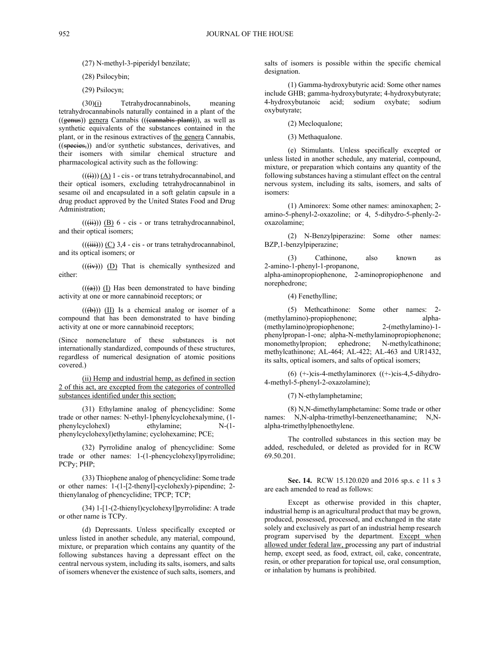(28) Psilocybin;

(29) Psilocyn;

(30)(i) Tetrahydrocannabinols, meaning tetrahydrocannabinols naturally contained in a plant of the ((genus)) genera Cannabis (((cannabis plant))), as well as synthetic equivalents of the substances contained in the plant, or in the resinous extractives of the genera Cannabis,  $($ (species,)) and/or synthetic substances, derivatives, and their isomers with similar chemical structure and pharmacological activity such as the following:

 $((\overrightarrow{ii})) (\overrightarrow{A})$  1 - cis - or trans tetrahydrocannabinol, and their optical isomers, excluding tetrahydrocannabinol in sesame oil and encapsulated in a soft gelatin capsule in a drug product approved by the United States Food and Drug Administration;

 $(((ii))$  (B) 6 - cis - or trans tetrahydrocannabinol, and their optical isomers;

 $((\overrightarrow{iii}))$  (C) 3,4 - cis - or trans tetrahydrocannabinol, and its optical isomers; or

 $((iv))$  (D) That is chemically synthesized and either:

 $((a))$  (I) Has been demonstrated to have binding activity at one or more cannabinoid receptors; or

 $((\forall\rightarrow))$  (II) Is a chemical analog or isomer of a compound that has been demonstrated to have binding activity at one or more cannabinoid receptors;

(Since nomenclature of these substances is not internationally standardized, compounds of these structures, regardless of numerical designation of atomic positions covered.)

(ii) Hemp and industrial hemp, as defined in section 2 of this act, are excepted from the categories of controlled substances identified under this section;

(31) Ethylamine analog of phencyclidine: Some trade or other names: N-ethyl-1phenylcyclohexalymine, (1 phenylcyclohexl) ethylamine; N-(1 phenylcyclohexyl)ethylamine; cyclohexamine; PCE;

(32) Pyrrolidine analog of phencyclidine: Some trade or other names: 1-(1-phencyclohexyl)pyrrolidine; PCPy; PHP;

(33) Thiophene analog of phencyclidine: Some trade or other names: 1-(1-[2-thenyl]-cyclohexly)-pipendine; 2 thienylanalog of phencyclidine; TPCP; TCP;

(34) 1-[1-(2-thienyl)cyclohexyl]pyrrolidine: A trade or other name is TCPy.

(d) Depressants. Unless specifically excepted or unless listed in another schedule, any material, compound, mixture, or preparation which contains any quantity of the following substances having a depressant effect on the central nervous system, including its salts, isomers, and salts of isomers whenever the existence of such salts, isomers, and salts of isomers is possible within the specific chemical designation.

(1) Gamma-hydroxybutyric acid: Some other names include GHB; gamma-hydroxybutyrate; 4-hydroxybutyrate; 4-hydroxybutanoic acid; sodium oxybate; sodium oxybutyrate;

(2) Mecloqualone;

(3) Methaqualone.

(e) Stimulants. Unless specifically excepted or unless listed in another schedule, any material, compound, mixture, or preparation which contains any quantity of the following substances having a stimulant effect on the central nervous system, including its salts, isomers, and salts of isomers:

(1) Aminorex: Some other names: aminoxaphen; 2 amino-5-phenyl-2-oxazoline; or 4, 5-dihydro-5-phenly-2 oxazolamine;

(2) N-Benzylpiperazine: Some other names: BZP,1-benzylpiperazine;

(3) Cathinone, also known as 2-amino-1-phenyl-1-propanone, alpha-aminopropiophenone, 2-aminopropiophenone and norephedrone;

(4) Fenethylline;

(5) Methcathinone: Some other names: 2- (methylamino)-propiophenone; alpha- (methylamino)propiophenone; 2-(methylamino)-1 phenylpropan-1-one; alpha-N-methylaminopropiophenone; monomethylpropion; ephedrone; N-methylcathinone; methylcathinone; AL-464; AL-422; AL-463 and UR1432, its salts, optical isomers, and salts of optical isomers;

 $(6)$  (+-)cis-4-methylaminorex  $((+)$ cis-4,5-dihydro-4-methyl-5-phenyl-2-oxazolamine);

(7) N-ethylamphetamine;

(8) N,N-dimethylamphetamine: Some trade or other names: N,N-alpha-trimethyl-benzeneethanamine; N,Nalpha-trimethylphenoethylene.

The controlled substances in this section may be added, rescheduled, or deleted as provided for in RCW 69.50.201.

**Sec. 14.** RCW 15.120.020 and 2016 sp.s. c 11 s 3 are each amended to read as follows:

Except as otherwise provided in this chapter, industrial hemp is an agricultural product that may be grown, produced, possessed, processed, and exchanged in the state solely and exclusively as part of an industrial hemp research program supervised by the department. Except when allowed under federal law, processing any part of industrial hemp, except seed, as food, extract, oil, cake, concentrate, resin, or other preparation for topical use, oral consumption, or inhalation by humans is prohibited.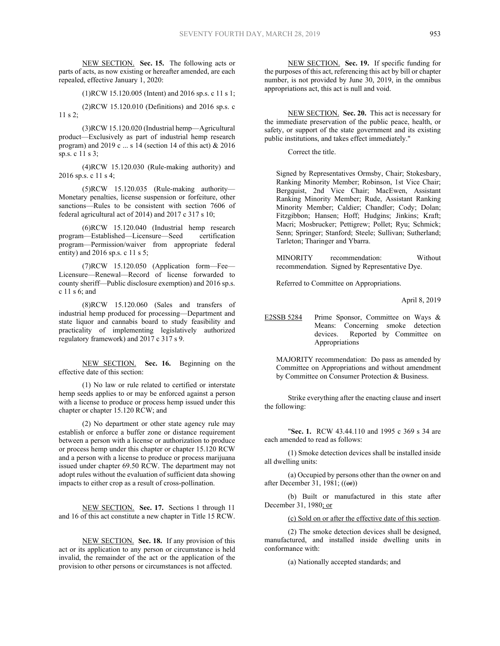NEW SECTION. **Sec. 15.** The following acts or parts of acts, as now existing or hereafter amended, are each repealed, effective January 1, 2020:

(1)RCW 15.120.005 (Intent) and 2016 sp.s. c 11 s 1;

(2)RCW 15.120.010 (Definitions) and 2016 sp.s. c 11 s 2;

(3)RCW 15.120.020 (Industrial hemp—Agricultural product—Exclusively as part of industrial hemp research program) and 2019 c ... s 14 (section 14 of this act) & 2016 sp.s. c 11 s 3;

(4)RCW 15.120.030 (Rule-making authority) and 2016 sp.s. c 11 s 4;

(5)RCW 15.120.035 (Rule-making authority— Monetary penalties, license suspension or forfeiture, other sanctions—Rules to be consistent with section 7606 of federal agricultural act of 2014) and 2017 c 317 s 10;

(6)RCW 15.120.040 (Industrial hemp research program—Established—Licensure—Seed certification program—Permission/waiver from appropriate federal entity) and 2016 sp.s. c 11 s 5;

(7)RCW 15.120.050 (Application form—Fee— Licensure—Renewal—Record of license forwarded to county sheriff—Public disclosure exemption) and 2016 sp.s. c 11 s 6; and

(8)RCW 15.120.060 (Sales and transfers of industrial hemp produced for processing—Department and state liquor and cannabis board to study feasibility and practicality of implementing legislatively authorized regulatory framework) and 2017 c 317 s 9.

NEW SECTION. **Sec. 16.** Beginning on the effective date of this section:

(1) No law or rule related to certified or interstate hemp seeds applies to or may be enforced against a person with a license to produce or process hemp issued under this chapter or chapter 15.120 RCW; and

(2) No department or other state agency rule may establish or enforce a buffer zone or distance requirement between a person with a license or authorization to produce or process hemp under this chapter or chapter 15.120 RCW and a person with a license to produce or process marijuana issued under chapter 69.50 RCW. The department may not adopt rules without the evaluation of sufficient data showing impacts to either crop as a result of cross-pollination.

NEW SECTION. **Sec. 17.** Sections 1 through 11 and 16 of this act constitute a new chapter in Title 15 RCW.

NEW SECTION. **Sec. 18.** If any provision of this act or its application to any person or circumstance is held invalid, the remainder of the act or the application of the provision to other persons or circumstances is not affected.

NEW SECTION. **Sec. 19.** If specific funding for the purposes of this act, referencing this act by bill or chapter number, is not provided by June 30, 2019, in the omnibus appropriations act, this act is null and void.

NEW SECTION. **Sec. 20.** This act is necessary for the immediate preservation of the public peace, health, or safety, or support of the state government and its existing public institutions, and takes effect immediately."

Correct the title.

Signed by Representatives Ormsby, Chair; Stokesbary, Ranking Minority Member; Robinson, 1st Vice Chair; Bergquist, 2nd Vice Chair; MacEwen, Assistant Ranking Minority Member; Rude, Assistant Ranking Minority Member; Caldier; Chandler; Cody; Dolan; Fitzgibbon; Hansen; Hoff; Hudgins; Jinkins; Kraft; Macri; Mosbrucker; Pettigrew; Pollet; Ryu; Schmick; Senn; Springer; Stanford; Steele; Sullivan; Sutherland; Tarleton; Tharinger and Ybarra.

MINORITY recommendation: Without recommendation. Signed by Representative Dye.

Referred to Committee on Appropriations.

April 8, 2019

E2SSB 5284 Prime Sponsor, Committee on Ways & Means: Concerning smoke detection devices. Reported by Committee on Appropriations

MAJORITY recommendation: Do pass as amended by Committee on Appropriations and without amendment by Committee on Consumer Protection & Business.

Strike everything after the enacting clause and insert the following:

"**Sec. 1.** RCW 43.44.110 and 1995 c 369 s 34 are each amended to read as follows:

(1) Smoke detection devices shall be installed inside all dwelling units:

(a) Occupied by persons other than the owner on and after December 31, 1981;  $((\text{or})$ )

(b) Built or manufactured in this state after December 31, 1980; or

(c) Sold on or after the effective date of this section.

(2) The smoke detection devices shall be designed, manufactured, and installed inside dwelling units in conformance with:

(a) Nationally accepted standards; and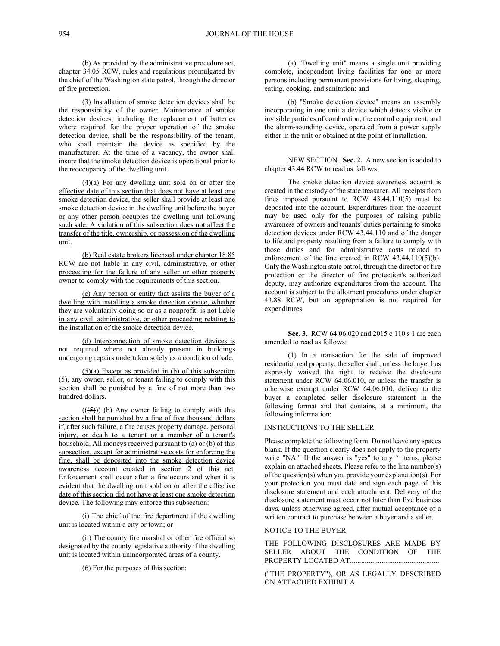(b) As provided by the administrative procedure act, chapter 34.05 RCW, rules and regulations promulgated by the chief of the Washington state patrol, through the director of fire protection.

(3) Installation of smoke detection devices shall be the responsibility of the owner. Maintenance of smoke detection devices, including the replacement of batteries where required for the proper operation of the smoke detection device, shall be the responsibility of the tenant, who shall maintain the device as specified by the manufacturer. At the time of a vacancy, the owner shall insure that the smoke detection device is operational prior to the reoccupancy of the dwelling unit.

 $(4)(a)$  For any dwelling unit sold on or after the effective date of this section that does not have at least one smoke detection device, the seller shall provide at least one smoke detection device in the dwelling unit before the buyer or any other person occupies the dwelling unit following such sale. A violation of this subsection does not affect the transfer of the title, ownership, or possession of the dwelling unit.

(b) Real estate brokers licensed under chapter 18.85 RCW are not liable in any civil, administrative, or other proceeding for the failure of any seller or other property owner to comply with the requirements of this section.

(c) Any person or entity that assists the buyer of a dwelling with installing a smoke detection device, whether they are voluntarily doing so or as a nonprofit, is not liable in any civil, administrative, or other proceeding relating to the installation of the smoke detection device.

(d) Interconnection of smoke detection devices is not required where not already present in buildings undergoing repairs undertaken solely as a condition of sale.

 $(5)(a)$  Except as provided in (b) of this subsection (5), any owner, seller, or tenant failing to comply with this section shall be punished by a fine of not more than two hundred dollars.

 $((\left(5\right)))$  (b) Any owner failing to comply with this section shall be punished by a fine of five thousand dollars if, after such failure, a fire causes property damage, personal injury, or death to a tenant or a member of a tenant's household. All moneys received pursuant to (a) or (b) of this subsection, except for administrative costs for enforcing the fine, shall be deposited into the smoke detection device awareness account created in section 2 of this act. Enforcement shall occur after a fire occurs and when it is evident that the dwelling unit sold on or after the effective date of this section did not have at least one smoke detection device. The following may enforce this subsection:

(i) The chief of the fire department if the dwelling unit is located within a city or town; or

(ii) The county fire marshal or other fire official so designated by the county legislative authority if the dwelling unit is located within unincorporated areas of a county.

(6) For the purposes of this section:

(a) "Dwelling unit" means a single unit providing complete, independent living facilities for one or more persons including permanent provisions for living, sleeping, eating, cooking, and sanitation; and

(b) "Smoke detection device" means an assembly incorporating in one unit a device which detects visible or invisible particles of combustion, the control equipment, and the alarm-sounding device, operated from a power supply either in the unit or obtained at the point of installation.

NEW SECTION. **Sec. 2.** A new section is added to chapter 43.44 RCW to read as follows:

The smoke detection device awareness account is created in the custody of the state treasurer. All receipts from fines imposed pursuant to RCW  $43.44.110(5)$  must be deposited into the account. Expenditures from the account may be used only for the purposes of raising public awareness of owners and tenants' duties pertaining to smoke detection devices under RCW 43.44.110 and of the danger to life and property resulting from a failure to comply with those duties and for administrative costs related to enforcement of the fine created in RCW 43.44.110(5)(b). Only the Washington state patrol, through the director of fire protection or the director of fire protection's authorized deputy, may authorize expenditures from the account. The account is subject to the allotment procedures under chapter 43.88 RCW, but an appropriation is not required for expenditures.

**Sec. 3.** RCW 64.06.020 and 2015 c 110 s 1 are each amended to read as follows:

(1) In a transaction for the sale of improved residential real property, the seller shall, unless the buyer has expressly waived the right to receive the disclosure statement under RCW 64.06.010, or unless the transfer is otherwise exempt under RCW 64.06.010, deliver to the buyer a completed seller disclosure statement in the following format and that contains, at a minimum, the following information:

# INSTRUCTIONS TO THE SELLER

Please complete the following form. Do not leave any spaces blank. If the question clearly does not apply to the property write "NA." If the answer is "yes" to any \* items, please explain on attached sheets. Please refer to the line number(s) of the question(s) when you provide your explanation(s). For your protection you must date and sign each page of this disclosure statement and each attachment. Delivery of the disclosure statement must occur not later than five business days, unless otherwise agreed, after mutual acceptance of a written contract to purchase between a buyer and a seller.

## NOTICE TO THE BUYER

THE FOLLOWING DISCLOSURES ARE MADE BY SELLER ABOUT THE CONDITION OF THE PROPERTY LOCATED AT ................................................

("THE PROPERTY"), OR AS LEGALLY DESCRIBED ON ATTACHED EXHIBIT A.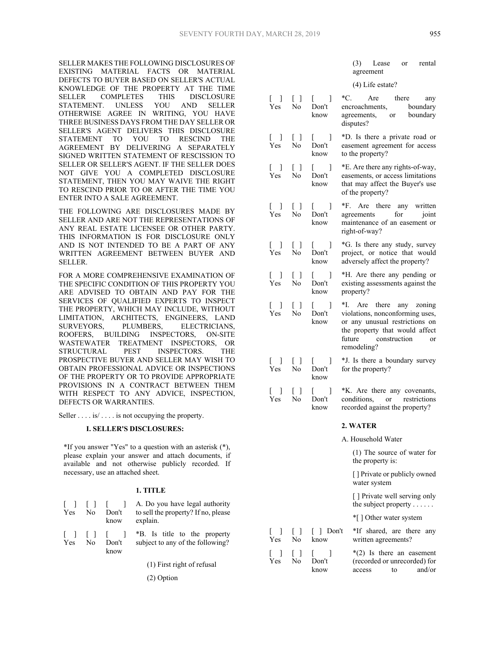SELLER MAKES THE FOLLOWING DISCLOSURES OF EXISTING MATERIAL FACTS OR MATERIAL DEFECTS TO BUYER BASED ON SELLER'S ACTUAL KNOWLEDGE OF THE PROPERTY AT THE TIME SELLER COMPLETES THIS DISCLOSURE STATEMENT. UNLESS YOU AND SELLER OTHERWISE AGREE IN WRITING, YOU HAVE THREE BUSINESS DAYS FROM THE DAY SELLER OR SELLER'S AGENT DELIVERS THIS DISCLOSURE<br>STATEMENT TO YOU TO RESCIND THE STATEMENT TO YOU TO RESCIND THE AGREEMENT BY DELIVERING A SEPARATELY SIGNED WRITTEN STATEMENT OF RESCISSION TO SELLER OR SELLER'S AGENT. IF THE SELLER DOES NOT GIVE YOU A COMPLETED DISCLOSURE STATEMENT, THEN YOU MAY WAIVE THE RIGHT TO RESCIND PRIOR TO OR AFTER THE TIME YOU ENTER INTO A SALE AGREEMENT.

THE FOLLOWING ARE DISCLOSURES MADE BY SELLER AND ARE NOT THE REPRESENTATIONS OF ANY REAL ESTATE LICENSEE OR OTHER PARTY. THIS INFORMATION IS FOR DISCLOSURE ONLY AND IS NOT INTENDED TO BE A PART OF ANY WRITTEN AGREEMENT BETWEEN BUYER AND SELLER.

FOR A MORE COMPREHENSIVE EXAMINATION OF THE SPECIFIC CONDITION OF THIS PROPERTY YOU ARE ADVISED TO OBTAIN AND PAY FOR THE SERVICES OF QUALIFIED EXPERTS TO INSPECT THE PROPERTY, WHICH MAY INCLUDE, WITHOUT LIMITATION, ARCHITECTS, ENGINEERS, LAND SURVEYORS, PLUMBERS, ELECTRICIANS, ROOFERS, BUILDING INSPECTORS, ON-SITE WASTEWATER TREATMENT INSPECTORS, OR STRUCTURAL PEST INSPECTORS. THE PROSPECTIVE BUYER AND SELLER MAY WISH TO OBTAIN PROFESSIONAL ADVICE OR INSPECTIONS OF THE PROPERTY OR TO PROVIDE APPROPRIATE PROVISIONS IN A CONTRACT BETWEEN THEM WITH RESPECT TO ANY ADVICE, INSPECTION, DEFECTS OR WARRANTIES.

Seller . . . . is/ . . . . is not occupying the property.

#### **I. SELLER'S DISCLOSURES:**

\*If you answer "Yes" to a question with an asterisk (\*), please explain your answer and attach documents, if available and not otherwise publicly recorded. If necessary, use an attached sheet.

#### **1. TITLE**

| 1 1 1 1 1<br>Yes                               | No | Don't<br>know                   | A. Do you have legal authority<br>to sell the property? If no, please<br>explain. |
|------------------------------------------------|----|---------------------------------|-----------------------------------------------------------------------------------|
| $\begin{array}{ccc} \end{array}$<br><b>Yes</b> | No | $\blacksquare$<br>Don't<br>know | *B. Is title to the property<br>subject to any of the following?                  |

(1) First right of refusal

[ ] Yes

 $\Box$ Yes

 $\lceil$   $\rceil$ No

> $\lceil$   $\rceil$ No

Don't know

(2) Option

|                                          |                  |                                                                                             | (4) Life estate?                                                                                                                                                            |
|------------------------------------------|------------------|---------------------------------------------------------------------------------------------|-----------------------------------------------------------------------------------------------------------------------------------------------------------------------------|
| $[\quad]$<br>Yes                         | $[\ ]$<br>No     | $\mathbb{R}^n$<br>1<br>Don't<br>know                                                        | *C.<br>Are there<br>any<br>encroachments,<br>boundary<br>encroachments, boundary<br>agreements, or boundary<br>disputes?                                                    |
| $\begin{bmatrix} 1 \end{bmatrix}$<br>Yes | $\Box$<br>No     | $\begin{bmatrix} 1 & 1 \end{bmatrix}$<br>Don't<br>know                                      | *D. Is there a private road or<br>easement agreement for access<br>to the property?                                                                                         |
| $\left[ \quad \right]$<br>Yes            | $\Box$<br>No     | $\mathbb{R}^n$<br>1<br>Don't<br>know                                                        | *E. Are there any rights-of-way,<br>easements, or access limitations<br>that may affect the Buyer's use<br>of the property?                                                 |
| $[\quad]$<br>Yes                         | $\Box$<br>No     | $\mathbf{L}$<br>1<br>Don't<br>know                                                          | *F. Are there any written<br>agreements for<br>joint<br>maintenance of an easement or<br>right-of-way?                                                                      |
| $[\quad]$<br>Yes                         | $\Box$<br>No     | $\begin{bmatrix} 1 \end{bmatrix}$<br>Don't<br>know                                          | *G. Is there any study, survey<br>project, or notice that would<br>adversely affect the property?                                                                           |
| $\left[ \quad \right]$<br>Yes            | $\lceil$ 1<br>No | $\begin{bmatrix} 1 & 1 \\ 1 & 1 \end{bmatrix}$<br>$\overline{\phantom{a}}$<br>Don't<br>know | *H. Are there any pending or<br>existing assessments against the<br>property?                                                                                               |
| $[\quad]$<br>Yes                         | $\Box$<br>No     | $\begin{bmatrix} 1 & 1 \\ 1 & 1 \end{bmatrix}$<br>1<br>Don't<br>know                        | *I. Are there any zoning<br>violations, nonconforming uses,<br>or any unusual restrictions on<br>the property that would affect<br>future construction<br>or<br>remodeling? |
| $[\quad]$<br>Yes                         | $\Box$<br>No     | f.<br>-1<br>Don't<br>know                                                                   | *J. Is there a boundary survey<br>for the property?                                                                                                                         |
| [<br>1<br>Yes                            | $\Box$<br>No     | f.<br>1<br>Don't<br>know                                                                    | *K. Are there any covenants,<br>conditions, or restrictions<br>recorded against the property?                                                                               |
|                                          |                  |                                                                                             | 2. WATER                                                                                                                                                                    |
|                                          |                  |                                                                                             | A. Household Water                                                                                                                                                          |
|                                          |                  |                                                                                             | $(1)$ The source of water for<br>the property is:                                                                                                                           |
|                                          |                  |                                                                                             | [] Private or publicly owned<br>water system                                                                                                                                |
|                                          |                  |                                                                                             | [] Private well serving only<br>the subject property                                                                                                                        |

\*[ ] Other water system

|      | [ ] Don't *If shared, are there any |
|------|-------------------------------------|
| know | written agreements?                 |
|      | $*(2)$ Is there an easement         |

(recorded or unrecorded) for access to and/or

(3) Lease or rental

agreement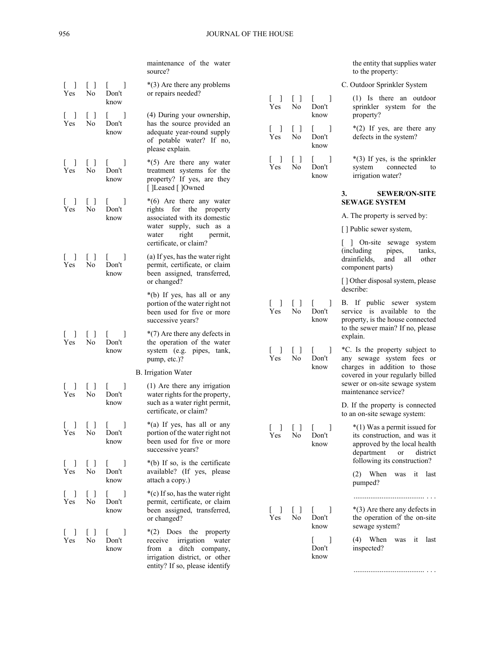|                       |                                                 |                                 | maintenance of the water<br>source?                                                                                                            |                                 |                                       |                                                   | the entity that supplies water<br>to the property:                                                                           |
|-----------------------|-------------------------------------------------|---------------------------------|------------------------------------------------------------------------------------------------------------------------------------------------|---------------------------------|---------------------------------------|---------------------------------------------------|------------------------------------------------------------------------------------------------------------------------------|
|                       | $\begin{array}{c} \square \end{array}$          | $\overline{1}$                  | $*(3)$ Are there any problems                                                                                                                  |                                 |                                       |                                                   | C. Outdoor Sprinkler System                                                                                                  |
| Yes                   | No<br>$\Box$                                    | Don't<br>know                   | or repairs needed?<br>(4) During your ownership,                                                                                               | - 1<br>Yes                      | $\Box$<br>No                          | $\overline{1}$<br>Don't<br>know                   | $(1)$ Is there an outdoor<br>sprinkler system for the<br>property?                                                           |
| Yes                   | No                                              | Don't<br>know                   | has the source provided an<br>adequate year-round supply<br>of potable water? If no,<br>please explain.                                        | $\overline{\phantom{a}}$<br>Yes | $[\ ]$<br>No                          | $\mathbf{L}$<br>Don't<br>know                     | $*(2)$ If yes, are there any<br>defects in the system?                                                                       |
| Yes                   | No                                              | Don't<br>know                   | $*(5)$ Are there any water<br>treatment systems for the<br>property? If yes, are they<br>[ ]Leased [ ]Owned                                    | $\overline{\phantom{a}}$<br>Yes | $[\ ]$<br>No                          | L<br>Don't<br>know                                | $*(3)$ If yes, is the sprinkler<br>system<br>connected<br>to<br>irrigation water?                                            |
| Yes                   | No                                              | Don't                           | $*(6)$ Are there any water<br>rights for the property                                                                                          |                                 |                                       |                                                   | <b>SEWER/ON-SITE</b><br>3.<br><b>SEWAGE SYSTEM</b>                                                                           |
|                       |                                                 | know                            | associated with its domestic                                                                                                                   |                                 |                                       |                                                   | A. The property is served by:                                                                                                |
|                       |                                                 |                                 | water supply, such as a<br>right<br>water<br>permit,                                                                                           |                                 |                                       |                                                   | [] Public sewer system,                                                                                                      |
| Yes                   | No                                              | $\overline{1}$<br>Don't         | certificate, or claim?<br>(a) If yes, has the water right<br>permit, certificate, or claim                                                     |                                 |                                       |                                                   | On-site sewage<br>system<br>(including)<br>pipes,<br>tanks,<br>drainfields,<br>other<br>and<br>all<br>component parts)       |
|                       |                                                 | know                            | been assigned, transferred,<br>or changed?                                                                                                     |                                 |                                       |                                                   | [] Other disposal system, please<br>describe:                                                                                |
|                       |                                                 |                                 | *(b) If yes, has all or any<br>portion of the water right not<br>been used for five or more<br>successive years?                               | $\lceil$<br>Yes                 | $[\ ]$<br>No                          | 1<br>L<br>Don't<br>know                           | B. If public sewer system<br>service is available to the<br>property, is the house connected                                 |
| Yes                   | No                                              | $\overline{1}$<br>Don't<br>know | $*(7)$ Are there any defects in<br>the operation of the water<br>system (e.g. pipes, tank,<br>pump, etc.)?                                     | $\overline{a}$<br>Yes           | $\Box$<br>No                          | Don't                                             | to the sewer main? If no, please<br>explain.<br>*C. Is the property subject to<br>any sewage system fees or                  |
|                       |                                                 |                                 | <b>B.</b> Irrigation Water                                                                                                                     |                                 |                                       | know                                              | charges in addition to those                                                                                                 |
| Yes                   | No                                              | $\mathbf{I}$<br>Don't           | $(1)$ Are there any irrigation<br>water rights for the property,                                                                               |                                 |                                       |                                                   | covered in your regularly billed<br>sewer or on-site sewage system<br>maintenance service?                                   |
|                       |                                                 | know                            | such as a water right permit,<br>certificate, or claim?                                                                                        |                                 |                                       |                                                   | D. If the property is connected<br>to an on-site sewage system:                                                              |
| Yes                   | $\begin{bmatrix} 1 & 1 & 1 \end{bmatrix}$<br>No | $\perp$<br>Don't<br>know        | *(a) If yes, has all or any<br>portion of the water right not<br>been used for five or more<br>successive years?                               | $[ \quad ]$<br>Yes              | $[\ ]$<br>No                          | $\mathbf{I}$<br>Don't<br>know                     | *(1) Was a permit issued for<br>its construction, and was it<br>approved by the local health<br>department<br>or<br>district |
| $\Box$<br>Yes         | $\Box$<br>No                                    | -1<br>L<br>Don't<br>know        | *(b) If so, is the certificate<br>available? (If yes, please<br>attach a copy.)                                                                |                                 |                                       |                                                   | following its construction?<br>(2) When was it last                                                                          |
| $\lfloor \ \ \rfloor$ | $[\ ]$                                          | $\mathbf{1}$<br>L               | *(c) If so, has the water right                                                                                                                |                                 |                                       |                                                   | pumped?                                                                                                                      |
| Yes                   | No                                              | Don't<br>know                   | permit, certificate, or claim<br>been assigned, transferred,<br>or changed?                                                                    | $\mathbf{I}$<br>Yes             | $\begin{bmatrix} \end{bmatrix}$<br>No | $\mathbf{L}$<br>$\overline{\phantom{a}}$<br>Don't | $*(3)$ Are there any defects in<br>the operation of the on-site                                                              |
| L<br>Yes              | $\begin{bmatrix} \end{bmatrix}$<br>No           | Don't<br>know                   | *(2) Does the property<br>receive irrigation water<br>from a ditch company,<br>irrigation district, or other<br>entity? If so, please identify |                                 |                                       | know<br>L<br>- 1<br>Don't<br>know                 | sewage system?<br>(4) When was it last<br>inspected?                                                                         |

...................................... . . .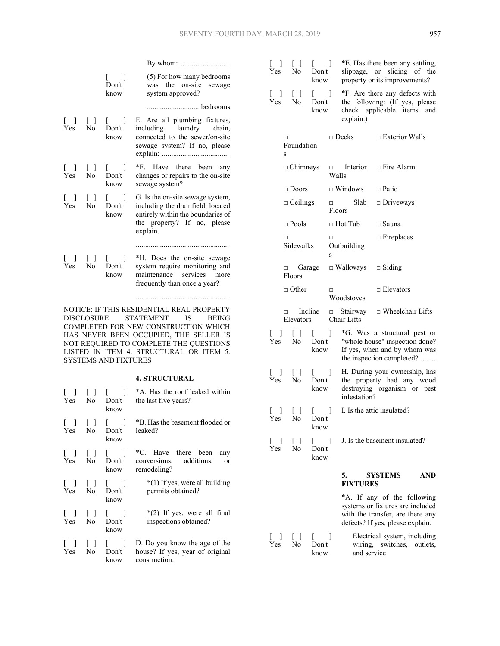|                                                       |                                                      | $\blacksquare$<br>Don't<br>know                        | (5) For how many bedrooms<br>was the on-site sewage<br>system approved?                                                                               |
|-------------------------------------------------------|------------------------------------------------------|--------------------------------------------------------|-------------------------------------------------------------------------------------------------------------------------------------------------------|
|                                                       |                                                      |                                                        | bedrooms                                                                                                                                              |
| Yes                                                   | $\begin{bmatrix} 1 & 1 \\ 1 & 1 \end{bmatrix}$<br>No | $\begin{bmatrix} 1 & 1 \end{bmatrix}$<br>Don't<br>know | E. Are all plumbing fixtures,<br>including laundry drain,<br>connected to the sewer/on-site<br>sewage system? If no, please                           |
| $\Box$<br><b>Yes</b>                                  | $\Box$<br>N <sub>0</sub>                             | $\Box$<br>Don't<br>know                                | *F. Have there been any<br>changes or repairs to the on-site<br>sewage system?                                                                        |
| Γl<br>Yes.                                            | $\lceil$ 1<br>N <sub>0</sub>                         | $\begin{bmatrix} 1 \end{bmatrix}$<br>Don't<br>know     | G. Is the on-site sewage system,<br>including the drainfield, located<br>entirely within the boundaries of<br>the property? If no, please<br>explain. |
|                                                       |                                                      |                                                        |                                                                                                                                                       |
| $\begin{bmatrix} 1 & 1 \\ 1 & 1 \end{bmatrix}$<br>Yes | N <sub>0</sub>                                       | $\begin{bmatrix} 1 & 1 \end{bmatrix}$<br>Don't<br>know | *H. Does the on-site sewage<br>system require monitoring and<br>maintenance services<br>more<br>frequently than once a year?                          |
|                                                       |                                                      |                                                        |                                                                                                                                                       |

NOTICE: IF THIS RESIDENTIAL REAL PROPERTY DISCLOSURE STATEMENT IS BEING COMPLETED FOR NEW CONSTRUCTION WHICH HAS NEVER BEEN OCCUPIED, THE SELLER IS NOT REQUIRED TO COMPLETE THE QUESTIONS LISTED IN ITEM 4. STRUCTURAL OR ITEM 5. SYSTEMS AND FIXTURES

# **4. STRUCTURAL**

| ΓI<br>Yes        | Γl<br>No                                                         | Don't<br>know                                          | *A. Has the roof leaked within<br>the last five years?                            |
|------------------|------------------------------------------------------------------|--------------------------------------------------------|-----------------------------------------------------------------------------------|
| ſΙ<br><b>Yes</b> | $\Box$<br>No                                                     | $\begin{bmatrix} 1 & 1 \end{bmatrix}$<br>Don't<br>know | *B. Has the basement flooded or<br>leaked?                                        |
| 111<br>Yes       | N <sub>0</sub>                                                   | $\Box$<br>Don't<br>know                                | *C. Have there been<br>any<br>conversions, additions,<br>or<br>remodeling?        |
| Γl<br>Yes        | $\Box$<br>N <sub>0</sub>                                         | $\begin{bmatrix} 1 & 1 \end{bmatrix}$<br>Don't<br>know | *(1) If yes, were all building<br>permits obtained?                               |
| Yes              | $\begin{bmatrix} 1 & 1 \\ 1 & 1 \end{bmatrix}$<br>N <sub>0</sub> | $\Box$<br>Don't<br>know                                | $*(2)$ If yes, were all final<br>inspections obtained?                            |
| $\Box$<br>Yes    | $\Box$<br>No                                                     | $\begin{bmatrix} 1 & 1 \end{bmatrix}$<br>Don't<br>know | D. Do you know the age of the<br>house? If yes, year of original<br>construction: |

| $[\quad]$<br>Yes.                                     | $\begin{bmatrix} \end{bmatrix}$<br>No        | L<br>Don't<br>know                                              | 1                |                                | *E. Has there been any settling,<br>slippage, or sliding of the<br>property or its improvements?                            |     |
|-------------------------------------------------------|----------------------------------------------|-----------------------------------------------------------------|------------------|--------------------------------|-----------------------------------------------------------------------------------------------------------------------------|-----|
| $[\quad]$<br>Yes                                      | $\begin{array}{c} \square \end{array}$<br>No | $\begin{bmatrix} 1 & 1 \\ 1 & 1 \end{bmatrix}$<br>Don't<br>know |                  | explain.)                      | *F. Are there any defects with<br>the following: (If yes, please<br>check applicable items and                              |     |
|                                                       | □<br>Foundation<br>S                         |                                                                 |                  | $\Box$ Decks                   | $\Box$ Exterior Walls                                                                                                       |     |
|                                                       | $\Box$ Chimneys                              |                                                                 | Walls            |                                | $\Box$ Interior $\Box$ Fire Alarm                                                                                           |     |
|                                                       | $\Box$ Doors                                 |                                                                 |                  | $\Box$ Windows                 | $\Box$ Patio                                                                                                                |     |
|                                                       | $\Box$ Ceilings                              |                                                                 | $\Box$<br>Floors | Slab                           | $\Box$ Driveways                                                                                                            |     |
|                                                       | $\Box$ Pools                                 |                                                                 |                  | $\Box$ Hot Tub                 | $\square$ Sauna                                                                                                             |     |
|                                                       | □<br>Sidewalks                               |                                                                 | □<br>S           | Outbuilding                    | $\Box$ Fireplaces                                                                                                           |     |
|                                                       | $\Box$ Garage<br>Floors                      |                                                                 |                  | $\Box$ Walkways                | $\Box$ Siding                                                                                                               |     |
|                                                       | $\Box$ Other                                 |                                                                 | □                | Woodstoves                     | $\Box$ Elevators                                                                                                            |     |
|                                                       | $\Box$<br>Elevators                          | Incline                                                         |                  | $\Box$ Stairway<br>Chair Lifts | $\Box$ Wheelchair Lifts                                                                                                     |     |
| $\begin{bmatrix} 1 & 1 \\ 1 & 1 \end{bmatrix}$<br>Yes | $\Box$<br>No                                 | L<br>Don't<br>know                                              | 1                |                                | *G. Was a structural pest or<br>"whole house" inspection done?<br>If yes, when and by whom was<br>the inspection completed? |     |
| $\begin{bmatrix} & \\ & \end{bmatrix}$<br>Yes         | $\Box$<br>No                                 | L<br>Don't<br>know                                              | 1                | infestation?                   | H. During your ownership, has<br>the property had any wood<br>destroying organism or pest                                   |     |
| [<br>$\overline{\phantom{a}}$<br>Yes                  | $\mathbf{I}$<br>L<br>No                      | L<br>Don't<br>know                                              | 1                |                                | I. Is the attic insulated?                                                                                                  |     |
|                                                       | Yes No                                       | Don't<br>know                                                   |                  |                                | [ ] [ ] [ ] J. Is the basement insulated?                                                                                   |     |
|                                                       |                                              |                                                                 |                  | 5.<br><b>FIXTURES</b>          | <b>SYSTEMS</b>                                                                                                              | AND |
|                                                       |                                              |                                                                 |                  |                                | *A. If any of the following                                                                                                 |     |

systems or fixtures are included with the transfer, are there any defects? If yes, please explain.

 $[ ] [ ] [ ] [ ]$ Don't know Electrical system, including wiring, switches, outlets, and service

Yes No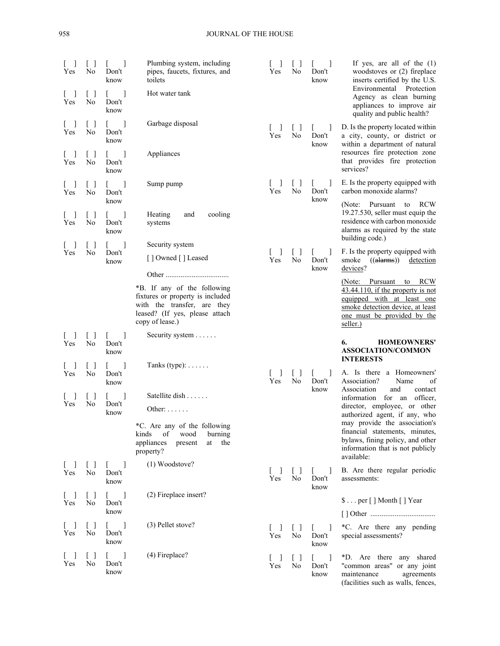| Yes<br>Yes                                            | ſΙ<br>No<br>$\begin{bmatrix} 1 \end{bmatrix}$<br>No | $\overline{\phantom{a}}$<br>Don't<br>know<br>$\overline{\phantom{a}}$<br>L<br>Don't<br>know | Plumbing system, including<br>pipes, faucets, fixtures, and<br>toilets<br>Hot water tank                                                            | Yes            | $\Box$<br>No                                 | $\mathbf{I}$<br>Don't<br>know             | If yes, are all of the $(1)$<br>woodstoves or (2) fireplace<br>inserts certified by the U.S.<br>Environmental Protection<br>Agency as clean burning<br>appliances to improve air<br>quality and public health? |
|-------------------------------------------------------|-----------------------------------------------------|---------------------------------------------------------------------------------------------|-----------------------------------------------------------------------------------------------------------------------------------------------------|----------------|----------------------------------------------|-------------------------------------------|----------------------------------------------------------------------------------------------------------------------------------------------------------------------------------------------------------------|
| Yes                                                   | $\lceil$ 1<br>No                                    | L.<br>Don't<br>know                                                                         | Garbage disposal                                                                                                                                    | 1<br>Yes       | $\Box$<br>No                                 | $\overline{1}$<br>Don't<br>know           | D. Is the property located within<br>a city, county, or district or<br>within a department of natural                                                                                                          |
| $\overline{\phantom{a}}$<br>Yes                       | $\begin{bmatrix} \end{bmatrix}$<br>No               | L<br>Don't<br>know                                                                          | Appliances                                                                                                                                          |                |                                              |                                           | resources fire protection zone<br>that provides fire protection<br>services?                                                                                                                                   |
| Yes                                                   | []<br>No                                            | $\mathbf{L}$<br>Don't<br>know                                                               | Sump pump                                                                                                                                           | Yes            | LΙ<br>No                                     | $\overline{\phantom{a}}$<br>Don't<br>know | E. Is the property equipped with<br>carbon monoxide alarms?<br>(Note: Pursuant<br>to<br><b>RCW</b>                                                                                                             |
| Yes                                                   | []<br>No                                            | L<br>Don't<br>know                                                                          | Heating<br>cooling<br>and<br>systems                                                                                                                |                |                                              |                                           | 19.27.530, seller must equip the<br>residence with carbon monoxide<br>alarms as required by the state<br>building code.)                                                                                       |
| Yes                                                   | $[\ ]$<br>No                                        | L<br>Don't<br>know                                                                          | Security system<br>[] Owned [] Leased                                                                                                               | -1<br>L<br>Yes | $\Box$<br>No                                 | $\perp$<br>Don't<br>know                  | F. Is the property equipped with<br>smoke $((\text{alarms}))$<br>detection<br>devices?                                                                                                                         |
|                                                       |                                                     |                                                                                             | *B. If any of the following<br>fixtures or property is included<br>with the transfer, are they<br>leased? (If yes, please attach<br>copy of lease.) |                |                                              |                                           | (Note: Pursuant to RCW<br>$43.44.110$ , if the property is not<br>equipped with at least one<br>smoke detection device, at least<br>one must be provided by the<br>seller.)                                    |
|                                                       |                                                     |                                                                                             |                                                                                                                                                     |                |                                              |                                           |                                                                                                                                                                                                                |
| $\mathcal{L}$<br>Yes                                  | $\vert \ \ \vert$<br>No                             | 1<br>L<br>Don't<br>know                                                                     | Security system $\dots$ .                                                                                                                           |                |                                              |                                           | <b>HOMEOWNERS'</b><br>6.<br><b>ASSOCIATION/COMMON</b><br><b>INTERESTS</b>                                                                                                                                      |
| $\overline{\phantom{a}}$<br>Yes                       | []<br>No                                            | L<br>Don't<br>know                                                                          | Tanks (type): $\dots$ .                                                                                                                             | Yes            | $\Box$<br>No                                 | $\overline{\phantom{a}}$<br>Don't         | A. Is there a Homeowners'<br>Association?<br>Name<br>of                                                                                                                                                        |
| Yes                                                   | $\Box$<br>No                                        | Don't<br>know                                                                               | Satellite dish<br>Other: $\dots$                                                                                                                    |                |                                              | know                                      | Association<br>and<br>contact<br>information for an officer,<br>director, employee, or other<br>authorized agent, if any, who                                                                                  |
|                                                       |                                                     |                                                                                             | *C. Are any of the following<br>of<br>wood<br>burning<br>kinds<br>appliances<br>at the<br>present<br>property?                                      |                |                                              |                                           | may provide the association's<br>financial statements, minutes,<br>bylaws, fining policy, and other<br>information that is not publicly                                                                        |
| $\begin{bmatrix} 1 & 1 \\ 1 & 1 \end{bmatrix}$<br>Yes | $\begin{bmatrix} \end{bmatrix}$<br>No               | -1<br>$\mathbf{L}$<br>Don't<br>know                                                         | (1) Woodstove?                                                                                                                                      | -1<br>Yes      | $\begin{array}{c} \square \end{array}$<br>No | $\perp$<br>L<br>Don't                     | available:<br>B. Are there regular periodic<br>assessments:                                                                                                                                                    |
| $\begin{bmatrix} 1 & 1 \end{bmatrix}$<br>Yes          | $[\ ]$<br>No                                        | $\mathbb{L}$<br>$\blacksquare$<br>Don't<br>know                                             | (2) Fireplace insert?                                                                                                                               |                |                                              | know                                      | $\text{\$} \dots$ per [] Month [] Year                                                                                                                                                                         |
| L<br>$\blacksquare$<br>Yes                            | $\Box$<br>No                                        | $\begin{bmatrix} 1 & 1 \end{bmatrix}$<br>Don't<br>know                                      | (3) Pellet stove?                                                                                                                                   | L<br>1<br>Yes  | $\lceil$ 1<br>No                             | -1<br>Don't<br>know                       | *C. Are there any pending<br>special assessments?                                                                                                                                                              |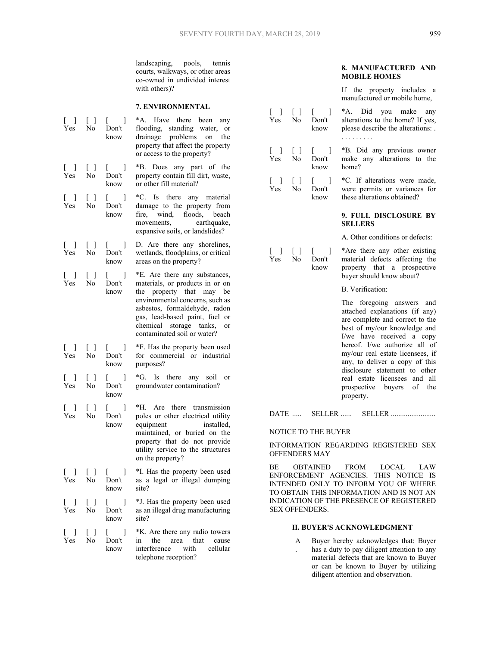Yes

landscaping, pools, tennis courts, walkways, or other areas co-owned in undivided interest with others)?

#### **7. ENVIRONMENTAL**

| $[\quad]$<br>Yes                             | $[\ ]$<br>No           | L<br>1<br>Don't<br>know                                              | *A. Have there been any<br>flooding, standing water, or<br>drainage problems on the<br>property that affect the property<br>or access to the property?                                                                                                          |
|----------------------------------------------|------------------------|----------------------------------------------------------------------|-----------------------------------------------------------------------------------------------------------------------------------------------------------------------------------------------------------------------------------------------------------------|
| $\begin{bmatrix} 1 & 1 \end{bmatrix}$<br>Yes | Γl<br>No               | 1<br>$\mathbf{L}$<br>Don't<br>know                                   | *B. Does any part of the<br>property contain fill dirt, waste,<br>or other fill material?                                                                                                                                                                       |
| $\begin{bmatrix} 1 & 1 \end{bmatrix}$<br>Yes | $\Box$<br>No           | 1<br>$\mathbb{R}$<br>Don't<br>know                                   | *C. Is there any material<br>damage to the property from<br>fire, wind, floods, beach<br>earthquake,<br>movements,<br>expansive soils, or landslides?                                                                                                           |
| 1<br>L.<br>Yes                               | $\Box$<br>No           | 1<br>L<br>Don't<br>know                                              | D. Are there any shorelines,<br>wetlands, floodplains, or critical<br>areas on the property?                                                                                                                                                                    |
| -1<br>L<br>Yes                               | $\Box$<br>No           | $\begin{bmatrix} 1 & 1 \\ 1 & 1 \end{bmatrix}$<br>1<br>Don't<br>know | *E. Are there any substances,<br>materials, or products in or on<br>the property that may be<br>environmental concerns, such as<br>asbestos, formaldehyde, radon<br>gas, lead-based paint, fuel or<br>chemical storage tanks, or<br>contaminated soil or water? |
| $\begin{bmatrix} 1 \end{bmatrix}$<br>Yes.    | Γl<br>No               | $[\quad]$<br>Don't<br>know                                           | *F. Has the property been used<br>for commercial or industrial<br>purposes?                                                                                                                                                                                     |
| ιI<br><b>Yes</b>                             | $\Box$<br>No           | $\begin{bmatrix} 1 & 1 \\ 1 & 1 \end{bmatrix}$<br>Don't<br>know      | *G. Is there any soil or<br>groundwater contamination?                                                                                                                                                                                                          |
| $\left[ \quad \right]$<br>Yes.               | $\Box$<br>No           | 1<br>t<br>Don't<br>know                                              | *H. Are there transmission<br>poles or other electrical utility<br>equipment<br>installed,<br>maintained, or buried on the<br>property that do not provide<br>utility service to the structures<br>on the property?                                             |
| 1<br>L<br>Yes                                | $[\,\,\,]$<br>$\rm No$ | 1<br>L<br>Don't<br>know                                              | *I. Has the property been used<br>as a legal or illegal dumping<br>site?                                                                                                                                                                                        |
| $\begin{bmatrix} 1 \end{bmatrix}$<br>Yes     | $[\ ]$<br>No           | -1<br>L<br>Don't<br>know                                             | *J. Has the property been used<br>as an illegal drug manufacturing<br>site?                                                                                                                                                                                     |
| $\blacksquare$<br>L<br>Yes                   | Γl<br>No               | $\blacksquare$<br>L<br>Don't<br>know                                 | *K. Are there any radio towers<br>in the<br>area<br>that<br>cause<br>interference<br>with<br>cellular<br>telephone reception?                                                                                                                                   |

# **8. MANUFACTURED AND MOBILE HOMES**

 If the property includes a manufactured or mobile home,

| $\begin{bmatrix} 1 \end{bmatrix}$        |                                                                  | $\begin{bmatrix} 1 & 1 \\ 1 & 1 \end{bmatrix}$<br>1<br>Yes No Don't<br>know | *A. Did you make any<br>alterations to the home? If yes,<br>please describe the alterations: .<br>.                                                         |
|------------------------------------------|------------------------------------------------------------------|-----------------------------------------------------------------------------|-------------------------------------------------------------------------------------------------------------------------------------------------------------|
| $\begin{bmatrix} 1 \end{bmatrix}$<br>Yes | $\begin{bmatrix} 1 \end{bmatrix}$<br>No.                         | $\begin{bmatrix} 1 & 1 \end{bmatrix}$<br>Don't<br>know                      | *B. Did any previous owner<br>make any alterations to the<br>home?                                                                                          |
| Yes                                      | N <sub>0</sub>                                                   | [ ] [ ] [ ] [ ]<br>Don't<br>know                                            | *C. If alterations were made,<br>were permits or variances for<br>these alterations obtained?                                                               |
|                                          |                                                                  |                                                                             | 9. FULL DISCLOSURE BY<br><b>SELLERS</b>                                                                                                                     |
|                                          |                                                                  |                                                                             | A. Other conditions or defects:                                                                                                                             |
| Yes                                      | $\begin{bmatrix} 1 & 1 \\ 1 & 1 \end{bmatrix}$<br>N <sub>0</sub> | $\begin{bmatrix} 1 & 1 \end{bmatrix}$<br>Don't<br>know                      | *Are there any other existing<br>material defects affecting the<br>property that a prospective<br>buyer should know about?                                  |
|                                          |                                                                  |                                                                             | B. Verification:                                                                                                                                            |
|                                          |                                                                  |                                                                             | The foregoing answers and<br>attached explanations (if any)<br>are complete and correct to the<br>best of my/our knowledge and<br>I/we have received a copy |

attached explanations (if any) are complete and correct to the best of my/our knowledge and I/we have received a copy hereof. I/we authorize all of my/our real estate licensees, if any, to deliver a copy of this disclosure statement to other real estate licensees and all prospective buyers of the property.

DATE ..... SELLER ...... SELLER ........................

## NOTICE TO THE BUYER

INFORMATION REGARDING REGISTERED SEX OFFENDERS MAY

BE OBTAINED FROM LOCAL LAW ENFORCEMENT AGENCIES. THIS NOTICE IS INTENDED ONLY TO INFORM YOU OF WHERE TO OBTAIN THIS INFORMATION AND IS NOT AN INDICATION OF THE PRESENCE OF REGISTERED SEX OFFENDERS.

## **II. BUYER'S ACKNOWLEDGMENT**

 A . Buyer hereby acknowledges that: Buyer has a duty to pay diligent attention to any material defects that are known to Buyer or can be known to Buyer by utilizing diligent attention and observation.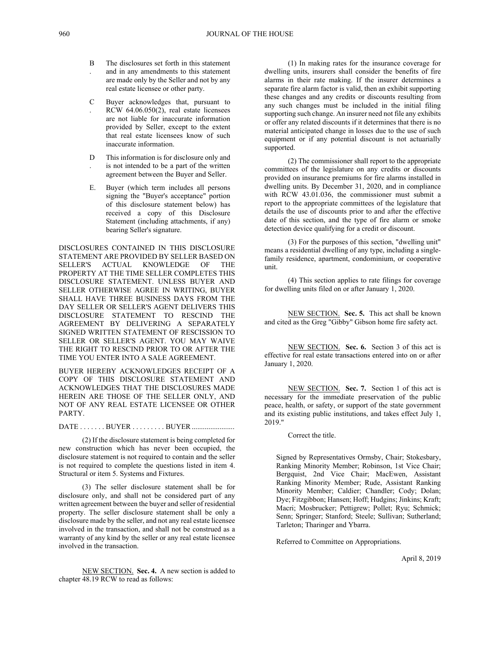- B . The disclosures set forth in this statement and in any amendments to this statement are made only by the Seller and not by any real estate licensee or other party.
- $\mathcal{C}$ . Buyer acknowledges that, pursuant to RCW 64.06.050(2), real estate licensees are not liable for inaccurate information provided by Seller, except to the extent that real estate licensees know of such inaccurate information.
- D . This information is for disclosure only and is not intended to be a part of the written agreement between the Buyer and Seller.
- E. Buyer (which term includes all persons signing the "Buyer's acceptance" portion of this disclosure statement below) has received a copy of this Disclosure Statement (including attachments, if any) bearing Seller's signature.

DISCLOSURES CONTAINED IN THIS DISCLOSURE STATEMENT ARE PROVIDED BY SELLER BASED ON SELLER'S ACTUAL KNOWLEDGE OF THE PROPERTY AT THE TIME SELLER COMPLETES THIS DISCLOSURE STATEMENT. UNLESS BUYER AND SELLER OTHERWISE AGREE IN WRITING, BUYER SHALL HAVE THREE BUSINESS DAYS FROM THE DAY SELLER OR SELLER'S AGENT DELIVERS THIS DISCLOSURE STATEMENT TO RESCIND THE AGREEMENT BY DELIVERING A SEPARATELY SIGNED WRITTEN STATEMENT OF RESCISSION TO SELLER OR SELLER'S AGENT. YOU MAY WAIVE THE RIGHT TO RESCIND PRIOR TO OR AFTER THE TIME YOU ENTER INTO A SALE AGREEMENT.

BUYER HEREBY ACKNOWLEDGES RECEIPT OF A COPY OF THIS DISCLOSURE STATEMENT AND ACKNOWLEDGES THAT THE DISCLOSURES MADE HEREIN ARE THOSE OF THE SELLER ONLY, AND NOT OF ANY REAL ESTATE LICENSEE OR OTHER PARTY.

DATE . . . . . . . BUYER . . . . . . . . BUYER .................................

(2) If the disclosure statement is being completed for new construction which has never been occupied, the disclosure statement is not required to contain and the seller is not required to complete the questions listed in item 4. Structural or item 5. Systems and Fixtures.

(3) The seller disclosure statement shall be for disclosure only, and shall not be considered part of any written agreement between the buyer and seller of residential property. The seller disclosure statement shall be only a disclosure made by the seller, and not any real estate licensee involved in the transaction, and shall not be construed as a warranty of any kind by the seller or any real estate licensee involved in the transaction.

NEW SECTION. **Sec. 4.** A new section is added to chapter 48.19 RCW to read as follows:

(1) In making rates for the insurance coverage for dwelling units, insurers shall consider the benefits of fire alarms in their rate making. If the insurer determines a separate fire alarm factor is valid, then an exhibit supporting these changes and any credits or discounts resulting from any such changes must be included in the initial filing supporting such change. An insurer need not file any exhibits or offer any related discounts if it determines that there is no material anticipated change in losses due to the use of such equipment or if any potential discount is not actuarially supported.

(2) The commissioner shall report to the appropriate committees of the legislature on any credits or discounts provided on insurance premiums for fire alarms installed in dwelling units. By December 31, 2020, and in compliance with RCW 43.01.036, the commissioner must submit a report to the appropriate committees of the legislature that details the use of discounts prior to and after the effective date of this section, and the type of fire alarm or smoke detection device qualifying for a credit or discount.

(3) For the purposes of this section, "dwelling unit" means a residential dwelling of any type, including a singlefamily residence, apartment, condominium, or cooperative unit.

(4) This section applies to rate filings for coverage for dwelling units filed on or after January 1, 2020.

NEW SECTION. **Sec. 5.** This act shall be known and cited as the Greg "Gibby" Gibson home fire safety act.

NEW SECTION. **Sec. 6.** Section 3 of this act is effective for real estate transactions entered into on or after January 1, 2020.

NEW SECTION. **Sec. 7.** Section 1 of this act is necessary for the immediate preservation of the public peace, health, or safety, or support of the state government and its existing public institutions, and takes effect July 1, 2019."

Correct the title.

Signed by Representatives Ormsby, Chair; Stokesbary, Ranking Minority Member; Robinson, 1st Vice Chair; Bergquist, 2nd Vice Chair; MacEwen, Assistant Ranking Minority Member; Rude, Assistant Ranking Minority Member; Caldier; Chandler; Cody; Dolan; Dye; Fitzgibbon; Hansen; Hoff; Hudgins; Jinkins; Kraft; Macri; Mosbrucker; Pettigrew; Pollet; Ryu; Schmick; Senn; Springer; Stanford; Steele; Sullivan; Sutherland; Tarleton; Tharinger and Ybarra.

Referred to Committee on Appropriations.

April 8, 2019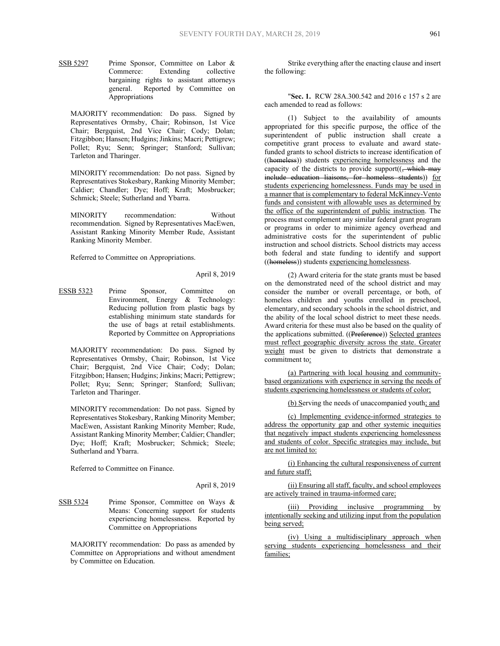SSB 5297 Prime Sponsor, Committee on Labor & Commerce: Extending collective bargaining rights to assistant attorneys general. Reported by Committee on Appropriations

MAJORITY recommendation: Do pass. Signed by Representatives Ormsby, Chair; Robinson, 1st Vice Chair; Bergquist, 2nd Vice Chair; Cody; Dolan; Fitzgibbon; Hansen; Hudgins; Jinkins; Macri; Pettigrew; Pollet; Ryu; Senn; Springer; Stanford; Sullivan; Tarleton and Tharinger.

MINORITY recommendation: Do not pass. Signed by Representatives Stokesbary, Ranking Minority Member; Caldier; Chandler; Dye; Hoff; Kraft; Mosbrucker; Schmick; Steele; Sutherland and Ybarra.

MINORITY recommendation: Without recommendation. Signed by Representatives MacEwen, Assistant Ranking Minority Member Rude, Assistant Ranking Minority Member.

Referred to Committee on Appropriations.

## April 8, 2019

ESSB 5323 Prime Sponsor, Committee on Environment, Energy & Technology: Reducing pollution from plastic bags by establishing minimum state standards for the use of bags at retail establishments. Reported by Committee on Appropriations

MAJORITY recommendation: Do pass. Signed by Representatives Ormsby, Chair; Robinson, 1st Vice Chair; Bergquist, 2nd Vice Chair; Cody; Dolan; Fitzgibbon; Hansen; Hudgins; Jinkins; Macri; Pettigrew; Pollet; Ryu; Senn; Springer; Stanford; Sullivan; Tarleton and Tharinger.

MINORITY recommendation: Do not pass. Signed by Representatives Stokesbary, Ranking Minority Member; MacEwen, Assistant Ranking Minority Member; Rude, Assistant Ranking Minority Member; Caldier; Chandler; Dye; Hoff; Kraft; Mosbrucker; Schmick; Steele; Sutherland and Ybarra.

Referred to Committee on Finance.

#### April 8, 2019

## SSB 5324 Prime Sponsor, Committee on Ways & Means: Concerning support for students experiencing homelessness. Reported by Committee on Appropriations

MAJORITY recommendation: Do pass as amended by Committee on Appropriations and without amendment by Committee on Education.

Strike everything after the enacting clause and insert the following:

"**Sec. 1.** RCW 28A.300.542 and 2016 c 157 s 2 are each amended to read as follows:

(1) Subject to the availability of amounts appropriated for this specific purpose, the office of the superintendent of public instruction shall create a competitive grant process to evaluate and award statefunded grants to school districts to increase identification of ((homeless)) students experiencing homelessness and the capacity of the districts to provide support $((, \text{which may}$ include education liaisons, for homeless students)) for students experiencing homelessness. Funds may be used in a manner that is complementary to federal McKinney-Vento funds and consistent with allowable uses as determined by the office of the superintendent of public instruction. The process must complement any similar federal grant program or programs in order to minimize agency overhead and administrative costs for the superintendent of public instruction and school districts. School districts may access both federal and state funding to identify and support ((homeless)) students experiencing homelessness.

(2) Award criteria for the state grants must be based on the demonstrated need of the school district and may consider the number or overall percentage, or both, of homeless children and youths enrolled in preschool, elementary, and secondary schools in the school district, and the ability of the local school district to meet these needs. Award criteria for these must also be based on the quality of the applications submitted. ((Preference)) Selected grantees must reflect geographic diversity across the state. Greater weight must be given to districts that demonstrate a commitment to:

(a) Partnering with local housing and communitybased organizations with experience in serving the needs of students experiencing homelessness or students of color;

(b) Serving the needs of unaccompanied youth; and

(c) Implementing evidence-informed strategies to address the opportunity gap and other systemic inequities that negatively impact students experiencing homelessness and students of color. Specific strategies may include, but are not limited to:

(i) Enhancing the cultural responsiveness of current and future staff;

(ii) Ensuring all staff, faculty, and school employees are actively trained in trauma-informed care;

(iii) Providing inclusive programming by intentionally seeking and utilizing input from the population being served;

(iv) Using a multidisciplinary approach when serving students experiencing homelessness and their families;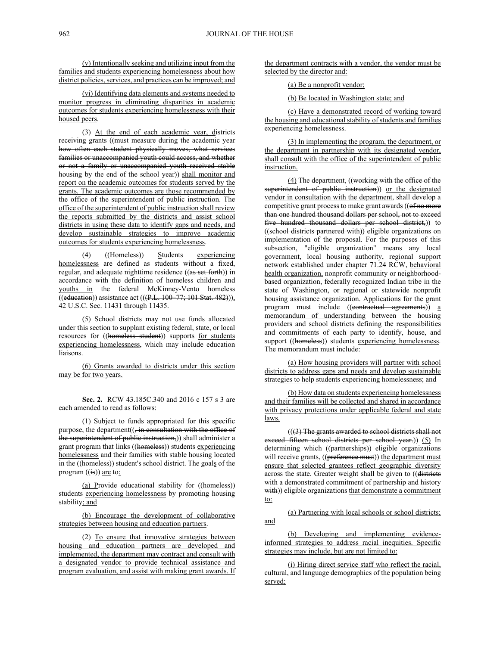(v) Intentionally seeking and utilizing input from the families and students experiencing homelessness about how district policies, services, and practices can be improved; and

(vi) Identifying data elements and systems needed to monitor progress in eliminating disparities in academic outcomes for students experiencing homelessness with their housed peers.

(3) At the end of each academic year, districts receiving grants ((must measure during the academic year how often each student physically moves, what services families or unaccompanied youth could access, and whether or not a family or unaccompanied youth received stable housing by the end of the school year)) shall monitor and report on the academic outcomes for students served by the grants. The academic outcomes are those recommended by the office of the superintendent of public instruction. The office of the superintendent of public instruction shall review the reports submitted by the districts and assist school districts in using these data to identify gaps and needs, and develop sustainable strategies to improve academic outcomes for students experiencing homelessness.

(4) ((Homeless)) Students experiencing homelessness are defined as students without a fixed, regular, and adequate nighttime residence ((as set forth)) in accordance with the definition of homeless children and youths in the federal McKinney-Vento homeless  $\overline{((eduction)})$  assistance act  $((P.L. 100 \overline{77}; 101 \overline{Stat. 482}))),$ 42 U.S.C. Sec. 11431 through 11435.

(5) School districts may not use funds allocated under this section to supplant existing federal, state, or local resources for ((homeless student)) supports for students experiencing homelessness, which may include education liaisons.

(6) Grants awarded to districts under this section may be for two years.

**Sec. 2.** RCW 43.185C.340 and 2016 c 157 s 3 are each amended to read as follows:

(1) Subject to funds appropriated for this specific purpose, the department((, in consultation with the office of the superintendent of public instruction,)) shall administer a grant program that links ((homeless)) students experiencing homelessness and their families with stable housing located in the ((homeless)) student's school district. The goals of the program  $((is))$  are to:

(a) Provide educational stability for ((homeless)) students experiencing homelessness by promoting housing stability; and

(b) Encourage the development of collaborative strategies between housing and education partners.

(2) To ensure that innovative strategies between housing and education partners are developed and implemented, the department may contract and consult with a designated vendor to provide technical assistance and program evaluation, and assist with making grant awards. If the department contracts with a vendor, the vendor must be selected by the director and:

(a) Be a nonprofit vendor;

(b) Be located in Washington state; and

(c) Have a demonstrated record of working toward the housing and educational stability of students and families experiencing homelessness.

(3) In implementing the program, the department, or the department in partnership with its designated vendor, shall consult with the office of the superintendent of public instruction.

(4) The department, ((working with the office of the superintendent of public instruction)) or the designated vendor in consultation with the department, shall develop a competitive grant process to make grant awards ((of no more than one hundred thousand dollars per school, not to exceed five hundred thousand dollars per school district,)) to ((school districts partnered with)) eligible organizations on implementation of the proposal. For the purposes of this subsection, "eligible organization" means any local government, local housing authority, regional support network established under chapter 71.24 RCW, behavioral health organization, nonprofit community or neighborhoodbased organization, federally recognized Indian tribe in the state of Washington, or regional or statewide nonprofit housing assistance organization. Applications for the grant program must include ((contractual agreements)) a memorandum of understanding between the housing providers and school districts defining the responsibilities and commitments of each party to identify, house, and support ((homeless)) students experiencing homelessness. The memorandum must include:

(a) How housing providers will partner with school districts to address gaps and needs and develop sustainable strategies to help students experiencing homelessness; and

(b) How data on students experiencing homelessness and their families will be collected and shared in accordance with privacy protections under applicable federal and state laws.

 $((3)$  The grants awarded to school districts shall not exceed fifteen school districts per school year.)) (5) In determining which ((partnerships)) eligible organizations will receive grants, ((preference must)) the department must ensure that selected grantees reflect geographic diversity across the state. Greater weight shall be given to ((districts with a demonstrated commitment of partnership and history with)) eligible organizations that demonstrate a commitment to:

(a) Partnering with local schools or school districts; and

(b) Developing and implementing evidenceinformed strategies to address racial inequities. Specific strategies may include, but are not limited to:

(i) Hiring direct service staff who reflect the racial, cultural, and language demographics of the population being served;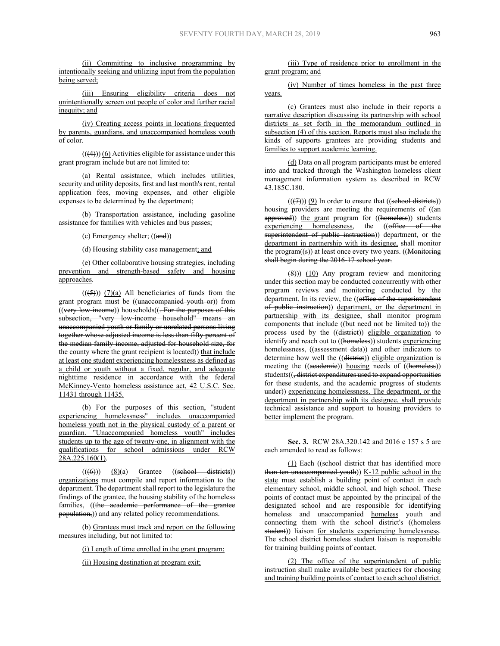(ii) Committing to inclusive programming by intentionally seeking and utilizing input from the population being served;

(iii) Ensuring eligibility criteria does not unintentionally screen out people of color and further racial inequity; and

(iv) Creating access points in locations frequented by parents, guardians, and unaccompanied homeless youth of color.

 $((4))$  (6) Activities eligible for assistance under this grant program include but are not limited to:

(a) Rental assistance, which includes utilities, security and utility deposits, first and last month's rent, rental application fees, moving expenses, and other eligible expenses to be determined by the department;

(b) Transportation assistance, including gasoline assistance for families with vehicles and bus passes;

(c) Emergency shelter; ((and))

(d) Housing stability case management; and

(e) Other collaborative housing strategies, including prevention and strength-based safety and housing approaches.

 $((\left(5\right)))$   $(7)(a)$  All beneficiaries of funds from the grant program must be ((unaccompanied youth or)) from  $($ (very low-income)) households $($ . For the purposes of this subsection, "very low-income household" means an unaccompanied youth or family or unrelated persons living together whose adjusted income is less than fifty percent of the median family income, adjusted for household size, for the county where the grant recipient is located)) that include at least one student experiencing homelessness as defined as a child or youth without a fixed, regular, and adequate nighttime residence in accordance with the federal McKinney-Vento homeless assistance act, 42 U.S.C. Sec. 11431 through 11435.

(b) For the purposes of this section, "student experiencing homelessness" includes unaccompanied homeless youth not in the physical custody of a parent or guardian. "Unaccompanied homeless youth" includes students up to the age of twenty-one, in alignment with the qualifications for school admissions under RCW  $28A.225.160(1)$ .

 $((\text{(6)}))$   $(8)(a)$  Grantee  $((\text{sehool}-\text{districts}))$ organizations must compile and report information to the department. The department shall report to the legislature the findings of the grantee, the housing stability of the homeless families, ((the academic performance of the grantee population,)) and any related policy recommendations.

(b) Grantees must track and report on the following measures including, but not limited to:

(i) Length of time enrolled in the grant program;

(ii) Housing destination at program exit;

(iii) Type of residence prior to enrollment in the grant program; and

(iv) Number of times homeless in the past three years.

(c) Grantees must also include in their reports a narrative description discussing its partnership with school districts as set forth in the memorandum outlined in subsection (4) of this section. Reports must also include the kinds of supports grantees are providing students and families to support academic learning.

(d) Data on all program participants must be entered into and tracked through the Washington homeless client management information system as described in RCW 43.185C.180.

 $((\overline{(7)}))$  (9) In order to ensure that ((sehool districts)) housing providers are meeting the requirements of ((an approved)) the grant program for ((homeless)) students experiencing homelessness, the ((office of the superintendent of public instruction)) department, or the department in partnership with its designee, shall monitor the program $((s))$  at least once every two years.  $((\text{Monitoring})$ shall begin during the 2016-17 school year.

 $(8)$ )) (10) Any program review and monitoring under this section may be conducted concurrently with other program reviews and monitoring conducted by the department. In its review, the ((office of the superintendent of public instruction)) department, or the department in partnership with its designee, shall monitor program components that include  $((but need not be limited to))$  the process used by the ((district)) eligible organization to identify and reach out to ((homeless)) students experiencing homelessness, ((assessment data)) and other indicators to determine how well the ((district)) eligible organization is meeting the ((academie)) housing needs of ((homeless)) students((<del>, district expenditures used to expand opportunities</del> for these students, and the academic progress of students under)) experiencing homelessness. The department, or the department in partnership with its designee, shall provide technical assistance and support to housing providers to better implement the program.

**Sec. 3.** RCW 28A.320.142 and 2016 c 157 s 5 are each amended to read as follows:

(1) Each ((school district that has identified more than ten unaccompanied youth))  $K-12$  public school in the state must establish a building point of contact in each elementary school, middle school, and high school. These points of contact must be appointed by the principal of the designated school and are responsible for identifying homeless and unaccompanied homeless youth and connecting them with the school district's ((homeless student)) liaison for students experiencing homelessness. The school district homeless student liaison is responsible for training building points of contact.

(2) The office of the superintendent of public instruction shall make available best practices for choosing and training building points of contact to each school district.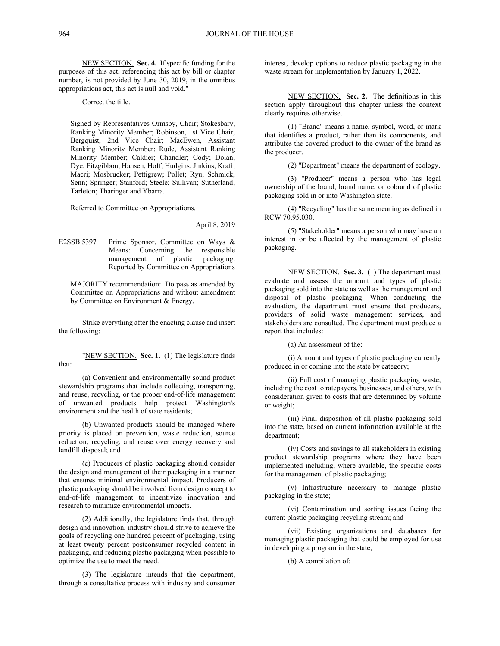NEW SECTION. **Sec. 4.** If specific funding for the purposes of this act, referencing this act by bill or chapter number, is not provided by June 30, 2019, in the omnibus appropriations act, this act is null and void."

Correct the title.

Signed by Representatives Ormsby, Chair; Stokesbary, Ranking Minority Member; Robinson, 1st Vice Chair; Bergquist, 2nd Vice Chair; MacEwen, Assistant Ranking Minority Member; Rude, Assistant Ranking Minority Member; Caldier; Chandler; Cody; Dolan; Dye; Fitzgibbon; Hansen; Hoff; Hudgins; Jinkins; Kraft; Macri; Mosbrucker; Pettigrew; Pollet; Ryu; Schmick; Senn; Springer; Stanford; Steele; Sullivan; Sutherland; Tarleton; Tharinger and Ybarra.

Referred to Committee on Appropriations.

April 8, 2019

E2SSB 5397 Prime Sponsor, Committee on Ways & Means: Concerning the responsible management of plastic packaging. Reported by Committee on Appropriations

MAJORITY recommendation: Do pass as amended by Committee on Appropriations and without amendment by Committee on Environment & Energy.

Strike everything after the enacting clause and insert the following:

"NEW SECTION. **Sec. 1.** (1) The legislature finds that:

(a) Convenient and environmentally sound product stewardship programs that include collecting, transporting, and reuse, recycling, or the proper end-of-life management of unwanted products help protect Washington's environment and the health of state residents;

(b) Unwanted products should be managed where priority is placed on prevention, waste reduction, source reduction, recycling, and reuse over energy recovery and landfill disposal; and

(c) Producers of plastic packaging should consider the design and management of their packaging in a manner that ensures minimal environmental impact. Producers of plastic packaging should be involved from design concept to end-of-life management to incentivize innovation and research to minimize environmental impacts.

(2) Additionally, the legislature finds that, through design and innovation, industry should strive to achieve the goals of recycling one hundred percent of packaging, using at least twenty percent postconsumer recycled content in packaging, and reducing plastic packaging when possible to optimize the use to meet the need.

(3) The legislature intends that the department, through a consultative process with industry and consumer interest, develop options to reduce plastic packaging in the waste stream for implementation by January 1, 2022.

NEW SECTION. **Sec. 2.** The definitions in this section apply throughout this chapter unless the context clearly requires otherwise.

(1) "Brand" means a name, symbol, word, or mark that identifies a product, rather than its components, and attributes the covered product to the owner of the brand as the producer.

(2) "Department" means the department of ecology.

(3) "Producer" means a person who has legal ownership of the brand, brand name, or cobrand of plastic packaging sold in or into Washington state.

(4) "Recycling" has the same meaning as defined in RCW 70.95.030.

(5) "Stakeholder" means a person who may have an interest in or be affected by the management of plastic packaging.

NEW SECTION. **Sec. 3.** (1) The department must evaluate and assess the amount and types of plastic packaging sold into the state as well as the management and disposal of plastic packaging. When conducting the evaluation, the department must ensure that producers, providers of solid waste management services, and stakeholders are consulted. The department must produce a report that includes:

(a) An assessment of the:

(i) Amount and types of plastic packaging currently produced in or coming into the state by category;

(ii) Full cost of managing plastic packaging waste, including the cost to ratepayers, businesses, and others, with consideration given to costs that are determined by volume or weight;

(iii) Final disposition of all plastic packaging sold into the state, based on current information available at the department;

(iv) Costs and savings to all stakeholders in existing product stewardship programs where they have been implemented including, where available, the specific costs for the management of plastic packaging;

(v) Infrastructure necessary to manage plastic packaging in the state;

(vi) Contamination and sorting issues facing the current plastic packaging recycling stream; and

(vii) Existing organizations and databases for managing plastic packaging that could be employed for use in developing a program in the state;

(b) A compilation of: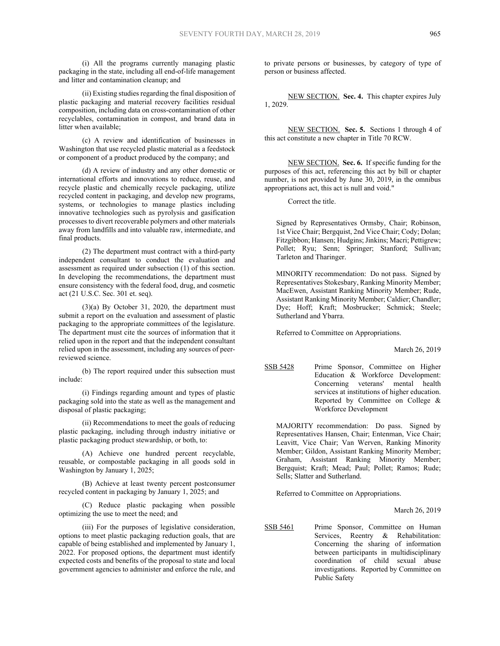(i) All the programs currently managing plastic packaging in the state, including all end-of-life management and litter and contamination cleanup; and

(ii) Existing studies regarding the final disposition of plastic packaging and material recovery facilities residual composition, including data on cross-contamination of other recyclables, contamination in compost, and brand data in litter when available;

(c) A review and identification of businesses in Washington that use recycled plastic material as a feedstock or component of a product produced by the company; and

(d) A review of industry and any other domestic or international efforts and innovations to reduce, reuse, and recycle plastic and chemically recycle packaging, utilize recycled content in packaging, and develop new programs, systems, or technologies to manage plastics including innovative technologies such as pyrolysis and gasification processes to divert recoverable polymers and other materials away from landfills and into valuable raw, intermediate, and final products.

(2) The department must contract with a third-party independent consultant to conduct the evaluation and assessment as required under subsection (1) of this section. In developing the recommendations, the department must ensure consistency with the federal food, drug, and cosmetic act (21 U.S.C. Sec. 301 et. seq).

(3)(a) By October 31, 2020, the department must submit a report on the evaluation and assessment of plastic packaging to the appropriate committees of the legislature. The department must cite the sources of information that it relied upon in the report and that the independent consultant relied upon in the assessment, including any sources of peerreviewed science.

(b) The report required under this subsection must include:

(i) Findings regarding amount and types of plastic packaging sold into the state as well as the management and disposal of plastic packaging;

(ii) Recommendations to meet the goals of reducing plastic packaging, including through industry initiative or plastic packaging product stewardship, or both, to:

(A) Achieve one hundred percent recyclable, reusable, or compostable packaging in all goods sold in Washington by January 1, 2025;

(B) Achieve at least twenty percent postconsumer recycled content in packaging by January 1, 2025; and

(C) Reduce plastic packaging when possible optimizing the use to meet the need; and

(iii) For the purposes of legislative consideration, options to meet plastic packaging reduction goals, that are capable of being established and implemented by January 1, 2022. For proposed options, the department must identify expected costs and benefits of the proposal to state and local government agencies to administer and enforce the rule, and

to private persons or businesses, by category of type of person or business affected.

NEW SECTION. **Sec. 4.** This chapter expires July 1, 2029.

NEW SECTION. **Sec. 5.** Sections 1 through 4 of this act constitute a new chapter in Title 70 RCW.

NEW SECTION. **Sec. 6.** If specific funding for the purposes of this act, referencing this act by bill or chapter number, is not provided by June 30, 2019, in the omnibus appropriations act, this act is null and void."

Correct the title.

Signed by Representatives Ormsby, Chair; Robinson, 1st Vice Chair; Bergquist, 2nd Vice Chair; Cody; Dolan; Fitzgibbon; Hansen; Hudgins; Jinkins; Macri; Pettigrew; Pollet; Ryu; Senn; Springer; Stanford; Sullivan; Tarleton and Tharinger.

MINORITY recommendation: Do not pass. Signed by Representatives Stokesbary, Ranking Minority Member; MacEwen, Assistant Ranking Minority Member; Rude, Assistant Ranking Minority Member; Caldier; Chandler; Dye; Hoff; Kraft; Mosbrucker; Schmick; Steele; Sutherland and Ybarra.

Referred to Committee on Appropriations.

March 26, 2019

SSB 5428 Prime Sponsor, Committee on Higher Education & Workforce Development: Concerning veterans' mental health services at institutions of higher education. Reported by Committee on College & Workforce Development

MAJORITY recommendation: Do pass. Signed by Representatives Hansen, Chair; Entenman, Vice Chair; Leavitt, Vice Chair; Van Werven, Ranking Minority Member; Gildon, Assistant Ranking Minority Member; Graham, Assistant Ranking Minority Member; Bergquist; Kraft; Mead; Paul; Pollet; Ramos; Rude; Sells; Slatter and Sutherland.

Referred to Committee on Appropriations.

March 26, 2019

SSB 5461 Prime Sponsor, Committee on Human Services, Reentry & Rehabilitation: Concerning the sharing of information between participants in multidisciplinary coordination of child sexual abuse investigations. Reported by Committee on Public Safety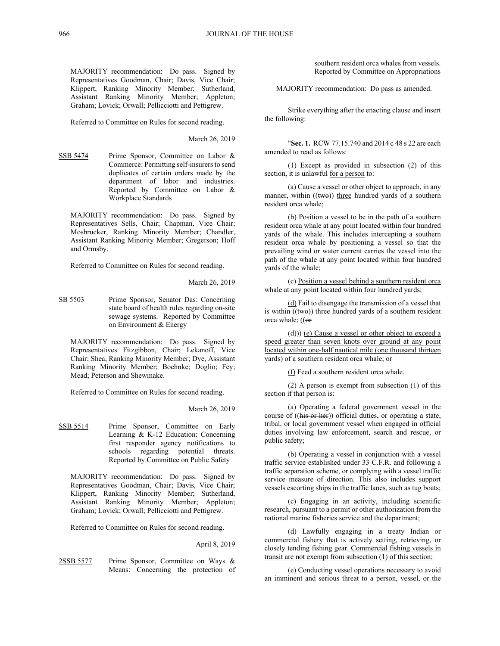MAJORITY recommendation: Do pass. Signed by Representatives Goodman, Chair; Davis, Vice Chair; Klippert, Ranking Minority Member; Sutherland, Assistant Ranking Minority Member; Appleton; Graham; Lovick; Orwall; Pellicciotti and Pettigrew.

Referred to Committee on Rules for second reading.

March 26, 2019

SSB 5474 Prime Sponsor, Committee on Labor & Commerce: Permitting self-insurers to send duplicates of certain orders made by the department of labor and industries. Reported by Committee on Labor & Workplace Standards

MAJORITY recommendation: Do pass. Signed by Representatives Sells, Chair; Chapman, Vice Chair; Mosbrucker, Ranking Minority Member; Chandler, Assistant Ranking Minority Member; Gregerson; Hoff and Ormsby.

Referred to Committee on Rules for second reading.

#### March 26, 2019

SB 5503 Prime Sponsor, Senator Das: Concerning state board of health rules regarding on-site sewage systems. Reported by Committee on Environment & Energy

MAJORITY recommendation: Do pass. Signed by Representatives Fitzgibbon, Chair; Lekanoff, Vice Chair; Shea, Ranking Minority Member; Dye, Assistant Ranking Minority Member; Boehnke; Doglio; Fey; Mead; Peterson and Shewmake.

Referred to Committee on Rules for second reading.

March 26, 2019

SSB 5514 Prime Sponsor, Committee on Early Learning & K-12 Education: Concerning first responder agency notifications to schools regarding potential threats. Reported by Committee on Public Safety

MAJORITY recommendation: Do pass. Signed by Representatives Goodman, Chair; Davis, Vice Chair; Klippert, Ranking Minority Member; Sutherland, Assistant Ranking Minority Member; Appleton; Graham; Lovick; Orwall; Pellicciotti and Pettigrew.

Referred to Committee on Rules for second reading.

#### April 8, 2019

2SSB 5577 Prime Sponsor, Committee on Ways & Means: Concerning the protection of

southern resident orca whales from vessels. Reported by Committee on Appropriations

MAJORITY recommendation: Do pass as amended.

Strike everything after the enacting clause and insert the following:

"**Sec. 1.** RCW 77.15.740 and 2014 c 48 s 22 are each amended to read as follows:

(1) Except as provided in subsection (2) of this section, it is unlawful for a person to:

(a) Cause a vessel or other object to approach, in any manner, within  $((two))$  three hundred yards of a southern resident orca whale;

(b) Position a vessel to be in the path of a southern resident orca whale at any point located within four hundred yards of the whale. This includes intercepting a southern resident orca whale by positioning a vessel so that the prevailing wind or water current carries the vessel into the path of the whale at any point located within four hundred yards of the whale;

(c) Position a vessel behind a southern resident orca whale at any point located within four hundred yards;

(d) Fail to disengage the transmission of a vessel that is within  $((two))$  three hundred yards of a southern resident orca whale; ((or

(d))) (e) Cause a vessel or other object to exceed a speed greater than seven knots over ground at any point located within one-half nautical mile (one thousand thirteen yards) of a southern resident orca whale; or

(f) Feed a southern resident orca whale.

(2) A person is exempt from subsection (1) of this section if that person is:

(a) Operating a federal government vessel in the course of ((his or her)) official duties, or operating a state, tribal, or local government vessel when engaged in official duties involving law enforcement, search and rescue, or public safety;

(b) Operating a vessel in conjunction with a vessel traffic service established under 33 C.F.R. and following a traffic separation scheme, or complying with a vessel traffic service measure of direction. This also includes support vessels escorting ships in the traffic lanes, such as tug boats;

(c) Engaging in an activity, including scientific research, pursuant to a permit or other authorization from the national marine fisheries service and the department;

(d) Lawfully engaging in a treaty Indian or commercial fishery that is actively setting, retrieving, or closely tending fishing gear. Commercial fishing vessels in transit are not exempt from subsection (1) of this section;

(e) Conducting vessel operations necessary to avoid an imminent and serious threat to a person, vessel, or the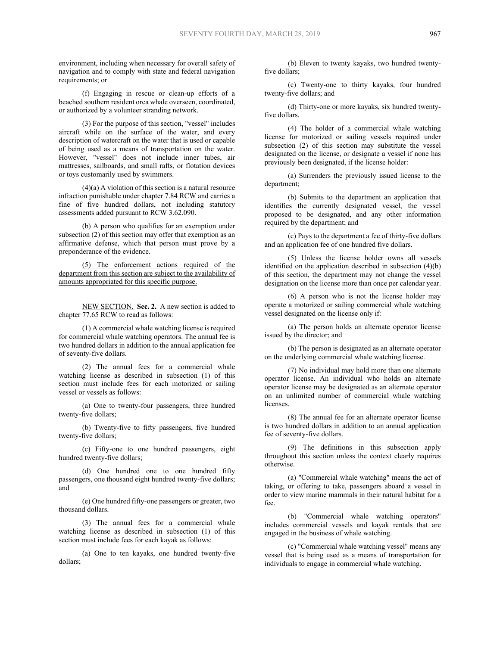environment, including when necessary for overall safety of navigation and to comply with state and federal navigation requirements; or

(f) Engaging in rescue or clean-up efforts of a beached southern resident orca whale overseen, coordinated, or authorized by a volunteer stranding network.

(3) For the purpose of this section, "vessel" includes aircraft while on the surface of the water, and every description of watercraft on the water that is used or capable of being used as a means of transportation on the water. However, "vessel" does not include inner tubes, air mattresses, sailboards, and small rafts, or flotation devices or toys customarily used by swimmers.

 $(4)(a)$  A violation of this section is a natural resource infraction punishable under chapter 7.84 RCW and carries a fine of five hundred dollars, not including statutory assessments added pursuant to RCW 3.62.090.

(b) A person who qualifies for an exemption under subsection (2) of this section may offer that exemption as an affirmative defense, which that person must prove by a preponderance of the evidence.

(5) The enforcement actions required of the department from this section are subject to the availability of amounts appropriated for this specific purpose.

NEW SECTION. **Sec. 2.** A new section is added to chapter 77.65 RCW to read as follows:

(1) A commercial whale watching license is required for commercial whale watching operators. The annual fee is two hundred dollars in addition to the annual application fee of seventy-five dollars.

(2) The annual fees for a commercial whale watching license as described in subsection (1) of this section must include fees for each motorized or sailing vessel or vessels as follows:

(a) One to twenty-four passengers, three hundred twenty-five dollars;

(b) Twenty-five to fifty passengers, five hundred twenty-five dollars;

(c) Fifty-one to one hundred passengers, eight hundred twenty-five dollars;

(d) One hundred one to one hundred fifty passengers, one thousand eight hundred twenty-five dollars; and

(e) One hundred fifty-one passengers or greater, two thousand dollars.

(3) The annual fees for a commercial whale watching license as described in subsection (1) of this section must include fees for each kayak as follows:

(a) One to ten kayaks, one hundred twenty-five dollars;

(b) Eleven to twenty kayaks, two hundred twentyfive dollars;

(c) Twenty-one to thirty kayaks, four hundred twenty-five dollars; and

(d) Thirty-one or more kayaks, six hundred twentyfive dollars.

(4) The holder of a commercial whale watching license for motorized or sailing vessels required under subsection (2) of this section may substitute the vessel designated on the license, or designate a vessel if none has previously been designated, if the license holder:

(a) Surrenders the previously issued license to the department;

(b) Submits to the department an application that identifies the currently designated vessel, the vessel proposed to be designated, and any other information required by the department; and

(c) Pays to the department a fee of thirty-five dollars and an application fee of one hundred five dollars.

(5) Unless the license holder owns all vessels identified on the application described in subsection (4)(b) of this section, the department may not change the vessel designation on the license more than once per calendar year.

(6) A person who is not the license holder may operate a motorized or sailing commercial whale watching vessel designated on the license only if:

(a) The person holds an alternate operator license issued by the director; and

(b) The person is designated as an alternate operator on the underlying commercial whale watching license.

(7) No individual may hold more than one alternate operator license. An individual who holds an alternate operator license may be designated as an alternate operator on an unlimited number of commercial whale watching **licenses** 

(8) The annual fee for an alternate operator license is two hundred dollars in addition to an annual application fee of seventy-five dollars.

(9) The definitions in this subsection apply throughout this section unless the context clearly requires otherwise.

(a) "Commercial whale watching" means the act of taking, or offering to take, passengers aboard a vessel in order to view marine mammals in their natural habitat for a fee.

(b) "Commercial whale watching operators" includes commercial vessels and kayak rentals that are engaged in the business of whale watching.

(c) "Commercial whale watching vessel" means any vessel that is being used as a means of transportation for individuals to engage in commercial whale watching.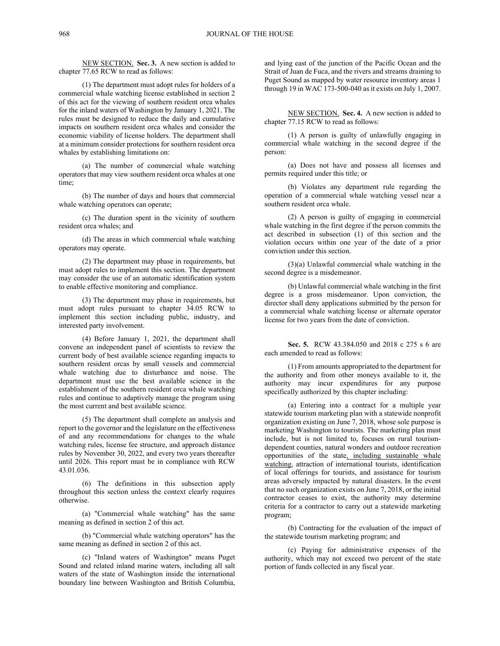NEW SECTION. **Sec. 3.** A new section is added to chapter 77.65 RCW to read as follows:

(1) The department must adopt rules for holders of a commercial whale watching license established in section 2 of this act for the viewing of southern resident orca whales for the inland waters of Washington by January 1, 2021. The rules must be designed to reduce the daily and cumulative impacts on southern resident orca whales and consider the economic viability of license holders. The department shall at a minimum consider protections for southern resident orca whales by establishing limitations on:

(a) The number of commercial whale watching operators that may view southern resident orca whales at one time;

(b) The number of days and hours that commercial whale watching operators can operate;

(c) The duration spent in the vicinity of southern resident orca whales; and

(d) The areas in which commercial whale watching operators may operate.

(2) The department may phase in requirements, but must adopt rules to implement this section. The department may consider the use of an automatic identification system to enable effective monitoring and compliance.

(3) The department may phase in requirements, but must adopt rules pursuant to chapter 34.05 RCW to implement this section including public, industry, and interested party involvement.

(4) Before January 1, 2021, the department shall convene an independent panel of scientists to review the current body of best available science regarding impacts to southern resident orcas by small vessels and commercial whale watching due to disturbance and noise. The department must use the best available science in the establishment of the southern resident orca whale watching rules and continue to adaptively manage the program using the most current and best available science.

(5) The department shall complete an analysis and report to the governor and the legislature on the effectiveness of and any recommendations for changes to the whale watching rules, license fee structure, and approach distance rules by November 30, 2022, and every two years thereafter until 2026. This report must be in compliance with RCW 43.01.036.

(6) The definitions in this subsection apply throughout this section unless the context clearly requires otherwise.

(a) "Commercial whale watching" has the same meaning as defined in section 2 of this act.

(b) "Commercial whale watching operators" has the same meaning as defined in section 2 of this act.

(c) "Inland waters of Washington" means Puget Sound and related inland marine waters, including all salt waters of the state of Washington inside the international boundary line between Washington and British Columbia,

and lying east of the junction of the Pacific Ocean and the Strait of Juan de Fuca, and the rivers and streams draining to Puget Sound as mapped by water resource inventory areas 1 through 19 in WAC 173-500-040 as it exists on July 1, 2007.

NEW SECTION. **Sec. 4.** A new section is added to chapter 77.15 RCW to read as follows:

(1) A person is guilty of unlawfully engaging in commercial whale watching in the second degree if the person:

(a) Does not have and possess all licenses and permits required under this title; or

(b) Violates any department rule regarding the operation of a commercial whale watching vessel near a southern resident orca whale.

(2) A person is guilty of engaging in commercial whale watching in the first degree if the person commits the act described in subsection (1) of this section and the violation occurs within one year of the date of a prior conviction under this section.

(3)(a) Unlawful commercial whale watching in the second degree is a misdemeanor.

(b) Unlawful commercial whale watching in the first degree is a gross misdemeanor. Upon conviction, the director shall deny applications submitted by the person for a commercial whale watching license or alternate operator license for two years from the date of conviction.

**Sec. 5.** RCW 43.384.050 and 2018 c 275 s 6 are each amended to read as follows:

(1) From amounts appropriated to the department for the authority and from other moneys available to it, the authority may incur expenditures for any purpose specifically authorized by this chapter including:

(a) Entering into a contract for a multiple year statewide tourism marketing plan with a statewide nonprofit organization existing on June 7, 2018, whose sole purpose is marketing Washington to tourists. The marketing plan must include, but is not limited to, focuses on rural tourismdependent counties, natural wonders and outdoor recreation opportunities of the state, including sustainable whale watching, attraction of international tourists, identification of local offerings for tourists, and assistance for tourism areas adversely impacted by natural disasters. In the event that no such organization exists on June 7, 2018, or the initial contractor ceases to exist, the authority may determine criteria for a contractor to carry out a statewide marketing program;

(b) Contracting for the evaluation of the impact of the statewide tourism marketing program; and

(c) Paying for administrative expenses of the authority, which may not exceed two percent of the state portion of funds collected in any fiscal year.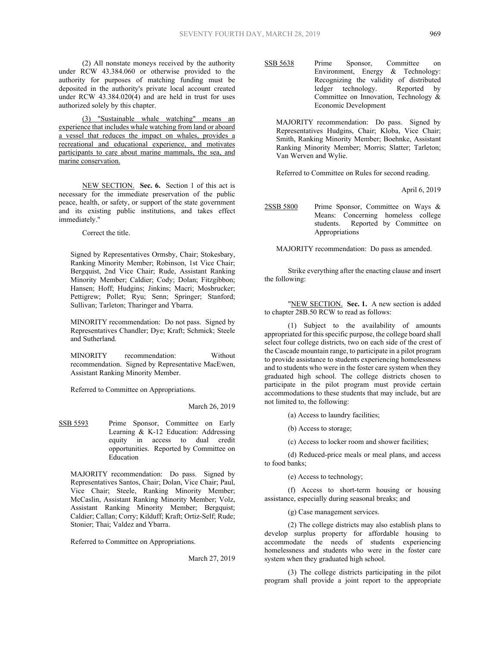(2) All nonstate moneys received by the authority under RCW 43.384.060 or otherwise provided to the authority for purposes of matching funding must be deposited in the authority's private local account created under RCW 43.384.020(4) and are held in trust for uses authorized solely by this chapter.

(3) "Sustainable whale watching" means an experience that includes whale watching from land or aboard a vessel that reduces the impact on whales, provides a recreational and educational experience, and motivates participants to care about marine mammals, the sea, and marine conservation.

NEW SECTION. **Sec. 6.** Section 1 of this act is necessary for the immediate preservation of the public peace, health, or safety, or support of the state government and its existing public institutions, and takes effect immediately."

Correct the title.

Signed by Representatives Ormsby, Chair; Stokesbary, Ranking Minority Member; Robinson, 1st Vice Chair; Bergquist, 2nd Vice Chair; Rude, Assistant Ranking Minority Member; Caldier; Cody; Dolan; Fitzgibbon; Hansen; Hoff; Hudgins; Jinkins; Macri; Mosbrucker; Pettigrew; Pollet; Ryu; Senn; Springer; Stanford; Sullivan; Tarleton; Tharinger and Ybarra.

MINORITY recommendation: Do not pass. Signed by Representatives Chandler; Dye; Kraft; Schmick; Steele and Sutherland.

MINORITY recommendation: Without recommendation. Signed by Representative MacEwen, Assistant Ranking Minority Member.

Referred to Committee on Appropriations.

March 26, 2019

SSB 5593 Prime Sponsor, Committee on Early Learning & K-12 Education: Addressing equity in access to dual credit opportunities. Reported by Committee on Education

MAJORITY recommendation: Do pass. Signed by Representatives Santos, Chair; Dolan, Vice Chair; Paul, Vice Chair; Steele, Ranking Minority Member; McCaslin, Assistant Ranking Minority Member; Volz, Assistant Ranking Minority Member; Bergquist; Caldier; Callan; Corry; Kilduff; Kraft; Ortiz-Self; Rude; Stonier; Thai; Valdez and Ybarra.

Referred to Committee on Appropriations.

March 27, 2019

SSB 5638 Prime Sponsor, Committee on Environment, Energy & Technology: Recognizing the validity of distributed<br>ledger technology. Reported by ledger technology. Committee on Innovation, Technology & Economic Development

MAJORITY recommendation: Do pass. Signed by Representatives Hudgins, Chair; Kloba, Vice Chair; Smith, Ranking Minority Member; Boehnke, Assistant Ranking Minority Member; Morris; Slatter; Tarleton; Van Werven and Wylie.

Referred to Committee on Rules for second reading.

April 6, 2019

2SSB 5800 Prime Sponsor, Committee on Ways & Means: Concerning homeless college students. Reported by Committee on Appropriations

MAJORITY recommendation: Do pass as amended.

Strike everything after the enacting clause and insert the following:

"NEW SECTION. **Sec. 1.** A new section is added to chapter 28B.50 RCW to read as follows:

(1) Subject to the availability of amounts appropriated for this specific purpose, the college board shall select four college districts, two on each side of the crest of the Cascade mountain range, to participate in a pilot program to provide assistance to students experiencing homelessness and to students who were in the foster care system when they graduated high school. The college districts chosen to participate in the pilot program must provide certain accommodations to these students that may include, but are not limited to, the following:

(a) Access to laundry facilities;

(b) Access to storage;

(c) Access to locker room and shower facilities;

(d) Reduced-price meals or meal plans, and access to food banks;

(e) Access to technology;

(f) Access to short-term housing or housing assistance, especially during seasonal breaks; and

(g) Case management services.

(2) The college districts may also establish plans to develop surplus property for affordable housing to accommodate the needs of students experiencing homelessness and students who were in the foster care system when they graduated high school.

(3) The college districts participating in the pilot program shall provide a joint report to the appropriate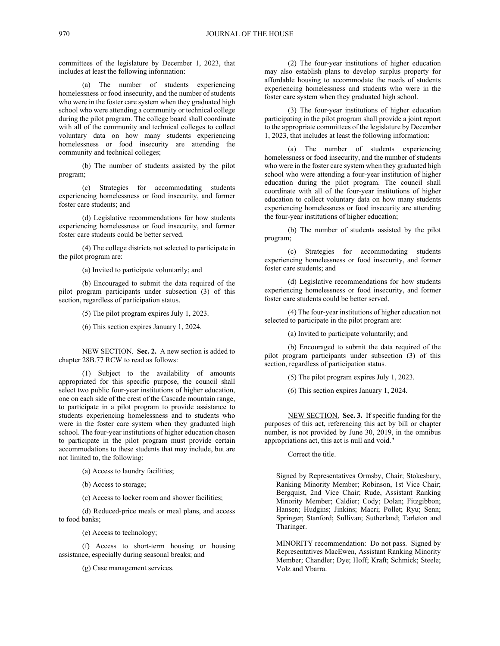committees of the legislature by December 1, 2023, that includes at least the following information:

(a) The number of students experiencing homelessness or food insecurity, and the number of students who were in the foster care system when they graduated high school who were attending a community or technical college during the pilot program. The college board shall coordinate with all of the community and technical colleges to collect voluntary data on how many students experiencing homelessness or food insecurity are attending the community and technical colleges;

(b) The number of students assisted by the pilot program;

(c) Strategies for accommodating students experiencing homelessness or food insecurity, and former foster care students; and

(d) Legislative recommendations for how students experiencing homelessness or food insecurity, and former foster care students could be better served.

(4) The college districts not selected to participate in the pilot program are:

(a) Invited to participate voluntarily; and

(b) Encouraged to submit the data required of the pilot program participants under subsection (3) of this section, regardless of participation status.

(5) The pilot program expires July 1, 2023.

(6) This section expires January 1, 2024.

NEW SECTION. **Sec. 2.** A new section is added to chapter 28B.77 RCW to read as follows:

(1) Subject to the availability of amounts appropriated for this specific purpose, the council shall select two public four-year institutions of higher education, one on each side of the crest of the Cascade mountain range, to participate in a pilot program to provide assistance to students experiencing homelessness and to students who were in the foster care system when they graduated high school. The four-year institutions of higher education chosen to participate in the pilot program must provide certain accommodations to these students that may include, but are not limited to, the following:

(a) Access to laundry facilities;

(b) Access to storage;

(c) Access to locker room and shower facilities;

(d) Reduced-price meals or meal plans, and access to food banks;

(e) Access to technology;

(f) Access to short-term housing or housing assistance, especially during seasonal breaks; and

(g) Case management services.

(2) The four-year institutions of higher education may also establish plans to develop surplus property for affordable housing to accommodate the needs of students experiencing homelessness and students who were in the foster care system when they graduated high school.

(3) The four-year institutions of higher education participating in the pilot program shall provide a joint report to the appropriate committees of the legislature by December 1, 2023, that includes at least the following information:

(a) The number of students experiencing homelessness or food insecurity, and the number of students who were in the foster care system when they graduated high school who were attending a four-year institution of higher education during the pilot program. The council shall coordinate with all of the four-year institutions of higher education to collect voluntary data on how many students experiencing homelessness or food insecurity are attending the four-year institutions of higher education;

(b) The number of students assisted by the pilot program;

(c) Strategies for accommodating students experiencing homelessness or food insecurity, and former foster care students; and

(d) Legislative recommendations for how students experiencing homelessness or food insecurity, and former foster care students could be better served.

(4) The four-year institutions of higher education not selected to participate in the pilot program are:

(a) Invited to participate voluntarily; and

(b) Encouraged to submit the data required of the pilot program participants under subsection (3) of this section, regardless of participation status.

(5) The pilot program expires July 1, 2023.

(6) This section expires January 1, 2024.

NEW SECTION. **Sec. 3.** If specific funding for the purposes of this act, referencing this act by bill or chapter number, is not provided by June 30, 2019, in the omnibus appropriations act, this act is null and void."

Correct the title.

Signed by Representatives Ormsby, Chair; Stokesbary, Ranking Minority Member; Robinson, 1st Vice Chair; Bergquist, 2nd Vice Chair; Rude, Assistant Ranking Minority Member; Caldier; Cody; Dolan; Fitzgibbon; Hansen; Hudgins; Jinkins; Macri; Pollet; Ryu; Senn; Springer; Stanford; Sullivan; Sutherland; Tarleton and Tharinger.

MINORITY recommendation: Do not pass. Signed by Representatives MacEwen, Assistant Ranking Minority Member; Chandler; Dye; Hoff; Kraft; Schmick; Steele; Volz and Ybarra.